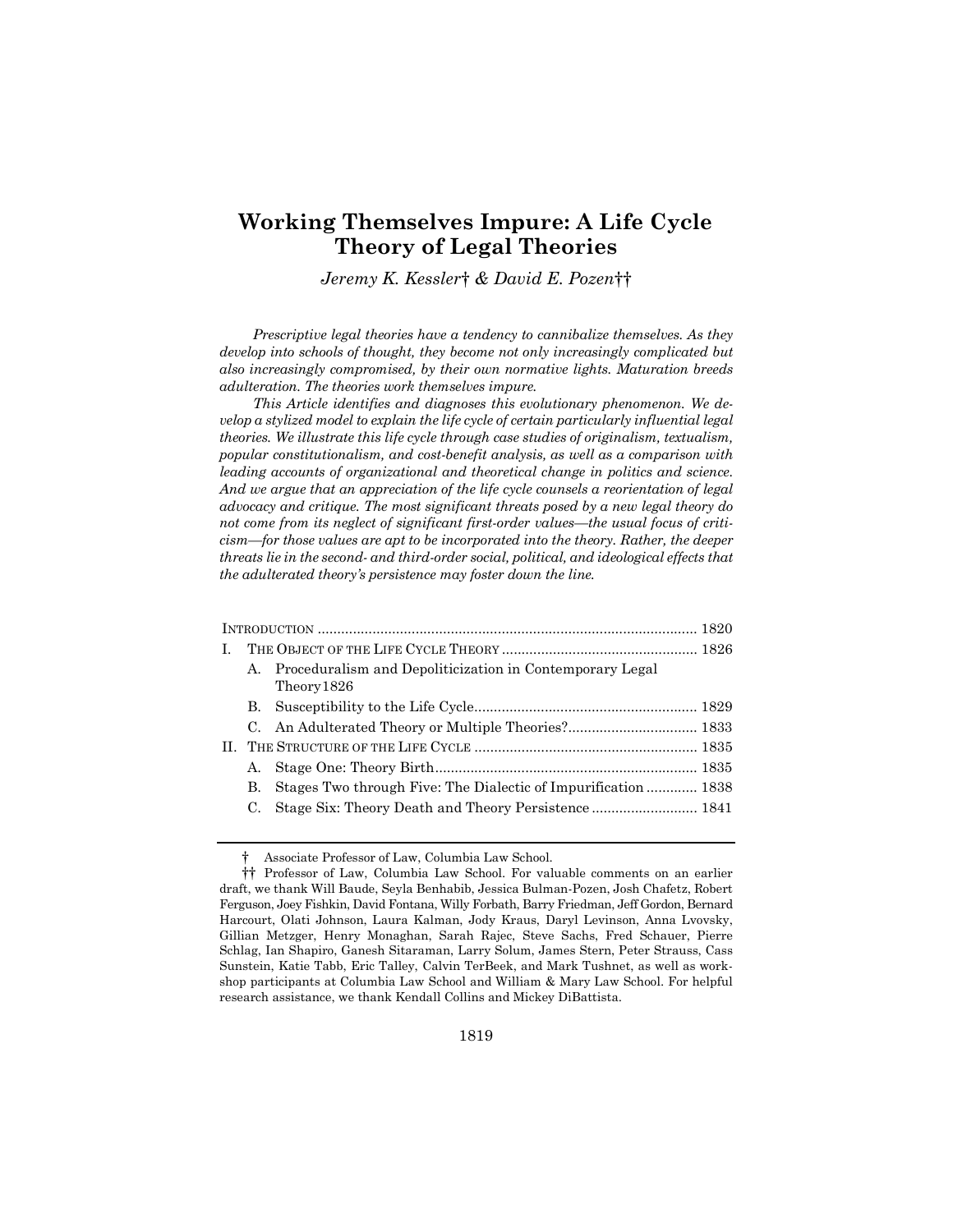# Working Themselves Impure: A Life Cycle Theory of Legal Theories

Jeremy K. Kessler† & David E. Pozen††

Prescriptive legal theories have a tendency to cannibalize themselves. As they develop into schools of thought, they become not only increasingly complicated but also increasingly compromised, by their own normative lights. Maturation breeds adulteration. The theories work themselves impure.

This Article identifies and diagnoses this evolutionary phenomenon. We develop a stylized model to explain the life cycle of certain particularly influential legal theories. We illustrate this life cycle through case studies of originalism, textualism, popular constitutionalism, and cost-benefit analysis, as well as a comparison with leading accounts of organizational and theoretical change in politics and science. And we argue that an appreciation of the life cycle counsels a reorientation of legal advocacy and critique. The most significant threats posed by a new legal theory do not come from its neglect of significant first-order values—the usual focus of criticism—for those values are apt to be incorporated into the theory. Rather, the deeper threats lie in the second- and third-order social, political, and ideological effects that the adulterated theory's persistence may foster down the line.

| L |                      |                                                                         |  |
|---|----------------------|-------------------------------------------------------------------------|--|
|   | $\mathbf{A}_{\cdot}$ | Proceduralism and Depoliticization in Contemporary Legal<br>Theory 1826 |  |
|   |                      |                                                                         |  |
|   |                      |                                                                         |  |
|   |                      |                                                                         |  |
|   | А.                   |                                                                         |  |
|   | В.                   | Stages Two through Five: The Dialectic of Impurification  1838          |  |
|   |                      | Stage Six: Theory Death and Theory Persistence 1841                     |  |
|   |                      |                                                                         |  |

 <sup>†</sup> Associate Professor of Law, Columbia Law School.

 <sup>††</sup> Professor of Law, Columbia Law School. For valuable comments on an earlier draft, we thank Will Baude, Seyla Benhabib, Jessica Bulman-Pozen, Josh Chafetz, Robert Ferguson, Joey Fishkin, David Fontana, Willy Forbath, Barry Friedman, Jeff Gordon, Bernard Harcourt, Olati Johnson, Laura Kalman, Jody Kraus, Daryl Levinson, Anna Lvovsky, Gillian Metzger, Henry Monaghan, Sarah Rajec, Steve Sachs, Fred Schauer, Pierre Schlag, Ian Shapiro, Ganesh Sitaraman, Larry Solum, James Stern, Peter Strauss, Cass Sunstein, Katie Tabb, Eric Talley, Calvin TerBeek, and Mark Tushnet, as well as workshop participants at Columbia Law School and William & Mary Law School. For helpful research assistance, we thank Kendall Collins and Mickey DiBattista.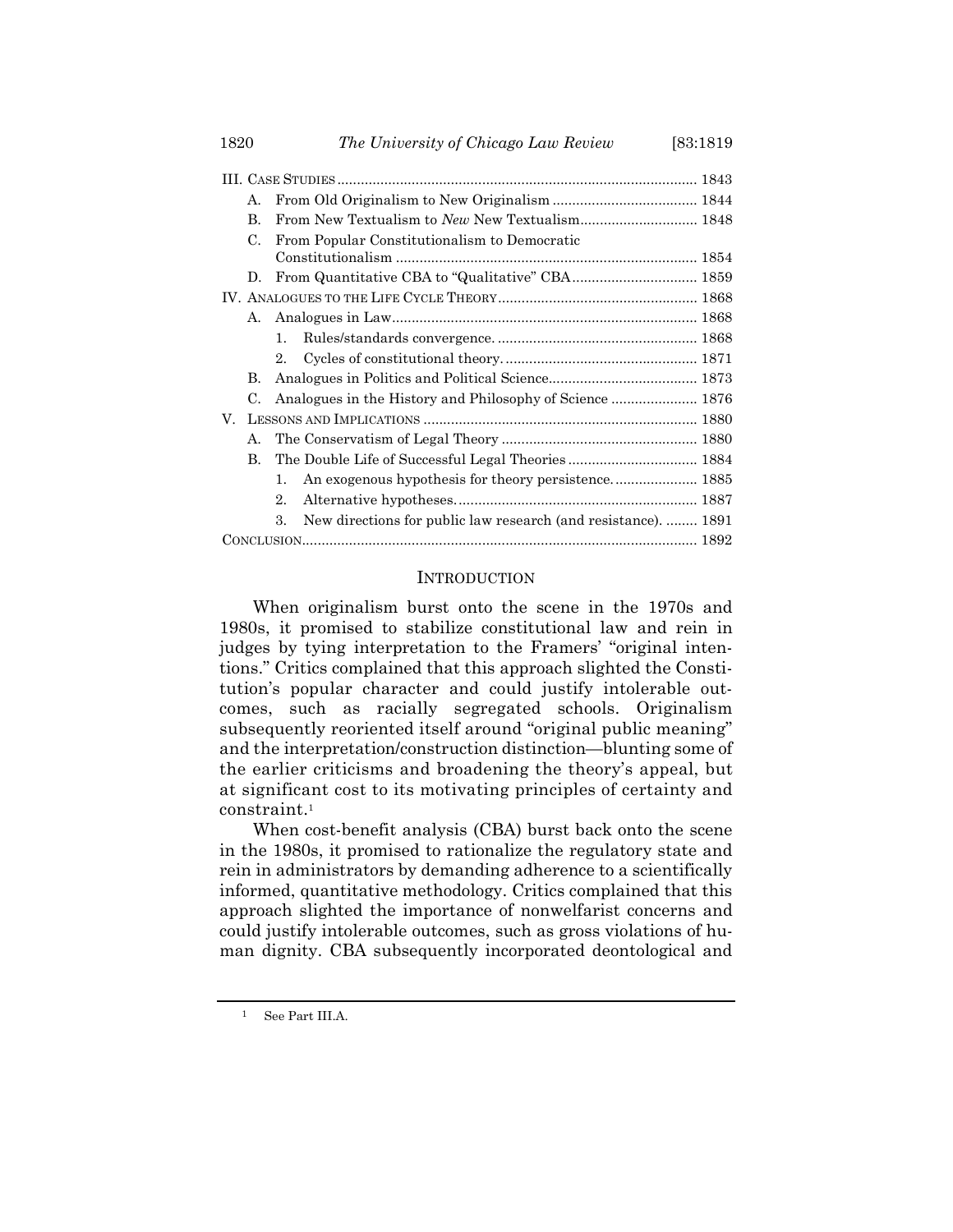|    | А. |                |                                                                |  |  |
|----|----|----------------|----------------------------------------------------------------|--|--|
|    | B. |                |                                                                |  |  |
|    | C. |                | From Popular Constitutionalism to Democratic                   |  |  |
|    | D. |                |                                                                |  |  |
|    |    |                |                                                                |  |  |
|    | A. |                |                                                                |  |  |
|    |    | 1.             |                                                                |  |  |
|    |    | 2.             |                                                                |  |  |
|    | В. |                |                                                                |  |  |
|    | C. |                | Analogues in the History and Philosophy of Science  1876       |  |  |
| V. |    |                |                                                                |  |  |
|    | А. |                |                                                                |  |  |
|    | В. |                |                                                                |  |  |
|    |    | $\mathbf{1}$ . | An exogenous hypothesis for theory persistence 1885            |  |  |
|    |    | 2.             |                                                                |  |  |
|    |    | 3.             | New directions for public law research (and resistance).  1891 |  |  |
|    |    |                |                                                                |  |  |
|    |    |                |                                                                |  |  |

## **INTRODUCTION**

When originalism burst onto the scene in the 1970s and 1980s, it promised to stabilize constitutional law and rein in judges by tying interpretation to the Framers' "original intentions." Critics complained that this approach slighted the Constitution's popular character and could justify intolerable outcomes, such as racially segregated schools. Originalism subsequently reoriented itself around "original public meaning" and the interpretation/construction distinction—blunting some of the earlier criticisms and broadening the theory's appeal, but at significant cost to its motivating principles of certainty and constraint.<sup>1</sup>

When cost-benefit analysis (CBA) burst back onto the scene in the 1980s, it promised to rationalize the regulatory state and rein in administrators by demanding adherence to a scientifically informed, quantitative methodology. Critics complained that this approach slighted the importance of nonwelfarist concerns and could justify intolerable outcomes, such as gross violations of human dignity. CBA subsequently incorporated deontological and

<sup>1</sup> See Part III.A.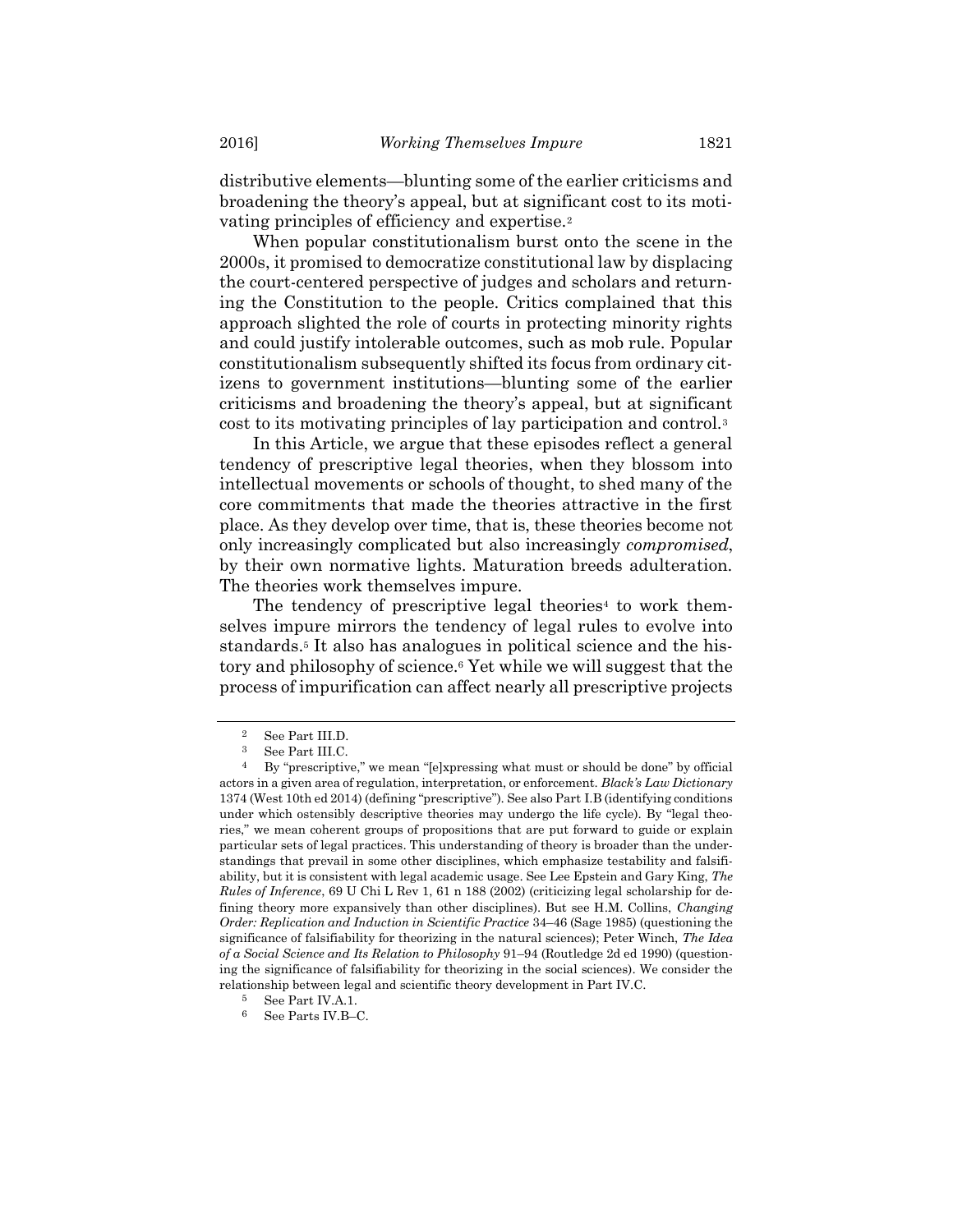distributive elements—blunting some of the earlier criticisms and broadening the theory's appeal, but at significant cost to its motivating principles of efficiency and expertise.<sup>2</sup>

When popular constitutionalism burst onto the scene in the 2000s, it promised to democratize constitutional law by displacing the court-centered perspective of judges and scholars and returning the Constitution to the people. Critics complained that this approach slighted the role of courts in protecting minority rights and could justify intolerable outcomes, such as mob rule. Popular constitutionalism subsequently shifted its focus from ordinary citizens to government institutions—blunting some of the earlier criticisms and broadening the theory's appeal, but at significant cost to its motivating principles of lay participation and control.<sup>3</sup>

In this Article, we argue that these episodes reflect a general tendency of prescriptive legal theories, when they blossom into intellectual movements or schools of thought, to shed many of the core commitments that made the theories attractive in the first place. As they develop over time, that is, these theories become not only increasingly complicated but also increasingly compromised, by their own normative lights. Maturation breeds adulteration. The theories work themselves impure.

The tendency of prescriptive legal theories<sup>4</sup> to work themselves impure mirrors the tendency of legal rules to evolve into standards.<sup>5</sup> It also has analogues in political science and the history and philosophy of science.<sup>6</sup> Yet while we will suggest that the process of impurification can affect nearly all prescriptive projects

<sup>2</sup> See Part III.D.

<sup>3</sup> See Part III.C.

<sup>&</sup>lt;sup>4</sup> By "prescriptive," we mean "[e]xpressing what must or should be done" by official actors in a given area of regulation, interpretation, or enforcement. Black's Law Dictionary 1374 (West 10th ed 2014) (defining "prescriptive"). See also Part I.B (identifying conditions under which ostensibly descriptive theories may undergo the life cycle). By "legal theories," we mean coherent groups of propositions that are put forward to guide or explain particular sets of legal practices. This understanding of theory is broader than the understandings that prevail in some other disciplines, which emphasize testability and falsifiability, but it is consistent with legal academic usage. See Lee Epstein and Gary King, The Rules of Inference, 69 U Chi L Rev 1, 61 n 188 (2002) (criticizing legal scholarship for defining theory more expansively than other disciplines). But see H.M. Collins, *Changing* Order: Replication and Induction in Scientific Practice 34–46 (Sage 1985) (questioning the significance of falsifiability for theorizing in the natural sciences); Peter Winch, The Idea of a Social Science and Its Relation to Philosophy 91–94 (Routledge 2d ed 1990) (questioning the significance of falsifiability for theorizing in the social sciences). We consider the relationship between legal and scientific theory development in Part IV.C.

<sup>5</sup> See Part IV.A.1.

See Parts IV.B-C.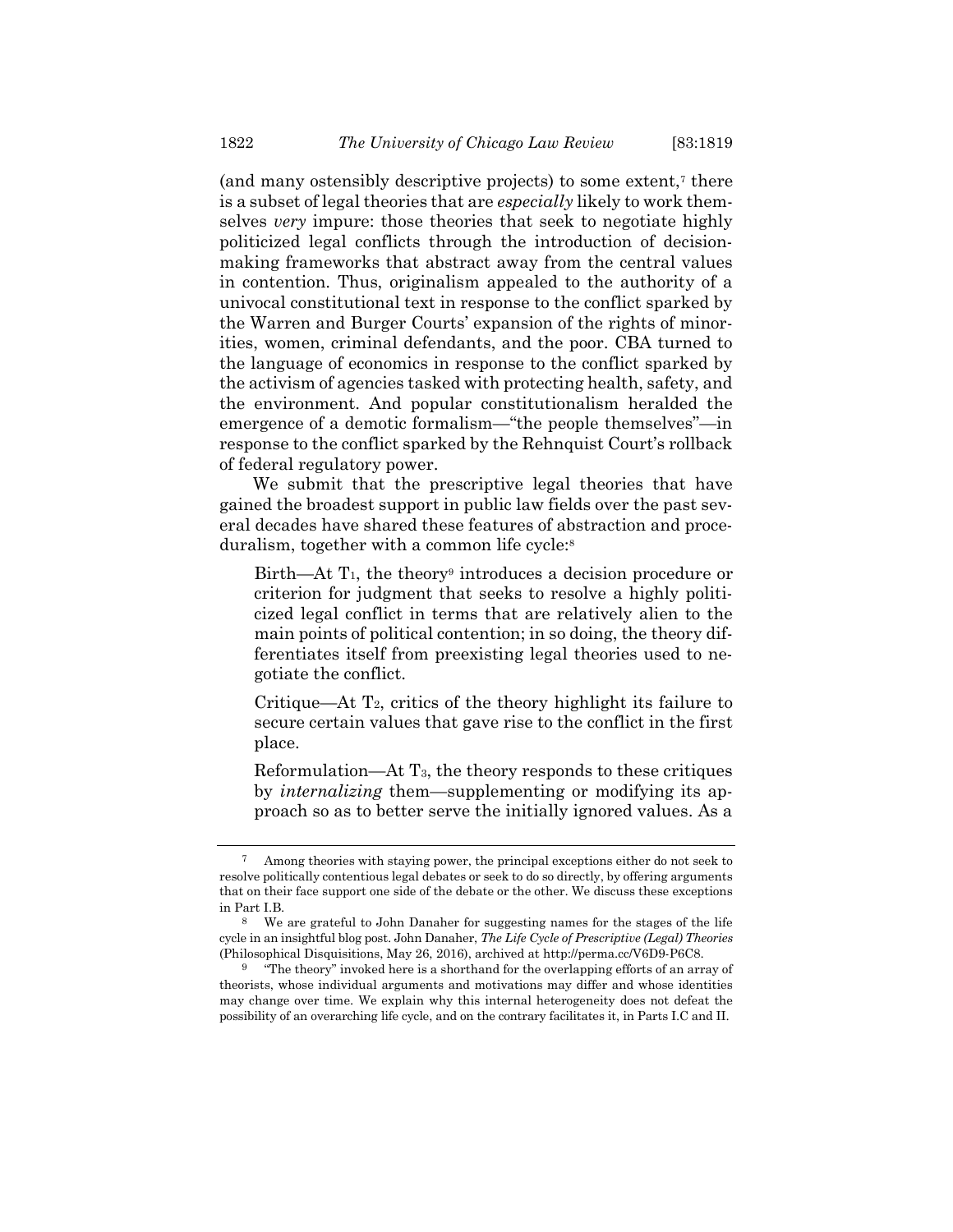(and many ostensibly descriptive projects) to some extent,<sup>7</sup> there is a subset of legal theories that are *especially* likely to work themselves *very* impure: those theories that seek to negotiate highly politicized legal conflicts through the introduction of decisionmaking frameworks that abstract away from the central values in contention. Thus, originalism appealed to the authority of a univocal constitutional text in response to the conflict sparked by the Warren and Burger Courts' expansion of the rights of minorities, women, criminal defendants, and the poor. CBA turned to the language of economics in response to the conflict sparked by the activism of agencies tasked with protecting health, safety, and the environment. And popular constitutionalism heralded the emergence of a demotic formalism—"the people themselves"—in response to the conflict sparked by the Rehnquist Court's rollback of federal regulatory power.

We submit that the prescriptive legal theories that have gained the broadest support in public law fields over the past several decades have shared these features of abstraction and proceduralism, together with a common life cycle:<sup>8</sup>

 $Birth$ —At  $T_1$ , the theory<sup>9</sup> introduces a decision procedure or criterion for judgment that seeks to resolve a highly politicized legal conflict in terms that are relatively alien to the main points of political contention; in so doing, the theory differentiates itself from preexisting legal theories used to negotiate the conflict.

Critique—At  $T_2$ , critics of the theory highlight its failure to secure certain values that gave rise to the conflict in the first place.

Reformulation—At T3, the theory responds to these critiques by internalizing them—supplementing or modifying its approach so as to better serve the initially ignored values. As a

<sup>7</sup> Among theories with staying power, the principal exceptions either do not seek to resolve politically contentious legal debates or seek to do so directly, by offering arguments that on their face support one side of the debate or the other. We discuss these exceptions in Part I.B.

<sup>8</sup> We are grateful to John Danaher for suggesting names for the stages of the life cycle in an insightful blog post. John Danaher, The Life Cycle of Prescriptive (Legal) Theories (Philosophical Disquisitions, May 26, 2016), archived at http://perma.cc/V6D9-P6C8.

<sup>9</sup> "The theory" invoked here is a shorthand for the overlapping efforts of an array of theorists, whose individual arguments and motivations may differ and whose identities may change over time. We explain why this internal heterogeneity does not defeat the possibility of an overarching life cycle, and on the contrary facilitates it, in Parts I.C and II.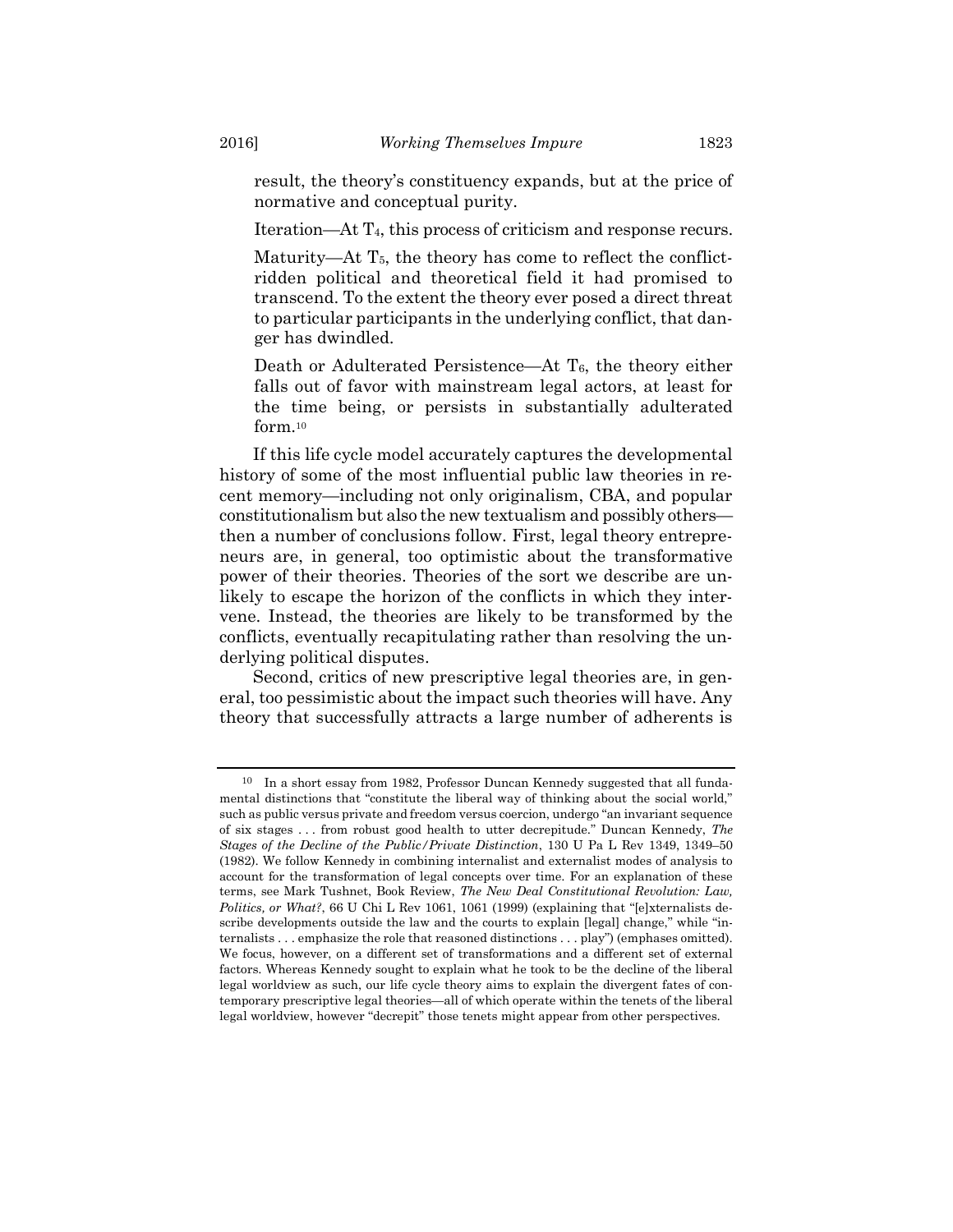result, the theory's constituency expands, but at the price of normative and conceptual purity.

Iteration—At T4, this process of criticism and response recurs.

Maturity—At T<sub>5</sub>, the theory has come to reflect the conflictridden political and theoretical field it had promised to transcend. To the extent the theory ever posed a direct threat to particular participants in the underlying conflict, that danger has dwindled.

Death or Adulterated Persistence—At T<sub>6</sub>, the theory either falls out of favor with mainstream legal actors, at least for the time being, or persists in substantially adulterated form.<sup>10</sup>

If this life cycle model accurately captures the developmental history of some of the most influential public law theories in recent memory—including not only originalism, CBA, and popular constitutionalism but also the new textualism and possibly others then a number of conclusions follow. First, legal theory entrepreneurs are, in general, too optimistic about the transformative power of their theories. Theories of the sort we describe are unlikely to escape the horizon of the conflicts in which they intervene. Instead, the theories are likely to be transformed by the conflicts, eventually recapitulating rather than resolving the underlying political disputes.

Second, critics of new prescriptive legal theories are, in general, too pessimistic about the impact such theories will have. Any theory that successfully attracts a large number of adherents is

<sup>10</sup> In a short essay from 1982, Professor Duncan Kennedy suggested that all fundamental distinctions that "constitute the liberal way of thinking about the social world," such as public versus private and freedom versus coercion, undergo "an invariant sequence of six stages . . . from robust good health to utter decrepitude." Duncan Kennedy, The Stages of the Decline of the Public/Private Distinction, 130 U Pa L Rev 1349, 1349–50 (1982). We follow Kennedy in combining internalist and externalist modes of analysis to account for the transformation of legal concepts over time. For an explanation of these terms, see Mark Tushnet, Book Review, The New Deal Constitutional Revolution: Law, Politics, or What?, 66 U Chi L Rev 1061, 1061 (1999) (explaining that "[e]xternalists describe developments outside the law and the courts to explain [legal] change," while "internalists . . . emphasize the role that reasoned distinctions . . . play") (emphases omitted). We focus, however, on a different set of transformations and a different set of external factors. Whereas Kennedy sought to explain what he took to be the decline of the liberal legal worldview as such, our life cycle theory aims to explain the divergent fates of contemporary prescriptive legal theories—all of which operate within the tenets of the liberal legal worldview, however "decrepit" those tenets might appear from other perspectives.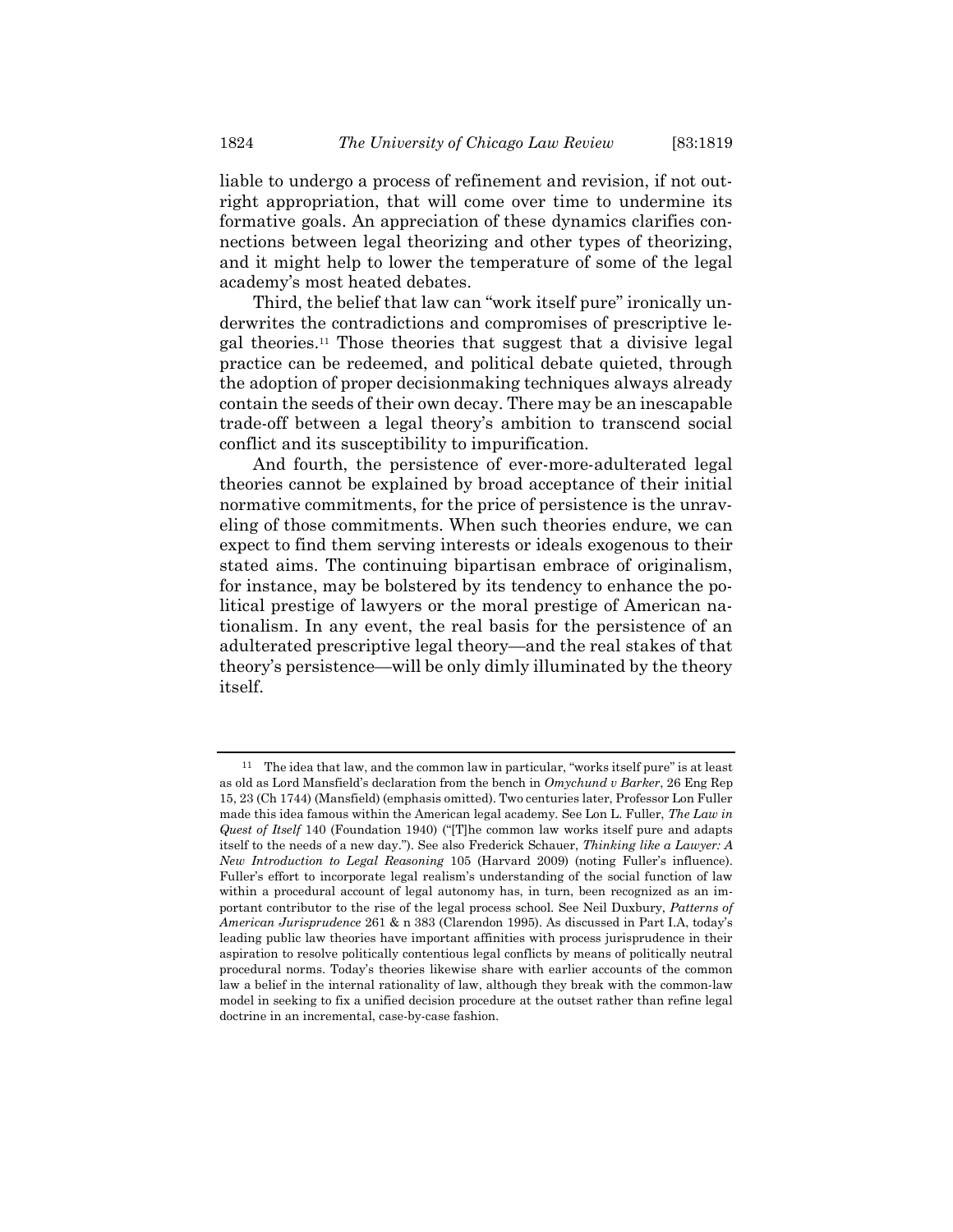liable to undergo a process of refinement and revision, if not outright appropriation, that will come over time to undermine its formative goals. An appreciation of these dynamics clarifies connections between legal theorizing and other types of theorizing, and it might help to lower the temperature of some of the legal academy's most heated debates.

Third, the belief that law can "work itself pure" ironically underwrites the contradictions and compromises of prescriptive legal theories.11 Those theories that suggest that a divisive legal practice can be redeemed, and political debate quieted, through the adoption of proper decisionmaking techniques always already contain the seeds of their own decay. There may be an inescapable trade-off between a legal theory's ambition to transcend social conflict and its susceptibility to impurification.

And fourth, the persistence of ever-more-adulterated legal theories cannot be explained by broad acceptance of their initial normative commitments, for the price of persistence is the unraveling of those commitments. When such theories endure, we can expect to find them serving interests or ideals exogenous to their stated aims. The continuing bipartisan embrace of originalism, for instance, may be bolstered by its tendency to enhance the political prestige of lawyers or the moral prestige of American nationalism. In any event, the real basis for the persistence of an adulterated prescriptive legal theory—and the real stakes of that theory's persistence—will be only dimly illuminated by the theory itself.

 $11$  The idea that law, and the common law in particular, "works itself pure" is at least as old as Lord Mansfield's declaration from the bench in Omychund v Barker, 26 Eng Rep 15, 23 (Ch 1744) (Mansfield) (emphasis omitted). Two centuries later, Professor Lon Fuller made this idea famous within the American legal academy. See Lon L. Fuller, The Law in Quest of Itself 140 (Foundation 1940) ("[T]he common law works itself pure and adapts itself to the needs of a new day."). See also Frederick Schauer, Thinking like a Lawyer: A New Introduction to Legal Reasoning 105 (Harvard 2009) (noting Fuller's influence). Fuller's effort to incorporate legal realism's understanding of the social function of law within a procedural account of legal autonomy has, in turn, been recognized as an important contributor to the rise of the legal process school. See Neil Duxbury, Patterns of American Jurisprudence 261 & n 383 (Clarendon 1995). As discussed in Part I.A, today's leading public law theories have important affinities with process jurisprudence in their aspiration to resolve politically contentious legal conflicts by means of politically neutral procedural norms. Today's theories likewise share with earlier accounts of the common law a belief in the internal rationality of law, although they break with the common-law model in seeking to fix a unified decision procedure at the outset rather than refine legal doctrine in an incremental, case-by-case fashion.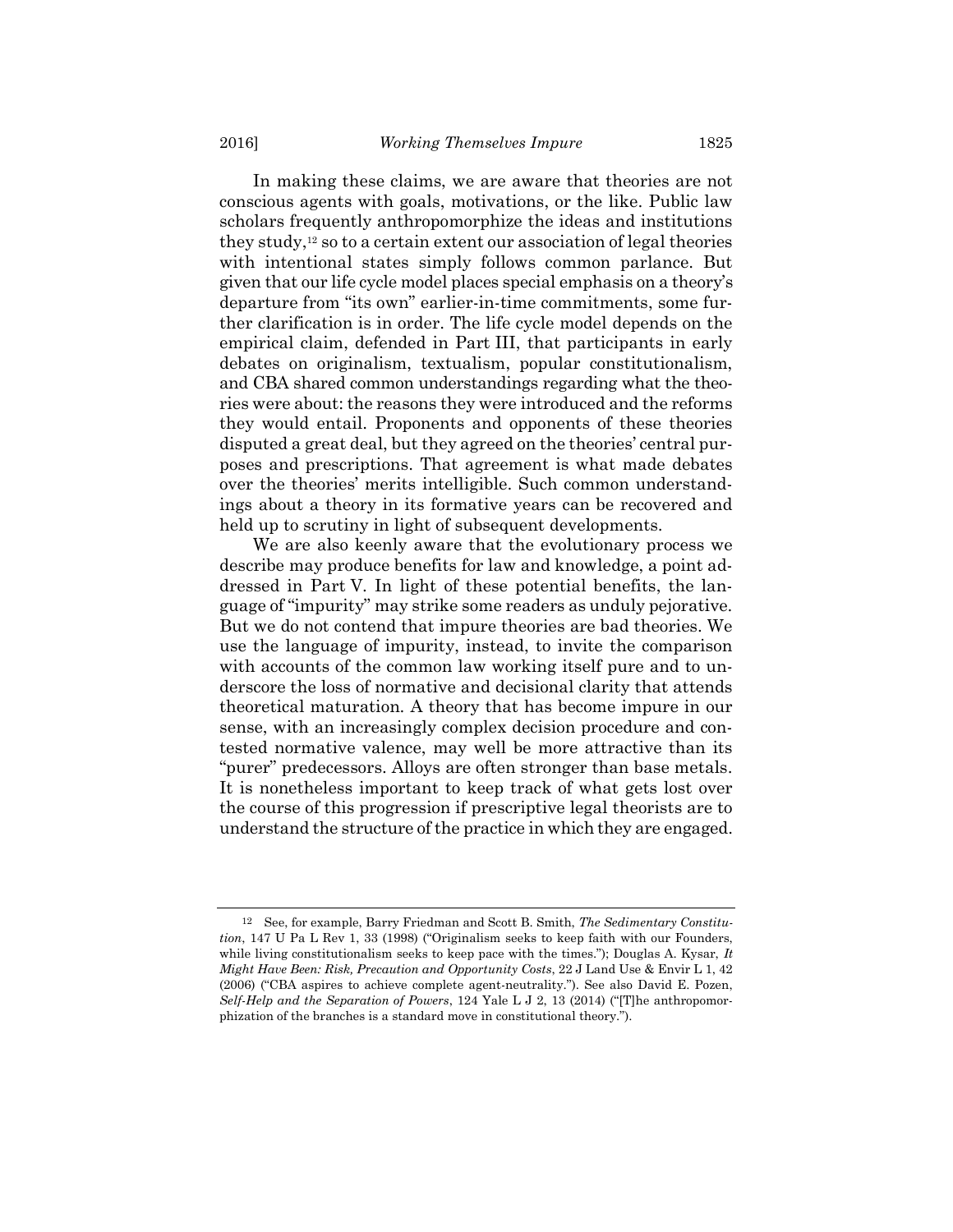In making these claims, we are aware that theories are not conscious agents with goals, motivations, or the like. Public law scholars frequently anthropomorphize the ideas and institutions they study,12 so to a certain extent our association of legal theories with intentional states simply follows common parlance. But given that our life cycle model places special emphasis on a theory's departure from "its own" earlier-in-time commitments, some further clarification is in order. The life cycle model depends on the empirical claim, defended in Part III, that participants in early debates on originalism, textualism, popular constitutionalism, and CBA shared common understandings regarding what the theories were about: the reasons they were introduced and the reforms they would entail. Proponents and opponents of these theories disputed a great deal, but they agreed on the theories' central purposes and prescriptions. That agreement is what made debates over the theories' merits intelligible. Such common understandings about a theory in its formative years can be recovered and held up to scrutiny in light of subsequent developments.

We are also keenly aware that the evolutionary process we describe may produce benefits for law and knowledge, a point addressed in Part V. In light of these potential benefits, the language of "impurity" may strike some readers as unduly pejorative. But we do not contend that impure theories are bad theories. We use the language of impurity, instead, to invite the comparison with accounts of the common law working itself pure and to underscore the loss of normative and decisional clarity that attends theoretical maturation. A theory that has become impure in our sense, with an increasingly complex decision procedure and contested normative valence, may well be more attractive than its "purer" predecessors. Alloys are often stronger than base metals. It is nonetheless important to keep track of what gets lost over the course of this progression if prescriptive legal theorists are to understand the structure of the practice in which they are engaged.

<sup>12</sup> See, for example, Barry Friedman and Scott B. Smith, The Sedimentary Constitution, 147 U Pa L Rev 1, 33 (1998) ("Originalism seeks to keep faith with our Founders, while living constitutionalism seeks to keep pace with the times."); Douglas A. Kysar, It Might Have Been: Risk, Precaution and Opportunity Costs, 22 J Land Use & Envir L 1, 42 (2006) ("CBA aspires to achieve complete agent-neutrality."). See also David E. Pozen, Self-Help and the Separation of Powers, 124 Yale L J 2, 13 (2014) ("[T]he anthropomorphization of the branches is a standard move in constitutional theory.").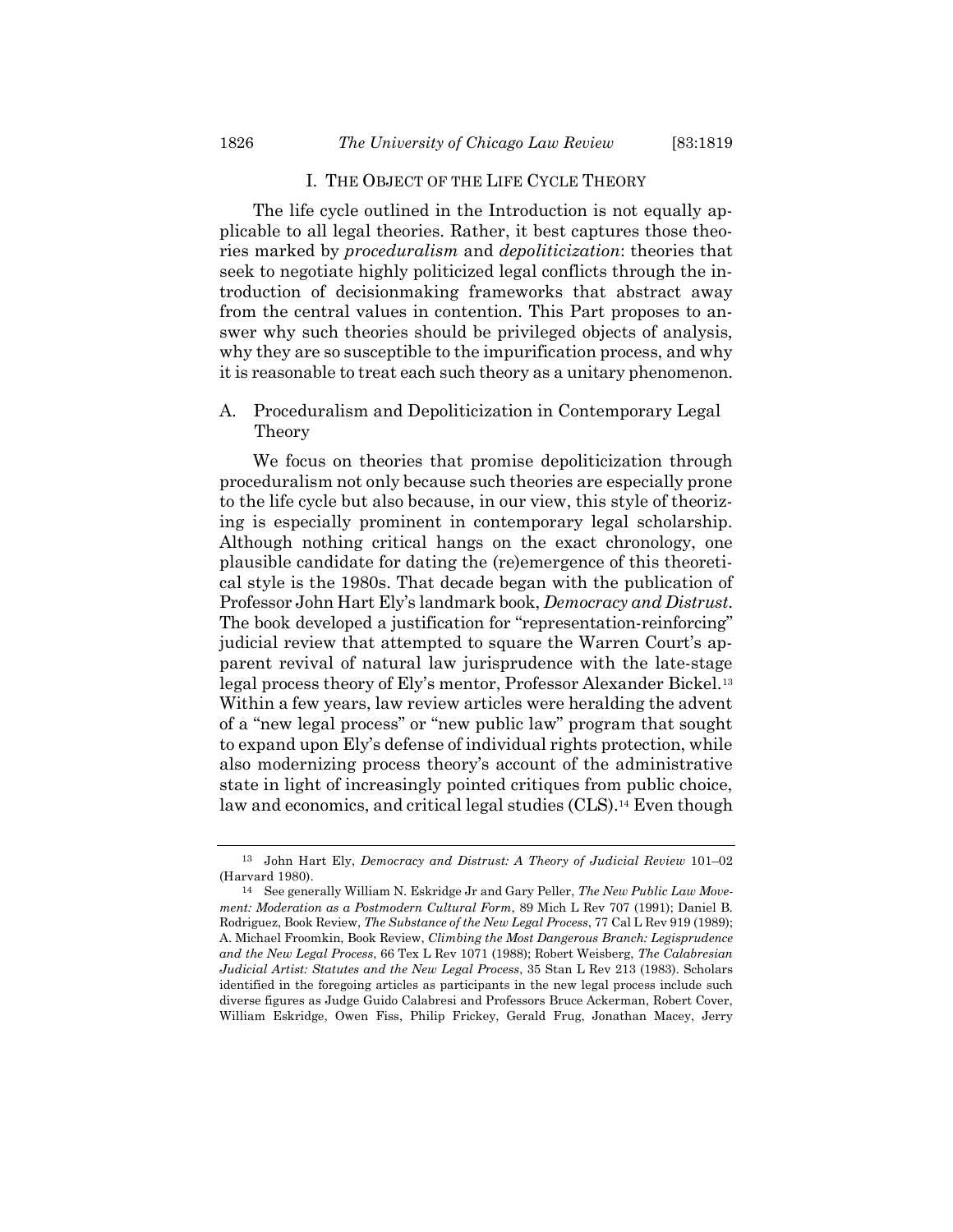#### I. THE OBJECT OF THE LIFE CYCLE THEORY

The life cycle outlined in the Introduction is not equally applicable to all legal theories. Rather, it best captures those theories marked by proceduralism and depoliticization: theories that seek to negotiate highly politicized legal conflicts through the introduction of decisionmaking frameworks that abstract away from the central values in contention. This Part proposes to answer why such theories should be privileged objects of analysis, why they are so susceptible to the impurification process, and why it is reasonable to treat each such theory as a unitary phenomenon.

# A. Proceduralism and Depoliticization in Contemporary Legal Theory

We focus on theories that promise depoliticization through proceduralism not only because such theories are especially prone to the life cycle but also because, in our view, this style of theorizing is especially prominent in contemporary legal scholarship. Although nothing critical hangs on the exact chronology, one plausible candidate for dating the (re)emergence of this theoretical style is the 1980s. That decade began with the publication of Professor John Hart Ely's landmark book, Democracy and Distrust. The book developed a justification for "representation-reinforcing" judicial review that attempted to square the Warren Court's apparent revival of natural law jurisprudence with the late-stage legal process theory of Ely's mentor, Professor Alexander Bickel.<sup>13</sup> Within a few years, law review articles were heralding the advent of a "new legal process" or "new public law" program that sought to expand upon Ely's defense of individual rights protection, while also modernizing process theory's account of the administrative state in light of increasingly pointed critiques from public choice, law and economics, and critical legal studies (CLS).<sup>14</sup> Even though

<sup>13</sup> John Hart Ely, Democracy and Distrust: A Theory of Judicial Review 101–02 (Harvard 1980).

<sup>14</sup> See generally William N. Eskridge Jr and Gary Peller, The New Public Law Movement: Moderation as a Postmodern Cultural Form, 89 Mich L Rev 707 (1991); Daniel B. Rodriguez, Book Review, The Substance of the New Legal Process, 77 Cal L Rev 919 (1989); A. Michael Froomkin, Book Review, Climbing the Most Dangerous Branch: Legisprudence and the New Legal Process, 66 Tex L Rev 1071 (1988); Robert Weisberg, The Calabresian Judicial Artist: Statutes and the New Legal Process, 35 Stan L Rev 213 (1983). Scholars identified in the foregoing articles as participants in the new legal process include such diverse figures as Judge Guido Calabresi and Professors Bruce Ackerman, Robert Cover, William Eskridge, Owen Fiss, Philip Frickey, Gerald Frug, Jonathan Macey, Jerry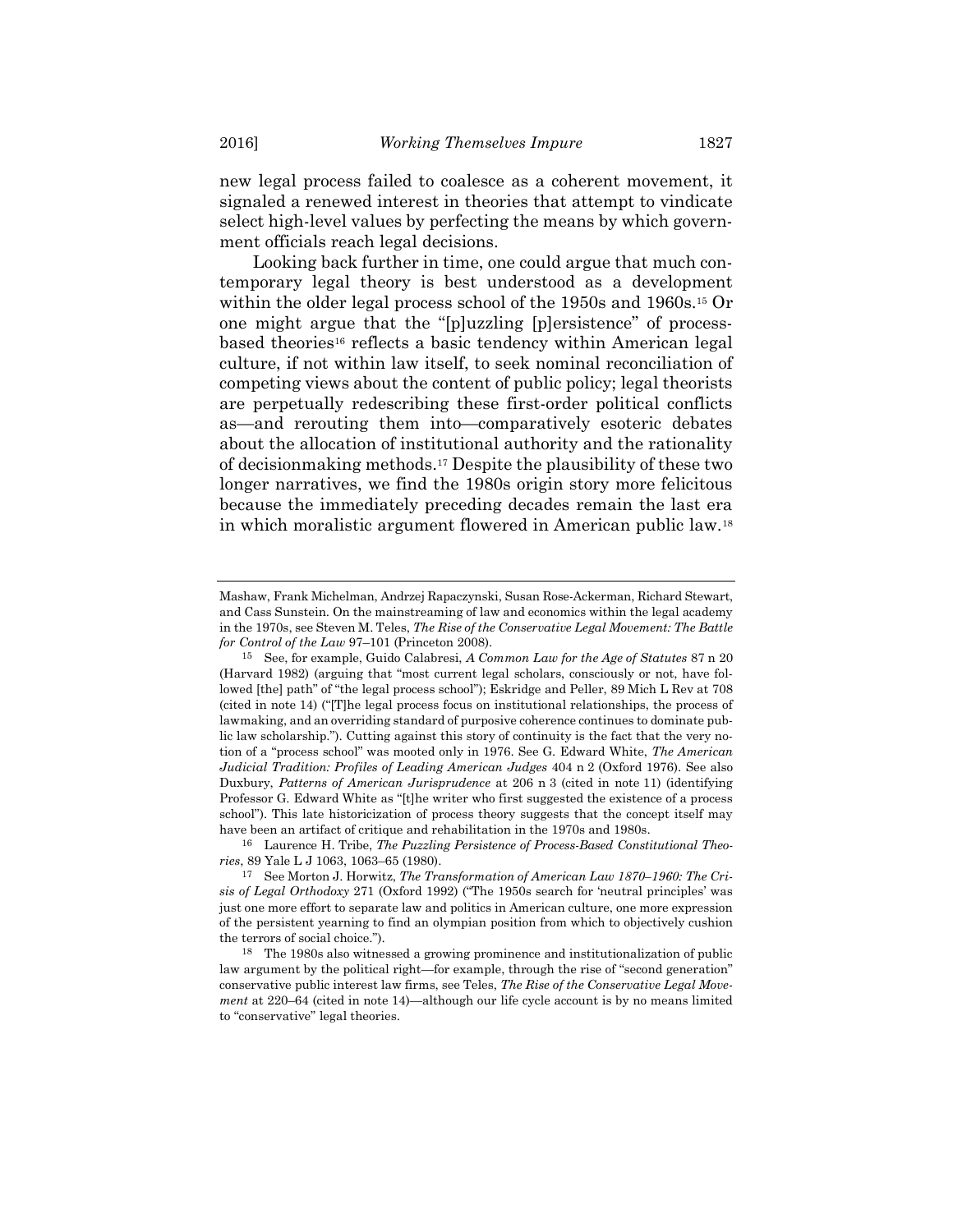new legal process failed to coalesce as a coherent movement, it signaled a renewed interest in theories that attempt to vindicate select high-level values by perfecting the means by which government officials reach legal decisions.

Looking back further in time, one could argue that much contemporary legal theory is best understood as a development within the older legal process school of the 1950s and 1960s.15 Or one might argue that the "[p]uzzling [p]ersistence" of processbased theories16 reflects a basic tendency within American legal culture, if not within law itself, to seek nominal reconciliation of competing views about the content of public policy; legal theorists are perpetually redescribing these first-order political conflicts as—and rerouting them into—comparatively esoteric debates about the allocation of institutional authority and the rationality of decisionmaking methods.17 Despite the plausibility of these two longer narratives, we find the 1980s origin story more felicitous because the immediately preceding decades remain the last era in which moralistic argument flowered in American public law.<sup>18</sup>

Mashaw, Frank Michelman, Andrzej Rapaczynski, Susan Rose-Ackerman, Richard Stewart, and Cass Sunstein. On the mainstreaming of law and economics within the legal academy in the 1970s, see Steven M. Teles, The Rise of the Conservative Legal Movement: The Battle for Control of the Law 97–101 (Princeton 2008).

<sup>15</sup> See, for example, Guido Calabresi, A Common Law for the Age of Statutes 87 n 20 (Harvard 1982) (arguing that "most current legal scholars, consciously or not, have followed [the] path" of "the legal process school"); Eskridge and Peller, 89 Mich L Rev at 708 (cited in note 14) ("[T]he legal process focus on institutional relationships, the process of lawmaking, and an overriding standard of purposive coherence continues to dominate public law scholarship."). Cutting against this story of continuity is the fact that the very notion of a "process school" was mooted only in 1976. See G. Edward White, The American Judicial Tradition: Profiles of Leading American Judges 404 n 2 (Oxford 1976). See also Duxbury, Patterns of American Jurisprudence at 206 n 3 (cited in note 11) (identifying Professor G. Edward White as "[t]he writer who first suggested the existence of a process school"). This late historicization of process theory suggests that the concept itself may have been an artifact of critique and rehabilitation in the 1970s and 1980s.

<sup>16</sup> Laurence H. Tribe, The Puzzling Persistence of Process-Based Constitutional Theories, 89 Yale L J 1063, 1063–65 (1980).

<sup>17</sup> See Morton J. Horwitz, The Transformation of American Law 1870–1960: The Crisis of Legal Orthodoxy 271 (Oxford 1992) ("The 1950s search for 'neutral principles' was just one more effort to separate law and politics in American culture, one more expression of the persistent yearning to find an olympian position from which to objectively cushion the terrors of social choice.").

<sup>18</sup> The 1980s also witnessed a growing prominence and institutionalization of public law argument by the political right—for example, through the rise of "second generation" conservative public interest law firms, see Teles, The Rise of the Conservative Legal Movement at 220–64 (cited in note 14)—although our life cycle account is by no means limited to "conservative" legal theories.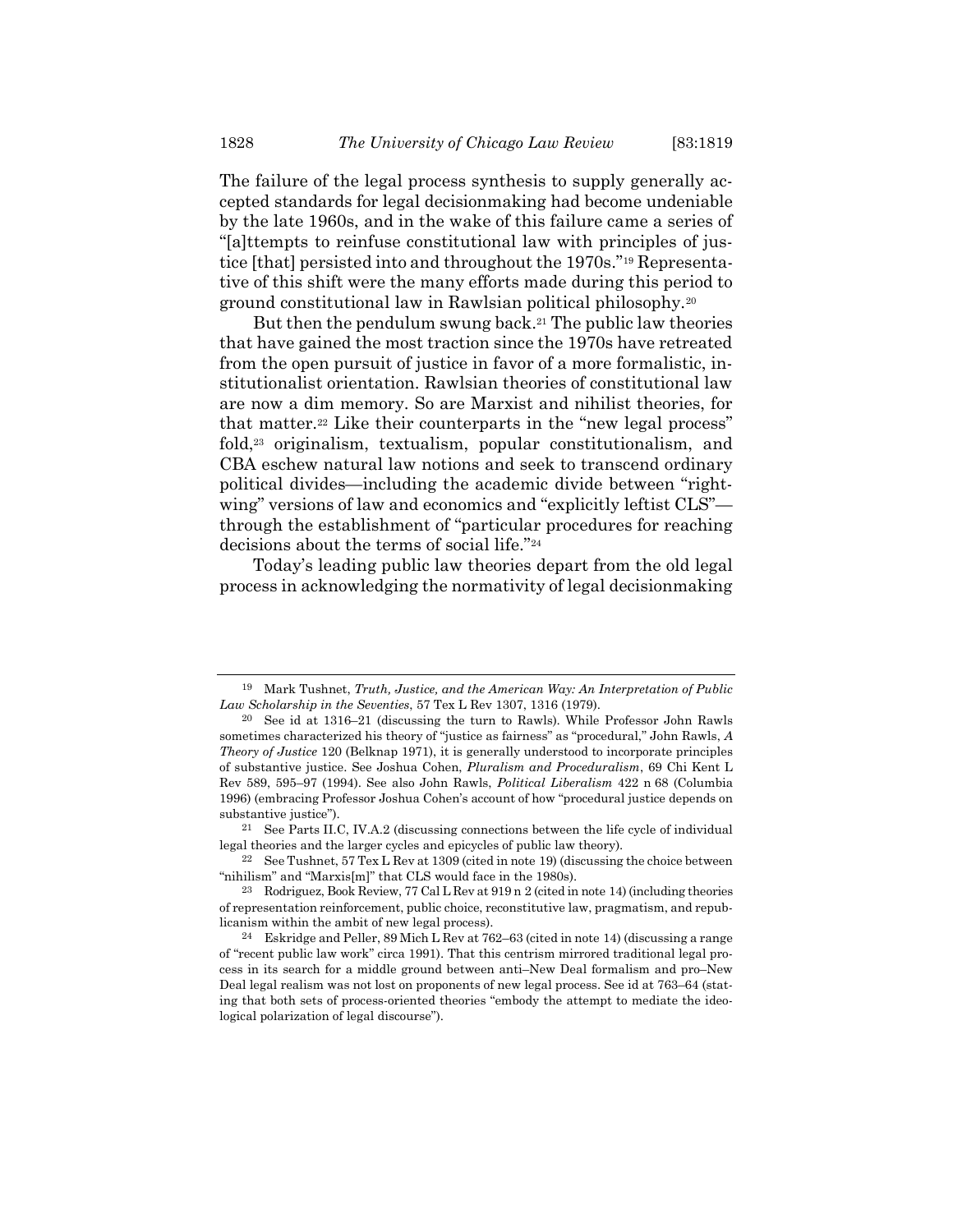The failure of the legal process synthesis to supply generally accepted standards for legal decisionmaking had become undeniable by the late 1960s, and in the wake of this failure came a series of "[a]ttempts to reinfuse constitutional law with principles of justice [that] persisted into and throughout the 1970s."19 Representative of this shift were the many efforts made during this period to ground constitutional law in Rawlsian political philosophy.<sup>20</sup>

But then the pendulum swung back.<sup>21</sup> The public law theories that have gained the most traction since the 1970s have retreated from the open pursuit of justice in favor of a more formalistic, institutionalist orientation. Rawlsian theories of constitutional law are now a dim memory. So are Marxist and nihilist theories, for that matter.22 Like their counterparts in the "new legal process" fold,<sup>23</sup> originalism, textualism, popular constitutionalism, and CBA eschew natural law notions and seek to transcend ordinary political divides—including the academic divide between "rightwing" versions of law and economics and "explicitly leftist CLS" through the establishment of "particular procedures for reaching decisions about the terms of social life."<sup>24</sup>

Today's leading public law theories depart from the old legal process in acknowledging the normativity of legal decisionmaking

<sup>19</sup> Mark Tushnet, Truth, Justice, and the American Way: An Interpretation of Public Law Scholarship in the Seventies, 57 Tex L Rev 1307, 1316 (1979).

<sup>20</sup> See id at 1316–21 (discussing the turn to Rawls). While Professor John Rawls sometimes characterized his theory of "justice as fairness" as "procedural," John Rawls, A Theory of Justice 120 (Belknap 1971), it is generally understood to incorporate principles of substantive justice. See Joshua Cohen, Pluralism and Proceduralism, 69 Chi Kent L Rev 589, 595–97 (1994). See also John Rawls, Political Liberalism 422 n 68 (Columbia 1996) (embracing Professor Joshua Cohen's account of how "procedural justice depends on substantive justice").

<sup>21</sup> See Parts II.C, IV.A.2 (discussing connections between the life cycle of individual legal theories and the larger cycles and epicycles of public law theory).

<sup>&</sup>lt;sup>22</sup> See Tushnet, 57 Tex L Rev at 1309 (cited in note 19) (discussing the choice between "nihilism" and "Marxis[m]" that CLS would face in the 1980s).

<sup>23</sup> Rodriguez, Book Review, 77 Cal L Rev at 919 n 2 (cited in note 14) (including theories of representation reinforcement, public choice, reconstitutive law, pragmatism, and republicanism within the ambit of new legal process).

<sup>24</sup> Eskridge and Peller, 89 Mich L Rev at 762–63 (cited in note 14) (discussing a range of "recent public law work" circa 1991). That this centrism mirrored traditional legal process in its search for a middle ground between anti–New Deal formalism and pro–New Deal legal realism was not lost on proponents of new legal process. See id at 763–64 (stating that both sets of process-oriented theories "embody the attempt to mediate the ideological polarization of legal discourse").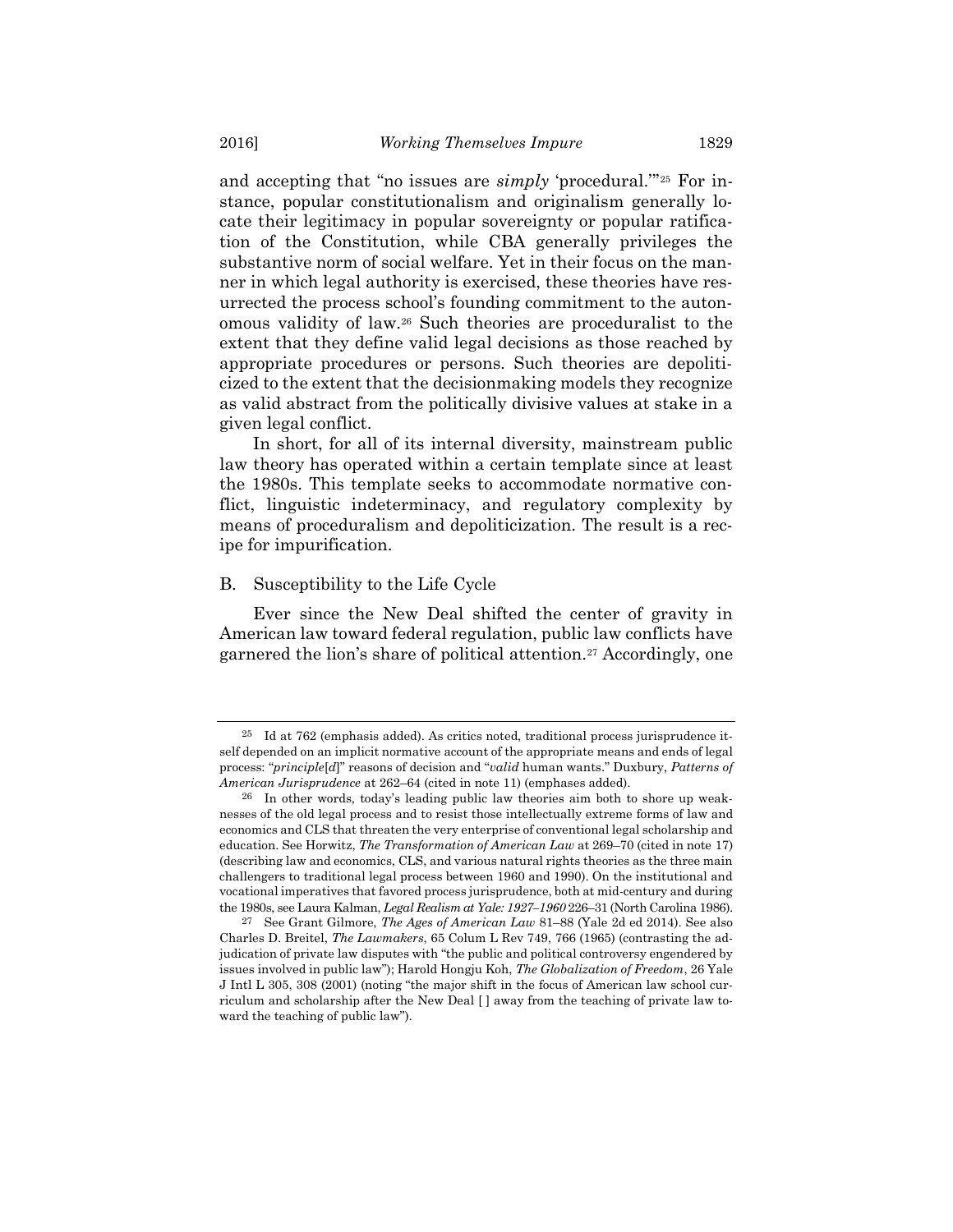and accepting that "no issues are *simply* 'procedural."<sup>25</sup> For instance, popular constitutionalism and originalism generally locate their legitimacy in popular sovereignty or popular ratification of the Constitution, while CBA generally privileges the substantive norm of social welfare. Yet in their focus on the manner in which legal authority is exercised, these theories have resurrected the process school's founding commitment to the autonomous validity of law.26 Such theories are proceduralist to the extent that they define valid legal decisions as those reached by appropriate procedures or persons. Such theories are depoliticized to the extent that the decisionmaking models they recognize as valid abstract from the politically divisive values at stake in a given legal conflict.

In short, for all of its internal diversity, mainstream public law theory has operated within a certain template since at least the 1980s. This template seeks to accommodate normative conflict, linguistic indeterminacy, and regulatory complexity by means of proceduralism and depoliticization. The result is a recipe for impurification.

#### B. Susceptibility to the Life Cycle

Ever since the New Deal shifted the center of gravity in American law toward federal regulation, public law conflicts have garnered the lion's share of political attention.<sup>27</sup> Accordingly, one

<sup>25</sup> Id at 762 (emphasis added). As critics noted, traditional process jurisprudence itself depended on an implicit normative account of the appropriate means and ends of legal process: "*principle[d]*" reasons of decision and "*valid* human wants." Duxbury, Patterns of American Jurisprudence at 262–64 (cited in note 11) (emphases added).

<sup>26</sup> In other words, today's leading public law theories aim both to shore up weaknesses of the old legal process and to resist those intellectually extreme forms of law and economics and CLS that threaten the very enterprise of conventional legal scholarship and education. See Horwitz, The Transformation of American Law at 269–70 (cited in note 17) (describing law and economics, CLS, and various natural rights theories as the three main challengers to traditional legal process between 1960 and 1990). On the institutional and vocational imperatives that favored process jurisprudence, both at mid-century and during the 1980s, see Laura Kalman, Legal Realism at Yale: 1927-1960 226-31 (North Carolina 1986).

<sup>27</sup> See Grant Gilmore, The Ages of American Law 81–88 (Yale 2d ed 2014). See also Charles D. Breitel, The Lawmakers, 65 Colum L Rev 749, 766 (1965) (contrasting the adjudication of private law disputes with "the public and political controversy engendered by issues involved in public law"); Harold Hongju Koh, The Globalization of Freedom, 26 Yale J Intl L 305, 308 (2001) (noting "the major shift in the focus of American law school curriculum and scholarship after the New Deal [ ] away from the teaching of private law toward the teaching of public law").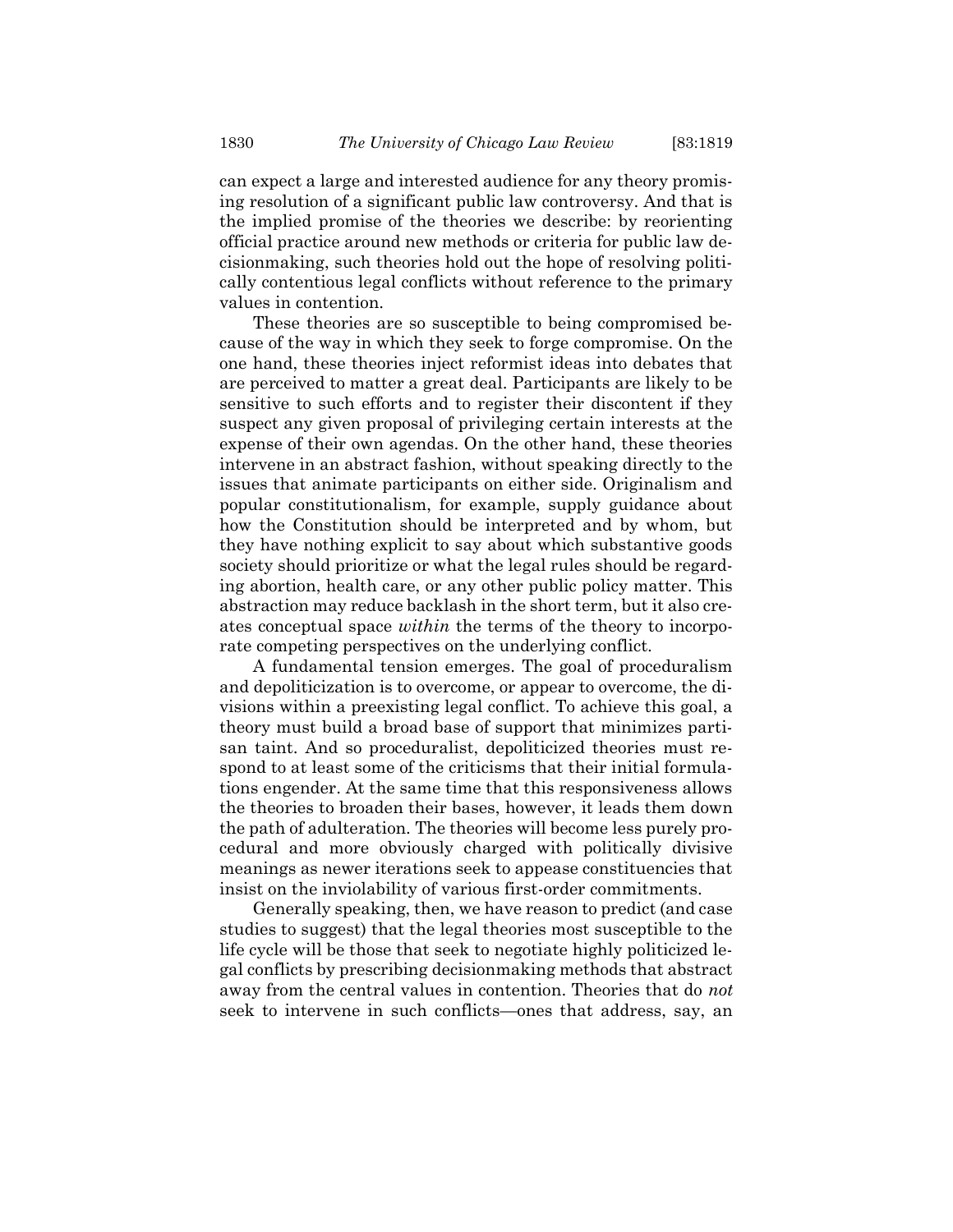can expect a large and interested audience for any theory promising resolution of a significant public law controversy. And that is the implied promise of the theories we describe: by reorienting official practice around new methods or criteria for public law decisionmaking, such theories hold out the hope of resolving politically contentious legal conflicts without reference to the primary values in contention.

These theories are so susceptible to being compromised because of the way in which they seek to forge compromise. On the one hand, these theories inject reformist ideas into debates that are perceived to matter a great deal. Participants are likely to be sensitive to such efforts and to register their discontent if they suspect any given proposal of privileging certain interests at the expense of their own agendas. On the other hand, these theories intervene in an abstract fashion, without speaking directly to the issues that animate participants on either side. Originalism and popular constitutionalism, for example, supply guidance about how the Constitution should be interpreted and by whom, but they have nothing explicit to say about which substantive goods society should prioritize or what the legal rules should be regarding abortion, health care, or any other public policy matter. This abstraction may reduce backlash in the short term, but it also creates conceptual space within the terms of the theory to incorporate competing perspectives on the underlying conflict.

A fundamental tension emerges. The goal of proceduralism and depoliticization is to overcome, or appear to overcome, the divisions within a preexisting legal conflict. To achieve this goal, a theory must build a broad base of support that minimizes partisan taint. And so proceduralist, depoliticized theories must respond to at least some of the criticisms that their initial formulations engender. At the same time that this responsiveness allows the theories to broaden their bases, however, it leads them down the path of adulteration. The theories will become less purely procedural and more obviously charged with politically divisive meanings as newer iterations seek to appease constituencies that insist on the inviolability of various first-order commitments.

Generally speaking, then, we have reason to predict (and case studies to suggest) that the legal theories most susceptible to the life cycle will be those that seek to negotiate highly politicized legal conflicts by prescribing decisionmaking methods that abstract away from the central values in contention. Theories that do not seek to intervene in such conflicts—ones that address, say, an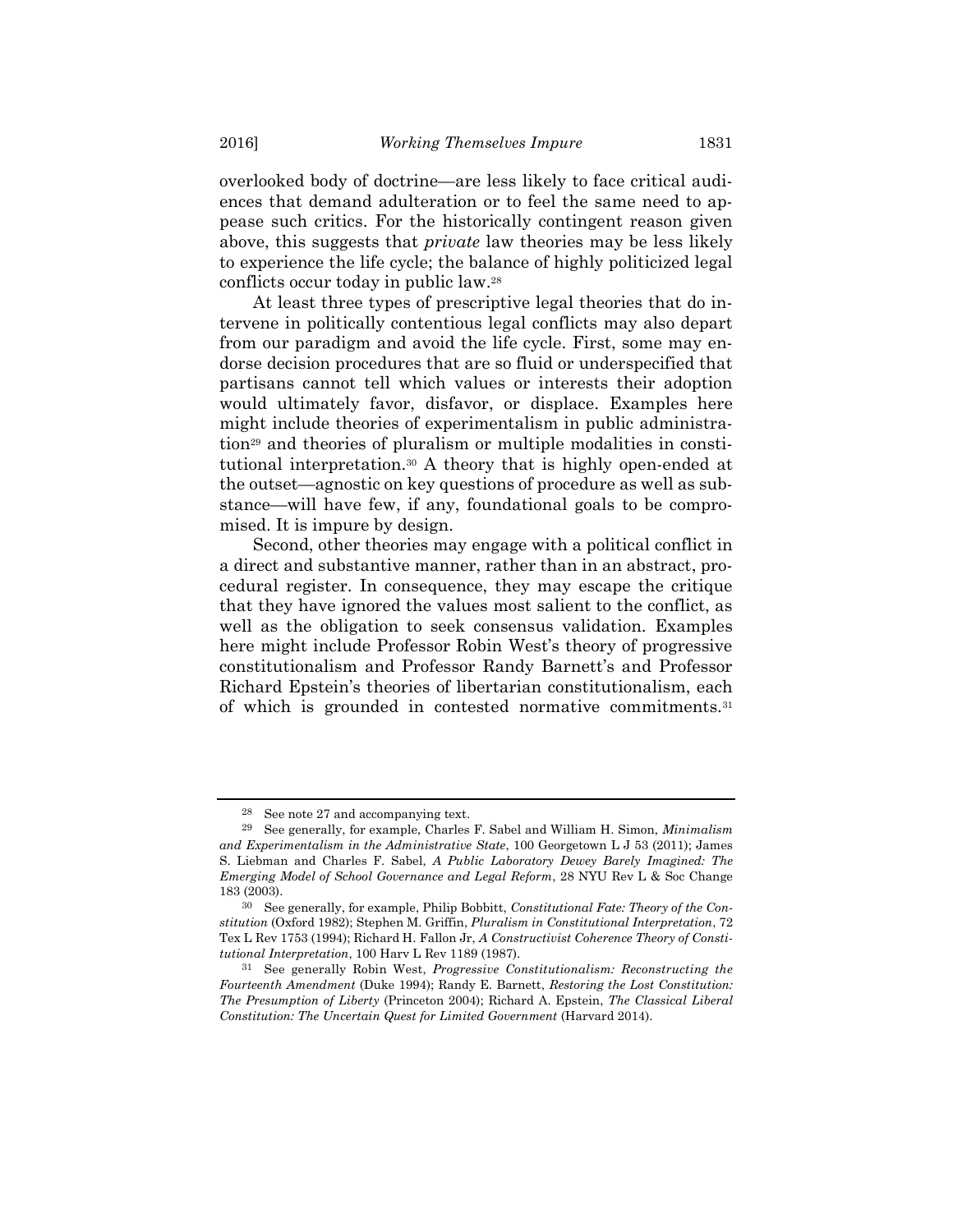overlooked body of doctrine—are less likely to face critical audiences that demand adulteration or to feel the same need to appease such critics. For the historically contingent reason given above, this suggests that *private* law theories may be less likely to experience the life cycle; the balance of highly politicized legal conflicts occur today in public law.<sup>28</sup>

At least three types of prescriptive legal theories that do intervene in politically contentious legal conflicts may also depart from our paradigm and avoid the life cycle. First, some may endorse decision procedures that are so fluid or underspecified that partisans cannot tell which values or interests their adoption would ultimately favor, disfavor, or displace. Examples here might include theories of experimentalism in public administration29 and theories of pluralism or multiple modalities in constitutional interpretation.30 A theory that is highly open-ended at the outset—agnostic on key questions of procedure as well as substance—will have few, if any, foundational goals to be compromised. It is impure by design.

Second, other theories may engage with a political conflict in a direct and substantive manner, rather than in an abstract, procedural register. In consequence, they may escape the critique that they have ignored the values most salient to the conflict, as well as the obligation to seek consensus validation. Examples here might include Professor Robin West's theory of progressive constitutionalism and Professor Randy Barnett's and Professor Richard Epstein's theories of libertarian constitutionalism, each of which is grounded in contested normative commitments.<sup>31</sup>

See note 27 and accompanying text.

<sup>29</sup> See generally, for example, Charles F. Sabel and William H. Simon, Minimalism and Experimentalism in the Administrative State, 100 Georgetown L J 53 (2011); James S. Liebman and Charles F. Sabel, A Public Laboratory Dewey Barely Imagined: The Emerging Model of School Governance and Legal Reform, 28 NYU Rev L & Soc Change 183 (2003).

 $30$  See generally, for example, Philip Bobbitt, Constitutional Fate: Theory of the Constitution (Oxford 1982); Stephen M. Griffin, Pluralism in Constitutional Interpretation, 72 Tex L Rev 1753 (1994); Richard H. Fallon Jr, A Constructivist Coherence Theory of Constitutional Interpretation, 100 Harv L Rev 1189 (1987).

<sup>31</sup> See generally Robin West, Progressive Constitutionalism: Reconstructing the Fourteenth Amendment (Duke 1994); Randy E. Barnett, Restoring the Lost Constitution: The Presumption of Liberty (Princeton 2004); Richard A. Epstein, The Classical Liberal Constitution: The Uncertain Quest for Limited Government (Harvard 2014).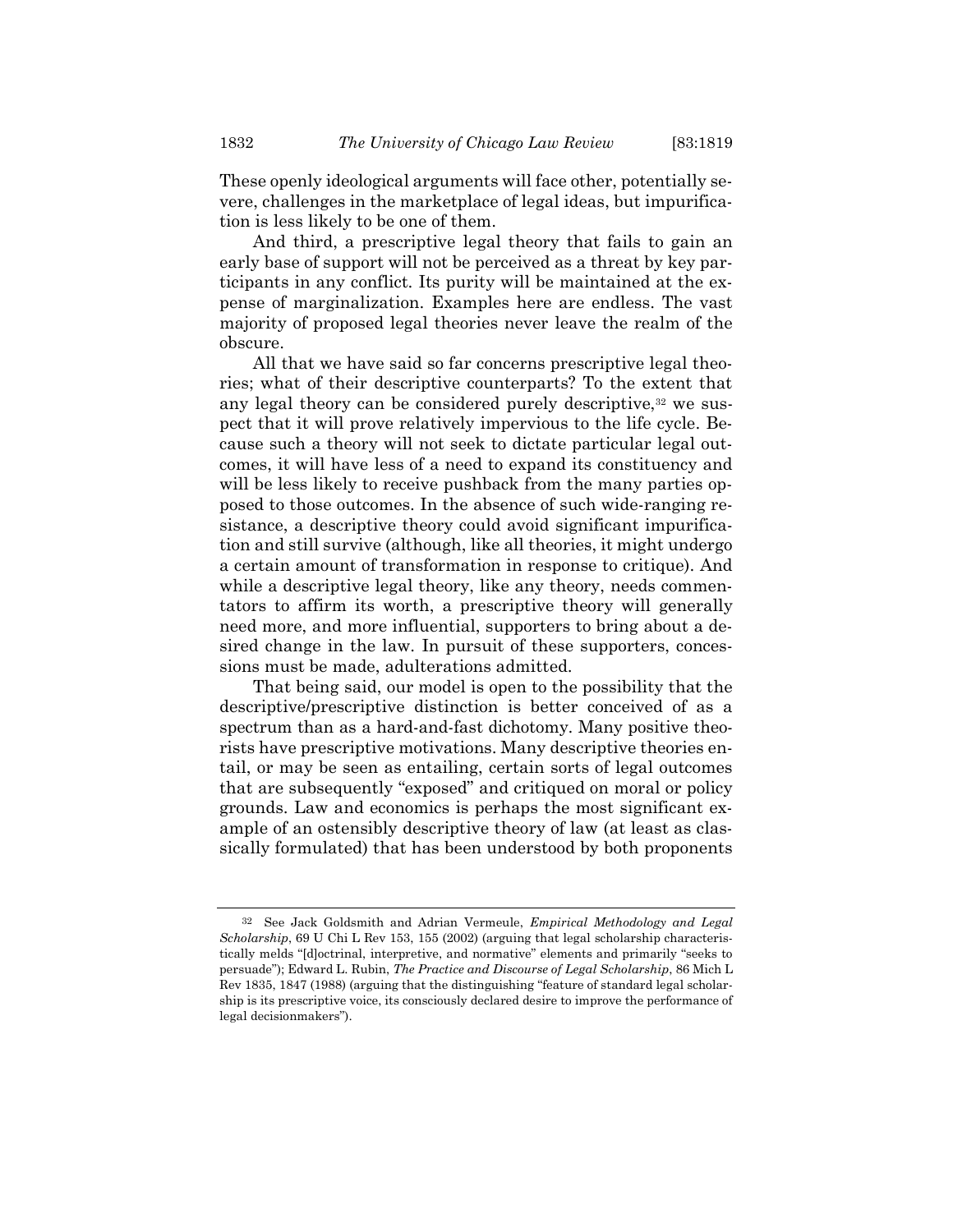These openly ideological arguments will face other, potentially severe, challenges in the marketplace of legal ideas, but impurification is less likely to be one of them.

And third, a prescriptive legal theory that fails to gain an early base of support will not be perceived as a threat by key participants in any conflict. Its purity will be maintained at the expense of marginalization. Examples here are endless. The vast majority of proposed legal theories never leave the realm of the obscure.

All that we have said so far concerns prescriptive legal theories; what of their descriptive counterparts? To the extent that any legal theory can be considered purely descriptive,<sup>32</sup> we suspect that it will prove relatively impervious to the life cycle. Because such a theory will not seek to dictate particular legal outcomes, it will have less of a need to expand its constituency and will be less likely to receive pushback from the many parties opposed to those outcomes. In the absence of such wide-ranging resistance, a descriptive theory could avoid significant impurification and still survive (although, like all theories, it might undergo a certain amount of transformation in response to critique). And while a descriptive legal theory, like any theory, needs commentators to affirm its worth, a prescriptive theory will generally need more, and more influential, supporters to bring about a desired change in the law. In pursuit of these supporters, concessions must be made, adulterations admitted.

That being said, our model is open to the possibility that the descriptive/prescriptive distinction is better conceived of as a spectrum than as a hard-and-fast dichotomy. Many positive theorists have prescriptive motivations. Many descriptive theories entail, or may be seen as entailing, certain sorts of legal outcomes that are subsequently "exposed" and critiqued on moral or policy grounds. Law and economics is perhaps the most significant example of an ostensibly descriptive theory of law (at least as classically formulated) that has been understood by both proponents

<sup>&</sup>lt;sup>32</sup> See Jack Goldsmith and Adrian Vermeule, *Empirical Methodology and Legal* Scholarship, 69 U Chi L Rev 153, 155 (2002) (arguing that legal scholarship characteristically melds "[d]octrinal, interpretive, and normative" elements and primarily "seeks to persuade"); Edward L. Rubin, The Practice and Discourse of Legal Scholarship, 86 Mich L Rev 1835, 1847 (1988) (arguing that the distinguishing "feature of standard legal scholarship is its prescriptive voice, its consciously declared desire to improve the performance of legal decisionmakers").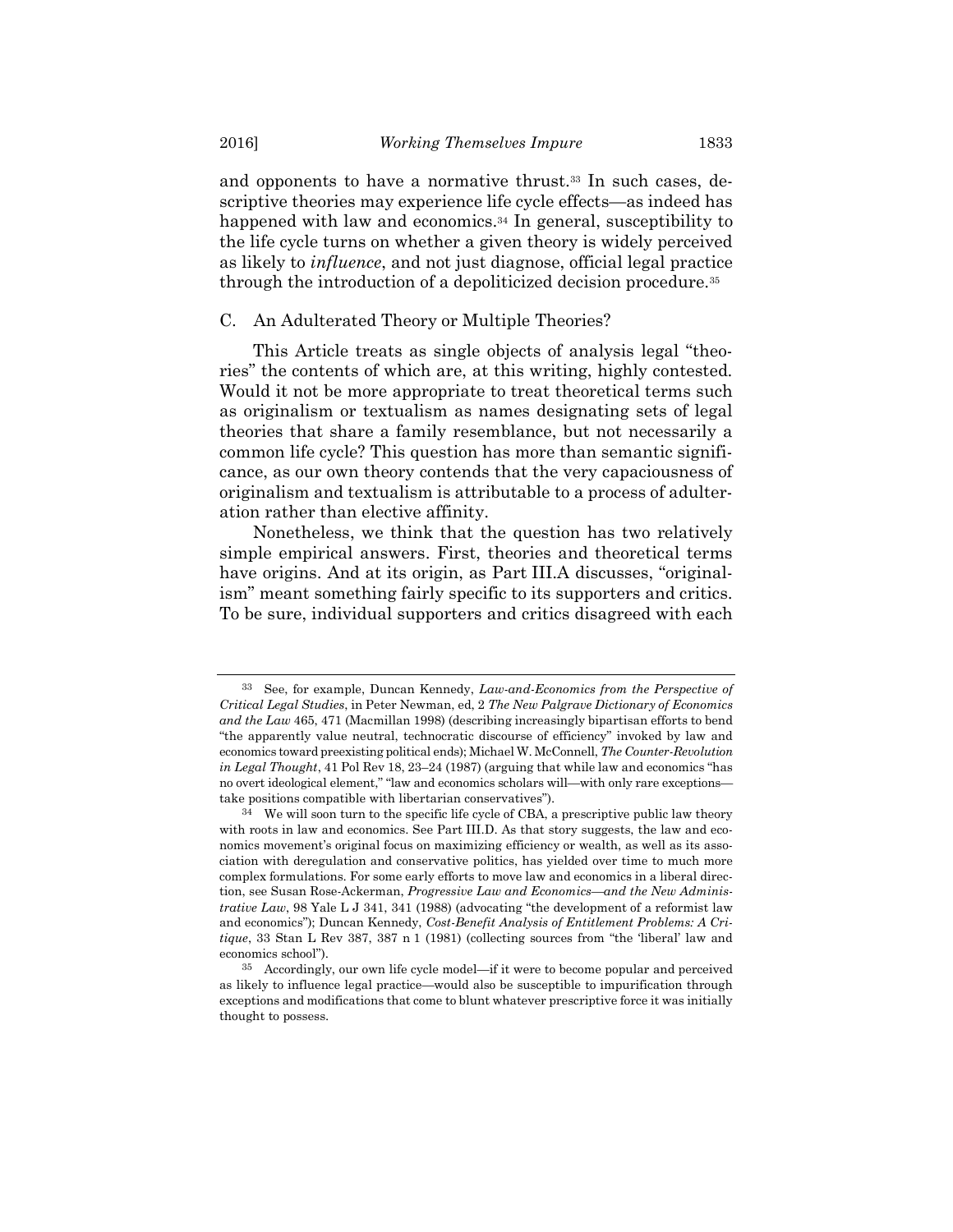and opponents to have a normative thrust.33 In such cases, descriptive theories may experience life cycle effects—as indeed has happened with law and economics.<sup>34</sup> In general, susceptibility to the life cycle turns on whether a given theory is widely perceived as likely to influence, and not just diagnose, official legal practice through the introduction of a depoliticized decision procedure.<sup>35</sup>

#### C. An Adulterated Theory or Multiple Theories?

This Article treats as single objects of analysis legal "theories" the contents of which are, at this writing, highly contested. Would it not be more appropriate to treat theoretical terms such as originalism or textualism as names designating sets of legal theories that share a family resemblance, but not necessarily a common life cycle? This question has more than semantic significance, as our own theory contends that the very capaciousness of originalism and textualism is attributable to a process of adulteration rather than elective affinity.

Nonetheless, we think that the question has two relatively simple empirical answers. First, theories and theoretical terms have origins. And at its origin, as Part III.A discusses, "originalism" meant something fairly specific to its supporters and critics. To be sure, individual supporters and critics disagreed with each

<sup>&</sup>lt;sup>33</sup> See, for example, Duncan Kennedy, Law-and-Economics from the Perspective of Critical Legal Studies, in Peter Newman, ed, 2 The New Palgrave Dictionary of Economics and the Law 465, 471 (Macmillan 1998) (describing increasingly bipartisan efforts to bend "the apparently value neutral, technocratic discourse of efficiency" invoked by law and economics toward preexisting political ends); Michael W. McConnell, The Counter-Revolution in Legal Thought, 41 Pol Rev 18,  $23-24$  (1987) (arguing that while law and economics "has no overt ideological element," "law and economics scholars will—with only rare exceptions take positions compatible with libertarian conservatives").

 $34$  We will soon turn to the specific life cycle of CBA, a prescriptive public law theory with roots in law and economics. See Part III.D. As that story suggests, the law and economics movement's original focus on maximizing efficiency or wealth, as well as its association with deregulation and conservative politics, has yielded over time to much more complex formulations. For some early efforts to move law and economics in a liberal direction, see Susan Rose-Ackerman, *Progressive Law and Economics—and the New Adminis*trative Law, 98 Yale L J 341, 341 (1988) (advocating "the development of a reformist law and economics"); Duncan Kennedy, Cost-Benefit Analysis of Entitlement Problems: A Critique, 33 Stan L Rev 387, 387 n 1 (1981) (collecting sources from "the 'liberal' law and economics school").

<sup>35</sup> Accordingly, our own life cycle model—if it were to become popular and perceived as likely to influence legal practice—would also be susceptible to impurification through exceptions and modifications that come to blunt whatever prescriptive force it was initially thought to possess.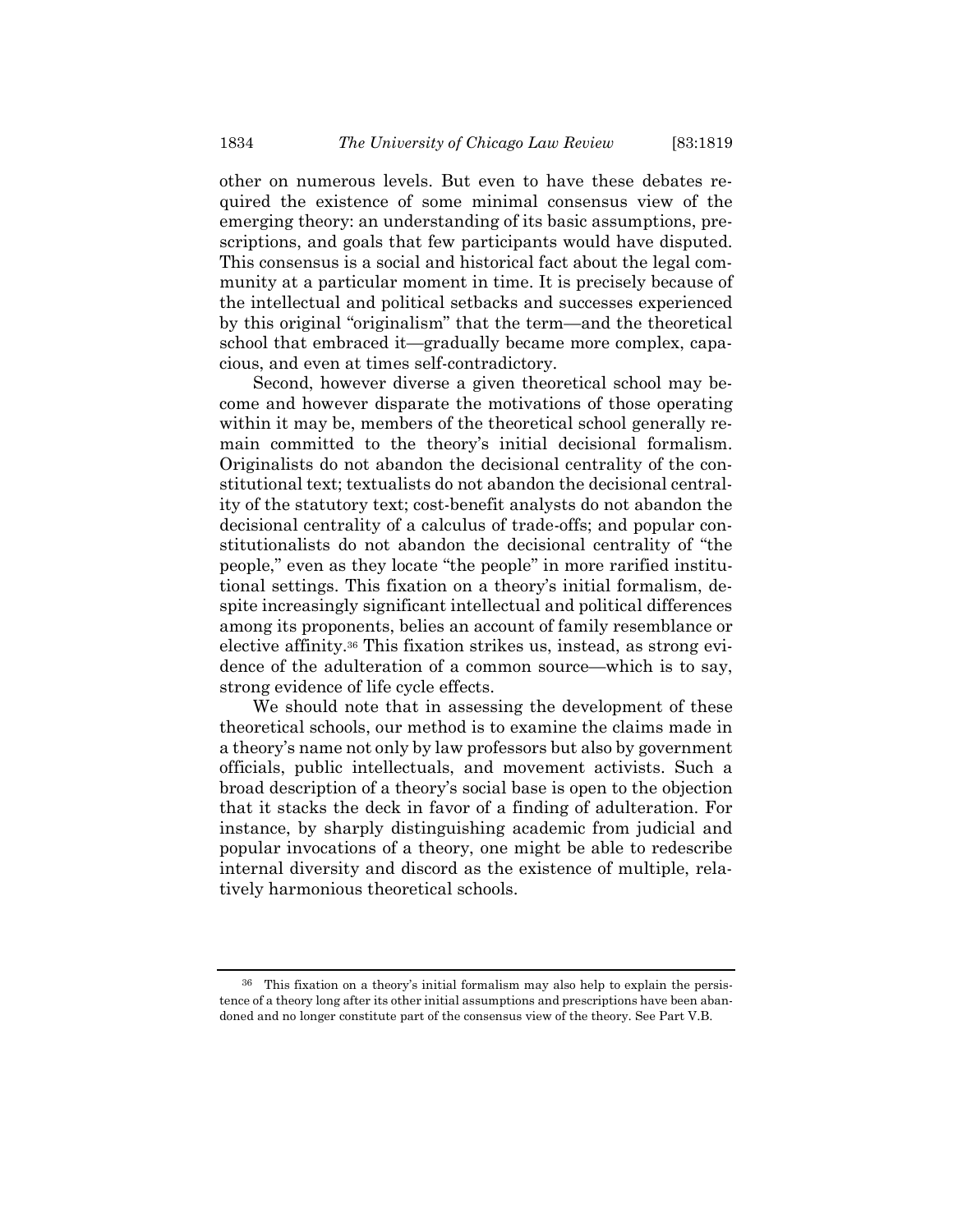other on numerous levels. But even to have these debates required the existence of some minimal consensus view of the emerging theory: an understanding of its basic assumptions, prescriptions, and goals that few participants would have disputed. This consensus is a social and historical fact about the legal community at a particular moment in time. It is precisely because of the intellectual and political setbacks and successes experienced by this original "originalism" that the term—and the theoretical school that embraced it—gradually became more complex, capacious, and even at times self-contradictory.

Second, however diverse a given theoretical school may become and however disparate the motivations of those operating within it may be, members of the theoretical school generally remain committed to the theory's initial decisional formalism. Originalists do not abandon the decisional centrality of the constitutional text; textualists do not abandon the decisional centrality of the statutory text; cost-benefit analysts do not abandon the decisional centrality of a calculus of trade-offs; and popular constitutionalists do not abandon the decisional centrality of "the people," even as they locate "the people" in more rarified institutional settings. This fixation on a theory's initial formalism, despite increasingly significant intellectual and political differences among its proponents, belies an account of family resemblance or elective affinity.36 This fixation strikes us, instead, as strong evidence of the adulteration of a common source—which is to say, strong evidence of life cycle effects.

We should note that in assessing the development of these theoretical schools, our method is to examine the claims made in a theory's name not only by law professors but also by government officials, public intellectuals, and movement activists. Such a broad description of a theory's social base is open to the objection that it stacks the deck in favor of a finding of adulteration. For instance, by sharply distinguishing academic from judicial and popular invocations of a theory, one might be able to redescribe internal diversity and discord as the existence of multiple, relatively harmonious theoretical schools.

<sup>36</sup> This fixation on a theory's initial formalism may also help to explain the persistence of a theory long after its other initial assumptions and prescriptions have been abandoned and no longer constitute part of the consensus view of the theory. See Part V.B.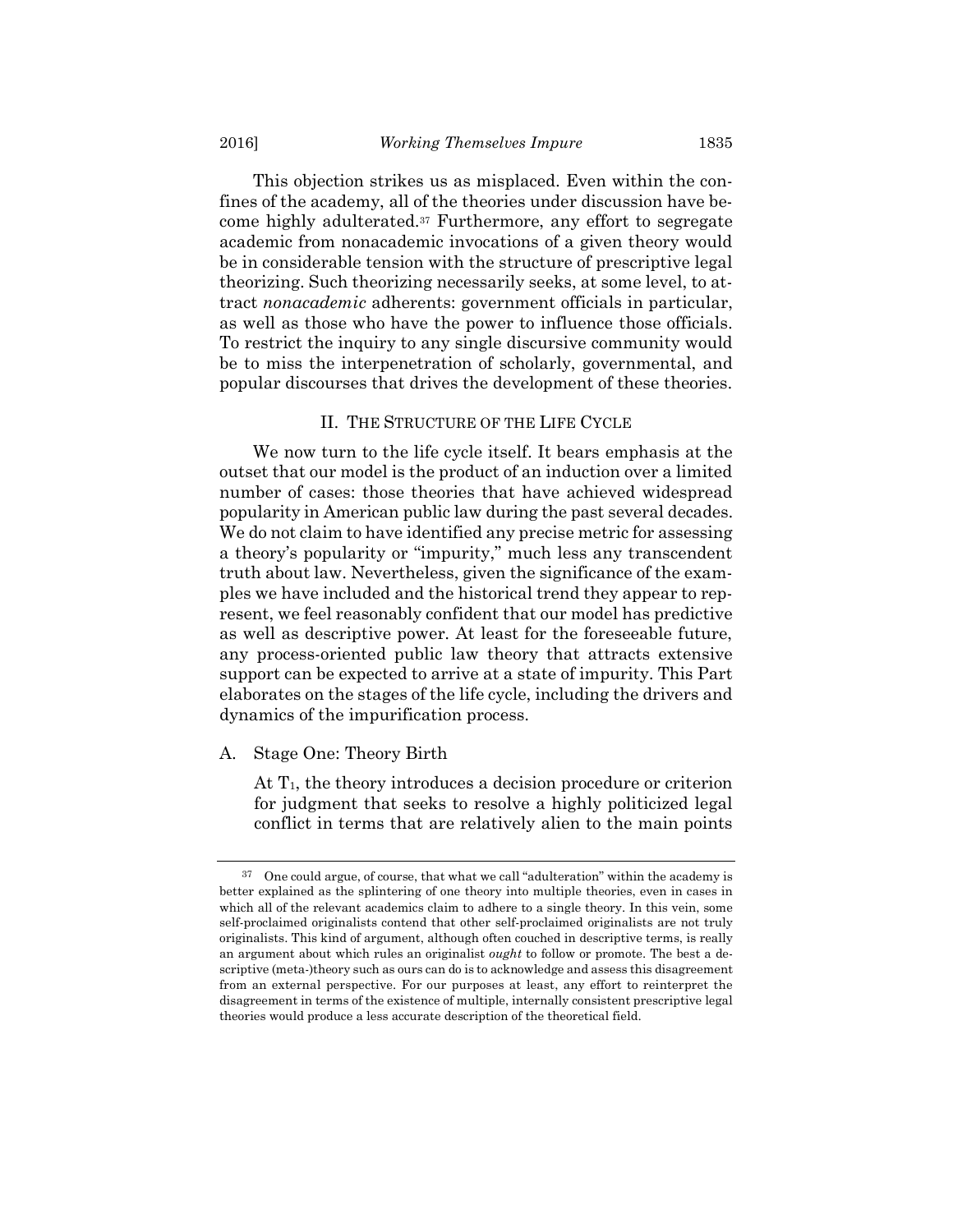This objection strikes us as misplaced. Even within the confines of the academy, all of the theories under discussion have become highly adulterated.37 Furthermore, any effort to segregate academic from nonacademic invocations of a given theory would be in considerable tension with the structure of prescriptive legal theorizing. Such theorizing necessarily seeks, at some level, to attract nonacademic adherents: government officials in particular, as well as those who have the power to influence those officials. To restrict the inquiry to any single discursive community would be to miss the interpenetration of scholarly, governmental, and popular discourses that drives the development of these theories.

#### II. THE STRUCTURE OF THE LIFE CYCLE

We now turn to the life cycle itself. It bears emphasis at the outset that our model is the product of an induction over a limited number of cases: those theories that have achieved widespread popularity in American public law during the past several decades. We do not claim to have identified any precise metric for assessing a theory's popularity or "impurity," much less any transcendent truth about law. Nevertheless, given the significance of the examples we have included and the historical trend they appear to represent, we feel reasonably confident that our model has predictive as well as descriptive power. At least for the foreseeable future, any process-oriented public law theory that attracts extensive support can be expected to arrive at a state of impurity. This Part elaborates on the stages of the life cycle, including the drivers and dynamics of the impurification process.

# A. Stage One: Theory Birth

At  $T_1$ , the theory introduces a decision procedure or criterion for judgment that seeks to resolve a highly politicized legal conflict in terms that are relatively alien to the main points

<sup>37</sup> One could argue, of course, that what we call "adulteration" within the academy is better explained as the splintering of one theory into multiple theories, even in cases in which all of the relevant academics claim to adhere to a single theory. In this vein, some self-proclaimed originalists contend that other self-proclaimed originalists are not truly originalists. This kind of argument, although often couched in descriptive terms, is really an argument about which rules an originalist *ought* to follow or promote. The best a descriptive (meta-)theory such as ours can do is to acknowledge and assess this disagreement from an external perspective. For our purposes at least, any effort to reinterpret the disagreement in terms of the existence of multiple, internally consistent prescriptive legal theories would produce a less accurate description of the theoretical field.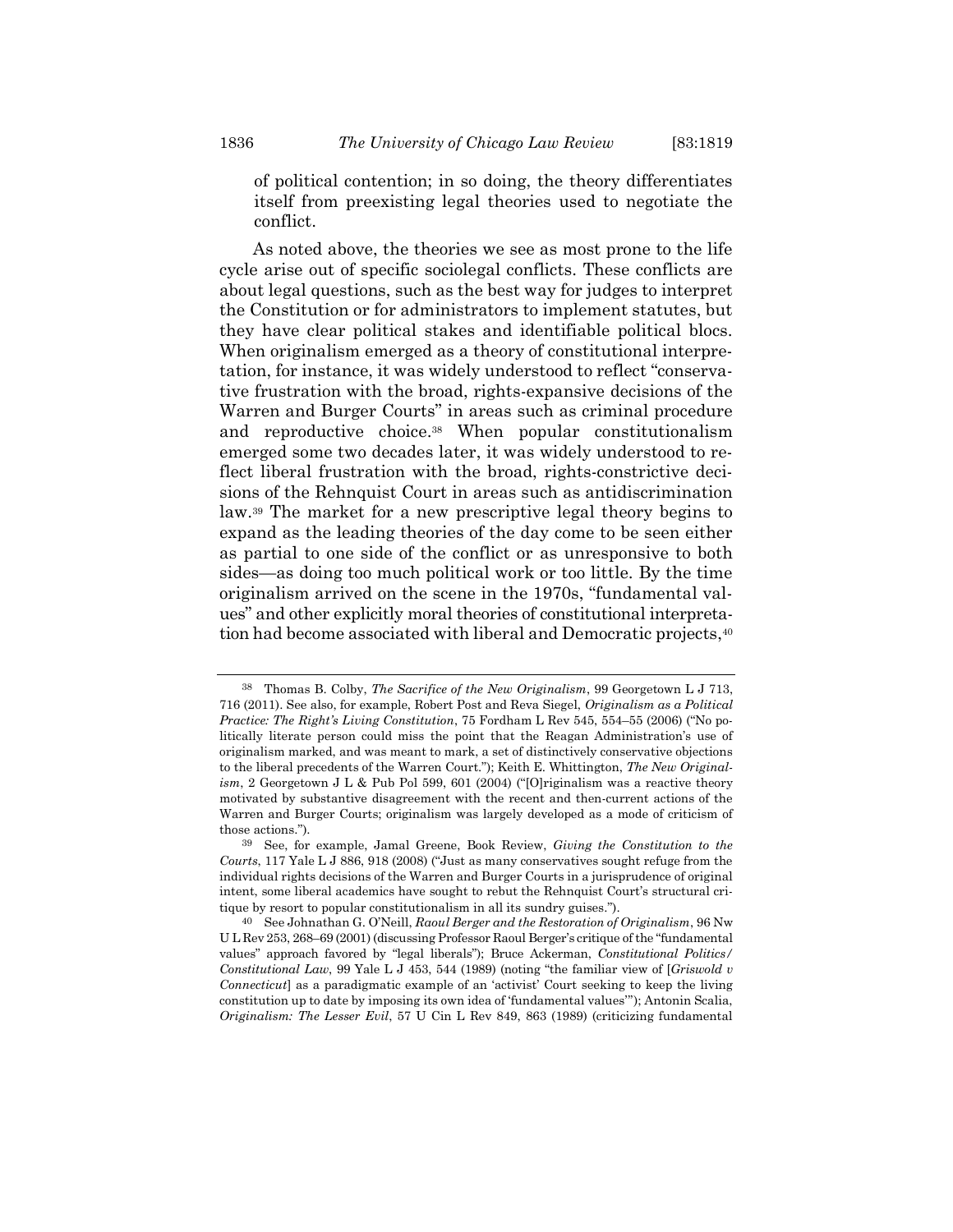of political contention; in so doing, the theory differentiates itself from preexisting legal theories used to negotiate the conflict.

As noted above, the theories we see as most prone to the life cycle arise out of specific sociolegal conflicts. These conflicts are about legal questions, such as the best way for judges to interpret the Constitution or for administrators to implement statutes, but they have clear political stakes and identifiable political blocs. When originalism emerged as a theory of constitutional interpretation, for instance, it was widely understood to reflect "conservative frustration with the broad, rights-expansive decisions of the Warren and Burger Courts" in areas such as criminal procedure and reproductive choice.38 When popular constitutionalism emerged some two decades later, it was widely understood to reflect liberal frustration with the broad, rights-constrictive decisions of the Rehnquist Court in areas such as antidiscrimination law.39 The market for a new prescriptive legal theory begins to expand as the leading theories of the day come to be seen either as partial to one side of the conflict or as unresponsive to both sides—as doing too much political work or too little. By the time originalism arrived on the scene in the 1970s, "fundamental values" and other explicitly moral theories of constitutional interpretation had become associated with liberal and Democratic projects,<sup>40</sup>

Thomas B. Colby, The Sacrifice of the New Originalism, 99 Georgetown L J 713, 716 (2011). See also, for example, Robert Post and Reva Siegel, Originalism as a Political Practice: The Right's Living Constitution, 75 Fordham L Rev 545, 554–55 (2006) ("No politically literate person could miss the point that the Reagan Administration's use of originalism marked, and was meant to mark, a set of distinctively conservative objections to the liberal precedents of the Warren Court."); Keith E. Whittington, The New Originalism, 2 Georgetown J L & Pub Pol 599, 601 (2004) ("[O]riginalism was a reactive theory motivated by substantive disagreement with the recent and then-current actions of the Warren and Burger Courts; originalism was largely developed as a mode of criticism of those actions.").

<sup>39</sup> See, for example, Jamal Greene, Book Review, Giving the Constitution to the Courts, 117 Yale L J 886, 918 (2008) ("Just as many conservatives sought refuge from the individual rights decisions of the Warren and Burger Courts in a jurisprudence of original intent, some liberal academics have sought to rebut the Rehnquist Court's structural critique by resort to popular constitutionalism in all its sundry guises.").

<sup>40</sup> See Johnathan G. O'Neill, Raoul Berger and the Restoration of Originalism, 96 Nw U L Rev 253, 268–69 (2001) (discussing Professor Raoul Berger's critique of the "fundamental values" approach favored by "legal liberals"); Bruce Ackerman, Constitutional Politics/ Constitutional Law, 99 Yale L J 453, 544 (1989) (noting "the familiar view of [Griswold v Connecticut] as a paradigmatic example of an 'activist' Court seeking to keep the living constitution up to date by imposing its own idea of 'fundamental values'"); Antonin Scalia, Originalism: The Lesser Evil, 57 U Cin L Rev 849, 863 (1989) (criticizing fundamental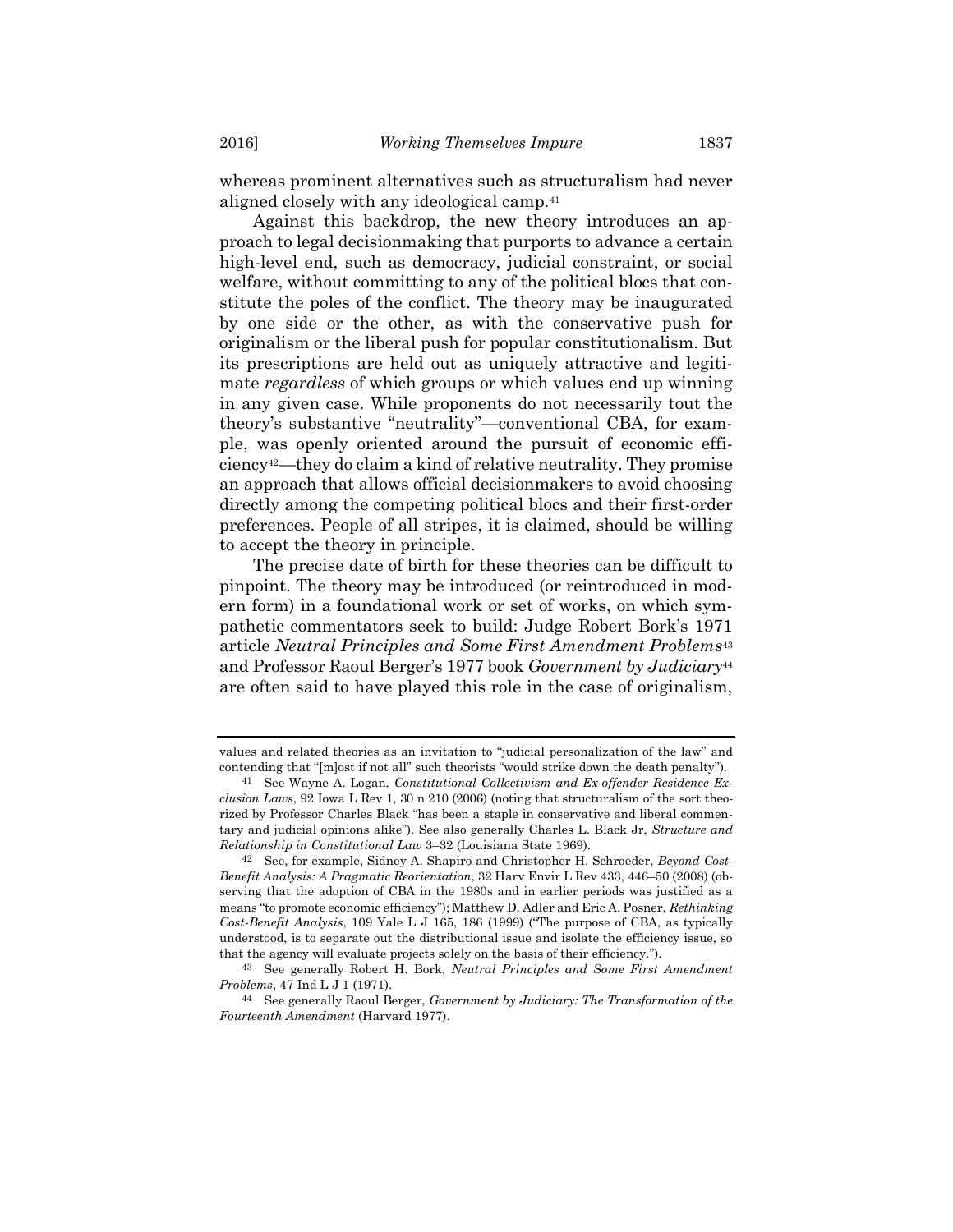whereas prominent alternatives such as structuralism had never aligned closely with any ideological camp.<sup>41</sup>

Against this backdrop, the new theory introduces an approach to legal decisionmaking that purports to advance a certain high-level end, such as democracy, judicial constraint, or social welfare, without committing to any of the political blocs that constitute the poles of the conflict. The theory may be inaugurated by one side or the other, as with the conservative push for originalism or the liberal push for popular constitutionalism. But its prescriptions are held out as uniquely attractive and legitimate *regardless* of which groups or which values end up winning in any given case. While proponents do not necessarily tout the theory's substantive "neutrality"—conventional CBA, for example, was openly oriented around the pursuit of economic efficiency42—they do claim a kind of relative neutrality. They promise an approach that allows official decisionmakers to avoid choosing directly among the competing political blocs and their first-order preferences. People of all stripes, it is claimed, should be willing to accept the theory in principle.

The precise date of birth for these theories can be difficult to pinpoint. The theory may be introduced (or reintroduced in modern form) in a foundational work or set of works, on which sympathetic commentators seek to build: Judge Robert Bork's 1971 article Neutral Principles and Some First Amendment Problems<sup>43</sup> and Professor Raoul Berger's 1977 book Government by Judiciary<sup>44</sup> are often said to have played this role in the case of originalism,

values and related theories as an invitation to "judicial personalization of the law" and contending that "[m]ost if not all" such theorists "would strike down the death penalty").

<sup>41</sup> See Wayne A. Logan, Constitutional Collectivism and Ex-offender Residence Exclusion Laws, 92 Iowa L Rev 1, 30 n 210 (2006) (noting that structuralism of the sort theorized by Professor Charles Black "has been a staple in conservative and liberal commentary and judicial opinions alike"). See also generally Charles L. Black Jr, Structure and Relationship in Constitutional Law 3–32 (Louisiana State 1969).

<sup>&</sup>lt;sup>42</sup> See, for example, Sidney A. Shapiro and Christopher H. Schroeder, *Beyond Cost-*Benefit Analysis: A Pragmatic Reorientation, 32 Harv Envir L Rev 433, 446–50 (2008) (observing that the adoption of CBA in the 1980s and in earlier periods was justified as a means "to promote economic efficiency"); Matthew D. Adler and Eric A. Posner, Rethinking Cost-Benefit Analysis, 109 Yale L J 165, 186 (1999) ("The purpose of CBA, as typically understood, is to separate out the distributional issue and isolate the efficiency issue, so that the agency will evaluate projects solely on the basis of their efficiency.").

<sup>43</sup> See generally Robert H. Bork, Neutral Principles and Some First Amendment Problems, 47 Ind L J 1 (1971).

<sup>&</sup>lt;sup>44</sup> See generally Raoul Berger, Government by Judiciary: The Transformation of the Fourteenth Amendment (Harvard 1977).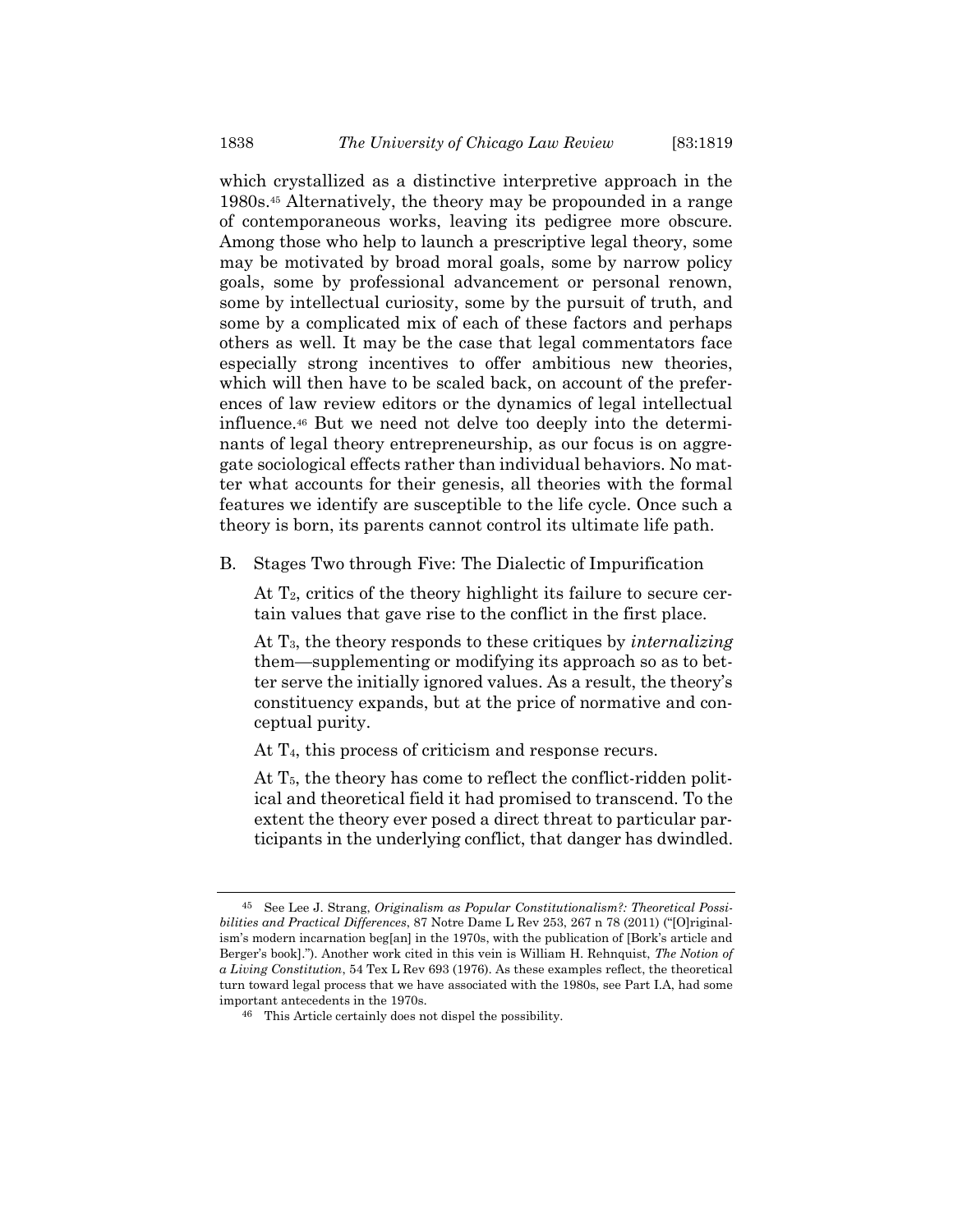which crystallized as a distinctive interpretive approach in the 1980s.45 Alternatively, the theory may be propounded in a range of contemporaneous works, leaving its pedigree more obscure. Among those who help to launch a prescriptive legal theory, some may be motivated by broad moral goals, some by narrow policy goals, some by professional advancement or personal renown, some by intellectual curiosity, some by the pursuit of truth, and some by a complicated mix of each of these factors and perhaps others as well. It may be the case that legal commentators face especially strong incentives to offer ambitious new theories, which will then have to be scaled back, on account of the preferences of law review editors or the dynamics of legal intellectual influence.46 But we need not delve too deeply into the determinants of legal theory entrepreneurship, as our focus is on aggregate sociological effects rather than individual behaviors. No matter what accounts for their genesis, all theories with the formal features we identify are susceptible to the life cycle. Once such a theory is born, its parents cannot control its ultimate life path.

B. Stages Two through Five: The Dialectic of Impurification

At  $T_2$ , critics of the theory highlight its failure to secure certain values that gave rise to the conflict in the first place.

At  $T_3$ , the theory responds to these critiques by *internalizing* them—supplementing or modifying its approach so as to better serve the initially ignored values. As a result, the theory's constituency expands, but at the price of normative and conceptual purity.

At T<sub>4</sub>, this process of criticism and response recurs.

At  $T_5$ , the theory has come to reflect the conflict-ridden political and theoretical field it had promised to transcend. To the extent the theory ever posed a direct threat to particular participants in the underlying conflict, that danger has dwindled.

<sup>45</sup> See Lee J. Strang, Originalism as Popular Constitutionalism?: Theoretical Possibilities and Practical Differences, 87 Notre Dame L Rev 253, 267 n 78 (2011) ("[O]riginalism's modern incarnation beg[an] in the 1970s, with the publication of [Bork's article and Berger's book]."). Another work cited in this vein is William H. Rehnquist, The Notion of a Living Constitution, 54 Tex L Rev 693 (1976). As these examples reflect, the theoretical turn toward legal process that we have associated with the 1980s, see Part I.A, had some important antecedents in the 1970s.

<sup>46</sup> This Article certainly does not dispel the possibility.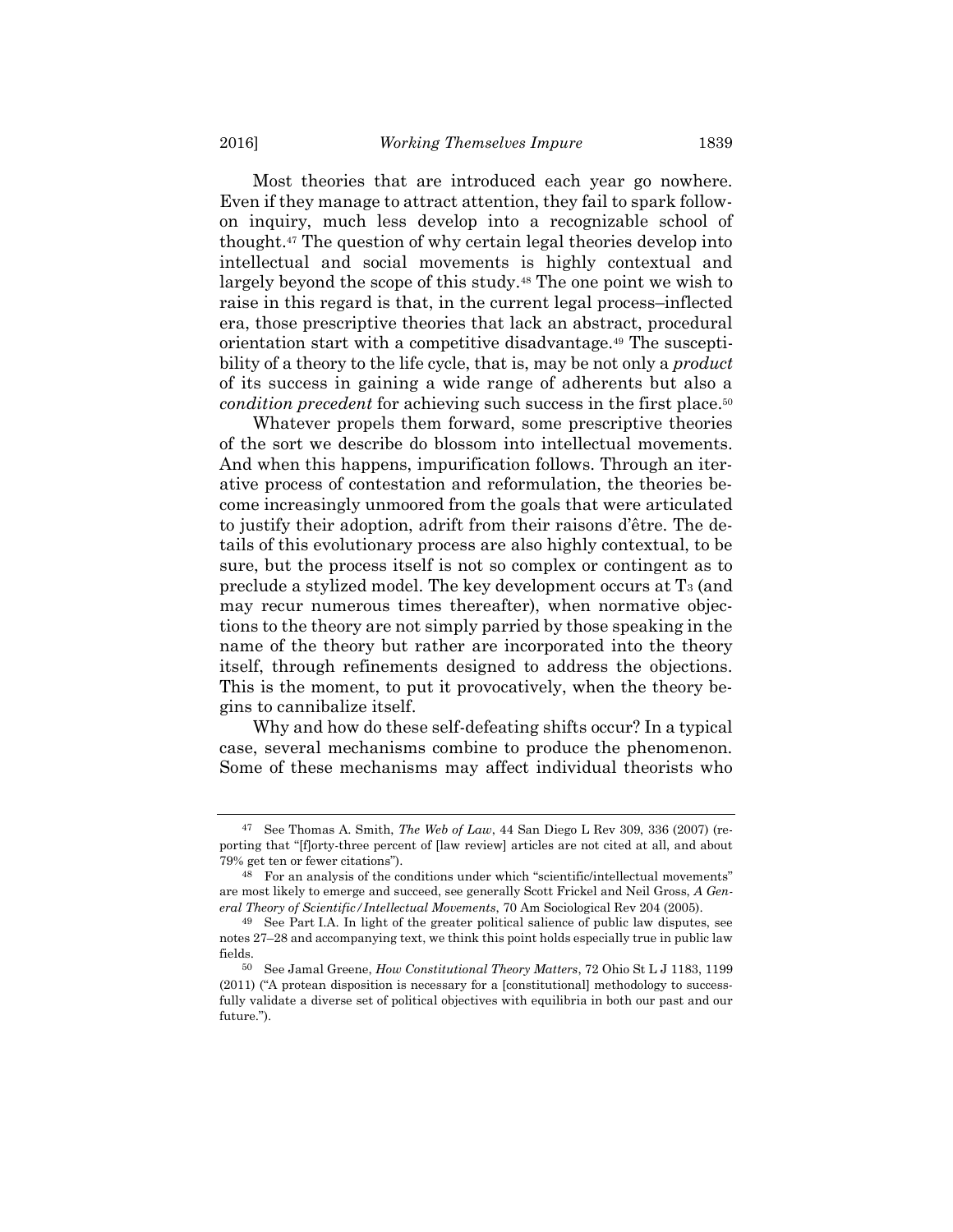Most theories that are introduced each year go nowhere. Even if they manage to attract attention, they fail to spark followon inquiry, much less develop into a recognizable school of thought.47 The question of why certain legal theories develop into intellectual and social movements is highly contextual and largely beyond the scope of this study.48 The one point we wish to raise in this regard is that, in the current legal process–inflected era, those prescriptive theories that lack an abstract, procedural orientation start with a competitive disadvantage.49 The susceptibility of a theory to the life cycle, that is, may be not only a *product* of its success in gaining a wide range of adherents but also a condition precedent for achieving such success in the first place.<sup>50</sup>

Whatever propels them forward, some prescriptive theories of the sort we describe do blossom into intellectual movements. And when this happens, impurification follows. Through an iterative process of contestation and reformulation, the theories become increasingly unmoored from the goals that were articulated to justify their adoption, adrift from their raisons d'être. The details of this evolutionary process are also highly contextual, to be sure, but the process itself is not so complex or contingent as to preclude a stylized model. The key development occurs at T3 (and may recur numerous times thereafter), when normative objections to the theory are not simply parried by those speaking in the name of the theory but rather are incorporated into the theory itself, through refinements designed to address the objections. This is the moment, to put it provocatively, when the theory begins to cannibalize itself.

Why and how do these self-defeating shifts occur? In a typical case, several mechanisms combine to produce the phenomenon. Some of these mechanisms may affect individual theorists who

See Thomas A. Smith, The Web of Law, 44 San Diego L Rev 309, 336 (2007) (reporting that "[f]orty-three percent of [law review] articles are not cited at all, and about 79% get ten or fewer citations").

<sup>48</sup> For an analysis of the conditions under which "scientific/intellectual movements" are most likely to emerge and succeed, see generally Scott Frickel and Neil Gross, A General Theory of Scientific/Intellectual Movements, 70 Am Sociological Rev 204 (2005).

<sup>49</sup> See Part I.A. In light of the greater political salience of public law disputes, see notes 27–28 and accompanying text, we think this point holds especially true in public law fields.

<sup>50</sup> See Jamal Greene, How Constitutional Theory Matters, 72 Ohio St L J 1183, 1199 (2011) ("A protean disposition is necessary for a [constitutional] methodology to successfully validate a diverse set of political objectives with equilibria in both our past and our future.").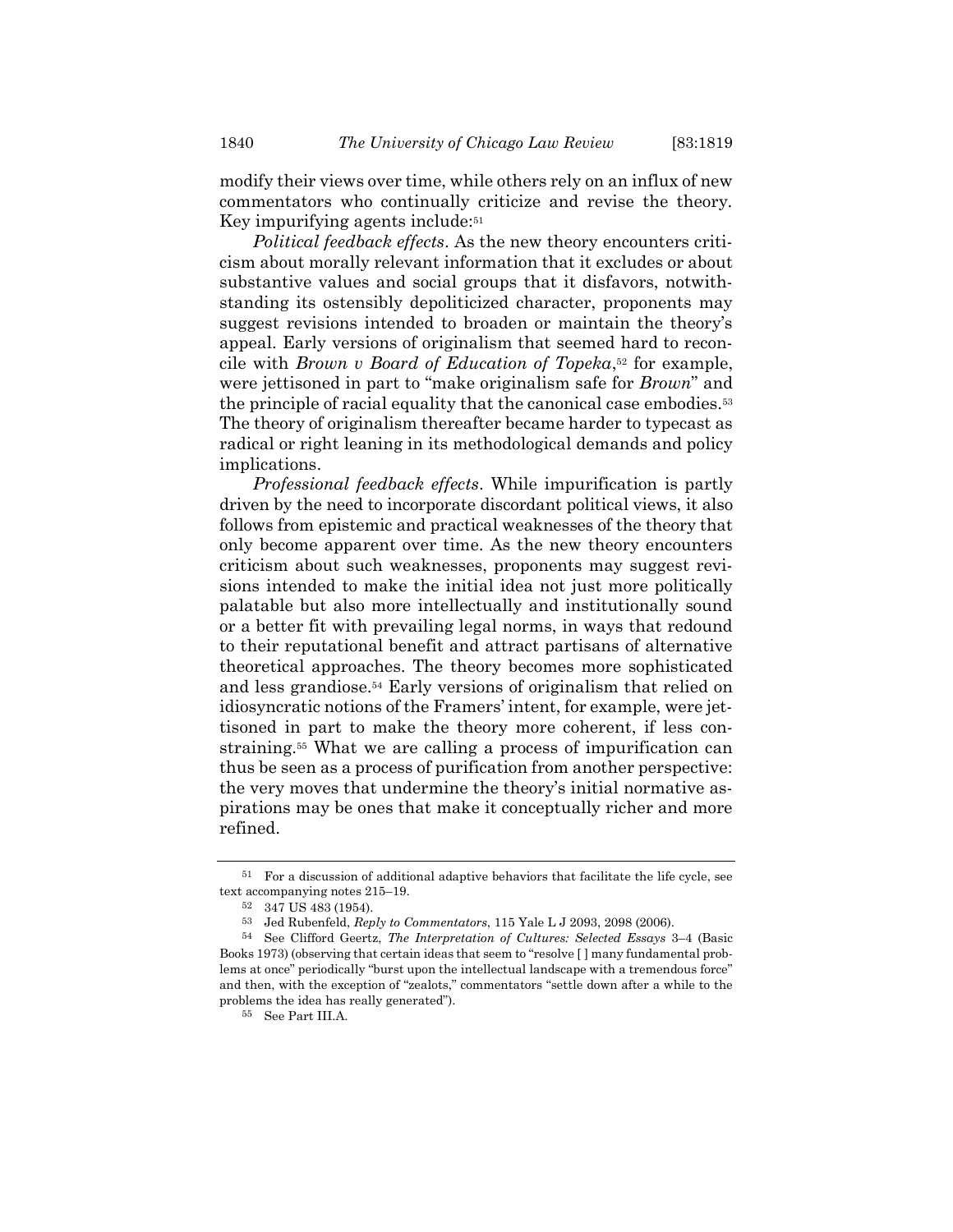modify their views over time, while others rely on an influx of new commentators who continually criticize and revise the theory. Key impurifying agents include:<sup>51</sup>

Political feedback effects. As the new theory encounters criticism about morally relevant information that it excludes or about substantive values and social groups that it disfavors, notwithstanding its ostensibly depoliticized character, proponents may suggest revisions intended to broaden or maintain the theory's appeal. Early versions of originalism that seemed hard to reconcile with *Brown v Board of Education of Topeka*,<sup>52</sup> for example, were jettisoned in part to "make originalism safe for *Brown*" and the principle of racial equality that the canonical case embodies.<sup>53</sup> The theory of originalism thereafter became harder to typecast as radical or right leaning in its methodological demands and policy implications.

Professional feedback effects. While impurification is partly driven by the need to incorporate discordant political views, it also follows from epistemic and practical weaknesses of the theory that only become apparent over time. As the new theory encounters criticism about such weaknesses, proponents may suggest revisions intended to make the initial idea not just more politically palatable but also more intellectually and institutionally sound or a better fit with prevailing legal norms, in ways that redound to their reputational benefit and attract partisans of alternative theoretical approaches. The theory becomes more sophisticated and less grandiose.54 Early versions of originalism that relied on idiosyncratic notions of the Framers' intent, for example, were jettisoned in part to make the theory more coherent, if less constraining.55 What we are calling a process of impurification can thus be seen as a process of purification from another perspective: the very moves that undermine the theory's initial normative aspirations may be ones that make it conceptually richer and more refined.

<sup>51</sup> For a discussion of additional adaptive behaviors that facilitate the life cycle, see text accompanying notes 215–19.

<sup>52</sup> 347 US 483 (1954).

<sup>53</sup> Jed Rubenfeld, Reply to Commentators, 115 Yale L J 2093, 2098 (2006).

<sup>54</sup> See Clifford Geertz, The Interpretation of Cultures: Selected Essays 3–4 (Basic Books 1973) (observing that certain ideas that seem to "resolve [ ] many fundamental problems at once" periodically "burst upon the intellectual landscape with a tremendous force" and then, with the exception of "zealots," commentators "settle down after a while to the problems the idea has really generated").

<sup>55</sup> See Part III.A.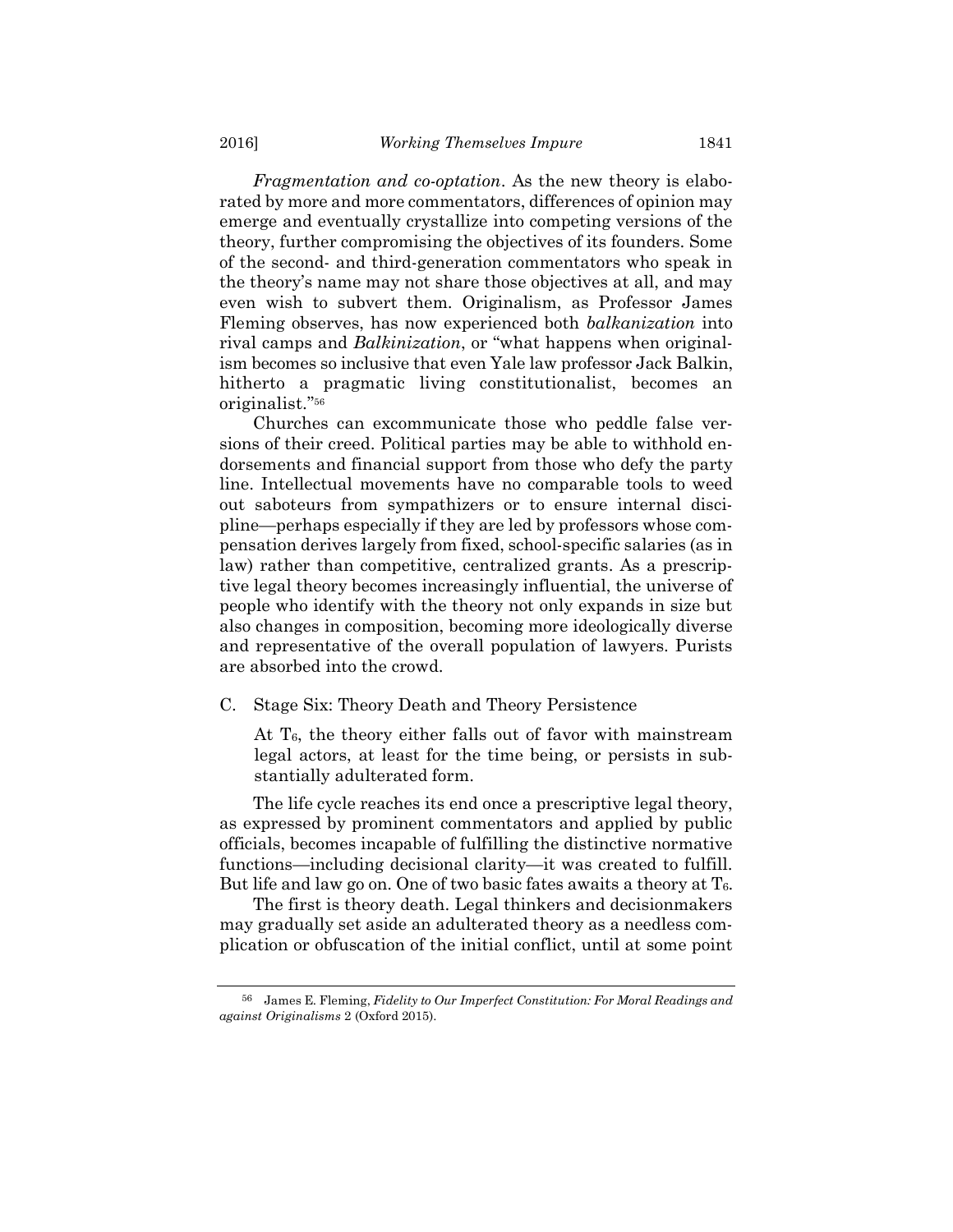Fragmentation and co-optation. As the new theory is elaborated by more and more commentators, differences of opinion may emerge and eventually crystallize into competing versions of the theory, further compromising the objectives of its founders. Some of the second- and third-generation commentators who speak in the theory's name may not share those objectives at all, and may even wish to subvert them. Originalism, as Professor James Fleming observes, has now experienced both balkanization into rival camps and Balkinization, or "what happens when originalism becomes so inclusive that even Yale law professor Jack Balkin, hitherto a pragmatic living constitutionalist, becomes an originalist."<sup>56</sup>

Churches can excommunicate those who peddle false versions of their creed. Political parties may be able to withhold endorsements and financial support from those who defy the party line. Intellectual movements have no comparable tools to weed out saboteurs from sympathizers or to ensure internal discipline—perhaps especially if they are led by professors whose compensation derives largely from fixed, school-specific salaries (as in law) rather than competitive, centralized grants. As a prescriptive legal theory becomes increasingly influential, the universe of people who identify with the theory not only expands in size but also changes in composition, becoming more ideologically diverse and representative of the overall population of lawyers. Purists are absorbed into the crowd.

C. Stage Six: Theory Death and Theory Persistence

At T<sub>6</sub>, the theory either falls out of favor with mainstream legal actors, at least for the time being, or persists in substantially adulterated form.

The life cycle reaches its end once a prescriptive legal theory, as expressed by prominent commentators and applied by public officials, becomes incapable of fulfilling the distinctive normative functions—including decisional clarity—it was created to fulfill. But life and law go on. One of two basic fates awaits a theory at  $T_{6}$ .

The first is theory death. Legal thinkers and decisionmakers may gradually set aside an adulterated theory as a needless complication or obfuscation of the initial conflict, until at some point

<sup>56</sup> James E. Fleming, Fidelity to Our Imperfect Constitution: For Moral Readings and against Originalisms 2 (Oxford 2015).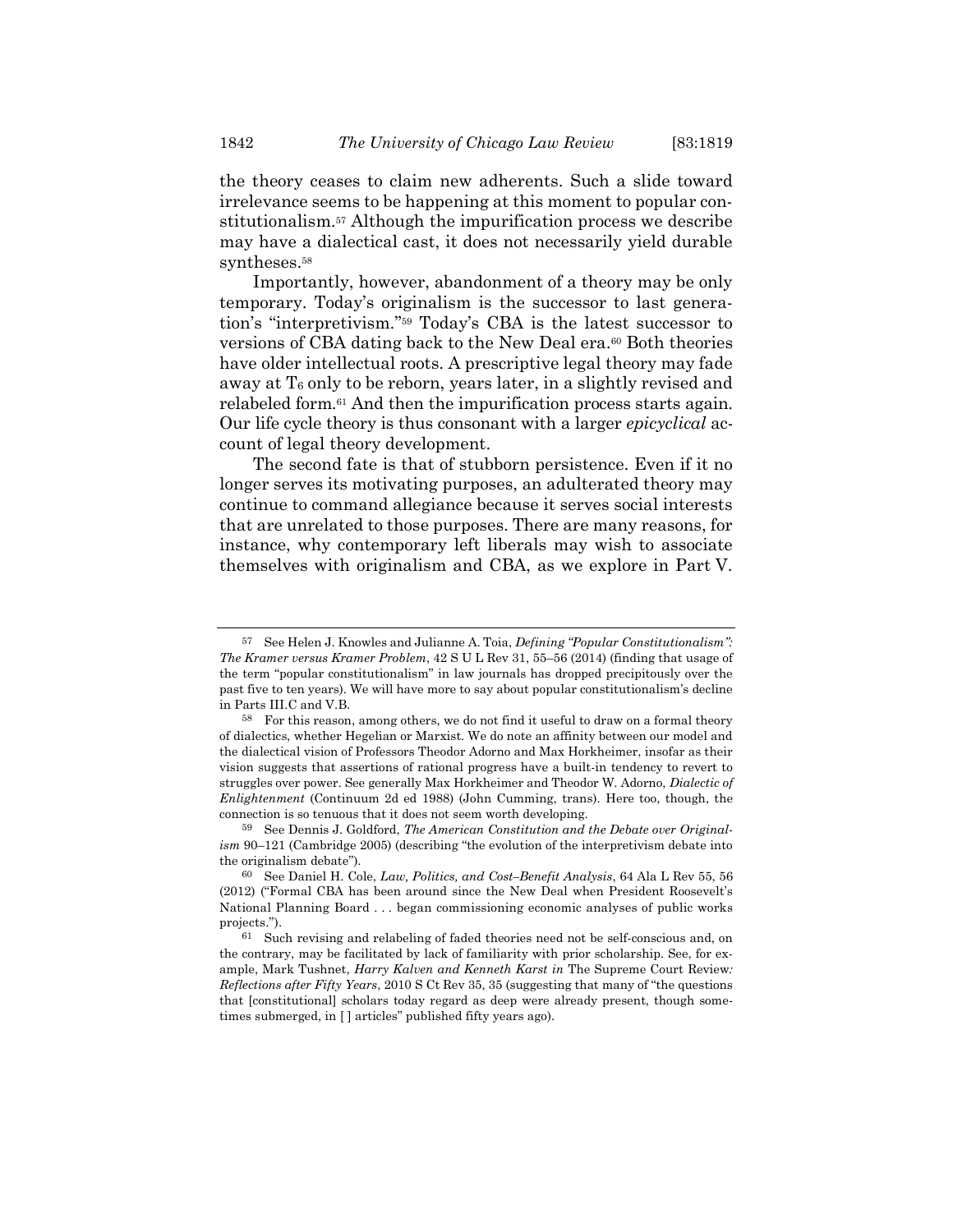the theory ceases to claim new adherents. Such a slide toward irrelevance seems to be happening at this moment to popular constitutionalism.57 Although the impurification process we describe may have a dialectical cast, it does not necessarily yield durable syntheses.<sup>58</sup>

Importantly, however, abandonment of a theory may be only temporary. Today's originalism is the successor to last generation's "interpretivism."59 Today's CBA is the latest successor to versions of CBA dating back to the New Deal era.<sup>60</sup> Both theories have older intellectual roots. A prescriptive legal theory may fade away at  $T_6$  only to be reborn, years later, in a slightly revised and relabeled form.61 And then the impurification process starts again. Our life cycle theory is thus consonant with a larger *epicyclical* account of legal theory development.

The second fate is that of stubborn persistence. Even if it no longer serves its motivating purposes, an adulterated theory may continue to command allegiance because it serves social interests that are unrelated to those purposes. There are many reasons, for instance, why contemporary left liberals may wish to associate themselves with originalism and CBA, as we explore in Part V.

<sup>57</sup> See Helen J. Knowles and Julianne A. Toia, Defining "Popular Constitutionalism": The Kramer versus Kramer Problem, 42 S U L Rev 31, 55–56 (2014) (finding that usage of the term "popular constitutionalism" in law journals has dropped precipitously over the past five to ten years). We will have more to say about popular constitutionalism's decline in Parts III.C and V.B.

<sup>58</sup> For this reason, among others, we do not find it useful to draw on a formal theory of dialectics, whether Hegelian or Marxist. We do note an affinity between our model and the dialectical vision of Professors Theodor Adorno and Max Horkheimer, insofar as their vision suggests that assertions of rational progress have a built-in tendency to revert to struggles over power. See generally Max Horkheimer and Theodor W. Adorno, Dialectic of Enlightenment (Continuum 2d ed 1988) (John Cumming, trans). Here too, though, the connection is so tenuous that it does not seem worth developing.

<sup>59</sup> See Dennis J. Goldford, The American Constitution and the Debate over Originalism 90–121 (Cambridge 2005) (describing "the evolution of the interpretivism debate into the originalism debate").

<sup>60</sup> See Daniel H. Cole, Law, Politics, and Cost–Benefit Analysis, 64 Ala L Rev 55, 56 (2012) ("Formal CBA has been around since the New Deal when President Roosevelt's National Planning Board . . . began commissioning economic analyses of public works projects.").

<sup>61</sup> Such revising and relabeling of faded theories need not be self-conscious and, on the contrary, may be facilitated by lack of familiarity with prior scholarship. See, for example, Mark Tushnet, Harry Kalven and Kenneth Karst in The Supreme Court Review: Reflections after Fifty Years, 2010 S Ct Rev 35, 35 (suggesting that many of "the questions that [constitutional] scholars today regard as deep were already present, though sometimes submerged, in [ ] articles" published fifty years ago).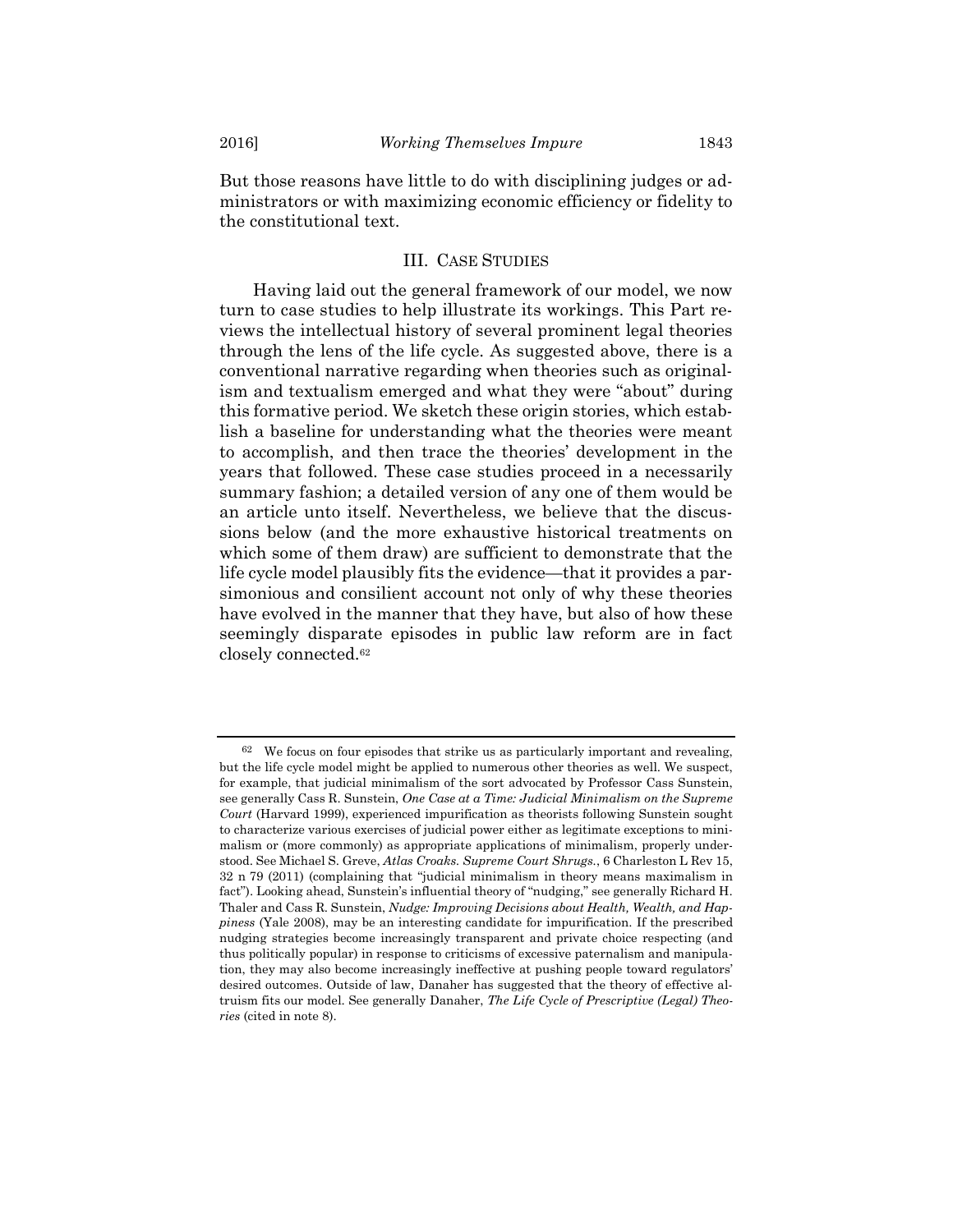But those reasons have little to do with disciplining judges or administrators or with maximizing economic efficiency or fidelity to the constitutional text.

# III. CASE STUDIES

Having laid out the general framework of our model, we now turn to case studies to help illustrate its workings. This Part reviews the intellectual history of several prominent legal theories through the lens of the life cycle. As suggested above, there is a conventional narrative regarding when theories such as originalism and textualism emerged and what they were "about" during this formative period. We sketch these origin stories, which establish a baseline for understanding what the theories were meant to accomplish, and then trace the theories' development in the years that followed. These case studies proceed in a necessarily summary fashion; a detailed version of any one of them would be an article unto itself. Nevertheless, we believe that the discussions below (and the more exhaustive historical treatments on which some of them draw) are sufficient to demonstrate that the life cycle model plausibly fits the evidence—that it provides a parsimonious and consilient account not only of why these theories have evolved in the manner that they have, but also of how these seemingly disparate episodes in public law reform are in fact closely connected.<sup>62</sup>

<sup>62</sup> We focus on four episodes that strike us as particularly important and revealing, but the life cycle model might be applied to numerous other theories as well. We suspect, for example, that judicial minimalism of the sort advocated by Professor Cass Sunstein, see generally Cass R. Sunstein, One Case at a Time: Judicial Minimalism on the Supreme Court (Harvard 1999), experienced impurification as theorists following Sunstein sought to characterize various exercises of judicial power either as legitimate exceptions to minimalism or (more commonly) as appropriate applications of minimalism, properly understood. See Michael S. Greve, Atlas Croaks. Supreme Court Shrugs., 6 Charleston L Rev 15, 32 n 79 (2011) (complaining that "judicial minimalism in theory means maximalism in fact"). Looking ahead, Sunstein's influential theory of "nudging," see generally Richard H. Thaler and Cass R. Sunstein, Nudge: Improving Decisions about Health, Wealth, and Happiness (Yale 2008), may be an interesting candidate for impurification. If the prescribed nudging strategies become increasingly transparent and private choice respecting (and thus politically popular) in response to criticisms of excessive paternalism and manipulation, they may also become increasingly ineffective at pushing people toward regulators' desired outcomes. Outside of law, Danaher has suggested that the theory of effective altruism fits our model. See generally Danaher, The Life Cycle of Prescriptive (Legal) Theories (cited in note 8).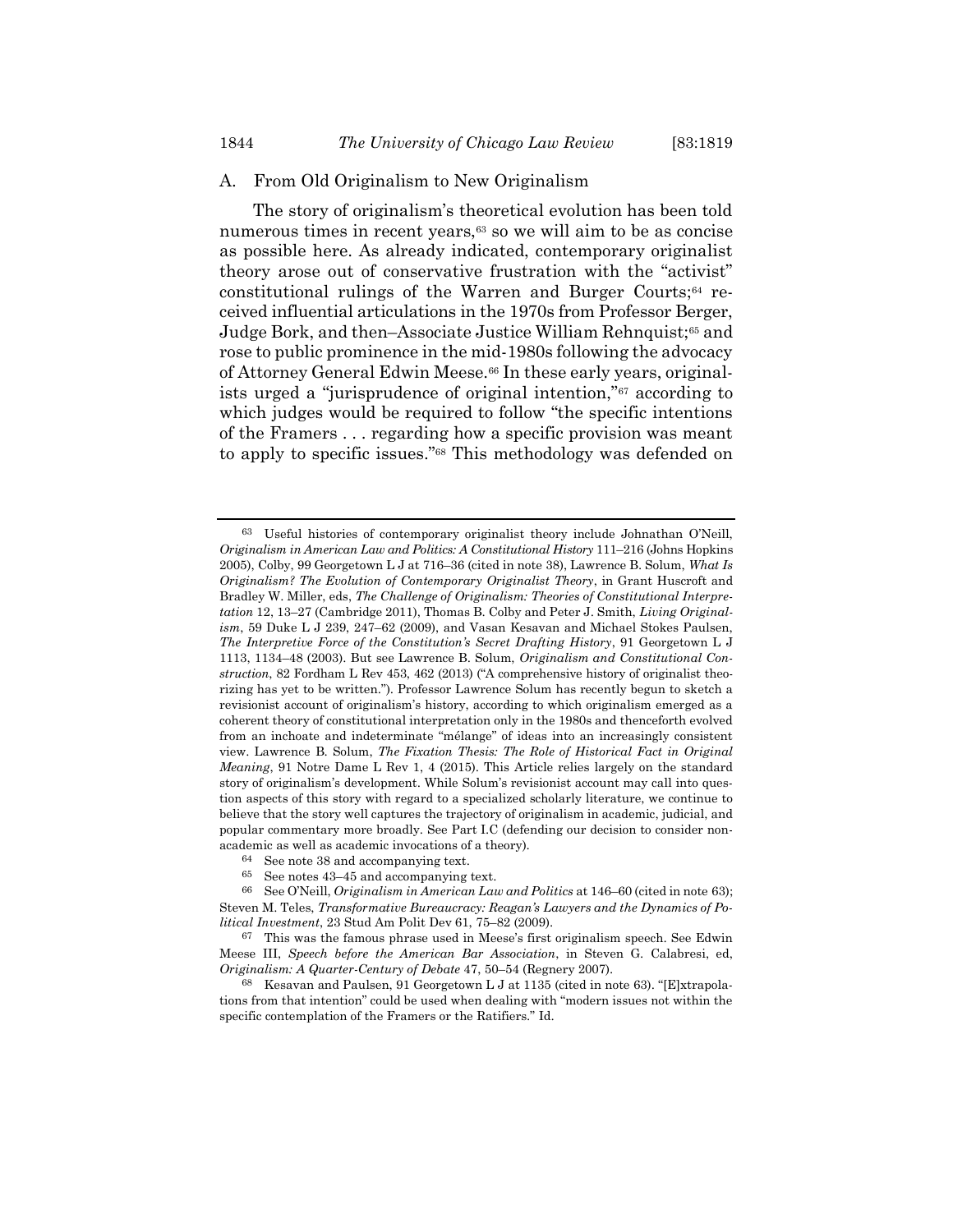#### A. From Old Originalism to New Originalism

The story of originalism's theoretical evolution has been told numerous times in recent years,<sup>63</sup> so we will aim to be as concise as possible here. As already indicated, contemporary originalist theory arose out of conservative frustration with the "activist" constitutional rulings of the Warren and Burger Courts;64 received influential articulations in the 1970s from Professor Berger, Judge Bork, and then–Associate Justice William Rehnquist;65 and rose to public prominence in the mid-1980s following the advocacy of Attorney General Edwin Meese.66 In these early years, originalists urged a "jurisprudence of original intention,"67 according to which judges would be required to follow "the specific intentions of the Framers . . . regarding how a specific provision was meant to apply to specific issues."68 This methodology was defended on

<sup>63</sup> Useful histories of contemporary originalist theory include Johnathan O'Neill, Originalism in American Law and Politics: A Constitutional History 111–216 (Johns Hopkins 2005), Colby, 99 Georgetown L J at 716–36 (cited in note 38), Lawrence B. Solum, What Is Originalism? The Evolution of Contemporary Originalist Theory, in Grant Huscroft and Bradley W. Miller, eds, The Challenge of Originalism: Theories of Constitutional Interpretation 12, 13–27 (Cambridge 2011), Thomas B. Colby and Peter J. Smith, Living Originalism, 59 Duke L J 239, 247–62 (2009), and Vasan Kesavan and Michael Stokes Paulsen, The Interpretive Force of the Constitution's Secret Drafting History, 91 Georgetown L J 1113, 1134–48 (2003). But see Lawrence B. Solum, Originalism and Constitutional Construction, 82 Fordham L Rev 453, 462 (2013) ("A comprehensive history of originalist theorizing has yet to be written."). Professor Lawrence Solum has recently begun to sketch a revisionist account of originalism's history, according to which originalism emerged as a coherent theory of constitutional interpretation only in the 1980s and thenceforth evolved from an inchoate and indeterminate "mélange" of ideas into an increasingly consistent view. Lawrence B. Solum, The Fixation Thesis: The Role of Historical Fact in Original Meaning, 91 Notre Dame L Rev 1, 4 (2015). This Article relies largely on the standard story of originalism's development. While Solum's revisionist account may call into question aspects of this story with regard to a specialized scholarly literature, we continue to believe that the story well captures the trajectory of originalism in academic, judicial, and popular commentary more broadly. See Part I.C (defending our decision to consider nonacademic as well as academic invocations of a theory).

<sup>64</sup> See note 38 and accompanying text.

<sup>65</sup> See notes 43–45 and accompanying text.

<sup>66</sup> See O'Neill, Originalism in American Law and Politics at  $146-60$  (cited in note 63); Steven M. Teles, Transformative Bureaucracy: Reagan's Lawyers and the Dynamics of Political Investment, 23 Stud Am Polit Dev 61, 75–82 (2009).

<sup>67</sup> This was the famous phrase used in Meese's first originalism speech. See Edwin Meese III, Speech before the American Bar Association, in Steven G. Calabresi, ed, Originalism: A Quarter-Century of Debate 47, 50–54 (Regnery 2007).

<sup>68</sup> Kesavan and Paulsen, 91 Georgetown L J at 1135 (cited in note 63). "[E]xtrapolations from that intention" could be used when dealing with "modern issues not within the specific contemplation of the Framers or the Ratifiers." Id.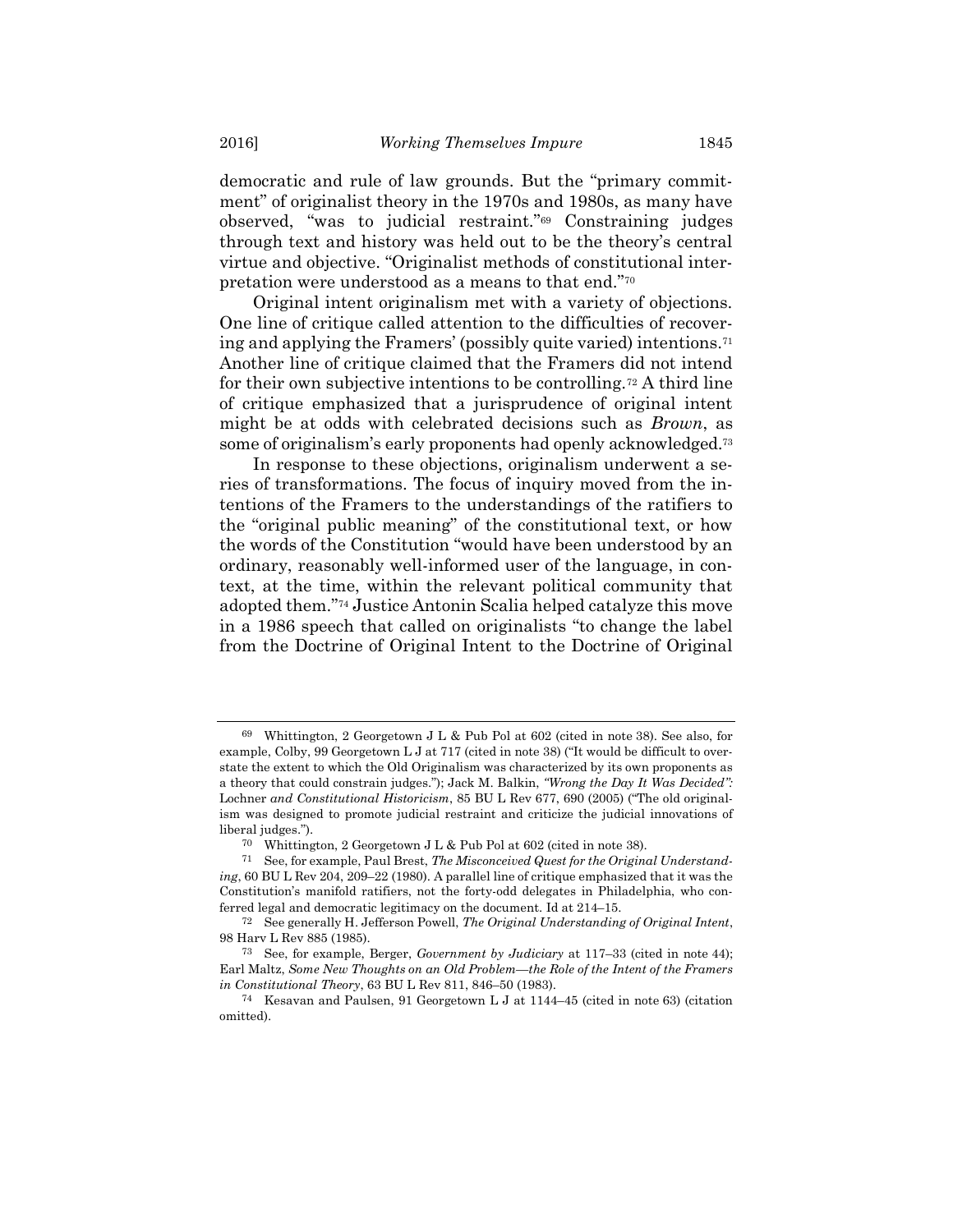democratic and rule of law grounds. But the "primary commitment" of originalist theory in the 1970s and 1980s, as many have observed, "was to judicial restraint."69 Constraining judges through text and history was held out to be the theory's central virtue and objective. "Originalist methods of constitutional interpretation were understood as a means to that end."<sup>70</sup>

Original intent originalism met with a variety of objections. One line of critique called attention to the difficulties of recovering and applying the Framers' (possibly quite varied) intentions.<sup>71</sup> Another line of critique claimed that the Framers did not intend for their own subjective intentions to be controlling.72 A third line of critique emphasized that a jurisprudence of original intent might be at odds with celebrated decisions such as Brown, as some of originalism's early proponents had openly acknowledged.<sup>73</sup>

In response to these objections, originalism underwent a series of transformations. The focus of inquiry moved from the intentions of the Framers to the understandings of the ratifiers to the "original public meaning" of the constitutional text, or how the words of the Constitution "would have been understood by an ordinary, reasonably well-informed user of the language, in context, at the time, within the relevant political community that adopted them."74 Justice Antonin Scalia helped catalyze this move in a 1986 speech that called on originalists "to change the label from the Doctrine of Original Intent to the Doctrine of Original

<sup>69</sup> Whittington, 2 Georgetown J L & Pub Pol at 602 (cited in note 38). See also, for example, Colby, 99 Georgetown L J at 717 (cited in note 38) ("It would be difficult to overstate the extent to which the Old Originalism was characterized by its own proponents as a theory that could constrain judges."); Jack M. Balkin, "Wrong the Day It Was Decided": Lochner and Constitutional Historicism, 85 BU L Rev 677, 690 (2005) ("The old originalism was designed to promote judicial restraint and criticize the judicial innovations of liberal judges.").

<sup>70</sup> Whittington, 2 Georgetown J L & Pub Pol at 602 (cited in note 38).

<sup>71</sup> See, for example, Paul Brest, The Misconceived Quest for the Original Understanding, 60 BU L Rev 204, 209–22 (1980). A parallel line of critique emphasized that it was the Constitution's manifold ratifiers, not the forty-odd delegates in Philadelphia, who conferred legal and democratic legitimacy on the document. Id at 214–15.

<sup>72</sup> See generally H. Jefferson Powell, The Original Understanding of Original Intent, 98 Harv L Rev 885 (1985).

<sup>&</sup>lt;sup>73</sup> See, for example, Berger, *Government by Judiciary* at  $117-33$  (cited in note 44); Earl Maltz, Some New Thoughts on an Old Problem—the Role of the Intent of the Framers in Constitutional Theory, 63 BU L Rev 811, 846–50 (1983).

<sup>74</sup> Kesavan and Paulsen, 91 Georgetown L J at 1144–45 (cited in note 63) (citation omitted).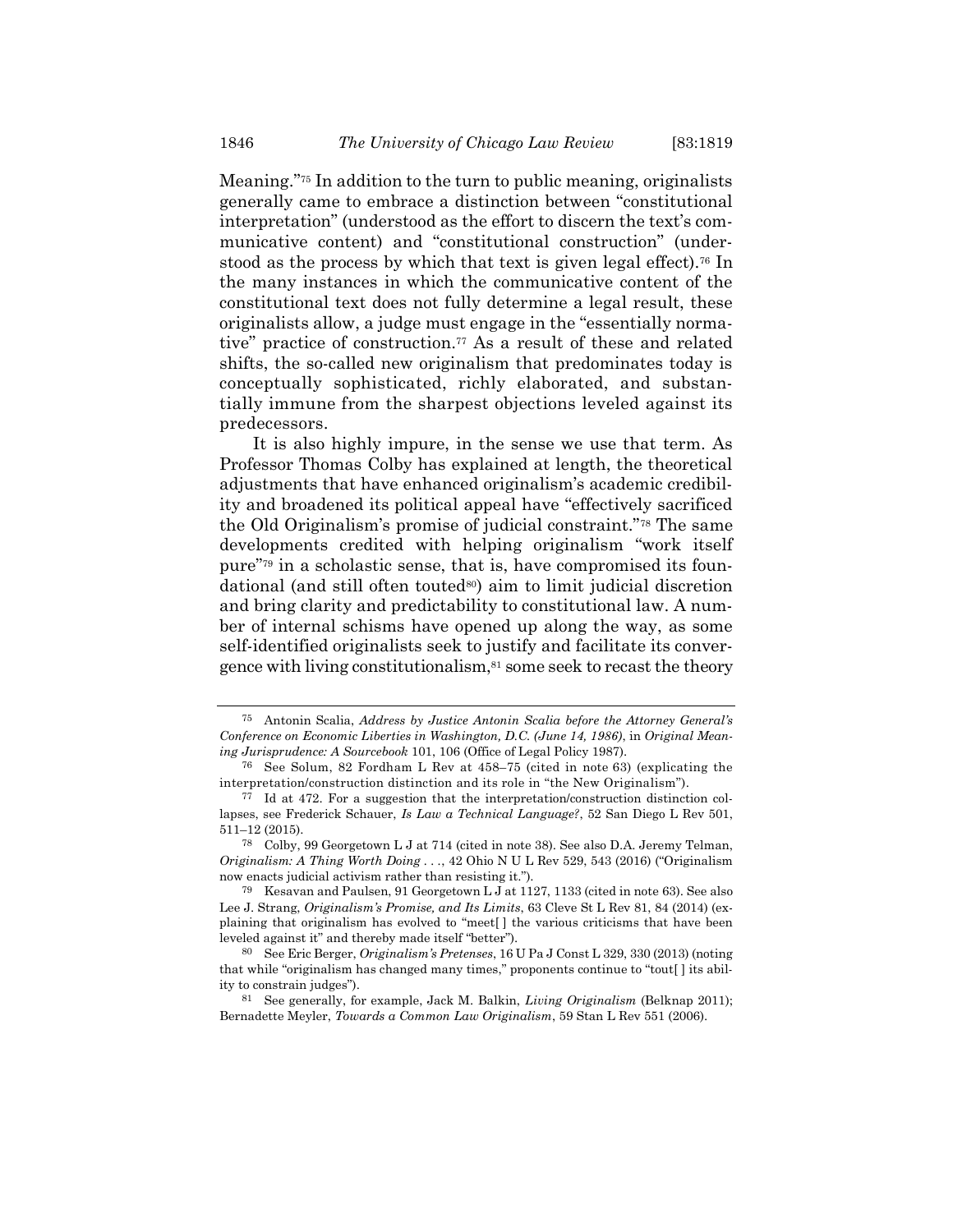Meaning."75 In addition to the turn to public meaning, originalists generally came to embrace a distinction between "constitutional interpretation" (understood as the effort to discern the text's communicative content) and "constitutional construction" (understood as the process by which that text is given legal effect).<sup>76</sup> In the many instances in which the communicative content of the constitutional text does not fully determine a legal result, these originalists allow, a judge must engage in the "essentially normative" practice of construction.77 As a result of these and related shifts, the so-called new originalism that predominates today is conceptually sophisticated, richly elaborated, and substantially immune from the sharpest objections leveled against its predecessors.

It is also highly impure, in the sense we use that term. As Professor Thomas Colby has explained at length, the theoretical adjustments that have enhanced originalism's academic credibility and broadened its political appeal have "effectively sacrificed the Old Originalism's promise of judicial constraint."78 The same developments credited with helping originalism "work itself pure"79 in a scholastic sense, that is, have compromised its foundational (and still often touted80) aim to limit judicial discretion and bring clarity and predictability to constitutional law. A number of internal schisms have opened up along the way, as some self-identified originalists seek to justify and facilitate its convergence with living constitutionalism,81 some seek to recast the theory

<sup>75</sup> Antonin Scalia, Address by Justice Antonin Scalia before the Attorney General's Conference on Economic Liberties in Washington, D.C. (June 14, 1986), in Original Meaning Jurisprudence: A Sourcebook 101, 106 (Office of Legal Policy 1987).

<sup>76</sup> See Solum, 82 Fordham L Rev at 458–75 (cited in note 63) (explicating the interpretation/construction distinction and its role in "the New Originalism").

<sup>77</sup> Id at 472. For a suggestion that the interpretation/construction distinction collapses, see Frederick Schauer, Is Law a Technical Language?, 52 San Diego L Rev 501, 511–12 (2015).

<sup>78</sup> Colby, 99 Georgetown L J at 714 (cited in note 38). See also D.A. Jeremy Telman, Originalism: A Thing Worth Doing . . ., 42 Ohio N U L Rev 529, 543 (2016) ("Originalism now enacts judicial activism rather than resisting it.").

<sup>79</sup> Kesavan and Paulsen, 91 Georgetown L J at 1127, 1133 (cited in note 63). See also Lee J. Strang, Originalism's Promise, and Its Limits, 63 Cleve St L Rev 81, 84 (2014) (explaining that originalism has evolved to "meet[ ] the various criticisms that have been leveled against it" and thereby made itself "better").

<sup>80</sup> See Eric Berger, Originalism's Pretenses, 16 U Pa J Const L 329, 330 (2013) (noting that while "originalism has changed many times," proponents continue to "tout[ ] its ability to constrain judges").

 $81$  See generally, for example, Jack M. Balkin, *Living Originalism* (Belknap 2011); Bernadette Meyler, Towards a Common Law Originalism, 59 Stan L Rev 551 (2006).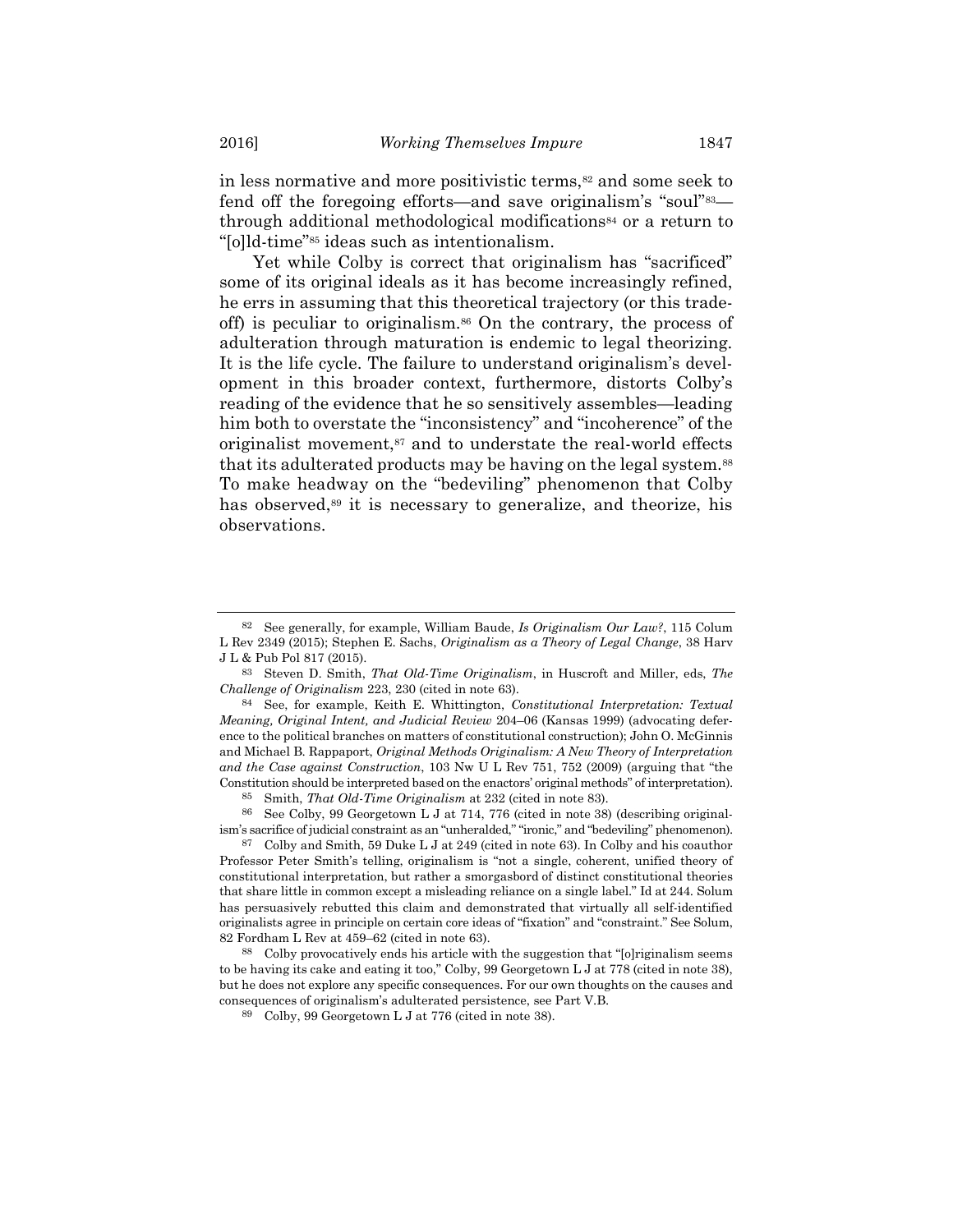in less normative and more positivistic terms,<sup>82</sup> and some seek to fend off the foregoing efforts—and save originalism's "soul"83 through additional methodological modifications84 or a return to "[o]ld-time"85 ideas such as intentionalism.

Yet while Colby is correct that originalism has "sacrificed" some of its original ideals as it has become increasingly refined, he errs in assuming that this theoretical trajectory (or this tradeoff) is peculiar to originalism.86 On the contrary, the process of adulteration through maturation is endemic to legal theorizing. It is the life cycle. The failure to understand originalism's development in this broader context, furthermore, distorts Colby's reading of the evidence that he so sensitively assembles—leading him both to overstate the "inconsistency" and "incoherence" of the originalist movement,<sup>87</sup> and to understate the real-world effects that its adulterated products may be having on the legal system.<sup>88</sup> To make headway on the "bedeviling" phenomenon that Colby has observed,<sup>89</sup> it is necessary to generalize, and theorize, his observations.

Smith, That Old-Time Originalism at 232 (cited in note 83).

86 See Colby, 99 Georgetown L J at 714, 776 (cited in note 38) (describing originalism's sacrifice of judicial constraint as an "unheralded," "ironic," and "bedeviling" phenomenon).

87 Colby and Smith, 59 Duke L J at 249 (cited in note 63). In Colby and his coauthor Professor Peter Smith's telling, originalism is "not a single, coherent, unified theory of constitutional interpretation, but rather a smorgasbord of distinct constitutional theories that share little in common except a misleading reliance on a single label." Id at 244. Solum has persuasively rebutted this claim and demonstrated that virtually all self-identified originalists agree in principle on certain core ideas of "fixation" and "constraint." See Solum, 82 Fordham L Rev at 459–62 (cited in note 63).

88 Colby provocatively ends his article with the suggestion that "[o]riginalism seems to be having its cake and eating it too," Colby, 99 Georgetown L J at 778 (cited in note 38), but he does not explore any specific consequences. For our own thoughts on the causes and consequences of originalism's adulterated persistence, see Part V.B.

<sup>&</sup>lt;sup>82</sup> See generally, for example, William Baude, *Is Originalism Our Law?*, 115 Colum L Rev 2349 (2015); Stephen E. Sachs, Originalism as a Theory of Legal Change, 38 Harv J L & Pub Pol 817 (2015).

<sup>83</sup> Steven D. Smith, That Old-Time Originalism, in Huscroft and Miller, eds, The Challenge of Originalism 223, 230 (cited in note 63).

<sup>84</sup> See, for example, Keith E. Whittington, Constitutional Interpretation: Textual Meaning, Original Intent, and Judicial Review 204–06 (Kansas 1999) (advocating deference to the political branches on matters of constitutional construction); John O. McGinnis and Michael B. Rappaport, Original Methods Originalism: A New Theory of Interpretation and the Case against Construction, 103 Nw U L Rev 751, 752 (2009) (arguing that "the Constitution should be interpreted based on the enactors' original methods" of interpretation).

<sup>89</sup> Colby, 99 Georgetown L J at 776 (cited in note 38).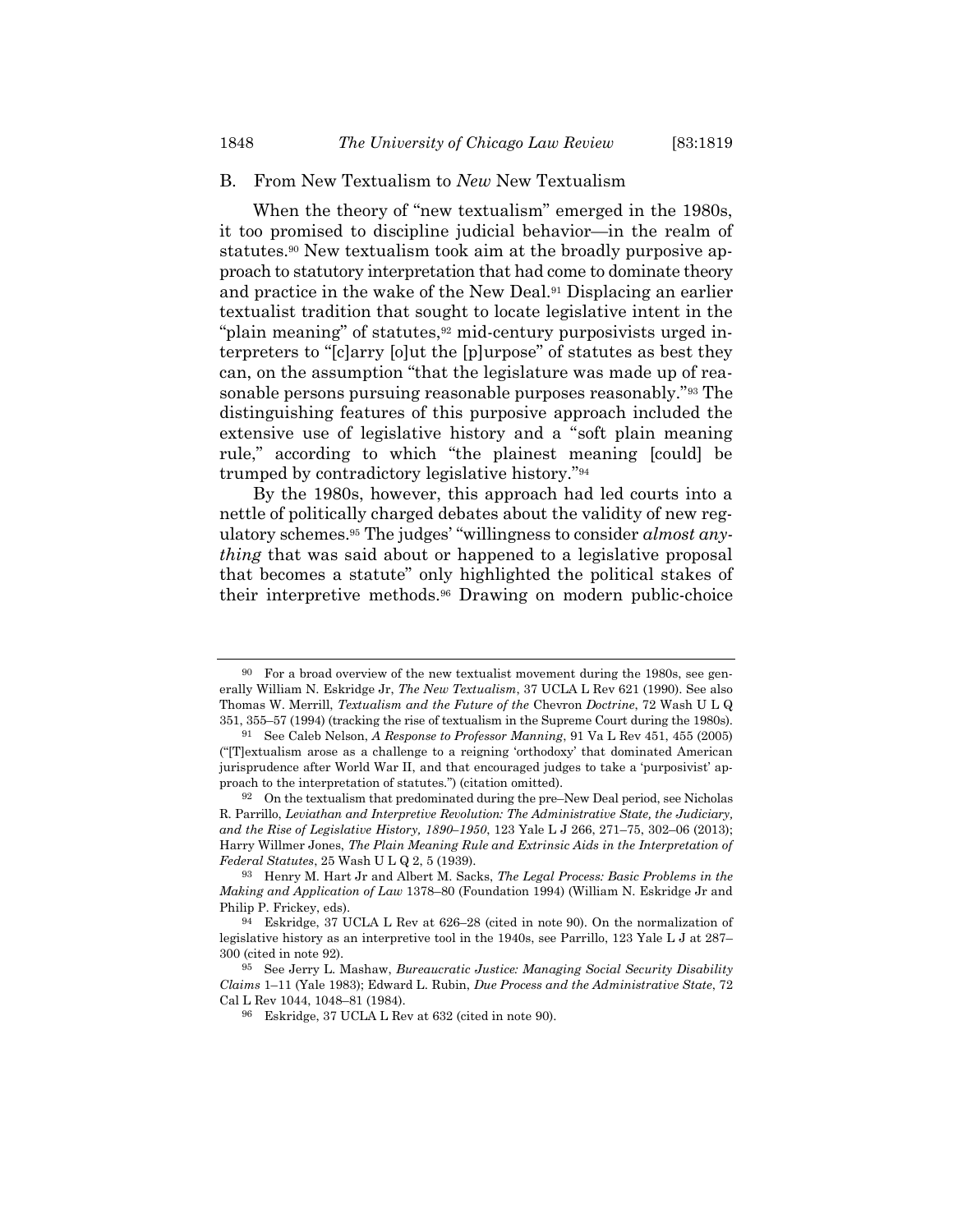#### B. From New Textualism to New New Textualism

When the theory of "new textualism" emerged in the 1980s, it too promised to discipline judicial behavior—in the realm of statutes.90 New textualism took aim at the broadly purposive approach to statutory interpretation that had come to dominate theory and practice in the wake of the New Deal.91 Displacing an earlier textualist tradition that sought to locate legislative intent in the "plain meaning" of statutes,<sup>92</sup> mid-century purposivists urged interpreters to "[c]arry [o]ut the [p]urpose" of statutes as best they can, on the assumption "that the legislature was made up of reasonable persons pursuing reasonable purposes reasonably."93 The distinguishing features of this purposive approach included the extensive use of legislative history and a "soft plain meaning rule," according to which "the plainest meaning [could] be trumped by contradictory legislative history."<sup>94</sup>

By the 1980s, however, this approach had led courts into a nettle of politically charged debates about the validity of new regulatory schemes.<sup>95</sup> The judges' "willingness to consider *almost any*thing that was said about or happened to a legislative proposal that becomes a statute" only highlighted the political stakes of their interpretive methods.96 Drawing on modern public-choice

 $90$  For a broad overview of the new textualist movement during the 1980s, see generally William N. Eskridge Jr, *The New Textualism*, 37 UCLA L Rev 621 (1990). See also Thomas W. Merrill, Textualism and the Future of the Chevron Doctrine, 72 Wash U L Q 351, 355–57 (1994) (tracking the rise of textualism in the Supreme Court during the 1980s).

<sup>91</sup> See Caleb Nelson, A Response to Professor Manning, 91 Va L Rev 451, 455 (2005) ("[T]extualism arose as a challenge to a reigning 'orthodoxy' that dominated American jurisprudence after World War II, and that encouraged judges to take a 'purposivist' approach to the interpretation of statutes.") (citation omitted).

 $92$  On the textualism that predominated during the pre–New Deal period, see Nicholas R. Parrillo, Leviathan and Interpretive Revolution: The Administrative State, the Judiciary, and the Rise of Legislative History, 1890–1950, 123 Yale L J 266, 271–75, 302–06 (2013); Harry Willmer Jones, The Plain Meaning Rule and Extrinsic Aids in the Interpretation of  $Federal Status, 25 Wash U L Q 2, 5 (1939).$ 

<sup>93</sup> Henry M. Hart Jr and Albert M. Sacks, The Legal Process: Basic Problems in the Making and Application of Law 1378–80 (Foundation 1994) (William N. Eskridge Jr and Philip P. Frickey, eds).

<sup>94</sup> Eskridge, 37 UCLA L Rev at 626–28 (cited in note 90). On the normalization of legislative history as an interpretive tool in the 1940s, see Parrillo, 123 Yale L J at 287– 300 (cited in note 92).

<sup>95</sup> See Jerry L. Mashaw, Bureaucratic Justice: Managing Social Security Disability Claims 1–11 (Yale 1983); Edward L. Rubin, Due Process and the Administrative State, 72 Cal L Rev 1044, 1048–81 (1984).

<sup>96</sup> Eskridge, 37 UCLA L Rev at 632 (cited in note 90).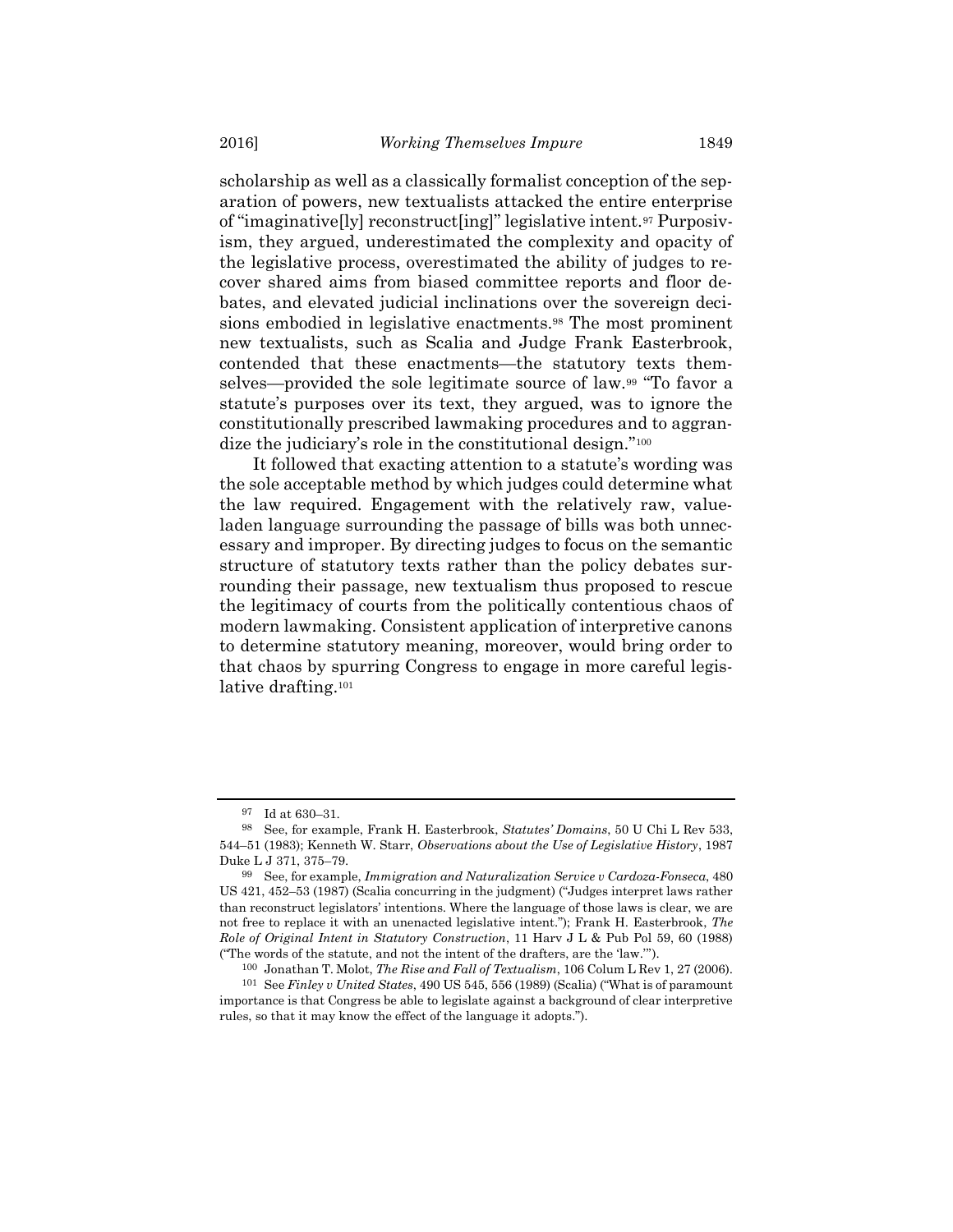scholarship as well as a classically formalist conception of the separation of powers, new textualists attacked the entire enterprise of "imaginative[ly] reconstruct[ing]" legislative intent.97 Purposivism, they argued, underestimated the complexity and opacity of the legislative process, overestimated the ability of judges to recover shared aims from biased committee reports and floor debates, and elevated judicial inclinations over the sovereign decisions embodied in legislative enactments.98 The most prominent new textualists, such as Scalia and Judge Frank Easterbrook, contended that these enactments—the statutory texts themselves—provided the sole legitimate source of law.99 "To favor a statute's purposes over its text, they argued, was to ignore the constitutionally prescribed lawmaking procedures and to aggrandize the judiciary's role in the constitutional design."<sup>100</sup>

It followed that exacting attention to a statute's wording was the sole acceptable method by which judges could determine what the law required. Engagement with the relatively raw, valueladen language surrounding the passage of bills was both unnecessary and improper. By directing judges to focus on the semantic structure of statutory texts rather than the policy debates surrounding their passage, new textualism thus proposed to rescue the legitimacy of courts from the politically contentious chaos of modern lawmaking. Consistent application of interpretive canons to determine statutory meaning, moreover, would bring order to that chaos by spurring Congress to engage in more careful legislative drafting.<sup>101</sup>

Id at 630–31.

<sup>98</sup> See, for example, Frank H. Easterbrook, Statutes' Domains, 50 U Chi L Rev 533, 544–51 (1983); Kenneth W. Starr, Observations about the Use of Legislative History, 1987 Duke L J 371, 375–79.

<sup>99</sup> See, for example, Immigration and Naturalization Service v Cardoza-Fonseca, 480 US 421, 452–53 (1987) (Scalia concurring in the judgment) ("Judges interpret laws rather than reconstruct legislators' intentions. Where the language of those laws is clear, we are not free to replace it with an unenacted legislative intent."); Frank H. Easterbrook, The Role of Original Intent in Statutory Construction, 11 Harv J L & Pub Pol 59, 60 (1988) ("The words of the statute, and not the intent of the drafters, are the 'law.'").

<sup>100</sup> Jonathan T. Molot, The Rise and Fall of Textualism, 106 Colum L Rev 1, 27 (2006). 101 See Finley v United States, 490 US 545, 556 (1989) (Scalia) ("What is of paramount importance is that Congress be able to legislate against a background of clear interpretive rules, so that it may know the effect of the language it adopts.").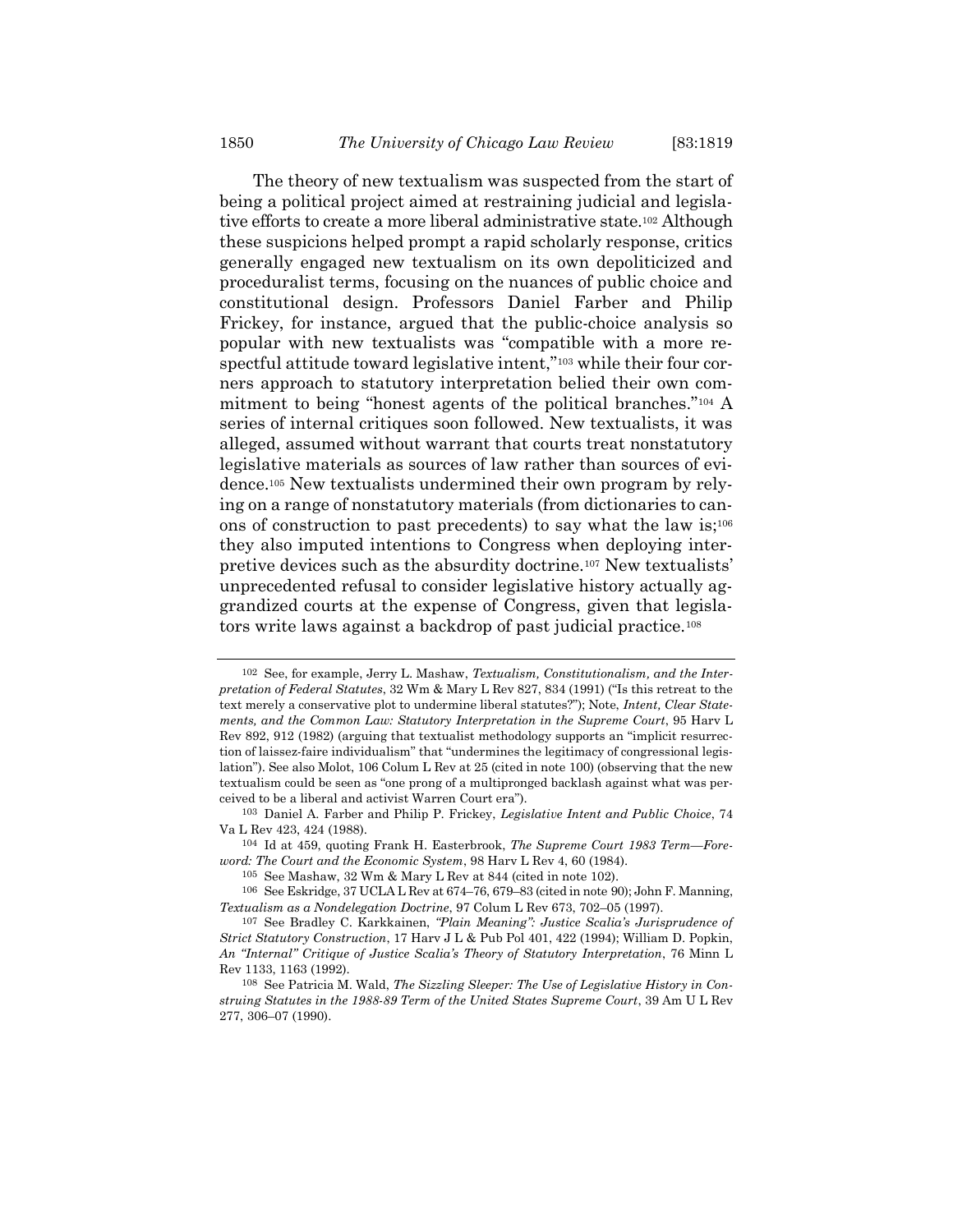The theory of new textualism was suspected from the start of being a political project aimed at restraining judicial and legislative efforts to create a more liberal administrative state.102 Although these suspicions helped prompt a rapid scholarly response, critics generally engaged new textualism on its own depoliticized and proceduralist terms, focusing on the nuances of public choice and constitutional design. Professors Daniel Farber and Philip Frickey, for instance, argued that the public-choice analysis so popular with new textualists was "compatible with a more respectful attitude toward legislative intent,"103 while their four corners approach to statutory interpretation belied their own commitment to being "honest agents of the political branches."104 A series of internal critiques soon followed. New textualists, it was alleged, assumed without warrant that courts treat nonstatutory legislative materials as sources of law rather than sources of evidence.105 New textualists undermined their own program by relying on a range of nonstatutory materials (from dictionaries to canons of construction to past precedents) to say what the law is;<sup>106</sup> they also imputed intentions to Congress when deploying interpretive devices such as the absurdity doctrine.107 New textualists' unprecedented refusal to consider legislative history actually aggrandized courts at the expense of Congress, given that legislators write laws against a backdrop of past judicial practice.<sup>108</sup>

<sup>102</sup> See, for example, Jerry L. Mashaw, Textualism, Constitutionalism, and the Interpretation of Federal Statutes, 32 Wm & Mary L Rev 827, 834 (1991) ("Is this retreat to the text merely a conservative plot to undermine liberal statutes?"); Note, Intent, Clear Statements, and the Common Law: Statutory Interpretation in the Supreme Court, 95 Harv L Rev 892, 912 (1982) (arguing that textualist methodology supports an "implicit resurrection of laissez-faire individualism" that "undermines the legitimacy of congressional legislation"). See also Molot, 106 Colum L Rev at 25 (cited in note 100) (observing that the new textualism could be seen as "one prong of a multipronged backlash against what was perceived to be a liberal and activist Warren Court era").

<sup>103</sup> Daniel A. Farber and Philip P. Frickey, Legislative Intent and Public Choice, 74 Va L Rev 423, 424 (1988).

<sup>104</sup> Id at 459, quoting Frank H. Easterbrook, The Supreme Court 1983 Term—Foreword: The Court and the Economic System, 98 Harv L Rev 4, 60 (1984).

<sup>105</sup> See Mashaw, 32 Wm & Mary L Rev at 844 (cited in note 102).

<sup>106</sup> See Eskridge, 37 UCLA L Rev at 674–76, 679–83 (cited in note 90); John F. Manning, Textualism as a Nondelegation Doctrine, 97 Colum L Rev 673, 702–05 (1997).

<sup>107</sup> See Bradley C. Karkkainen, "Plain Meaning": Justice Scalia's Jurisprudence of Strict Statutory Construction, 17 Harv J L & Pub Pol 401, 422 (1994); William D. Popkin, An "Internal" Critique of Justice Scalia's Theory of Statutory Interpretation, 76 Minn L Rev 1133, 1163 (1992).

<sup>108</sup> See Patricia M. Wald, The Sizzling Sleeper: The Use of Legislative History in Construing Statutes in the 1988-89 Term of the United States Supreme Court, 39 Am U L Rev 277, 306–07 (1990).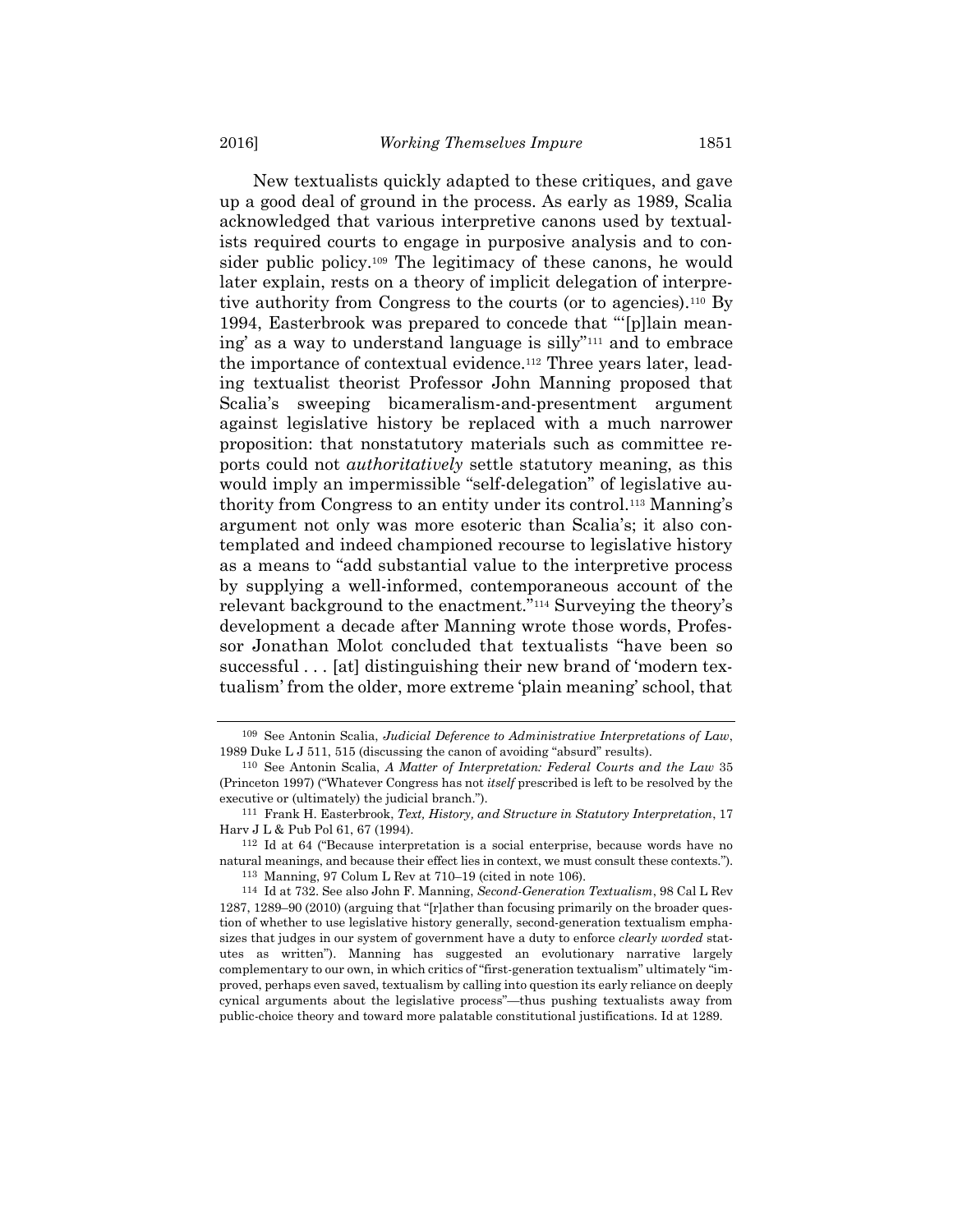New textualists quickly adapted to these critiques, and gave up a good deal of ground in the process. As early as 1989, Scalia acknowledged that various interpretive canons used by textualists required courts to engage in purposive analysis and to consider public policy.109 The legitimacy of these canons, he would later explain, rests on a theory of implicit delegation of interpretive authority from Congress to the courts (or to agencies).110 By 1994, Easterbrook was prepared to concede that "'[p]lain meaning' as a way to understand language is silly"111 and to embrace the importance of contextual evidence.112 Three years later, leading textualist theorist Professor John Manning proposed that Scalia's sweeping bicameralism-and-presentment argument against legislative history be replaced with a much narrower proposition: that nonstatutory materials such as committee reports could not authoritatively settle statutory meaning, as this would imply an impermissible "self-delegation" of legislative authority from Congress to an entity under its control.113 Manning's argument not only was more esoteric than Scalia's; it also contemplated and indeed championed recourse to legislative history as a means to "add substantial value to the interpretive process by supplying a well-informed, contemporaneous account of the relevant background to the enactment."114 Surveying the theory's development a decade after Manning wrote those words, Professor Jonathan Molot concluded that textualists "have been so successful . . . [at] distinguishing their new brand of 'modern textualism' from the older, more extreme 'plain meaning' school, that

<sup>109</sup> See Antonin Scalia, Judicial Deference to Administrative Interpretations of Law, 1989 Duke L J 511, 515 (discussing the canon of avoiding "absurd" results).

<sup>110</sup> See Antonin Scalia, A Matter of Interpretation: Federal Courts and the Law 35 (Princeton 1997) ("Whatever Congress has not itself prescribed is left to be resolved by the executive or (ultimately) the judicial branch.").

<sup>111</sup> Frank H. Easterbrook, Text, History, and Structure in Statutory Interpretation, 17 Harv J L & Pub Pol 61, 67 (1994).

<sup>112</sup> Id at 64 ("Because interpretation is a social enterprise, because words have no natural meanings, and because their effect lies in context, we must consult these contexts."). 113 Manning, 97 Colum L Rev at 710–19 (cited in note 106).

<sup>114</sup> Id at 732. See also John F. Manning, Second-Generation Textualism, 98 Cal L Rev 1287, 1289–90 (2010) (arguing that "[r]ather than focusing primarily on the broader question of whether to use legislative history generally, second-generation textualism emphasizes that judges in our system of government have a duty to enforce clearly worded statutes as written"). Manning has suggested an evolutionary narrative largely complementary to our own, in which critics of "first-generation textualism" ultimately "improved, perhaps even saved, textualism by calling into question its early reliance on deeply cynical arguments about the legislative process"—thus pushing textualists away from public-choice theory and toward more palatable constitutional justifications. Id at 1289.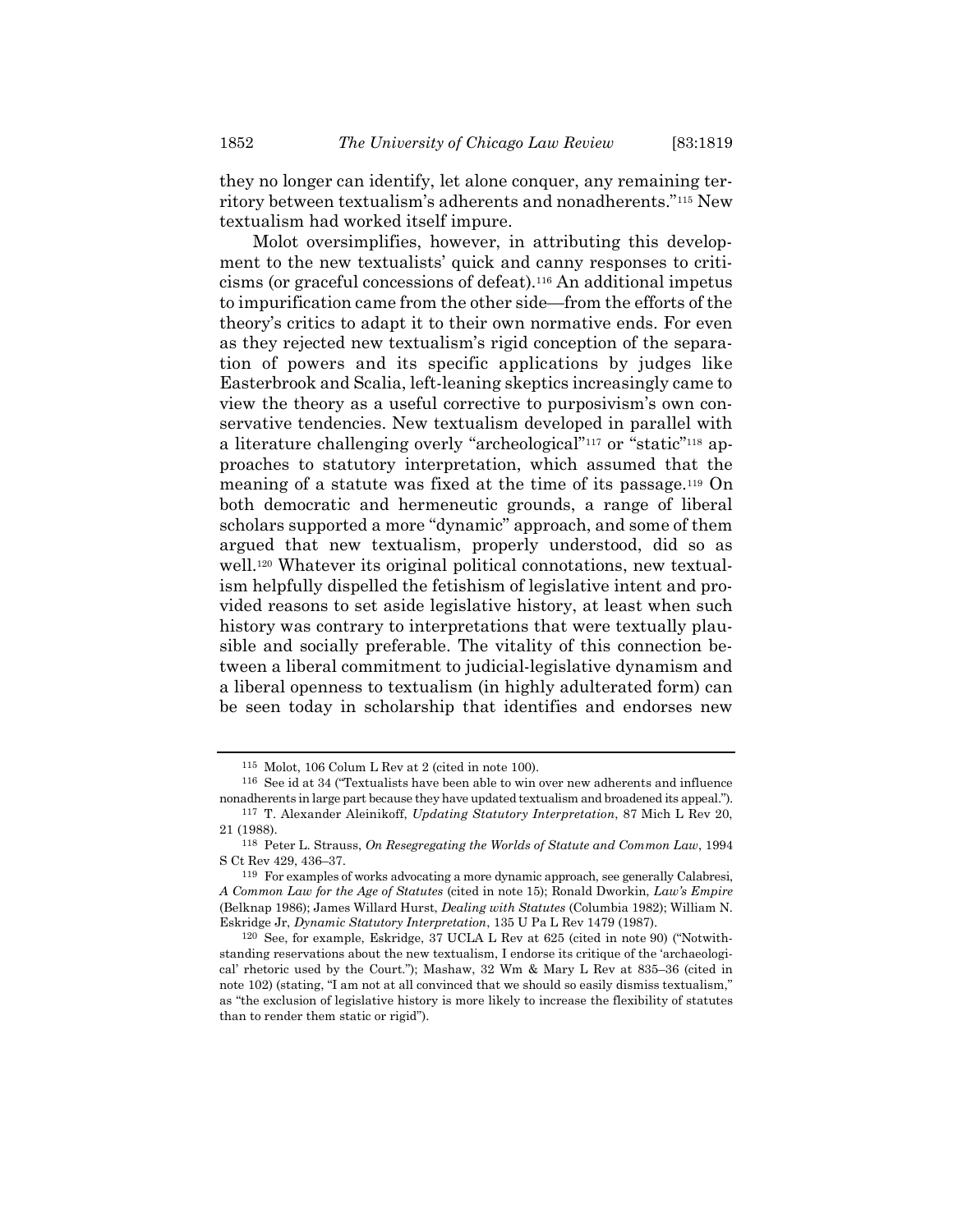they no longer can identify, let alone conquer, any remaining territory between textualism's adherents and nonadherents."115 New textualism had worked itself impure.

Molot oversimplifies, however, in attributing this development to the new textualists' quick and canny responses to criticisms (or graceful concessions of defeat).116 An additional impetus to impurification came from the other side—from the efforts of the theory's critics to adapt it to their own normative ends. For even as they rejected new textualism's rigid conception of the separation of powers and its specific applications by judges like Easterbrook and Scalia, left-leaning skeptics increasingly came to view the theory as a useful corrective to purposivism's own conservative tendencies. New textualism developed in parallel with a literature challenging overly "archeological"117 or "static"118 approaches to statutory interpretation, which assumed that the meaning of a statute was fixed at the time of its passage.119 On both democratic and hermeneutic grounds, a range of liberal scholars supported a more "dynamic" approach, and some of them argued that new textualism, properly understood, did so as well.120 Whatever its original political connotations, new textualism helpfully dispelled the fetishism of legislative intent and provided reasons to set aside legislative history, at least when such history was contrary to interpretations that were textually plausible and socially preferable. The vitality of this connection between a liberal commitment to judicial-legislative dynamism and a liberal openness to textualism (in highly adulterated form) can be seen today in scholarship that identifies and endorses new

<sup>115</sup> Molot, 106 Colum L Rev at 2 (cited in note 100).

<sup>116</sup> See id at 34 ("Textualists have been able to win over new adherents and influence nonadherents in large part because they have updated textualism and broadened its appeal.").

<sup>117</sup> T. Alexander Aleinikoff, Updating Statutory Interpretation, 87 Mich L Rev 20, 21 (1988).

<sup>118</sup> Peter L. Strauss, On Resegregating the Worlds of Statute and Common Law, 1994 S Ct Rev 429, 436–37.

<sup>119</sup> For examples of works advocating a more dynamic approach, see generally Calabresi, A Common Law for the Age of Statutes (cited in note 15); Ronald Dworkin, Law's Empire (Belknap 1986); James Willard Hurst, Dealing with Statutes (Columbia 1982); William N. Eskridge Jr, Dynamic Statutory Interpretation, 135 U Pa L Rev 1479 (1987).

<sup>120</sup> See, for example, Eskridge, 37 UCLA L Rev at 625 (cited in note 90) ("Notwithstanding reservations about the new textualism, I endorse its critique of the 'archaeological' rhetoric used by the Court."); Mashaw, 32 Wm & Mary L Rev at 835–36 (cited in note 102) (stating, "I am not at all convinced that we should so easily dismiss textualism," as "the exclusion of legislative history is more likely to increase the flexibility of statutes than to render them static or rigid").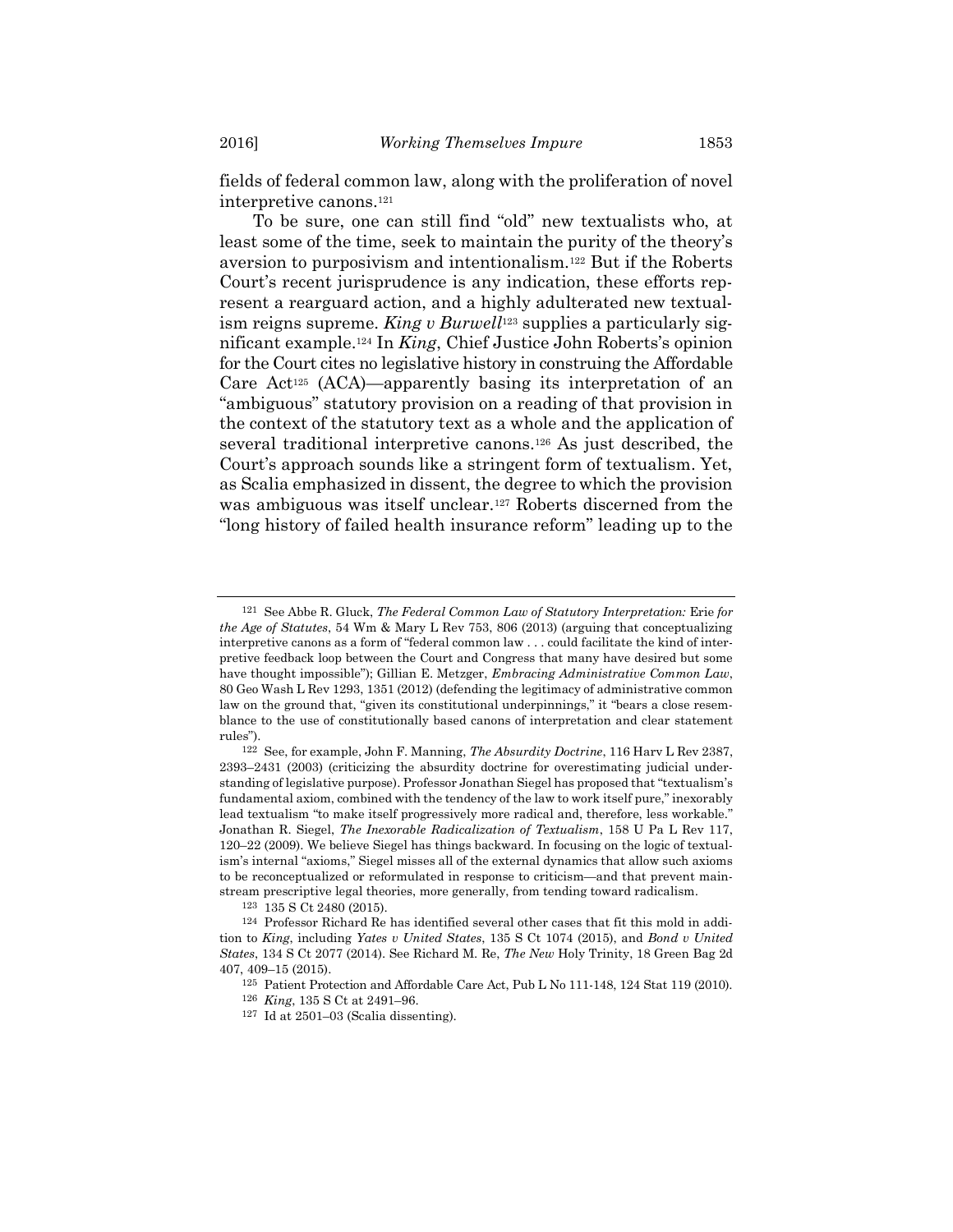fields of federal common law, along with the proliferation of novel interpretive canons.<sup>121</sup>

To be sure, one can still find "old" new textualists who, at least some of the time, seek to maintain the purity of the theory's aversion to purposivism and intentionalism.122 But if the Roberts Court's recent jurisprudence is any indication, these efforts represent a rearguard action, and a highly adulterated new textualism reigns supreme. King v Burwell<sup>123</sup> supplies a particularly significant example.124 In King, Chief Justice John Roberts's opinion for the Court cites no legislative history in construing the Affordable Care Act<sup>125</sup> (ACA)—apparently basing its interpretation of an "ambiguous" statutory provision on a reading of that provision in the context of the statutory text as a whole and the application of several traditional interpretive canons.126 As just described, the Court's approach sounds like a stringent form of textualism. Yet, as Scalia emphasized in dissent, the degree to which the provision was ambiguous was itself unclear.127 Roberts discerned from the "long history of failed health insurance reform" leading up to the

<sup>121</sup> See Abbe R. Gluck, The Federal Common Law of Statutory Interpretation: Erie for the Age of Statutes, 54 Wm & Mary L Rev 753, 806 (2013) (arguing that conceptualizing interpretive canons as a form of "federal common law . . . could facilitate the kind of interpretive feedback loop between the Court and Congress that many have desired but some have thought impossible"); Gillian E. Metzger, *Embracing Administrative Common Law*, 80 Geo Wash L Rev 1293, 1351 (2012) (defending the legitimacy of administrative common law on the ground that, "given its constitutional underpinnings," it "bears a close resemblance to the use of constitutionally based canons of interpretation and clear statement rules").

<sup>122</sup> See, for example, John F. Manning, The Absurdity Doctrine, 116 Harv L Rev 2387, 2393–2431 (2003) (criticizing the absurdity doctrine for overestimating judicial understanding of legislative purpose). Professor Jonathan Siegel has proposed that "textualism's fundamental axiom, combined with the tendency of the law to work itself pure," inexorably lead textualism "to make itself progressively more radical and, therefore, less workable." Jonathan R. Siegel, The Inexorable Radicalization of Textualism, 158 U Pa L Rev 117, 120–22 (2009). We believe Siegel has things backward. In focusing on the logic of textualism's internal "axioms," Siegel misses all of the external dynamics that allow such axioms to be reconceptualized or reformulated in response to criticism—and that prevent mainstream prescriptive legal theories, more generally, from tending toward radicalism.

<sup>123</sup> 135 S Ct 2480 (2015).

<sup>124</sup> Professor Richard Re has identified several other cases that fit this mold in addition to King, including Yates v United States, 135 S Ct 1074 (2015), and Bond v United States, 134 S Ct 2077 (2014). See Richard M. Re, The New Holy Trinity, 18 Green Bag 2d 407, 409–15 (2015).

<sup>125</sup> Patient Protection and Affordable Care Act, Pub L No 111-148, 124 Stat 119 (2010).

<sup>126</sup> King, 135 S Ct at 2491–96.

<sup>127</sup> Id at 2501–03 (Scalia dissenting).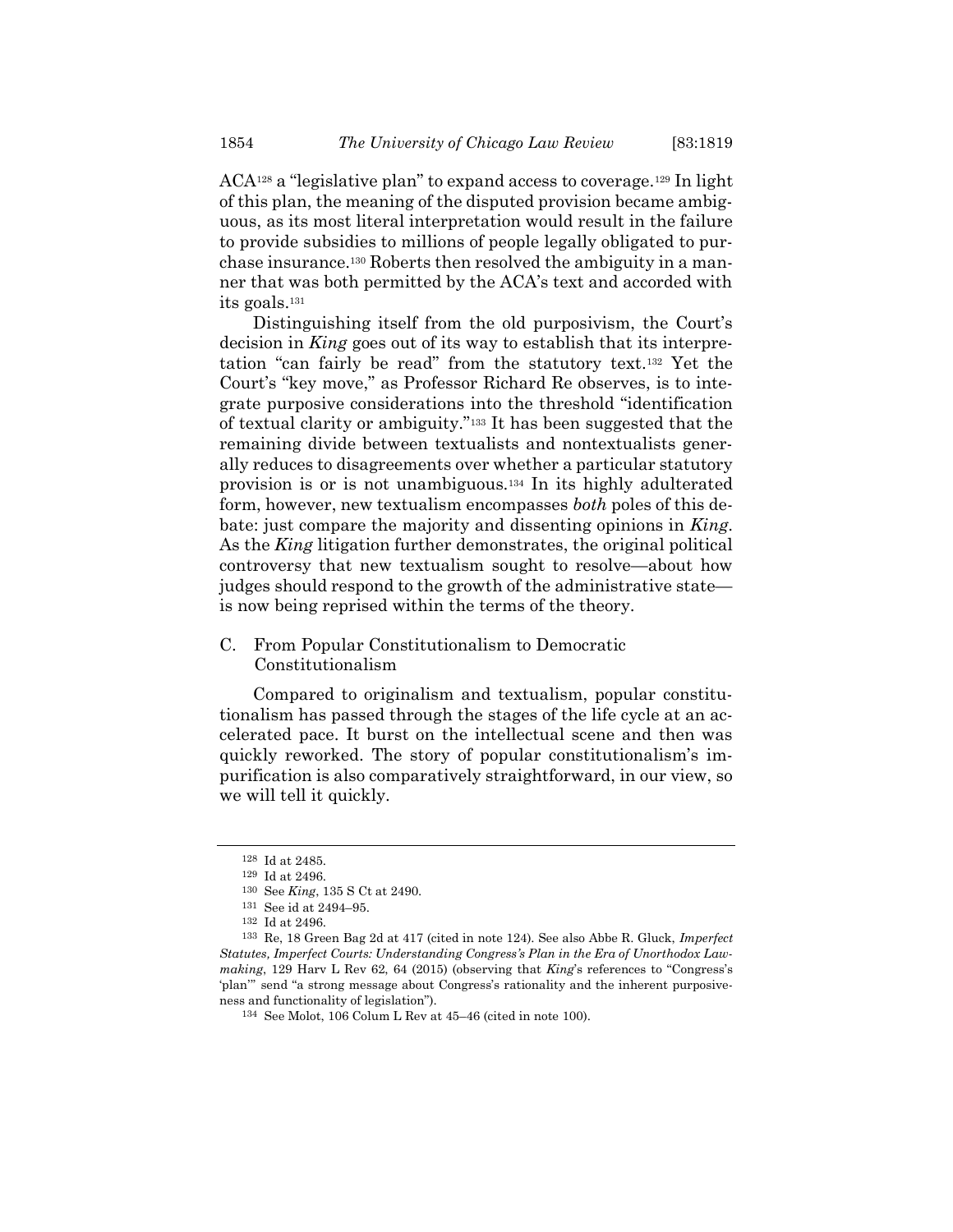ACA128 a "legislative plan" to expand access to coverage.129 In light of this plan, the meaning of the disputed provision became ambiguous, as its most literal interpretation would result in the failure to provide subsidies to millions of people legally obligated to purchase insurance.130 Roberts then resolved the ambiguity in a manner that was both permitted by the ACA's text and accorded with its goals.<sup>131</sup>

Distinguishing itself from the old purposivism, the Court's decision in King goes out of its way to establish that its interpretation "can fairly be read" from the statutory text.132 Yet the Court's "key move," as Professor Richard Re observes, is to integrate purposive considerations into the threshold "identification of textual clarity or ambiguity."133 It has been suggested that the remaining divide between textualists and nontextualists generally reduces to disagreements over whether a particular statutory provision is or is not unambiguous.134 In its highly adulterated form, however, new textualism encompasses *both* poles of this debate: just compare the majority and dissenting opinions in King. As the *King* litigation further demonstrates, the original political controversy that new textualism sought to resolve—about how judges should respond to the growth of the administrative state is now being reprised within the terms of the theory.

# C. From Popular Constitutionalism to Democratic Constitutionalism

Compared to originalism and textualism, popular constitutionalism has passed through the stages of the life cycle at an accelerated pace. It burst on the intellectual scene and then was quickly reworked. The story of popular constitutionalism's impurification is also comparatively straightforward, in our view, so we will tell it quickly.

<sup>128</sup> Id at 2485.

<sup>129</sup> Id at 2496.

<sup>130</sup> See King, 135 S Ct at 2490.

<sup>131</sup> See id at 2494–95.

<sup>132</sup> Id at 2496.

<sup>133</sup> Re, 18 Green Bag 2d at 417 (cited in note 124). See also Abbe R. Gluck, Imperfect Statutes, Imperfect Courts: Understanding Congress's Plan in the Era of Unorthodox Lawmaking, 129 Harv L Rev 62, 64 (2015) (observing that King's references to "Congress's 'plan'" send "a strong message about Congress's rationality and the inherent purposiveness and functionality of legislation").

<sup>134</sup> See Molot, 106 Colum L Rev at 45–46 (cited in note 100).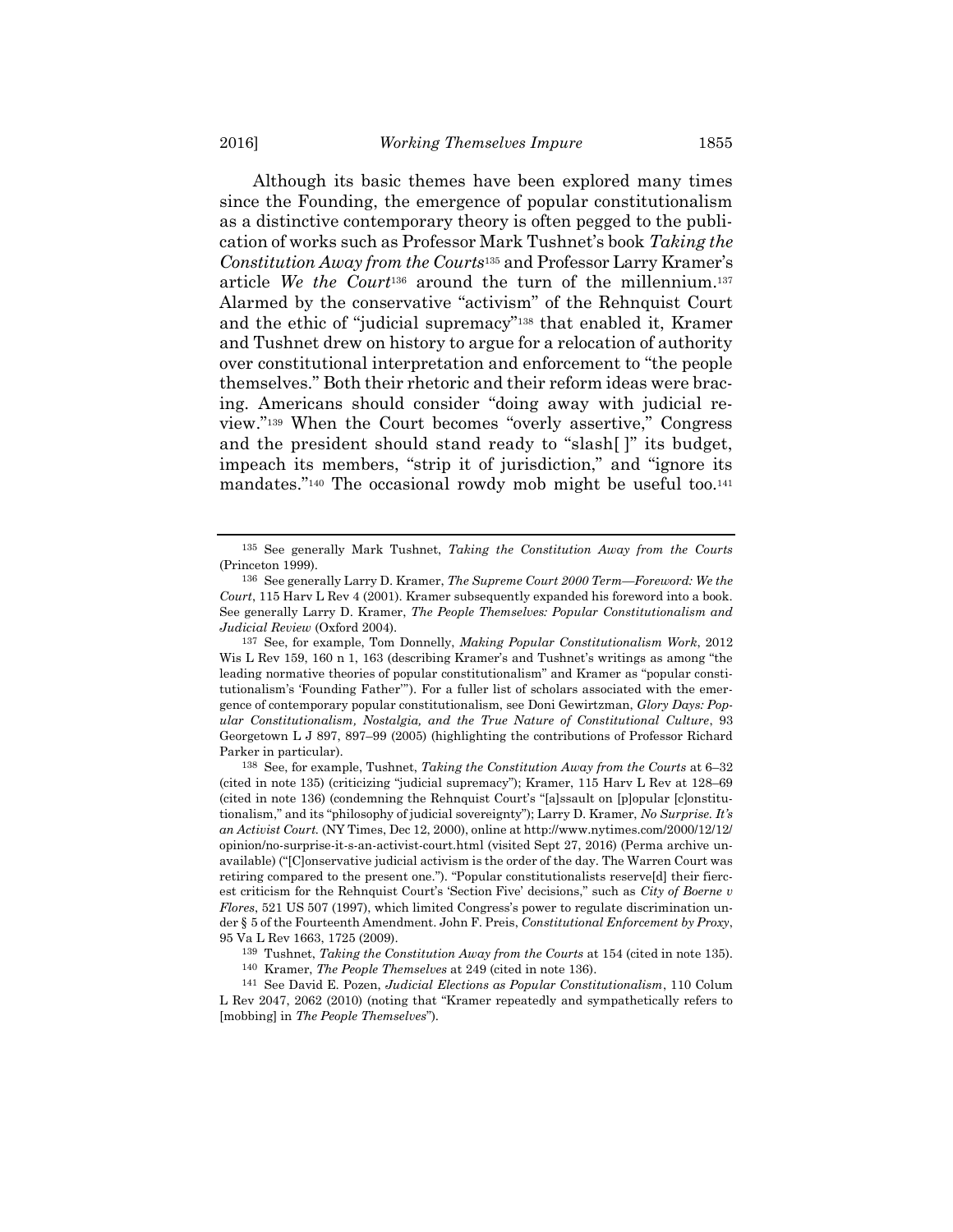Although its basic themes have been explored many times since the Founding, the emergence of popular constitutionalism as a distinctive contemporary theory is often pegged to the publication of works such as Professor Mark Tushnet's book Taking the Constitution Away from the Courts135 and Professor Larry Kramer's article We the Court<sup>136</sup> around the turn of the millennium.<sup>137</sup> Alarmed by the conservative "activism" of the Rehnquist Court and the ethic of "judicial supremacy"138 that enabled it, Kramer and Tushnet drew on history to argue for a relocation of authority over constitutional interpretation and enforcement to "the people themselves." Both their rhetoric and their reform ideas were bracing. Americans should consider "doing away with judicial review."139 When the Court becomes "overly assertive," Congress and the president should stand ready to "slash[ ]" its budget, impeach its members, "strip it of jurisdiction," and "ignore its mandates."<sup>140</sup> The occasional rowdy mob might be useful too.<sup>141</sup>

<sup>135</sup> See generally Mark Tushnet, Taking the Constitution Away from the Courts (Princeton 1999).

<sup>136</sup> See generally Larry D. Kramer, The Supreme Court 2000 Term—Foreword: We the Court, 115 Harv L Rev 4 (2001). Kramer subsequently expanded his foreword into a book. See generally Larry D. Kramer, The People Themselves: Popular Constitutionalism and Judicial Review (Oxford 2004).

<sup>137</sup> See, for example, Tom Donnelly, Making Popular Constitutionalism Work, 2012 Wis L Rev 159, 160 n 1, 163 (describing Kramer's and Tushnet's writings as among "the leading normative theories of popular constitutionalism" and Kramer as "popular constitutionalism's 'Founding Father'"). For a fuller list of scholars associated with the emergence of contemporary popular constitutionalism, see Doni Gewirtzman, Glory Days: Popular Constitutionalism, Nostalgia, and the True Nature of Constitutional Culture, 93 Georgetown L J 897, 897–99 (2005) (highlighting the contributions of Professor Richard Parker in particular).

<sup>138</sup> See, for example, Tushnet, Taking the Constitution Away from the Courts at 6–32 (cited in note 135) (criticizing "judicial supremacy"); Kramer, 115 Harv L Rev at 128–69 (cited in note 136) (condemning the Rehnquist Court's "[a]ssault on [p]opular [c]onstitutionalism," and its "philosophy of judicial sovereignty"); Larry D. Kramer, No Surprise. It's an Activist Court. (NY Times, Dec 12, 2000), online at http://www.nytimes.com/2000/12/12/ opinion/no-surprise-it-s-an-activist-court.html (visited Sept 27, 2016) (Perma archive unavailable) ("[C]onservative judicial activism is the order of the day. The Warren Court was retiring compared to the present one."). "Popular constitutionalists reserve[d] their fiercest criticism for the Rehnquist Court's 'Section Five' decisions," such as City of Boerne v Flores, 521 US 507 (1997), which limited Congress's power to regulate discrimination under § 5 of the Fourteenth Amendment. John F. Preis, Constitutional Enforcement by Proxy, 95 Va L Rev 1663, 1725 (2009).

 $139$  Tushnet, Taking the Constitution Away from the Courts at 154 (cited in note 135).

<sup>140</sup> Kramer, The People Themselves at 249 (cited in note 136).

<sup>141</sup> See David E. Pozen, Judicial Elections as Popular Constitutionalism, 110 Colum L Rev 2047, 2062 (2010) (noting that "Kramer repeatedly and sympathetically refers to [mobbing] in The People Themselves").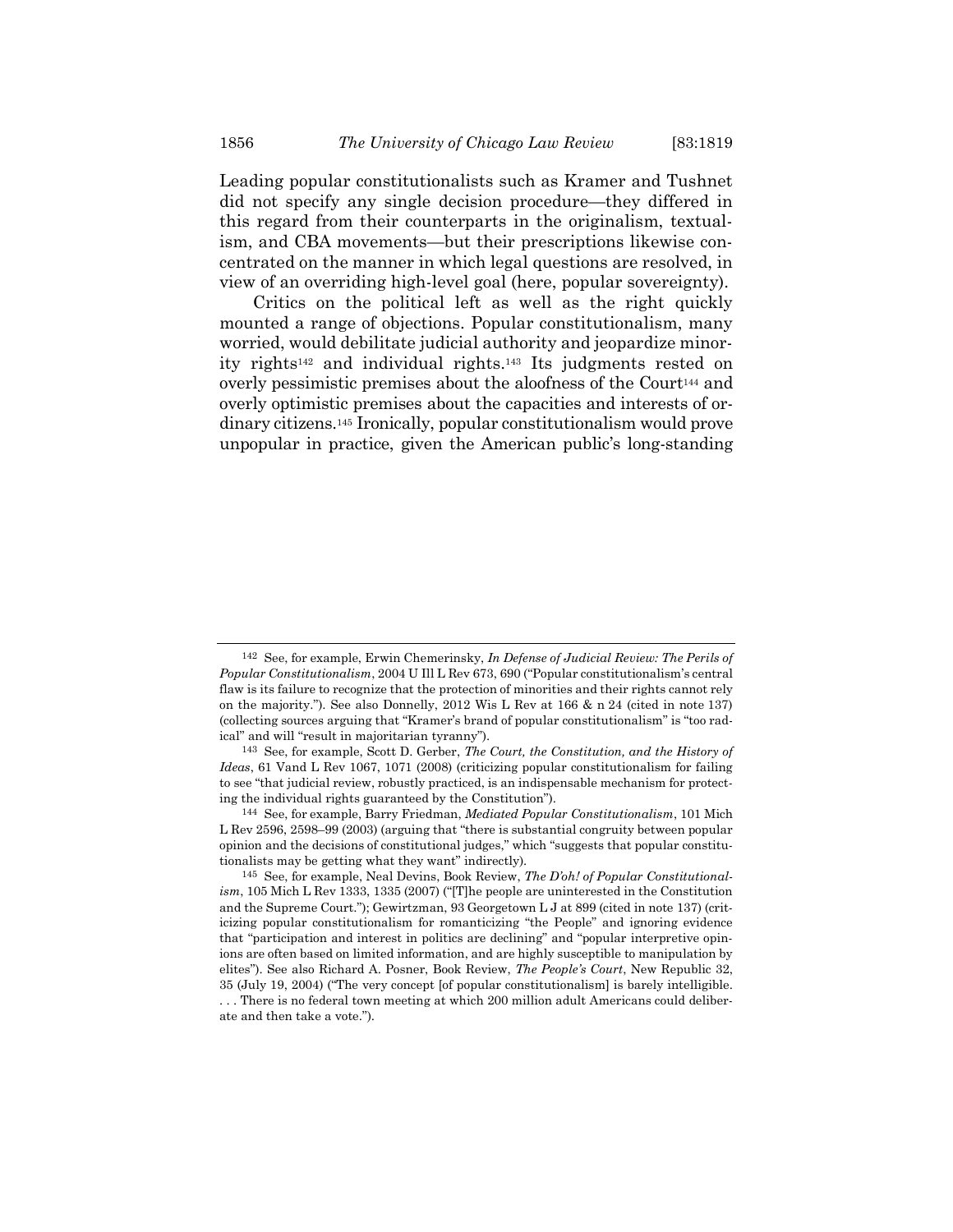Leading popular constitutionalists such as Kramer and Tushnet did not specify any single decision procedure—they differed in this regard from their counterparts in the originalism, textualism, and CBA movements—but their prescriptions likewise concentrated on the manner in which legal questions are resolved, in view of an overriding high-level goal (here, popular sovereignty).

Critics on the political left as well as the right quickly mounted a range of objections. Popular constitutionalism, many worried, would debilitate judicial authority and jeopardize minority rights142 and individual rights.143 Its judgments rested on overly pessimistic premises about the aloofness of the Court<sup>144</sup> and overly optimistic premises about the capacities and interests of ordinary citizens.145 Ironically, popular constitutionalism would prove unpopular in practice, given the American public's long-standing

<sup>142</sup> See, for example, Erwin Chemerinsky, In Defense of Judicial Review: The Perils of Popular Constitutionalism, 2004 U Ill L Rev 673, 690 ("Popular constitutionalism's central flaw is its failure to recognize that the protection of minorities and their rights cannot rely on the majority."). See also Donnelly, 2012 Wis L Rev at 166 & n 24 (cited in note 137) (collecting sources arguing that "Kramer's brand of popular constitutionalism" is "too radical" and will "result in majoritarian tyranny").

<sup>143</sup> See, for example, Scott D. Gerber, The Court, the Constitution, and the History of Ideas, 61 Vand L Rev 1067, 1071 (2008) (criticizing popular constitutionalism for failing to see "that judicial review, robustly practiced, is an indispensable mechanism for protecting the individual rights guaranteed by the Constitution").

<sup>144</sup> See, for example, Barry Friedman, Mediated Popular Constitutionalism, 101 Mich L Rev 2596, 2598–99 (2003) (arguing that "there is substantial congruity between popular opinion and the decisions of constitutional judges," which "suggests that popular constitutionalists may be getting what they want" indirectly).

<sup>145</sup> See, for example, Neal Devins, Book Review, The D'oh! of Popular Constitutionalism, 105 Mich L Rev 1333, 1335 (2007) ("[T]he people are uninterested in the Constitution and the Supreme Court."); Gewirtzman, 93 Georgetown L J at 899 (cited in note 137) (criticizing popular constitutionalism for romanticizing "the People" and ignoring evidence that "participation and interest in politics are declining" and "popular interpretive opinions are often based on limited information, and are highly susceptible to manipulation by elites"). See also Richard A. Posner, Book Review, The People's Court, New Republic 32, 35 (July 19, 2004) ("The very concept [of popular constitutionalism] is barely intelligible. . . . There is no federal town meeting at which 200 million adult Americans could deliberate and then take a vote.").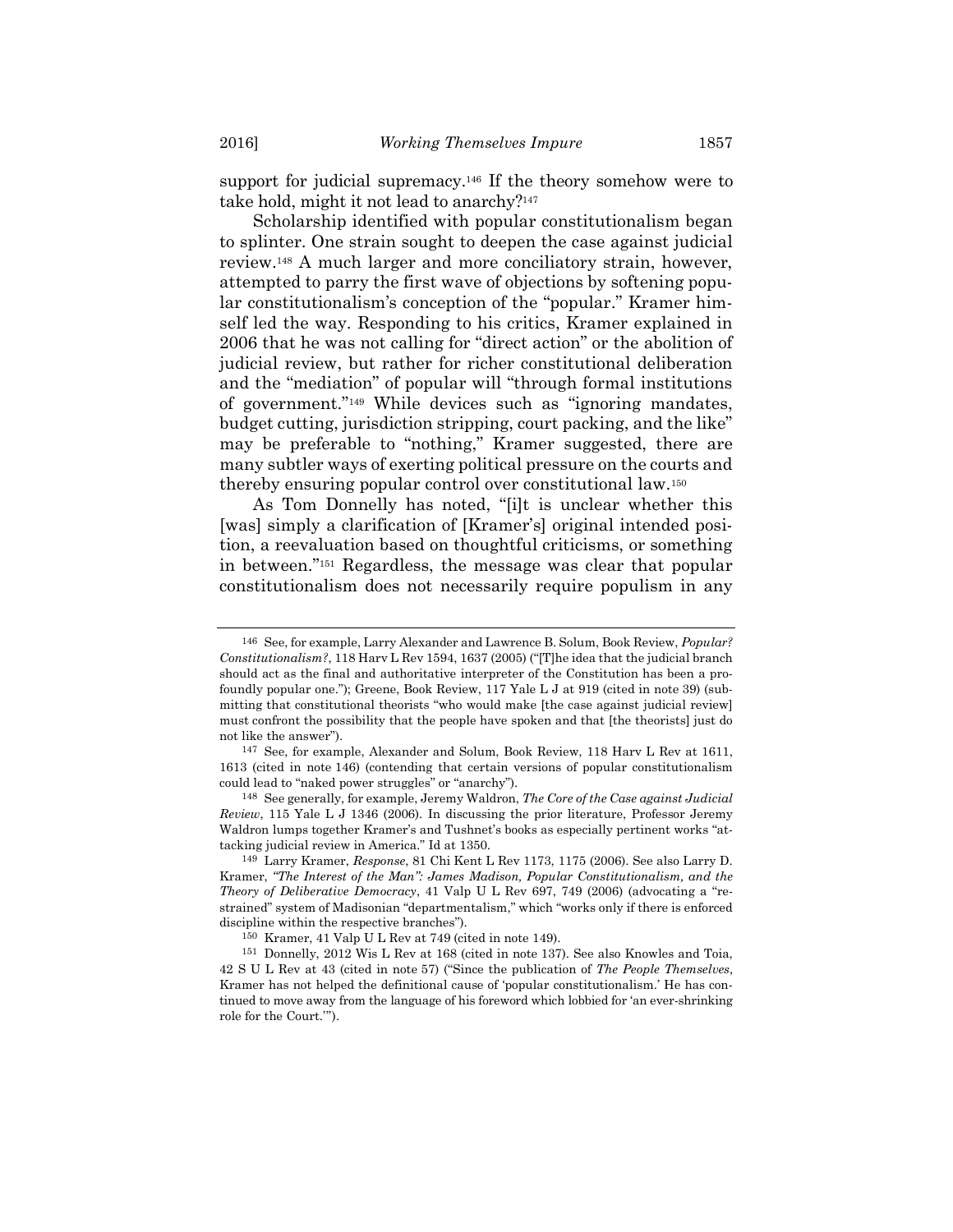support for judicial supremacy.146 If the theory somehow were to take hold, might it not lead to anarchy?<sup>147</sup>

Scholarship identified with popular constitutionalism began to splinter. One strain sought to deepen the case against judicial review.148 A much larger and more conciliatory strain, however, attempted to parry the first wave of objections by softening popular constitutionalism's conception of the "popular." Kramer himself led the way. Responding to his critics, Kramer explained in 2006 that he was not calling for "direct action" or the abolition of judicial review, but rather for richer constitutional deliberation and the "mediation" of popular will "through formal institutions of government."149 While devices such as "ignoring mandates, budget cutting, jurisdiction stripping, court packing, and the like" may be preferable to "nothing," Kramer suggested, there are many subtler ways of exerting political pressure on the courts and thereby ensuring popular control over constitutional law.<sup>150</sup>

As Tom Donnelly has noted, "[i]t is unclear whether this [was] simply a clarification of [Kramer's] original intended position, a reevaluation based on thoughtful criticisms, or something in between."151 Regardless, the message was clear that popular constitutionalism does not necessarily require populism in any

<sup>146</sup> See, for example, Larry Alexander and Lawrence B. Solum, Book Review, Popular? Constitutionalism?, 118 Harv L Rev 1594, 1637 (2005) ("[T]he idea that the judicial branch should act as the final and authoritative interpreter of the Constitution has been a profoundly popular one."); Greene, Book Review, 117 Yale L J at 919 (cited in note 39) (submitting that constitutional theorists "who would make [the case against judicial review] must confront the possibility that the people have spoken and that [the theorists] just do not like the answer").

<sup>147</sup> See, for example, Alexander and Solum, Book Review, 118 Harv L Rev at 1611, 1613 (cited in note 146) (contending that certain versions of popular constitutionalism could lead to "naked power struggles" or "anarchy").

<sup>148</sup> See generally, for example, Jeremy Waldron, The Core of the Case against Judicial Review, 115 Yale L J 1346 (2006). In discussing the prior literature, Professor Jeremy Waldron lumps together Kramer's and Tushnet's books as especially pertinent works "attacking judicial review in America." Id at 1350.

<sup>149</sup> Larry Kramer, Response, 81 Chi Kent L Rev 1173, 1175 (2006). See also Larry D. Kramer, "The Interest of the Man": James Madison, Popular Constitutionalism, and the Theory of Deliberative Democracy, 41 Valp U L Rev 697, 749 (2006) (advocating a "restrained" system of Madisonian "departmentalism," which "works only if there is enforced discipline within the respective branches").

<sup>150</sup> Kramer, 41 Valp U L Rev at 749 (cited in note 149).

<sup>151</sup> Donnelly, 2012 Wis L Rev at 168 (cited in note 137). See also Knowles and Toia, 42 S U L Rev at 43 (cited in note 57) ("Since the publication of The People Themselves, Kramer has not helped the definitional cause of 'popular constitutionalism.' He has continued to move away from the language of his foreword which lobbied for 'an ever-shrinking role for the Court.'").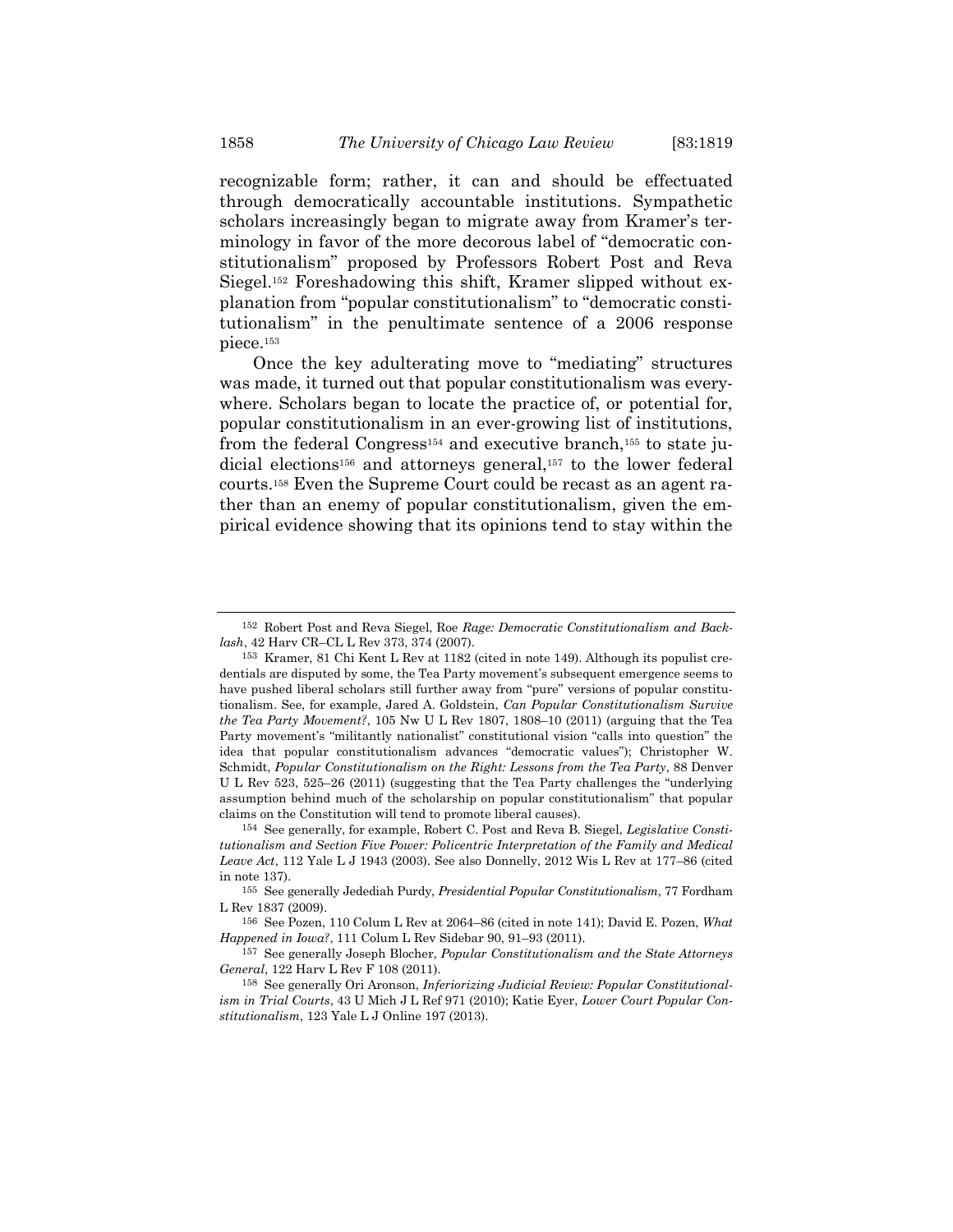recognizable form; rather, it can and should be effectuated through democratically accountable institutions. Sympathetic scholars increasingly began to migrate away from Kramer's terminology in favor of the more decorous label of "democratic constitutionalism" proposed by Professors Robert Post and Reva Siegel.152 Foreshadowing this shift, Kramer slipped without explanation from "popular constitutionalism" to "democratic constitutionalism" in the penultimate sentence of a 2006 response piece.<sup>153</sup>

Once the key adulterating move to "mediating" structures was made, it turned out that popular constitutionalism was everywhere. Scholars began to locate the practice of, or potential for, popular constitutionalism in an ever-growing list of institutions, from the federal Congress<sup>154</sup> and executive branch,<sup>155</sup> to state judicial elections<sup>156</sup> and attorneys general,<sup>157</sup> to the lower federal courts.158 Even the Supreme Court could be recast as an agent rather than an enemy of popular constitutionalism, given the empirical evidence showing that its opinions tend to stay within the

<sup>152</sup> Robert Post and Reva Siegel, Roe Rage: Democratic Constitutionalism and Backlash, 42 Harv CR–CL L Rev 373, 374 (2007).

<sup>153</sup> Kramer, 81 Chi Kent L Rev at 1182 (cited in note 149). Although its populist credentials are disputed by some, the Tea Party movement's subsequent emergence seems to have pushed liberal scholars still further away from "pure" versions of popular constitutionalism. See, for example, Jared A. Goldstein, Can Popular Constitutionalism Survive the Tea Party Movement?, 105 Nw U L Rev 1807, 1808–10 (2011) (arguing that the Tea Party movement's "militantly nationalist" constitutional vision "calls into question" the idea that popular constitutionalism advances "democratic values"); Christopher W. Schmidt, Popular Constitutionalism on the Right: Lessons from the Tea Party, 88 Denver U L Rev 523, 525–26 (2011) (suggesting that the Tea Party challenges the "underlying assumption behind much of the scholarship on popular constitutionalism" that popular claims on the Constitution will tend to promote liberal causes).

<sup>154</sup> See generally, for example, Robert C. Post and Reva B. Siegel, Legislative Constitutionalism and Section Five Power: Policentric Interpretation of the Family and Medical Leave Act, 112 Yale L J 1943 (2003). See also Donnelly, 2012 Wis L Rev at 177–86 (cited in note 137).

<sup>155</sup> See generally Jedediah Purdy, Presidential Popular Constitutionalism, 77 Fordham L Rev 1837 (2009).

<sup>156</sup> See Pozen, 110 Colum L Rev at 2064–86 (cited in note 141); David E. Pozen, What Happened in Iowa?, 111 Colum L Rev Sidebar 90, 91–93 (2011).

<sup>&</sup>lt;sup>157</sup> See generally Joseph Blocher, *Popular Constitutionalism and the State Attorneys* General, 122 Harv L Rev F 108 (2011).

<sup>158</sup> See generally Ori Aronson, Inferiorizing Judicial Review: Popular Constitutionalism in Trial Courts, 43 U Mich J L Ref 971 (2010); Katie Eyer, Lower Court Popular Constitutionalism, 123 Yale L J Online 197 (2013).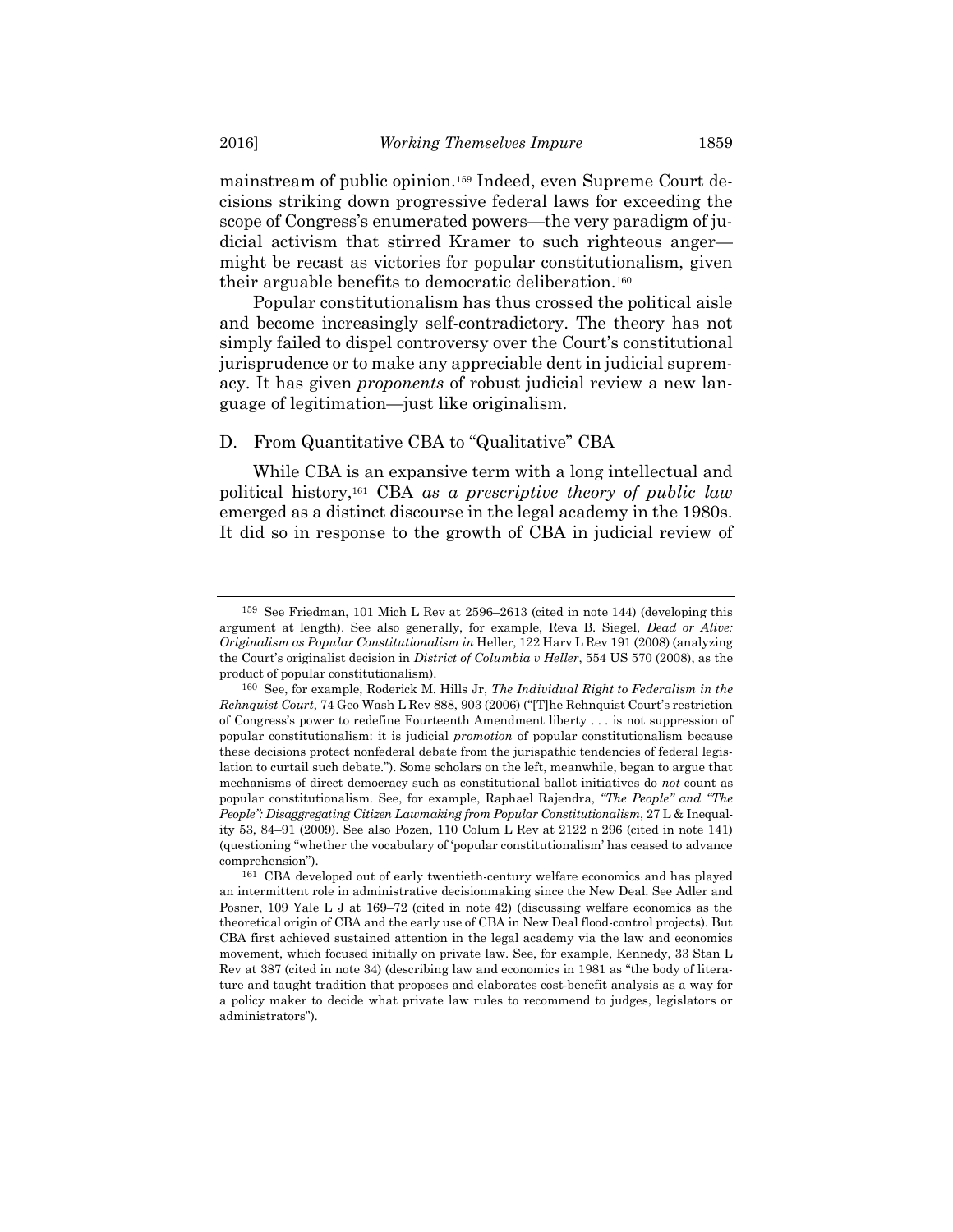mainstream of public opinion.159 Indeed, even Supreme Court decisions striking down progressive federal laws for exceeding the scope of Congress's enumerated powers—the very paradigm of judicial activism that stirred Kramer to such righteous anger might be recast as victories for popular constitutionalism, given their arguable benefits to democratic deliberation.<sup>160</sup>

Popular constitutionalism has thus crossed the political aisle and become increasingly self-contradictory. The theory has not simply failed to dispel controversy over the Court's constitutional jurisprudence or to make any appreciable dent in judicial supremacy. It has given proponents of robust judicial review a new language of legitimation—just like originalism.

# D. From Quantitative CBA to "Qualitative" CBA

While CBA is an expansive term with a long intellectual and political history,<sup>161</sup> CBA as a prescriptive theory of public law emerged as a distinct discourse in the legal academy in the 1980s. It did so in response to the growth of CBA in judicial review of

<sup>159</sup> See Friedman, 101 Mich L Rev at 2596–2613 (cited in note 144) (developing this argument at length). See also generally, for example, Reva B. Siegel, Dead or Alive: Originalism as Popular Constitutionalism in Heller, 122 Harv L Rev 191 (2008) (analyzing the Court's originalist decision in District of Columbia v Heller, 554 US 570 (2008), as the product of popular constitutionalism).

<sup>160</sup> See, for example, Roderick M. Hills Jr, The Individual Right to Federalism in the Rehnquist Court, 74 Geo Wash L Rev 888, 903 (2006) ("[T]he Rehnquist Court's restriction of Congress's power to redefine Fourteenth Amendment liberty . . . is not suppression of popular constitutionalism: it is judicial promotion of popular constitutionalism because these decisions protect nonfederal debate from the jurispathic tendencies of federal legislation to curtail such debate."). Some scholars on the left, meanwhile, began to argue that mechanisms of direct democracy such as constitutional ballot initiatives do not count as popular constitutionalism. See, for example, Raphael Rajendra, "The People" and "The People": Disaggregating Citizen Lawmaking from Popular Constitutionalism, 27 L & Inequality 53, 84–91 (2009). See also Pozen, 110 Colum L Rev at 2122 n 296 (cited in note 141) (questioning "whether the vocabulary of 'popular constitutionalism' has ceased to advance comprehension").

<sup>161</sup> CBA developed out of early twentieth-century welfare economics and has played an intermittent role in administrative decisionmaking since the New Deal. See Adler and Posner, 109 Yale L J at 169–72 (cited in note 42) (discussing welfare economics as the theoretical origin of CBA and the early use of CBA in New Deal flood-control projects). But CBA first achieved sustained attention in the legal academy via the law and economics movement, which focused initially on private law. See, for example, Kennedy, 33 Stan L Rev at 387 (cited in note 34) (describing law and economics in 1981 as "the body of literature and taught tradition that proposes and elaborates cost-benefit analysis as a way for a policy maker to decide what private law rules to recommend to judges, legislators or administrators").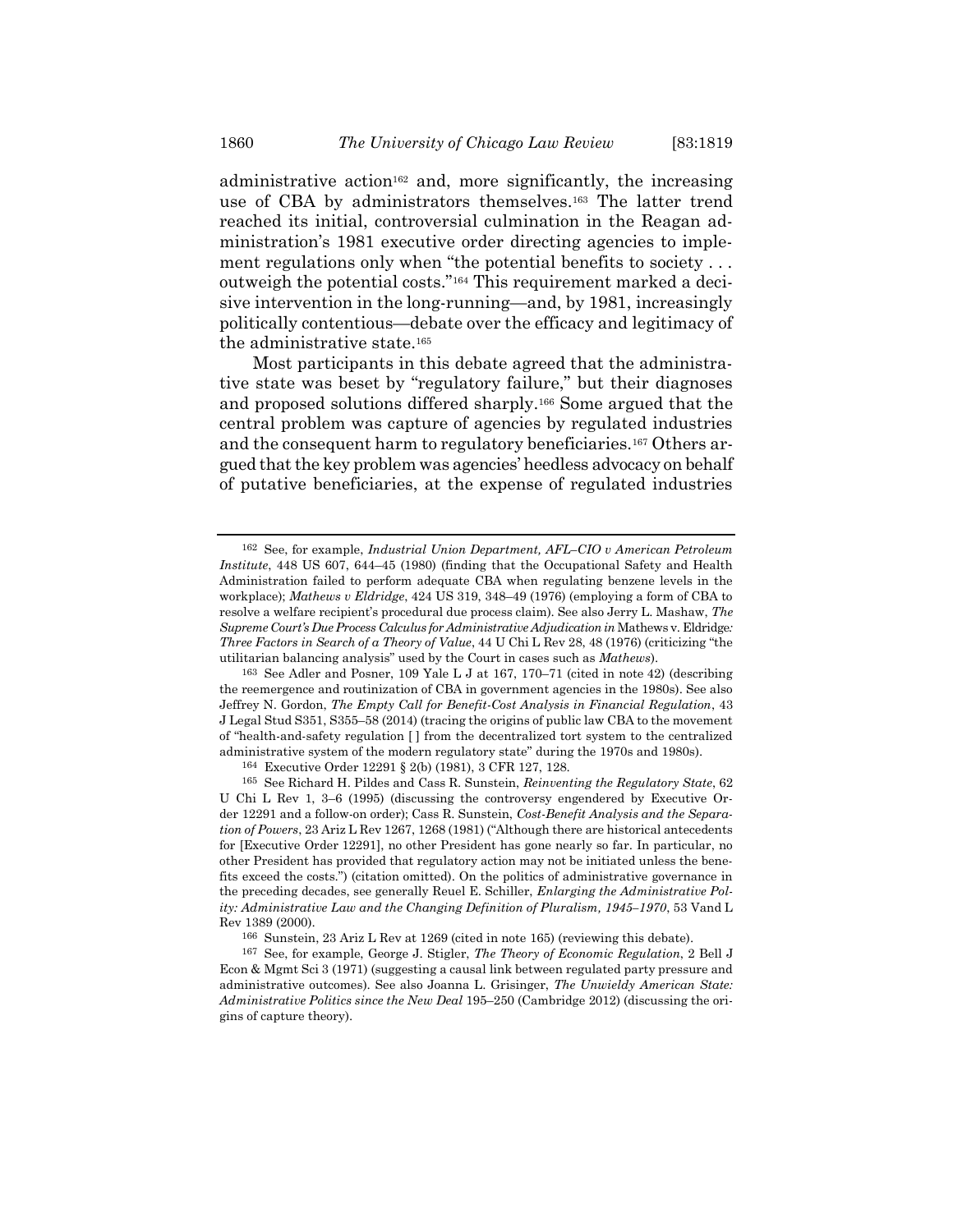administrative action162 and, more significantly, the increasing use of CBA by administrators themselves.163 The latter trend reached its initial, controversial culmination in the Reagan administration's 1981 executive order directing agencies to implement regulations only when "the potential benefits to society . . . outweigh the potential costs."164 This requirement marked a decisive intervention in the long-running—and, by 1981, increasingly politically contentious—debate over the efficacy and legitimacy of the administrative state.<sup>165</sup>

Most participants in this debate agreed that the administrative state was beset by "regulatory failure," but their diagnoses and proposed solutions differed sharply.166 Some argued that the central problem was capture of agencies by regulated industries and the consequent harm to regulatory beneficiaries.167 Others argued that the key problem was agencies' heedless advocacy on behalf of putative beneficiaries, at the expense of regulated industries

164 Executive Order 12291 § 2(b) (1981), 3 CFR 127, 128.

166 Sunstein, 23 Ariz L Rev at 1269 (cited in note 165) (reviewing this debate).

167 See, for example, George J. Stigler, The Theory of Economic Regulation, 2 Bell J Econ & Mgmt Sci 3 (1971) (suggesting a causal link between regulated party pressure and administrative outcomes). See also Joanna L. Grisinger, The Unwieldy American State: Administrative Politics since the New Deal 195–250 (Cambridge 2012) (discussing the origins of capture theory).

<sup>162</sup> See, for example, Industrial Union Department, AFL–CIO v American Petroleum Institute, 448 US 607, 644–45 (1980) (finding that the Occupational Safety and Health Administration failed to perform adequate CBA when regulating benzene levels in the workplace); Mathews v Eldridge, 424 US 319, 348-49 (1976) (employing a form of CBA to resolve a welfare recipient's procedural due process claim). See also Jerry L. Mashaw, The Supreme Court's Due Process Calculus for Administrative Adjudication in Mathews v. Eldridge: Three Factors in Search of a Theory of Value, 44 U Chi L Rev 28, 48 (1976) (criticizing "the utilitarian balancing analysis" used by the Court in cases such as Mathews).

<sup>163</sup> See Adler and Posner, 109 Yale L J at 167, 170–71 (cited in note 42) (describing the reemergence and routinization of CBA in government agencies in the 1980s). See also Jeffrey N. Gordon, The Empty Call for Benefit-Cost Analysis in Financial Regulation, 43 J Legal Stud S351, S355–58 (2014) (tracing the origins of public law CBA to the movement of "health-and-safety regulation [ ] from the decentralized tort system to the centralized administrative system of the modern regulatory state" during the 1970s and 1980s).

<sup>165</sup> See Richard H. Pildes and Cass R. Sunstein, Reinventing the Regulatory State, 62 U Chi L Rev 1, 3–6 (1995) (discussing the controversy engendered by Executive Order 12291 and a follow-on order); Cass R. Sunstein, Cost-Benefit Analysis and the Separation of Powers, 23 Ariz L Rev 1267, 1268 (1981) ("Although there are historical antecedents for [Executive Order 12291], no other President has gone nearly so far. In particular, no other President has provided that regulatory action may not be initiated unless the benefits exceed the costs.") (citation omitted). On the politics of administrative governance in the preceding decades, see generally Reuel E. Schiller, Enlarging the Administrative Polity: Administrative Law and the Changing Definition of Pluralism, 1945–1970, 53 Vand L Rev 1389 (2000).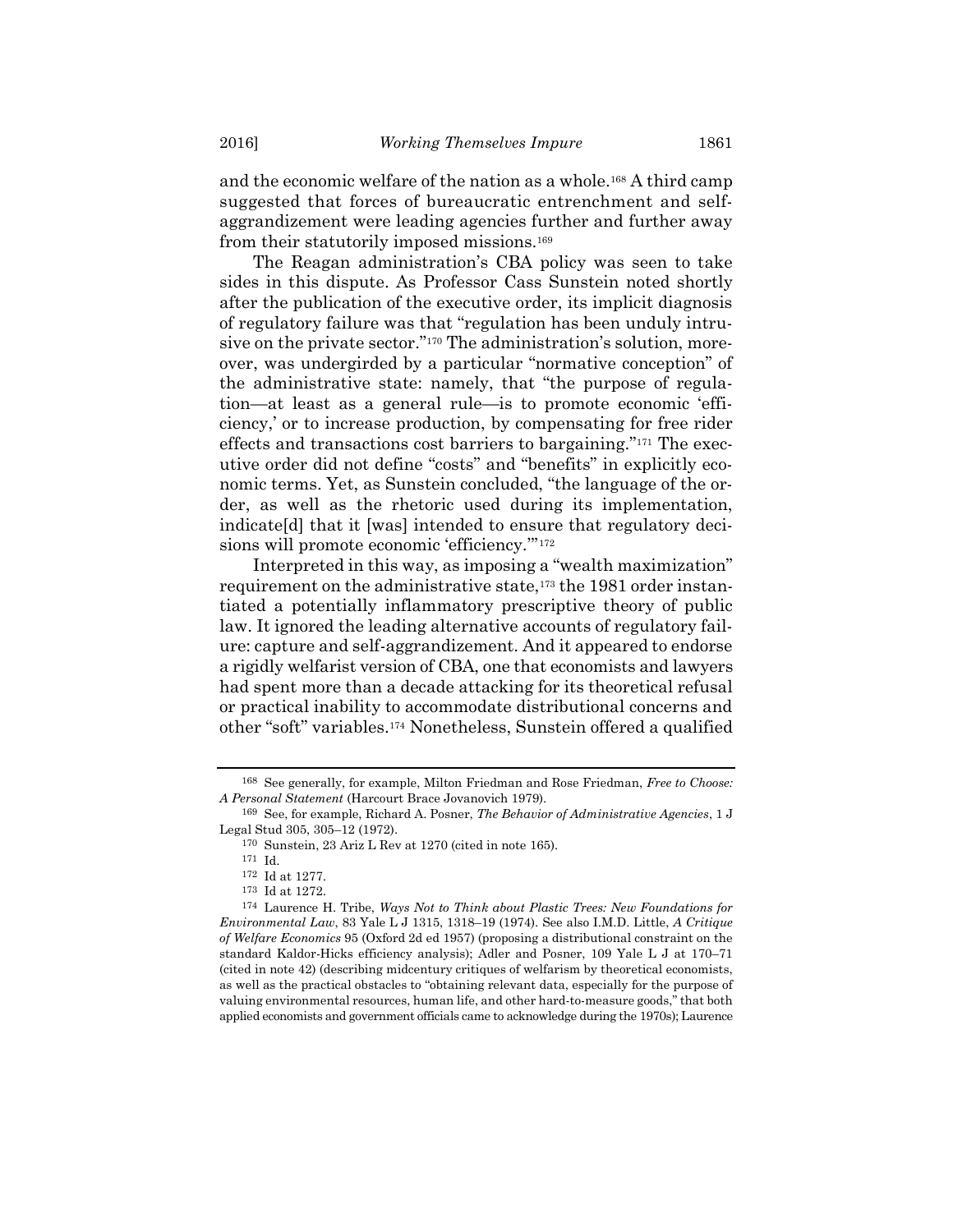and the economic welfare of the nation as a whole.168 A third camp suggested that forces of bureaucratic entrenchment and selfaggrandizement were leading agencies further and further away from their statutorily imposed missions.<sup>169</sup>

The Reagan administration's CBA policy was seen to take sides in this dispute. As Professor Cass Sunstein noted shortly after the publication of the executive order, its implicit diagnosis of regulatory failure was that "regulation has been unduly intrusive on the private sector."<sup>170</sup> The administration's solution, moreover, was undergirded by a particular "normative conception" of the administrative state: namely, that "the purpose of regulation—at least as a general rule—is to promote economic 'efficiency,' or to increase production, by compensating for free rider effects and transactions cost barriers to bargaining."171 The executive order did not define "costs" and "benefits" in explicitly economic terms. Yet, as Sunstein concluded, "the language of the order, as well as the rhetoric used during its implementation, indicate[d] that it [was] intended to ensure that regulatory decisions will promote economic 'efficiency.'"<sup>172</sup>

Interpreted in this way, as imposing a "wealth maximization" requirement on the administrative state,<sup>173</sup> the 1981 order instantiated a potentially inflammatory prescriptive theory of public law. It ignored the leading alternative accounts of regulatory failure: capture and self-aggrandizement. And it appeared to endorse a rigidly welfarist version of CBA, one that economists and lawyers had spent more than a decade attacking for its theoretical refusal or practical inability to accommodate distributional concerns and other "soft" variables.174 Nonetheless, Sunstein offered a qualified

<sup>168</sup> See generally, for example, Milton Friedman and Rose Friedman, Free to Choose: A Personal Statement (Harcourt Brace Jovanovich 1979).

<sup>169</sup> See, for example, Richard A. Posner, The Behavior of Administrative Agencies, 1 J Legal Stud 305, 305–12 (1972).

<sup>170</sup> Sunstein, 23 Ariz L Rev at 1270 (cited in note 165).

<sup>171</sup> Id.

<sup>172</sup> Id at 1277.

<sup>173</sup> Id at 1272.

<sup>174</sup> Laurence H. Tribe, Ways Not to Think about Plastic Trees: New Foundations for Environmental Law, 83 Yale L J 1315, 1318–19 (1974). See also I.M.D. Little, A Critique of Welfare Economics 95 (Oxford 2d ed 1957) (proposing a distributional constraint on the standard Kaldor-Hicks efficiency analysis); Adler and Posner, 109 Yale L J at 170–71 (cited in note 42) (describing midcentury critiques of welfarism by theoretical economists, as well as the practical obstacles to "obtaining relevant data, especially for the purpose of valuing environmental resources, human life, and other hard-to-measure goods," that both applied economists and government officials came to acknowledge during the 1970s); Laurence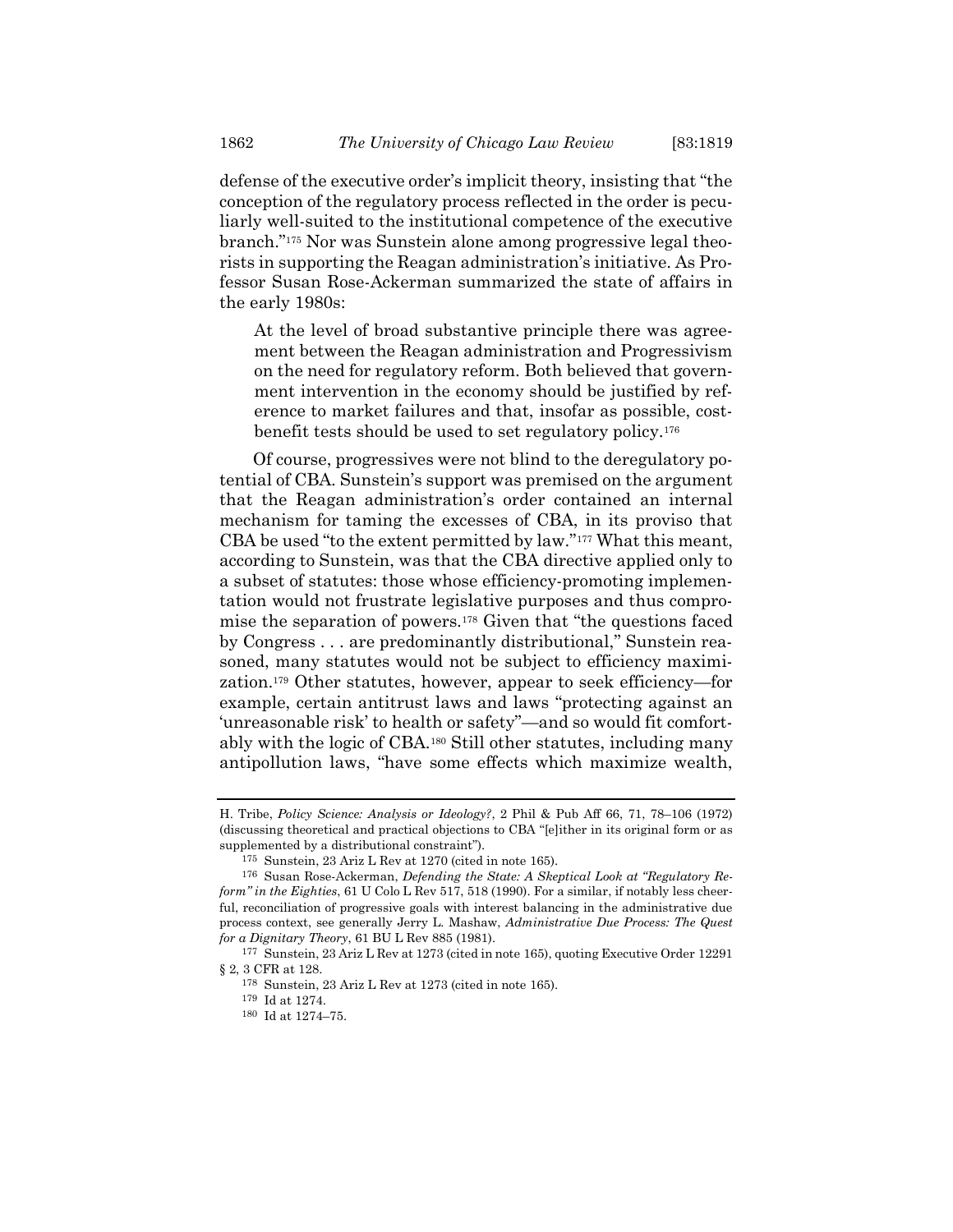defense of the executive order's implicit theory, insisting that "the conception of the regulatory process reflected in the order is peculiarly well-suited to the institutional competence of the executive branch."175 Nor was Sunstein alone among progressive legal theorists in supporting the Reagan administration's initiative. As Professor Susan Rose-Ackerman summarized the state of affairs in the early 1980s:

At the level of broad substantive principle there was agreement between the Reagan administration and Progressivism on the need for regulatory reform. Both believed that government intervention in the economy should be justified by reference to market failures and that, insofar as possible, costbenefit tests should be used to set regulatory policy.<sup>176</sup>

Of course, progressives were not blind to the deregulatory potential of CBA. Sunstein's support was premised on the argument that the Reagan administration's order contained an internal mechanism for taming the excesses of CBA, in its proviso that CBA be used "to the extent permitted by law."177 What this meant, according to Sunstein, was that the CBA directive applied only to a subset of statutes: those whose efficiency-promoting implementation would not frustrate legislative purposes and thus compromise the separation of powers.178 Given that "the questions faced by Congress . . . are predominantly distributional," Sunstein reasoned, many statutes would not be subject to efficiency maximization.179 Other statutes, however, appear to seek efficiency—for example, certain antitrust laws and laws "protecting against an 'unreasonable risk' to health or safety"—and so would fit comfortably with the logic of CBA.180 Still other statutes, including many antipollution laws, "have some effects which maximize wealth,

H. Tribe, Policy Science: Analysis or Ideology?, 2 Phil & Pub Aff 66, 71, 78–106 (1972) (discussing theoretical and practical objections to CBA "[e]ither in its original form or as supplemented by a distributional constraint").

<sup>175</sup> Sunstein, 23 Ariz L Rev at 1270 (cited in note 165).

<sup>176</sup> Susan Rose-Ackerman, Defending the State: A Skeptical Look at "Regulatory Reform" in the Eighties, 61 U Colo L Rev 517, 518 (1990). For a similar, if notably less cheerful, reconciliation of progressive goals with interest balancing in the administrative due process context, see generally Jerry L. Mashaw, Administrative Due Process: The Quest for a Dignitary Theory, 61 BU L Rev 885 (1981).

<sup>177</sup> Sunstein, 23 Ariz L Rev at 1273 (cited in note 165), quoting Executive Order 12291 § 2, 3 CFR at 128.

<sup>178</sup> Sunstein, 23 Ariz L Rev at 1273 (cited in note 165).

<sup>179</sup> Id at 1274.

<sup>180</sup> Id at 1274–75.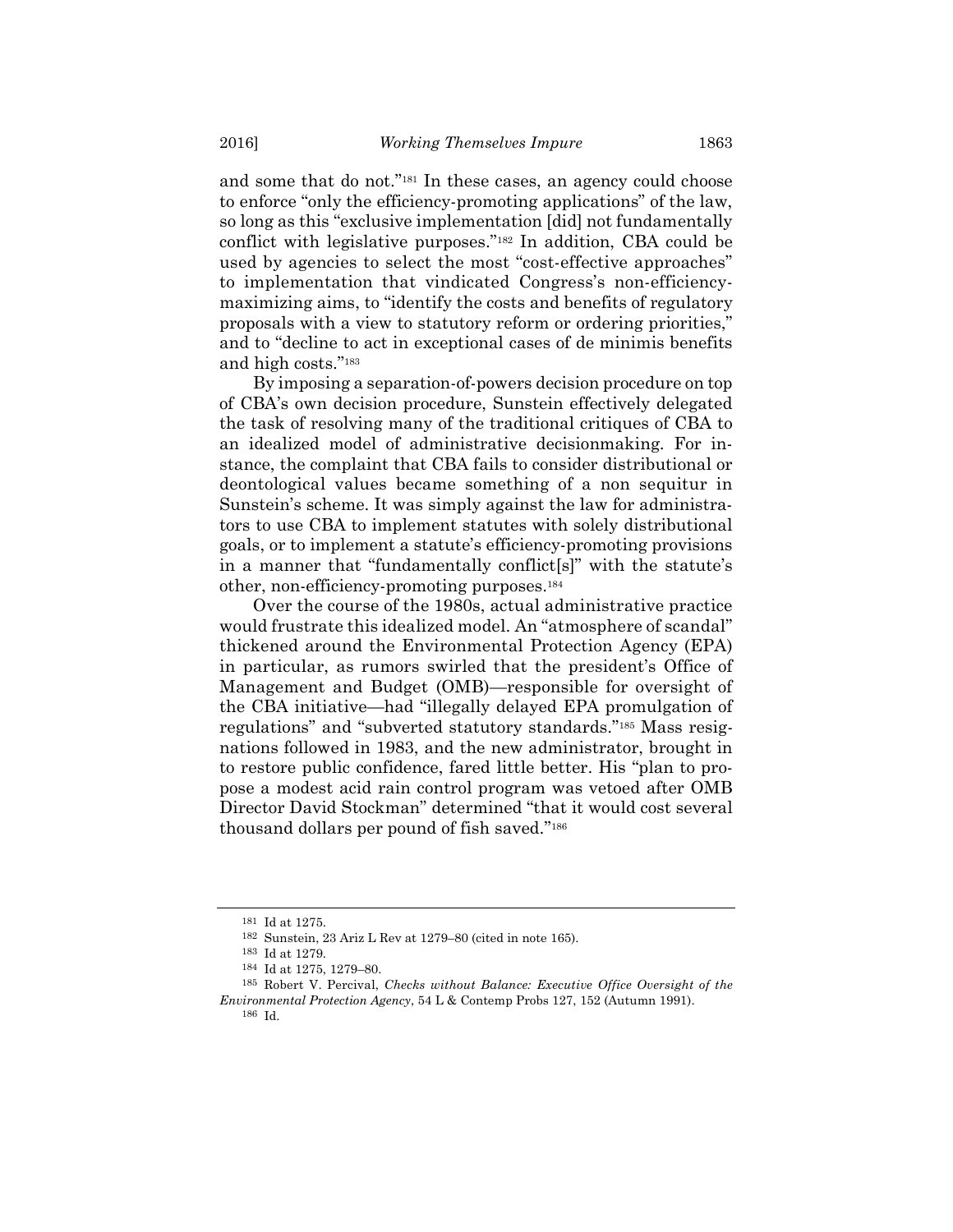and some that do not."181 In these cases, an agency could choose to enforce "only the efficiency-promoting applications" of the law, so long as this "exclusive implementation [did] not fundamentally conflict with legislative purposes."182 In addition, CBA could be used by agencies to select the most "cost-effective approaches" to implementation that vindicated Congress's non-efficiencymaximizing aims, to "identify the costs and benefits of regulatory proposals with a view to statutory reform or ordering priorities," and to "decline to act in exceptional cases of de minimis benefits and high costs."<sup>183</sup>

By imposing a separation-of-powers decision procedure on top of CBA's own decision procedure, Sunstein effectively delegated the task of resolving many of the traditional critiques of CBA to an idealized model of administrative decisionmaking. For instance, the complaint that CBA fails to consider distributional or deontological values became something of a non sequitur in Sunstein's scheme. It was simply against the law for administrators to use CBA to implement statutes with solely distributional goals, or to implement a statute's efficiency-promoting provisions in a manner that "fundamentally conflict[s]" with the statute's other, non-efficiency-promoting purposes.<sup>184</sup>

Over the course of the 1980s, actual administrative practice would frustrate this idealized model. An "atmosphere of scandal" thickened around the Environmental Protection Agency (EPA) in particular, as rumors swirled that the president's Office of Management and Budget (OMB)—responsible for oversight of the CBA initiative—had "illegally delayed EPA promulgation of regulations" and "subverted statutory standards."185 Mass resignations followed in 1983, and the new administrator, brought in to restore public confidence, fared little better. His "plan to propose a modest acid rain control program was vetoed after OMB Director David Stockman" determined "that it would cost several thousand dollars per pound of fish saved."<sup>186</sup>

<sup>181</sup> Id at 1275.

<sup>182</sup> Sunstein, 23 Ariz L Rev at 1279–80 (cited in note 165).

<sup>183</sup> Id at 1279.

<sup>184</sup> Id at 1275, 1279–80.

<sup>185</sup> Robert V. Percival, Checks without Balance: Executive Office Oversight of the Environmental Protection Agency, 54 L & Contemp Probs 127, 152 (Autumn 1991). 186 Id.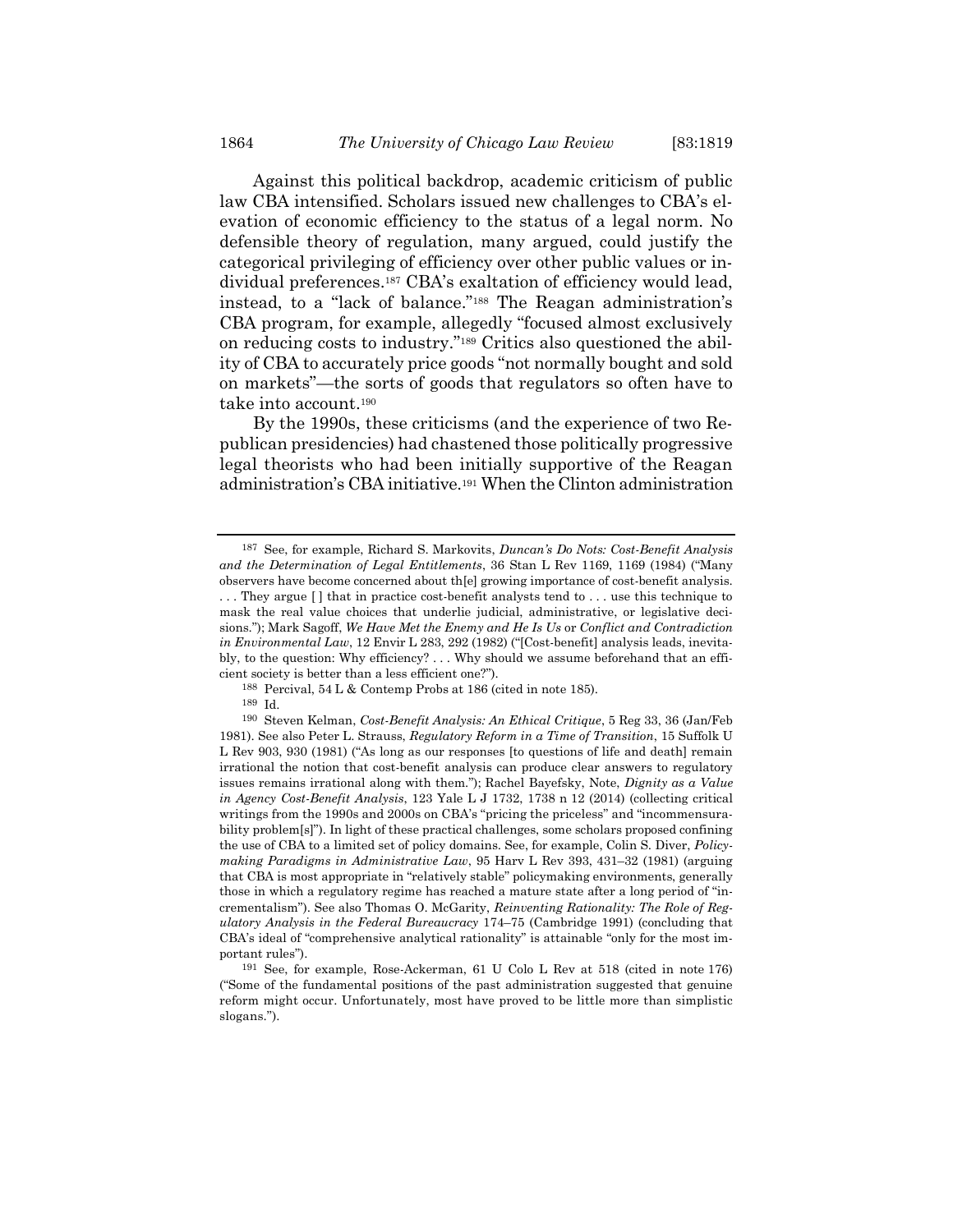Against this political backdrop, academic criticism of public law CBA intensified. Scholars issued new challenges to CBA's elevation of economic efficiency to the status of a legal norm. No defensible theory of regulation, many argued, could justify the categorical privileging of efficiency over other public values or individual preferences.<sup>187</sup> CBA's exaltation of efficiency would lead, instead, to a "lack of balance."188 The Reagan administration's CBA program, for example, allegedly "focused almost exclusively on reducing costs to industry."189 Critics also questioned the ability of CBA to accurately price goods "not normally bought and sold on markets"—the sorts of goods that regulators so often have to take into account.<sup>190</sup>

By the 1990s, these criticisms (and the experience of two Republican presidencies) had chastened those politically progressive legal theorists who had been initially supportive of the Reagan administration's CBA initiative.191 When the Clinton administration

188 Percival, 54 L & Contemp Probs at 186 (cited in note 185).

189 Id.

<sup>187</sup> See, for example, Richard S. Markovits, Duncan's Do Nots: Cost-Benefit Analysis and the Determination of Legal Entitlements, 36 Stan L Rev 1169, 1169 (1984) ("Many observers have become concerned about th[e] growing importance of cost-benefit analysis. . . . They argue [ ] that in practice cost-benefit analysts tend to . . . use this technique to mask the real value choices that underlie judicial, administrative, or legislative decisions."); Mark Sagoff, We Have Met the Enemy and He Is Us or Conflict and Contradiction in Environmental Law, 12 Envir L 283, 292 (1982) ("[Cost-benefit] analysis leads, inevitably, to the question: Why efficiency? . . . Why should we assume beforehand that an efficient society is better than a less efficient one?").

<sup>190</sup> Steven Kelman, Cost-Benefit Analysis: An Ethical Critique, 5 Reg 33, 36 (Jan/Feb 1981). See also Peter L. Strauss, Regulatory Reform in a Time of Transition, 15 Suffolk U L Rev 903, 930 (1981) ("As long as our responses [to questions of life and death] remain irrational the notion that cost-benefit analysis can produce clear answers to regulatory issues remains irrational along with them."); Rachel Bayefsky, Note, *Dignity as a Value* in Agency Cost-Benefit Analysis, 123 Yale L J 1732, 1738 n 12 (2014) (collecting critical writings from the 1990s and 2000s on CBA's "pricing the priceless" and "incommensurability problem[s]"). In light of these practical challenges, some scholars proposed confining the use of CBA to a limited set of policy domains. See, for example, Colin S. Diver, Policymaking Paradigms in Administrative Law, 95 Harv L Rev 393, 431–32 (1981) (arguing that CBA is most appropriate in "relatively stable" policymaking environments, generally those in which a regulatory regime has reached a mature state after a long period of "incrementalism"). See also Thomas O. McGarity, Reinventing Rationality: The Role of Regulatory Analysis in the Federal Bureaucracy 174–75 (Cambridge 1991) (concluding that CBA's ideal of "comprehensive analytical rationality" is attainable "only for the most important rules").

<sup>191</sup> See, for example, Rose-Ackerman, 61 U Colo L Rev at 518 (cited in note 176) ("Some of the fundamental positions of the past administration suggested that genuine reform might occur. Unfortunately, most have proved to be little more than simplistic slogans.").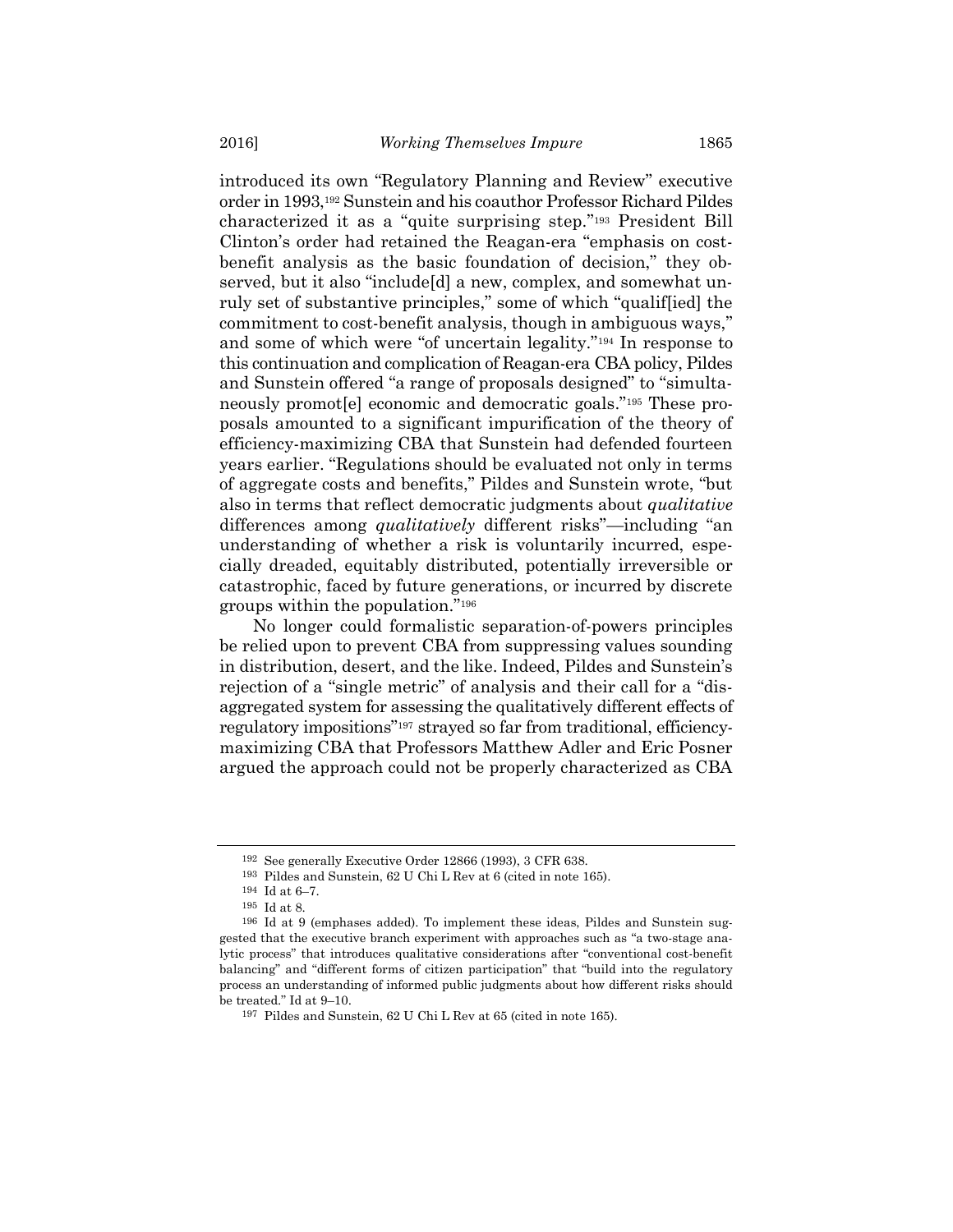introduced its own "Regulatory Planning and Review" executive order in 1993,192 Sunstein and his coauthor Professor Richard Pildes characterized it as a "quite surprising step."193 President Bill Clinton's order had retained the Reagan-era "emphasis on costbenefit analysis as the basic foundation of decision," they observed, but it also "include[d] a new, complex, and somewhat unruly set of substantive principles," some of which "qualif[ied] the commitment to cost-benefit analysis, though in ambiguous ways," and some of which were "of uncertain legality."194 In response to this continuation and complication of Reagan-era CBA policy, Pildes and Sunstein offered "a range of proposals designed" to "simultaneously promot[e] economic and democratic goals."195 These proposals amounted to a significant impurification of the theory of efficiency-maximizing CBA that Sunstein had defended fourteen years earlier. "Regulations should be evaluated not only in terms of aggregate costs and benefits," Pildes and Sunstein wrote, "but also in terms that reflect democratic judgments about qualitative differences among *qualitatively* different risks"—including "an understanding of whether a risk is voluntarily incurred, especially dreaded, equitably distributed, potentially irreversible or catastrophic, faced by future generations, or incurred by discrete groups within the population."<sup>196</sup>

No longer could formalistic separation-of-powers principles be relied upon to prevent CBA from suppressing values sounding in distribution, desert, and the like. Indeed, Pildes and Sunstein's rejection of a "single metric" of analysis and their call for a "disaggregated system for assessing the qualitatively different effects of regulatory impositions"197 strayed so far from traditional, efficiencymaximizing CBA that Professors Matthew Adler and Eric Posner argued the approach could not be properly characterized as CBA

<sup>192</sup> See generally Executive Order 12866 (1993), 3 CFR 638.

<sup>193</sup> Pildes and Sunstein, 62 U Chi L Rev at 6 (cited in note 165).

<sup>194</sup> Id at 6–7.

<sup>195</sup> Id at 8.

<sup>196</sup> Id at 9 (emphases added). To implement these ideas, Pildes and Sunstein suggested that the executive branch experiment with approaches such as "a two-stage analytic process" that introduces qualitative considerations after "conventional cost-benefit balancing" and "different forms of citizen participation" that "build into the regulatory process an understanding of informed public judgments about how different risks should be treated." Id at 9–10.

<sup>197</sup> Pildes and Sunstein, 62 U Chi L Rev at 65 (cited in note 165).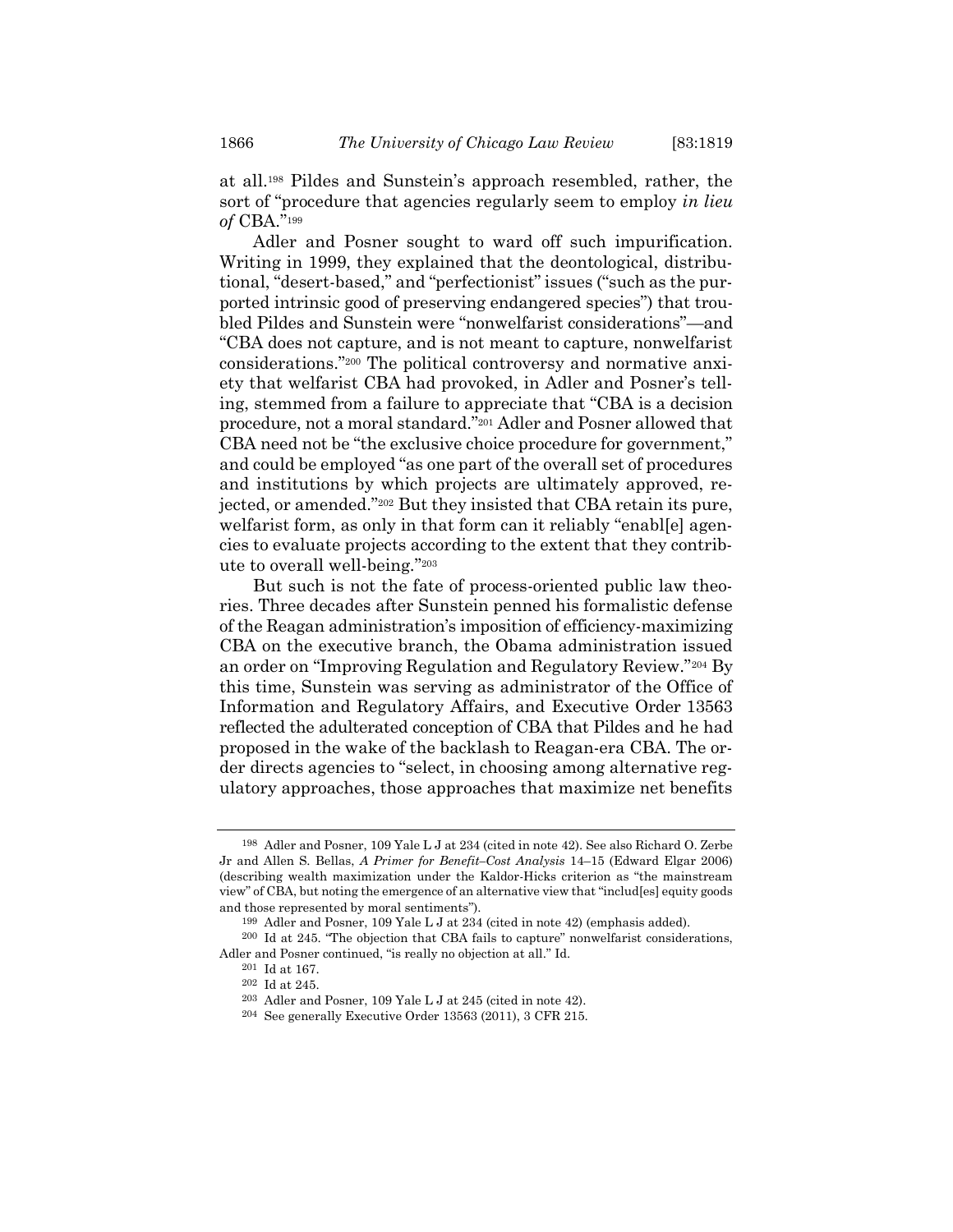at all.198 Pildes and Sunstein's approach resembled, rather, the sort of "procedure that agencies regularly seem to employ *in lieu* of CBA."<sup>199</sup>

Adler and Posner sought to ward off such impurification. Writing in 1999, they explained that the deontological, distributional, "desert-based," and "perfectionist" issues ("such as the purported intrinsic good of preserving endangered species") that troubled Pildes and Sunstein were "nonwelfarist considerations"—and "CBA does not capture, and is not meant to capture, nonwelfarist considerations."200 The political controversy and normative anxiety that welfarist CBA had provoked, in Adler and Posner's telling, stemmed from a failure to appreciate that "CBA is a decision procedure, not a moral standard."201 Adler and Posner allowed that CBA need not be "the exclusive choice procedure for government," and could be employed "as one part of the overall set of procedures and institutions by which projects are ultimately approved, rejected, or amended."202 But they insisted that CBA retain its pure, welfarist form, as only in that form can it reliably "enabl[e] agencies to evaluate projects according to the extent that they contribute to overall well-being."<sup>203</sup>

But such is not the fate of process-oriented public law theories. Three decades after Sunstein penned his formalistic defense of the Reagan administration's imposition of efficiency-maximizing CBA on the executive branch, the Obama administration issued an order on "Improving Regulation and Regulatory Review."204 By this time, Sunstein was serving as administrator of the Office of Information and Regulatory Affairs, and Executive Order 13563 reflected the adulterated conception of CBA that Pildes and he had proposed in the wake of the backlash to Reagan-era CBA. The order directs agencies to "select, in choosing among alternative regulatory approaches, those approaches that maximize net benefits

<sup>198</sup> Adler and Posner, 109 Yale L J at 234 (cited in note 42). See also Richard O. Zerbe Jr and Allen S. Bellas, A Primer for Benefit–Cost Analysis 14–15 (Edward Elgar 2006) (describing wealth maximization under the Kaldor-Hicks criterion as "the mainstream view" of CBA, but noting the emergence of an alternative view that "includ[es] equity goods and those represented by moral sentiments").

<sup>199</sup> Adler and Posner, 109 Yale L J at 234 (cited in note 42) (emphasis added).

<sup>200</sup> Id at 245. "The objection that CBA fails to capture" nonwelfarist considerations, Adler and Posner continued, "is really no objection at all." Id.

<sup>201</sup> Id at 167.

<sup>202</sup> Id at 245.

<sup>203</sup> Adler and Posner, 109 Yale L J at 245 (cited in note 42).

<sup>204</sup> See generally Executive Order 13563 (2011), 3 CFR 215.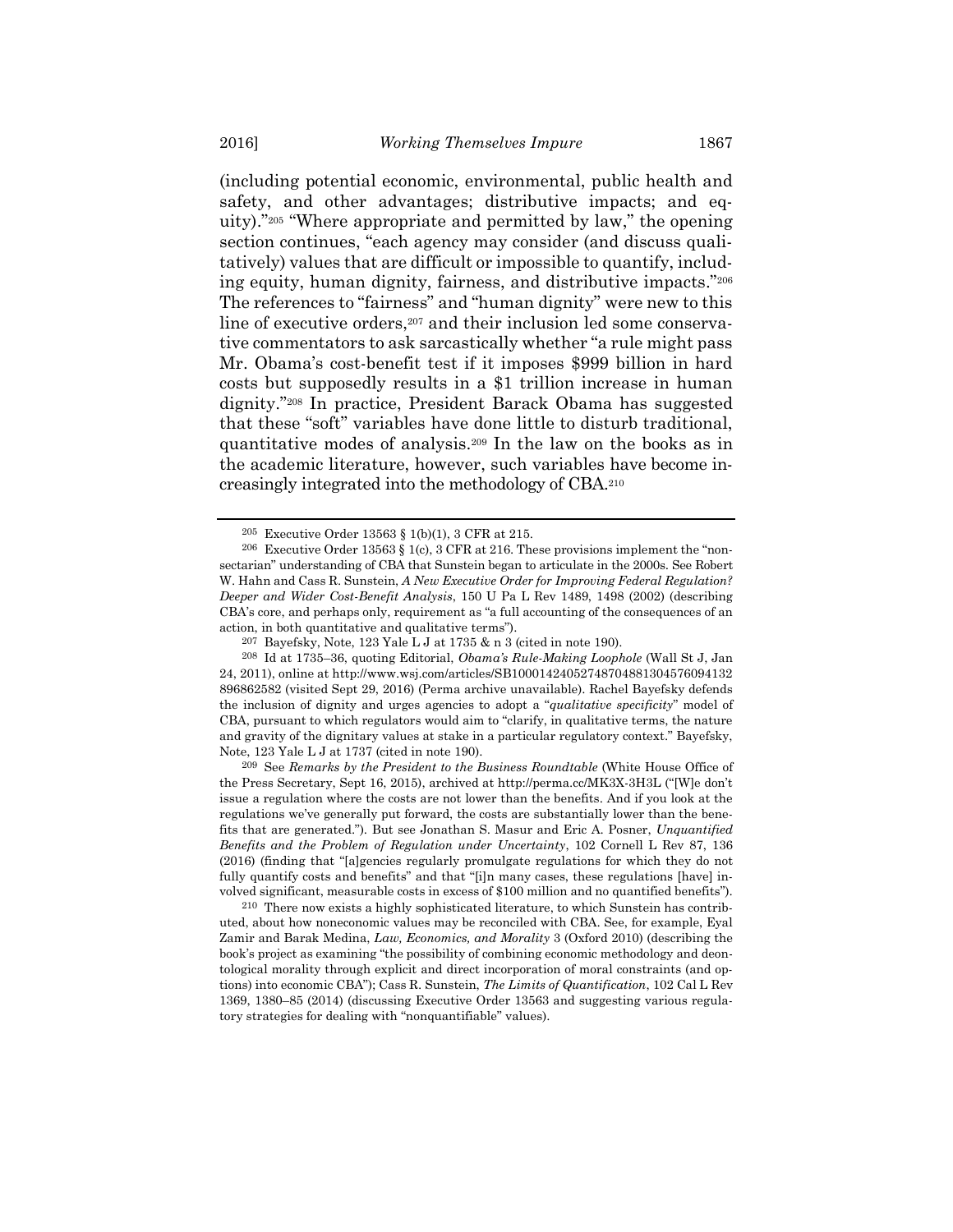(including potential economic, environmental, public health and safety, and other advantages; distributive impacts; and equity)."205 "Where appropriate and permitted by law," the opening section continues, "each agency may consider (and discuss qualitatively) values that are difficult or impossible to quantify, including equity, human dignity, fairness, and distributive impacts."<sup>206</sup> The references to "fairness" and "human dignity" were new to this line of executive orders,<sup>207</sup> and their inclusion led some conservative commentators to ask sarcastically whether "a rule might pass Mr. Obama's cost-benefit test if it imposes \$999 billion in hard costs but supposedly results in a \$1 trillion increase in human dignity."208 In practice, President Barack Obama has suggested that these "soft" variables have done little to disturb traditional, quantitative modes of analysis.209 In the law on the books as in the academic literature, however, such variables have become increasingly integrated into the methodology of CBA.<sup>210</sup>

209 See Remarks by the President to the Business Roundtable (White House Office of the Press Secretary, Sept 16, 2015), archived at http://perma.cc/MK3X-3H3L ("[W]e don't issue a regulation where the costs are not lower than the benefits. And if you look at the regulations we've generally put forward, the costs are substantially lower than the benefits that are generated."). But see Jonathan S. Masur and Eric A. Posner, Unquantified Benefits and the Problem of Regulation under Uncertainty, 102 Cornell L Rev 87, 136 (2016) (finding that "[a]gencies regularly promulgate regulations for which they do not fully quantify costs and benefits" and that "[i]n many cases, these regulations [have] involved significant, measurable costs in excess of \$100 million and no quantified benefits").

210 There now exists a highly sophisticated literature, to which Sunstein has contributed, about how noneconomic values may be reconciled with CBA. See, for example, Eyal Zamir and Barak Medina, Law, Economics, and Morality 3 (Oxford 2010) (describing the book's project as examining "the possibility of combining economic methodology and deontological morality through explicit and direct incorporation of moral constraints (and options) into economic CBA"); Cass R. Sunstein, The Limits of Quantification, 102 Cal L Rev 1369, 1380–85 (2014) (discussing Executive Order 13563 and suggesting various regulatory strategies for dealing with "nonquantifiable" values).

<sup>205</sup> Executive Order 13563 § 1(b)(1), 3 CFR at 215.

 $206$  Executive Order 13563 § 1(c), 3 CFR at 216. These provisions implement the "nonsectarian" understanding of CBA that Sunstein began to articulate in the 2000s. See Robert W. Hahn and Cass R. Sunstein, A New Executive Order for Improving Federal Regulation? Deeper and Wider Cost-Benefit Analysis, 150 U Pa L Rev 1489, 1498 (2002) (describing CBA's core, and perhaps only, requirement as "a full accounting of the consequences of an action, in both quantitative and qualitative terms").

<sup>207</sup> Bayefsky, Note, 123 Yale L J at 1735 & n 3 (cited in note 190).

<sup>208</sup> Id at 1735–36, quoting Editorial, Obama's Rule-Making Loophole (Wall St J, Jan 24, 2011), online at http://www.wsj.com/articles/SB10001424052748704881304576094132 896862582 (visited Sept 29, 2016) (Perma archive unavailable). Rachel Bayefsky defends the inclusion of dignity and urges agencies to adopt a "qualitative specificity" model of CBA, pursuant to which regulators would aim to "clarify, in qualitative terms, the nature and gravity of the dignitary values at stake in a particular regulatory context." Bayefsky, Note, 123 Yale L J at 1737 (cited in note 190).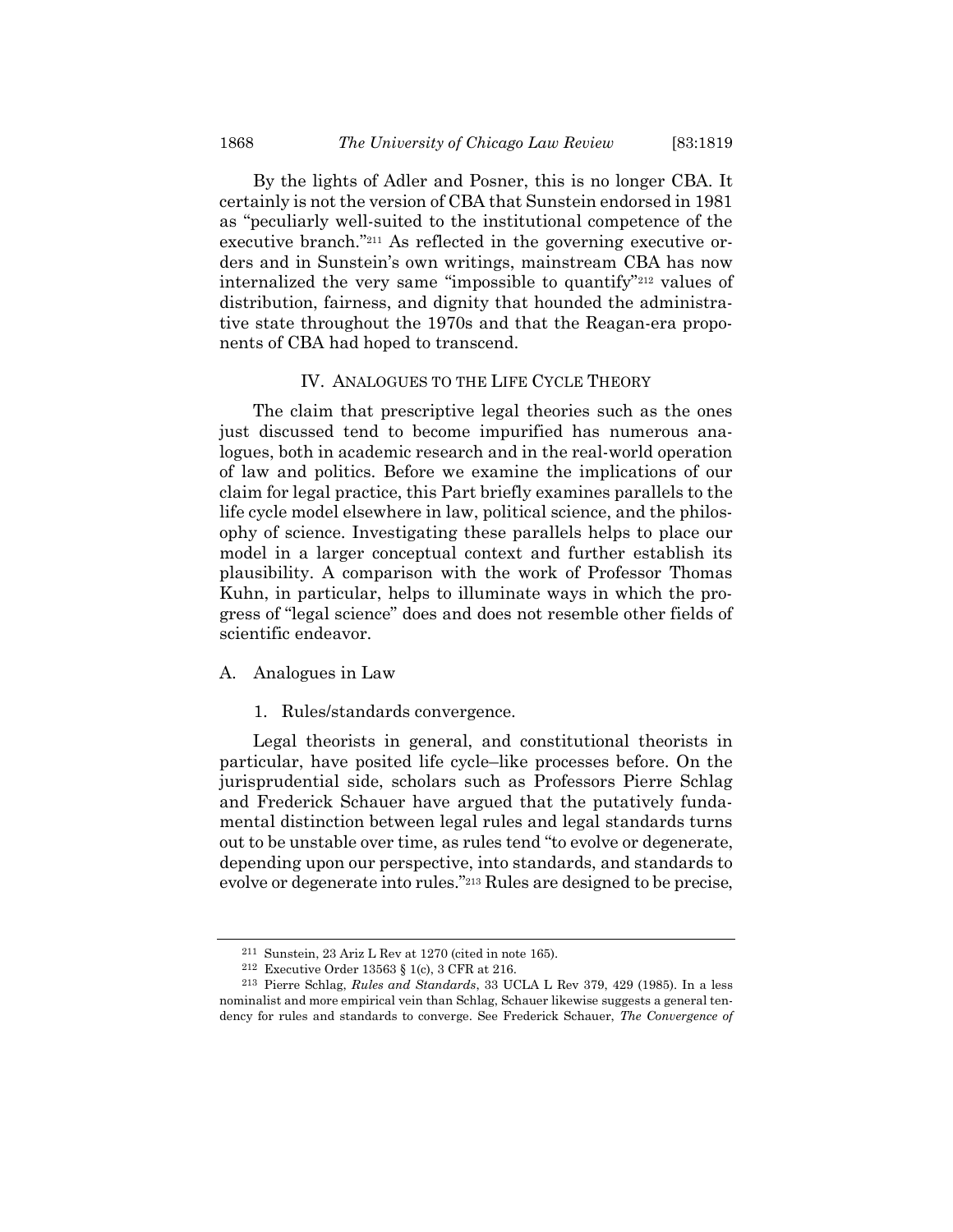By the lights of Adler and Posner, this is no longer CBA. It certainly is not the version of CBA that Sunstein endorsed in 1981 as "peculiarly well-suited to the institutional competence of the executive branch."211 As reflected in the governing executive orders and in Sunstein's own writings, mainstream CBA has now internalized the very same "impossible to quantify"212 values of distribution, fairness, and dignity that hounded the administrative state throughout the 1970s and that the Reagan-era proponents of CBA had hoped to transcend.

#### IV. ANALOGUES TO THE LIFE CYCLE THEORY

The claim that prescriptive legal theories such as the ones just discussed tend to become impurified has numerous analogues, both in academic research and in the real-world operation of law and politics. Before we examine the implications of our claim for legal practice, this Part briefly examines parallels to the life cycle model elsewhere in law, political science, and the philosophy of science. Investigating these parallels helps to place our model in a larger conceptual context and further establish its plausibility. A comparison with the work of Professor Thomas Kuhn, in particular, helps to illuminate ways in which the progress of "legal science" does and does not resemble other fields of scientific endeavor.

#### A. Analogues in Law

1. Rules/standards convergence.

Legal theorists in general, and constitutional theorists in particular, have posited life cycle–like processes before. On the jurisprudential side, scholars such as Professors Pierre Schlag and Frederick Schauer have argued that the putatively fundamental distinction between legal rules and legal standards turns out to be unstable over time, as rules tend "to evolve or degenerate, depending upon our perspective, into standards, and standards to evolve or degenerate into rules."213 Rules are designed to be precise,

<sup>211</sup> Sunstein, 23 Ariz L Rev at 1270 (cited in note 165).

<sup>212</sup> Executive Order 13563 § 1(c), 3 CFR at 216.

<sup>213</sup> Pierre Schlag, Rules and Standards, 33 UCLA L Rev 379, 429 (1985). In a less nominalist and more empirical vein than Schlag, Schauer likewise suggests a general tendency for rules and standards to converge. See Frederick Schauer, The Convergence of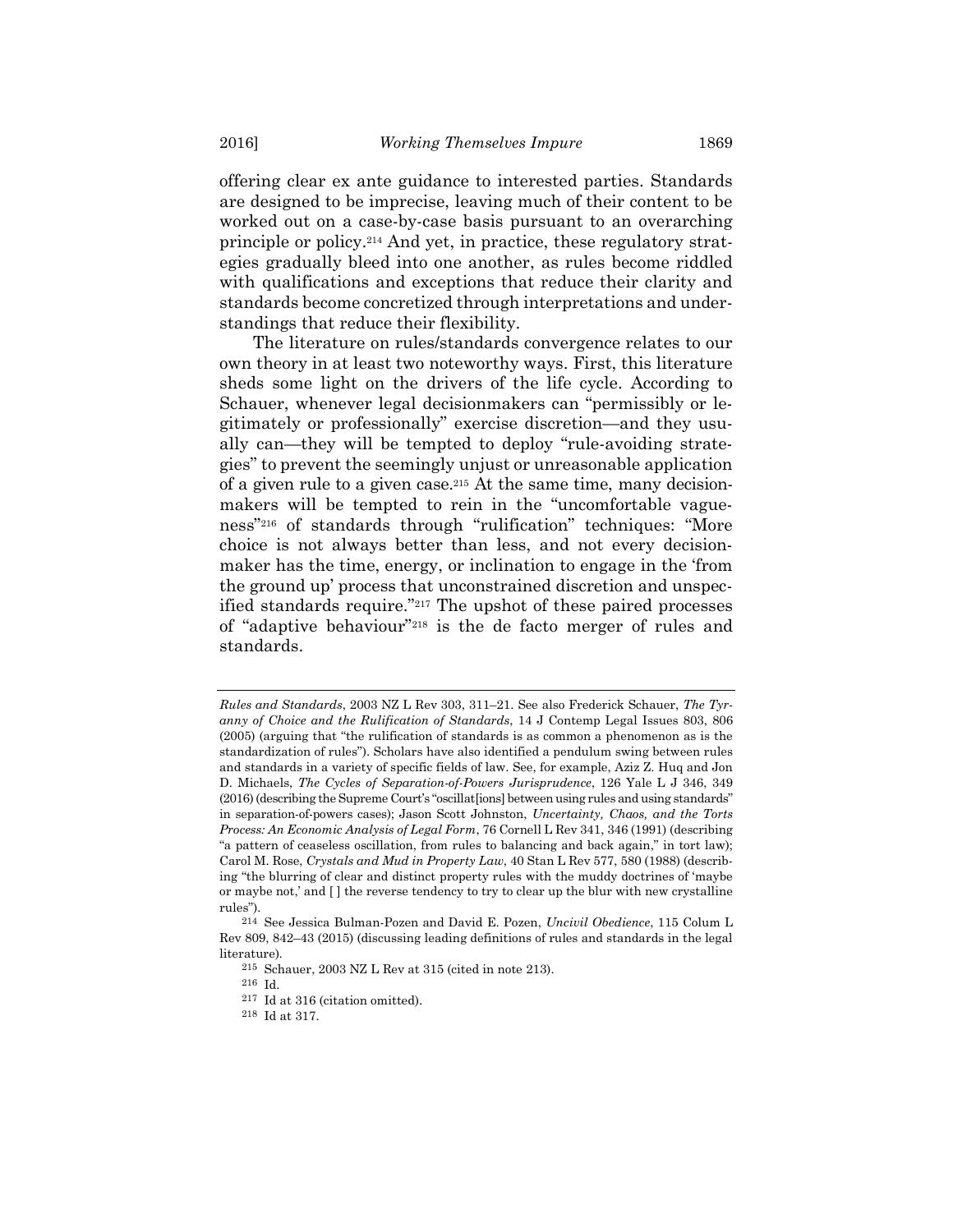offering clear ex ante guidance to interested parties. Standards are designed to be imprecise, leaving much of their content to be worked out on a case-by-case basis pursuant to an overarching principle or policy.214 And yet, in practice, these regulatory strategies gradually bleed into one another, as rules become riddled with qualifications and exceptions that reduce their clarity and standards become concretized through interpretations and understandings that reduce their flexibility.

The literature on rules/standards convergence relates to our own theory in at least two noteworthy ways. First, this literature sheds some light on the drivers of the life cycle. According to Schauer, whenever legal decisionmakers can "permissibly or legitimately or professionally" exercise discretion—and they usually can—they will be tempted to deploy "rule-avoiding strategies" to prevent the seemingly unjust or unreasonable application of a given rule to a given case.215 At the same time, many decisionmakers will be tempted to rein in the "uncomfortable vagueness"216 of standards through "rulification" techniques: "More choice is not always better than less, and not every decisionmaker has the time, energy, or inclination to engage in the 'from the ground up' process that unconstrained discretion and unspecified standards require."217 The upshot of these paired processes of "adaptive behaviour"218 is the de facto merger of rules and standards.

Rules and Standards, 2003 NZ L Rev 303, 311–21. See also Frederick Schauer, The Tyranny of Choice and the Rulification of Standards, 14 J Contemp Legal Issues 803, 806 (2005) (arguing that "the rulification of standards is as common a phenomenon as is the standardization of rules"). Scholars have also identified a pendulum swing between rules and standards in a variety of specific fields of law. See, for example, Aziz Z. Huq and Jon D. Michaels, The Cycles of Separation-of-Powers Jurisprudence, 126 Yale L J 346, 349 (2016) (describing the Supreme Court's "oscillat[ions] between using rules and using standards" in separation-of-powers cases); Jason Scott Johnston, Uncertainty, Chaos, and the Torts Process: An Economic Analysis of Legal Form, 76 Cornell L Rev 341, 346 (1991) (describing "a pattern of ceaseless oscillation, from rules to balancing and back again," in tort law); Carol M. Rose, Crystals and Mud in Property Law, 40 Stan L Rev 577, 580 (1988) (describing "the blurring of clear and distinct property rules with the muddy doctrines of 'maybe or maybe not,' and [ ] the reverse tendency to try to clear up the blur with new crystalline rules").

<sup>214</sup> See Jessica Bulman-Pozen and David E. Pozen, Uncivil Obedience, 115 Colum L Rev 809, 842–43 (2015) (discussing leading definitions of rules and standards in the legal literature).

<sup>215</sup> Schauer, 2003 NZ L Rev at 315 (cited in note 213).

<sup>216</sup> Id.

<sup>217</sup> Id at 316 (citation omitted).

<sup>218</sup> Id at 317.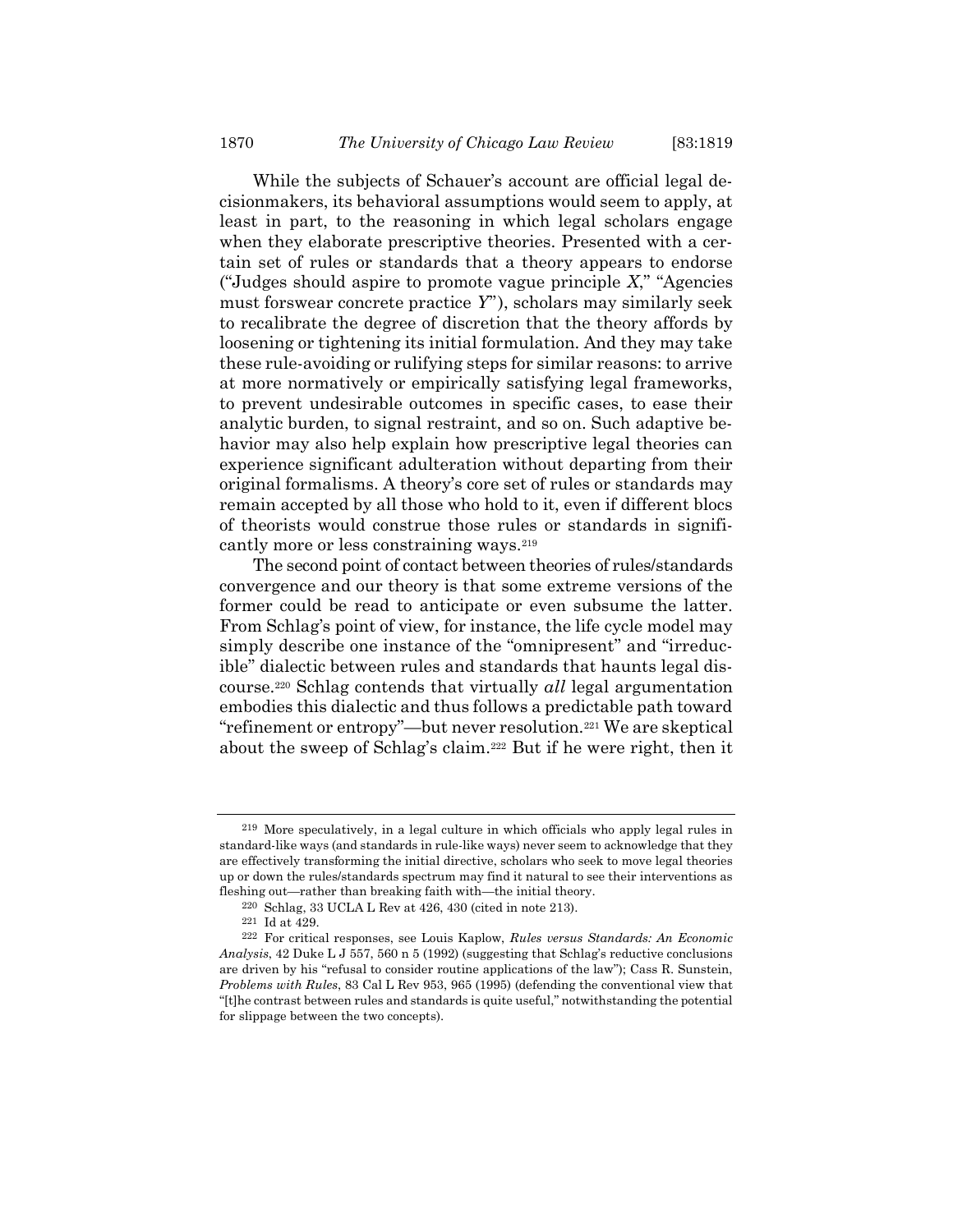While the subjects of Schauer's account are official legal decisionmakers, its behavioral assumptions would seem to apply, at least in part, to the reasoning in which legal scholars engage when they elaborate prescriptive theories. Presented with a certain set of rules or standards that a theory appears to endorse ("Judges should aspire to promote vague principle  $X$ ," "Agencies") must forswear concrete practice Y"), scholars may similarly seek to recalibrate the degree of discretion that the theory affords by loosening or tightening its initial formulation. And they may take these rule-avoiding or rulifying steps for similar reasons: to arrive at more normatively or empirically satisfying legal frameworks, to prevent undesirable outcomes in specific cases, to ease their analytic burden, to signal restraint, and so on. Such adaptive behavior may also help explain how prescriptive legal theories can experience significant adulteration without departing from their original formalisms. A theory's core set of rules or standards may remain accepted by all those who hold to it, even if different blocs of theorists would construe those rules or standards in significantly more or less constraining ways.<sup>219</sup>

The second point of contact between theories of rules/standards convergence and our theory is that some extreme versions of the former could be read to anticipate or even subsume the latter. From Schlag's point of view, for instance, the life cycle model may simply describe one instance of the "omnipresent" and "irreducible" dialectic between rules and standards that haunts legal discourse.220 Schlag contends that virtually all legal argumentation embodies this dialectic and thus follows a predictable path toward "refinement or entropy"—but never resolution.221 We are skeptical about the sweep of Schlag's claim.222 But if he were right, then it

<sup>219</sup> More speculatively, in a legal culture in which officials who apply legal rules in standard-like ways (and standards in rule-like ways) never seem to acknowledge that they are effectively transforming the initial directive, scholars who seek to move legal theories up or down the rules/standards spectrum may find it natural to see their interventions as fleshing out—rather than breaking faith with—the initial theory.

<sup>220</sup> Schlag, 33 UCLA L Rev at 426, 430 (cited in note 213).

<sup>221</sup> Id at 429.

<sup>222</sup> For critical responses, see Louis Kaplow, Rules versus Standards: An Economic Analysis,  $42$  Duke L J 557, 560 n 5 (1992) (suggesting that Schlag's reductive conclusions are driven by his "refusal to consider routine applications of the law"); Cass R. Sunstein, Problems with Rules, 83 Cal L Rev 953, 965 (1995) (defending the conventional view that "[t]he contrast between rules and standards is quite useful," notwithstanding the potential for slippage between the two concepts).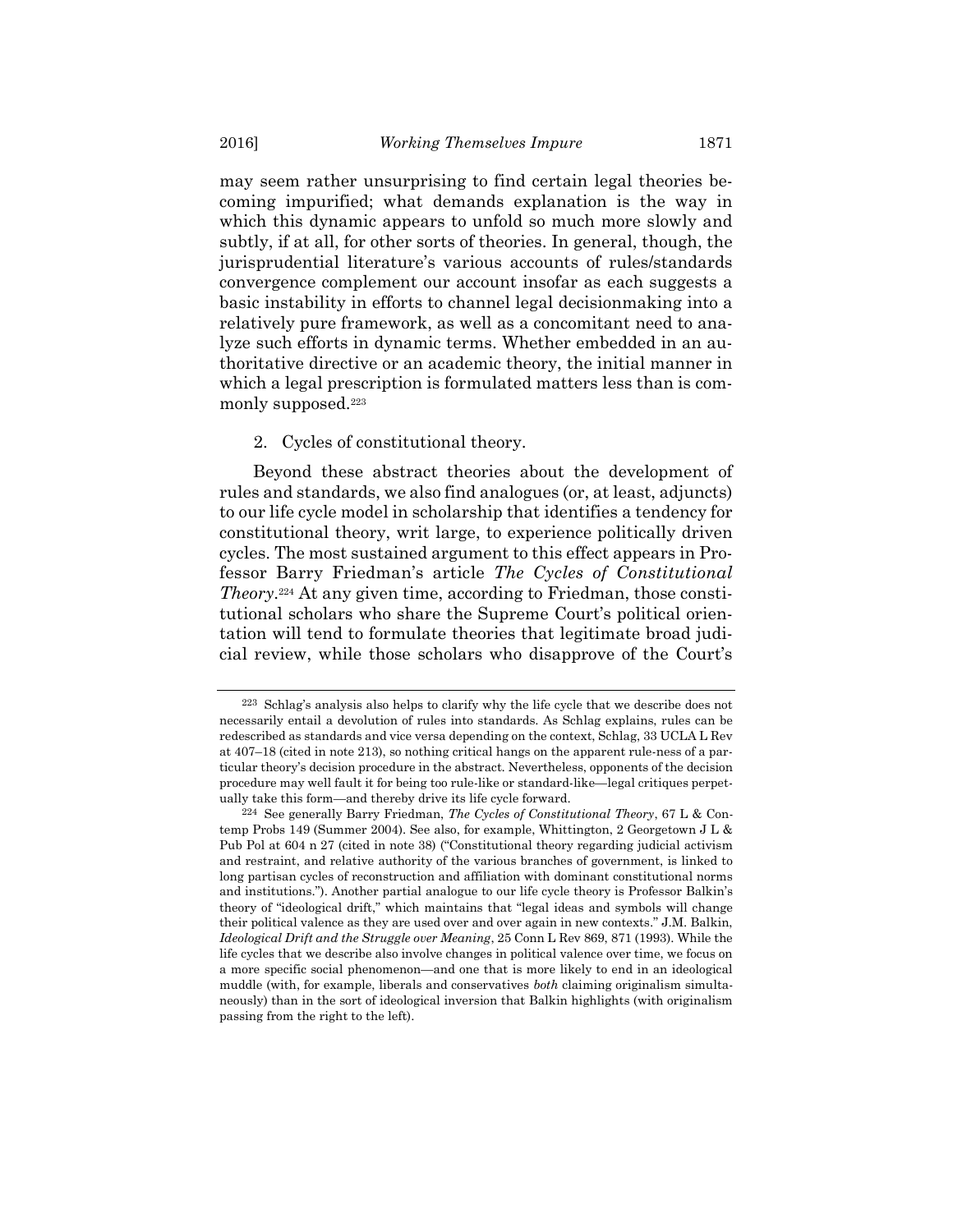may seem rather unsurprising to find certain legal theories becoming impurified; what demands explanation is the way in which this dynamic appears to unfold so much more slowly and subtly, if at all, for other sorts of theories. In general, though, the jurisprudential literature's various accounts of rules/standards convergence complement our account insofar as each suggests a basic instability in efforts to channel legal decisionmaking into a relatively pure framework, as well as a concomitant need to analyze such efforts in dynamic terms. Whether embedded in an authoritative directive or an academic theory, the initial manner in which a legal prescription is formulated matters less than is commonly supposed.<sup>223</sup>

#### 2. Cycles of constitutional theory.

Beyond these abstract theories about the development of rules and standards, we also find analogues (or, at least, adjuncts) to our life cycle model in scholarship that identifies a tendency for constitutional theory, writ large, to experience politically driven cycles. The most sustained argument to this effect appears in Professor Barry Friedman's article The Cycles of Constitutional Theory. 224 At any given time, according to Friedman, those constitutional scholars who share the Supreme Court's political orientation will tend to formulate theories that legitimate broad judicial review, while those scholars who disapprove of the Court's

<sup>223</sup> Schlag's analysis also helps to clarify why the life cycle that we describe does not necessarily entail a devolution of rules into standards. As Schlag explains, rules can be redescribed as standards and vice versa depending on the context, Schlag, 33 UCLA L Rev at 407–18 (cited in note 213), so nothing critical hangs on the apparent rule-ness of a particular theory's decision procedure in the abstract. Nevertheless, opponents of the decision procedure may well fault it for being too rule-like or standard-like—legal critiques perpetually take this form—and thereby drive its life cycle forward.

 $224$  See generally Barry Friedman, The Cycles of Constitutional Theory, 67 L & Contemp Probs 149 (Summer 2004). See also, for example, Whittington, 2 Georgetown J L & Pub Pol at 604 n 27 (cited in note 38) ("Constitutional theory regarding judicial activism and restraint, and relative authority of the various branches of government, is linked to long partisan cycles of reconstruction and affiliation with dominant constitutional norms and institutions."). Another partial analogue to our life cycle theory is Professor Balkin's theory of "ideological drift," which maintains that "legal ideas and symbols will change their political valence as they are used over and over again in new contexts." J.M. Balkin, Ideological Drift and the Struggle over Meaning, 25 Conn L Rev 869, 871 (1993). While the life cycles that we describe also involve changes in political valence over time, we focus on a more specific social phenomenon—and one that is more likely to end in an ideological muddle (with, for example, liberals and conservatives both claiming originalism simultaneously) than in the sort of ideological inversion that Balkin highlights (with originalism passing from the right to the left).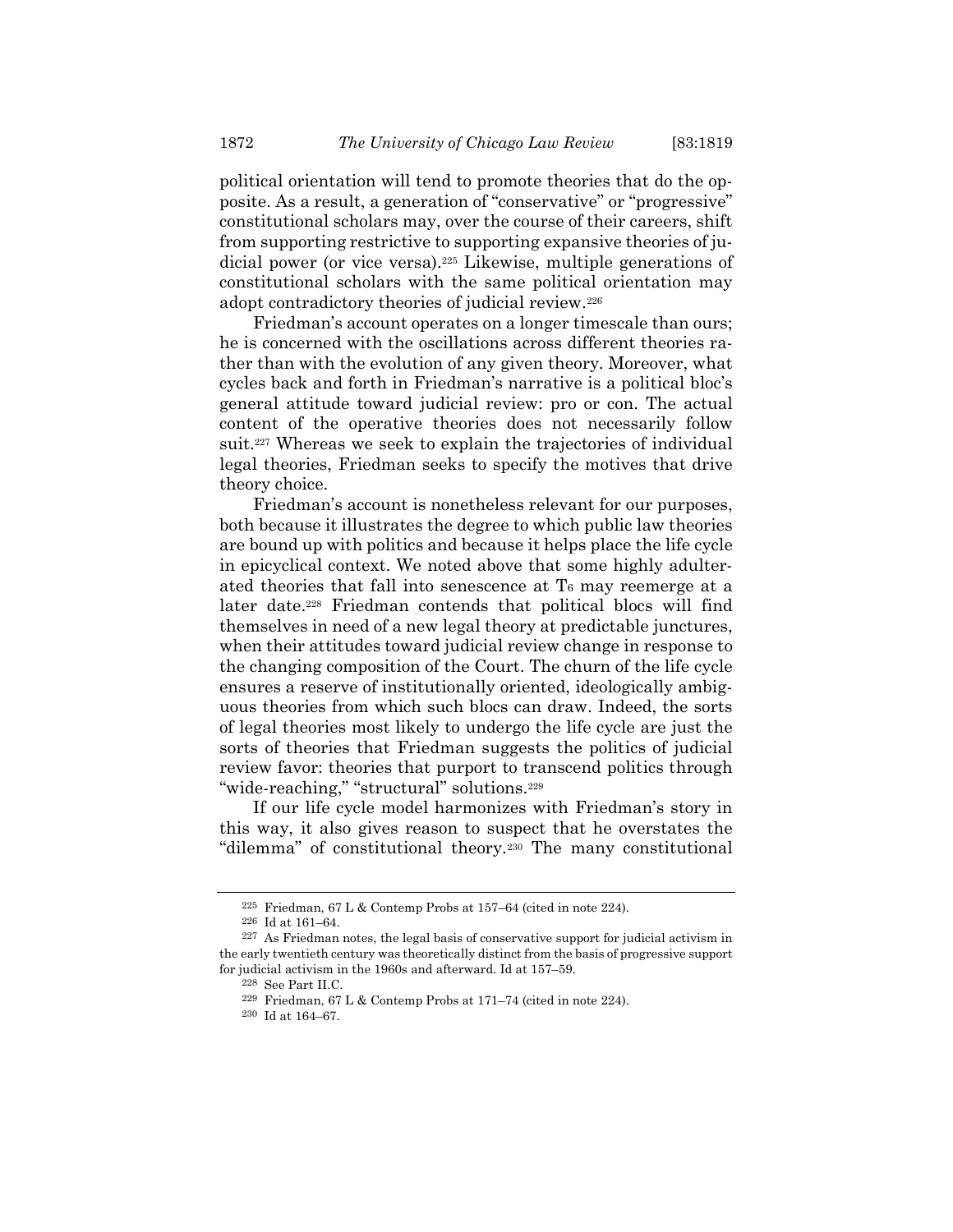political orientation will tend to promote theories that do the opposite. As a result, a generation of "conservative" or "progressive" constitutional scholars may, over the course of their careers, shift from supporting restrictive to supporting expansive theories of judicial power (or vice versa).225 Likewise, multiple generations of constitutional scholars with the same political orientation may adopt contradictory theories of judicial review.<sup>226</sup>

Friedman's account operates on a longer timescale than ours; he is concerned with the oscillations across different theories rather than with the evolution of any given theory. Moreover, what cycles back and forth in Friedman's narrative is a political bloc's general attitude toward judicial review: pro or con. The actual content of the operative theories does not necessarily follow suit.<sup>227</sup> Whereas we seek to explain the trajectories of individual legal theories, Friedman seeks to specify the motives that drive theory choice.

Friedman's account is nonetheless relevant for our purposes, both because it illustrates the degree to which public law theories are bound up with politics and because it helps place the life cycle in epicyclical context. We noted above that some highly adulterated theories that fall into senescence at T6 may reemerge at a later date.228 Friedman contends that political blocs will find themselves in need of a new legal theory at predictable junctures, when their attitudes toward judicial review change in response to the changing composition of the Court. The churn of the life cycle ensures a reserve of institutionally oriented, ideologically ambiguous theories from which such blocs can draw. Indeed, the sorts of legal theories most likely to undergo the life cycle are just the sorts of theories that Friedman suggests the politics of judicial review favor: theories that purport to transcend politics through "wide-reaching," "structural" solutions.<sup>229</sup>

If our life cycle model harmonizes with Friedman's story in this way, it also gives reason to suspect that he overstates the "dilemma" of constitutional theory.230 The many constitutional

<sup>&</sup>lt;sup>225</sup> Friedman, 67 L & Contemp Probs at 157–64 (cited in note 224).

<sup>226</sup> Id at 161–64.

<sup>227</sup> As Friedman notes, the legal basis of conservative support for judicial activism in the early twentieth century was theoretically distinct from the basis of progressive support for judicial activism in the 1960s and afterward. Id at 157–59.

<sup>228</sup> See Part II.C.

<sup>229</sup> Friedman, 67 L & Contemp Probs at 171–74 (cited in note 224).

 $^{\rm 230}$  Id at 164–67.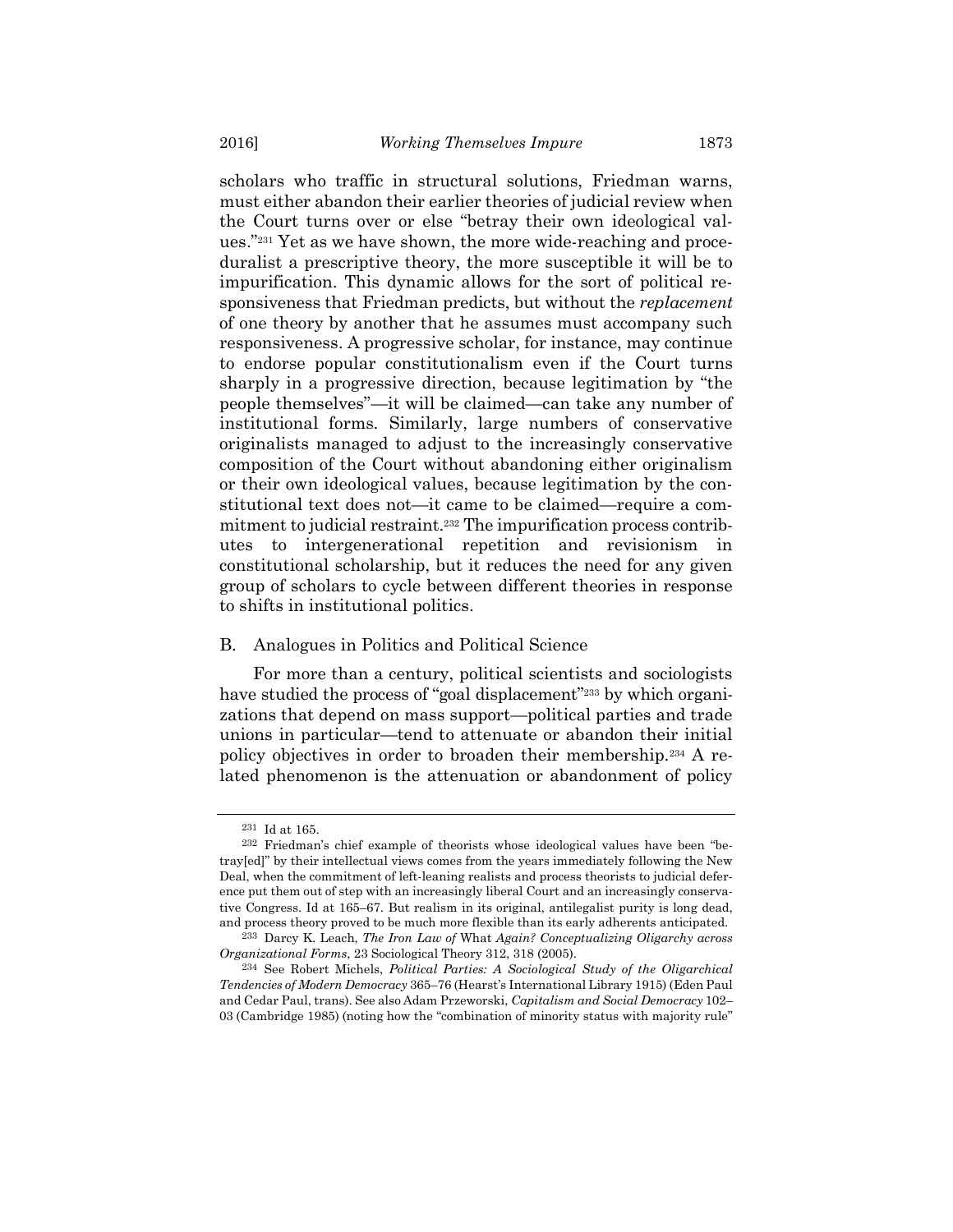scholars who traffic in structural solutions, Friedman warns, must either abandon their earlier theories of judicial review when the Court turns over or else "betray their own ideological values."231 Yet as we have shown, the more wide-reaching and proceduralist a prescriptive theory, the more susceptible it will be to impurification. This dynamic allows for the sort of political responsiveness that Friedman predicts, but without the *replacement* of one theory by another that he assumes must accompany such responsiveness. A progressive scholar, for instance, may continue to endorse popular constitutionalism even if the Court turns sharply in a progressive direction, because legitimation by "the people themselves"—it will be claimed—can take any number of institutional forms. Similarly, large numbers of conservative originalists managed to adjust to the increasingly conservative composition of the Court without abandoning either originalism or their own ideological values, because legitimation by the constitutional text does not—it came to be claimed—require a commitment to judicial restraint.232 The impurification process contributes to intergenerational repetition and revisionism in constitutional scholarship, but it reduces the need for any given group of scholars to cycle between different theories in response to shifts in institutional politics.

### B. Analogues in Politics and Political Science

For more than a century, political scientists and sociologists have studied the process of "goal displacement"<sup>233</sup> by which organizations that depend on mass support—political parties and trade unions in particular—tend to attenuate or abandon their initial policy objectives in order to broaden their membership.234 A related phenomenon is the attenuation or abandonment of policy

<sup>231</sup> Id at 165.

<sup>232</sup> Friedman's chief example of theorists whose ideological values have been "betray[ed]" by their intellectual views comes from the years immediately following the New Deal, when the commitment of left-leaning realists and process theorists to judicial deference put them out of step with an increasingly liberal Court and an increasingly conservative Congress. Id at 165–67. But realism in its original, antilegalist purity is long dead, and process theory proved to be much more flexible than its early adherents anticipated.

<sup>233</sup> Darcy K. Leach, The Iron Law of What Again? Conceptualizing Oligarchy across Organizational Forms, 23 Sociological Theory 312, 318 (2005).

<sup>234</sup> See Robert Michels, Political Parties: A Sociological Study of the Oligarchical Tendencies of Modern Democracy 365–76 (Hearst's International Library 1915) (Eden Paul and Cedar Paul, trans). See also Adam Przeworski, Capitalism and Social Democracy 102– 03 (Cambridge 1985) (noting how the "combination of minority status with majority rule"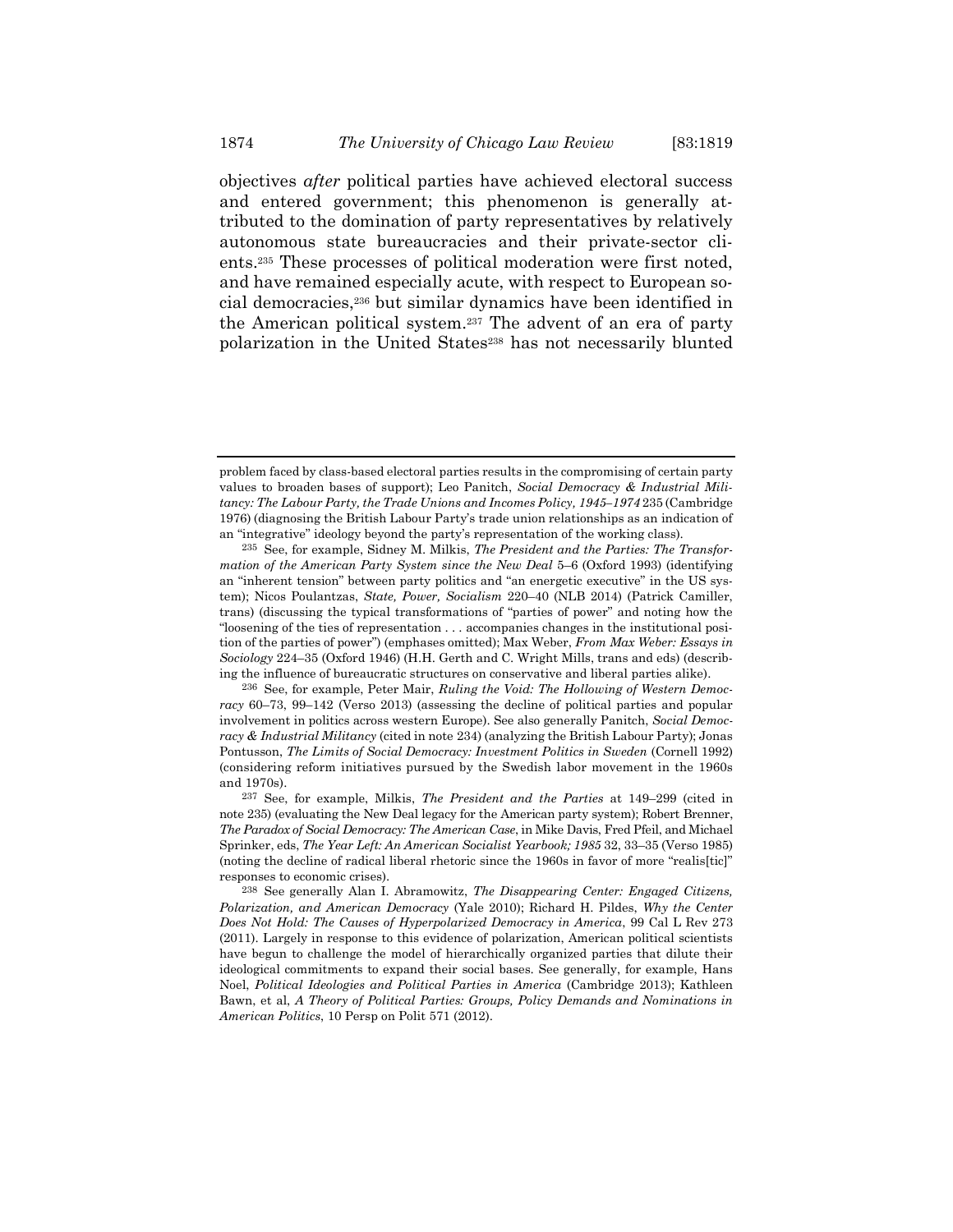objectives after political parties have achieved electoral success and entered government; this phenomenon is generally attributed to the domination of party representatives by relatively autonomous state bureaucracies and their private-sector clients.235 These processes of political moderation were first noted, and have remained especially acute, with respect to European social democracies,236 but similar dynamics have been identified in the American political system.237 The advent of an era of party polarization in the United States<sup>238</sup> has not necessarily blunted

problem faced by class-based electoral parties results in the compromising of certain party values to broaden bases of support); Leo Panitch, Social Democracy & Industrial Militancy: The Labour Party, the Trade Unions and Incomes Policy, 1945–1974 235 (Cambridge 1976) (diagnosing the British Labour Party's trade union relationships as an indication of an "integrative" ideology beyond the party's representation of the working class).

<sup>235</sup> See, for example, Sidney M. Milkis, The President and the Parties: The Transformation of the American Party System since the New Deal 5–6 (Oxford 1993) (identifying an "inherent tension" between party politics and "an energetic executive" in the US system); Nicos Poulantzas, State, Power, Socialism 220–40 (NLB 2014) (Patrick Camiller, trans) (discussing the typical transformations of "parties of power" and noting how the "loosening of the ties of representation . . . accompanies changes in the institutional position of the parties of power") (emphases omitted); Max Weber, From Max Weber: Essays in Sociology 224–35 (Oxford 1946) (H.H. Gerth and C. Wright Mills, trans and eds) (describing the influence of bureaucratic structures on conservative and liberal parties alike).

<sup>236</sup> See, for example, Peter Mair, Ruling the Void: The Hollowing of Western Democracy 60–73, 99–142 (Verso 2013) (assessing the decline of political parties and popular involvement in politics across western Europe). See also generally Panitch, Social Democracy & Industrial Militancy (cited in note 234) (analyzing the British Labour Party); Jonas Pontusson, The Limits of Social Democracy: Investment Politics in Sweden (Cornell 1992) (considering reform initiatives pursued by the Swedish labor movement in the 1960s and 1970s).

<sup>237</sup> See, for example, Milkis, The President and the Parties at 149–299 (cited in note 235) (evaluating the New Deal legacy for the American party system); Robert Brenner, The Paradox of Social Democracy: The American Case, in Mike Davis, Fred Pfeil, and Michael Sprinker, eds, The Year Left: An American Socialist Yearbook; 1985 32, 33–35 (Verso 1985) (noting the decline of radical liberal rhetoric since the 1960s in favor of more "realis[tic]" responses to economic crises).

<sup>238</sup> See generally Alan I. Abramowitz, The Disappearing Center: Engaged Citizens, Polarization, and American Democracy (Yale 2010); Richard H. Pildes, Why the Center Does Not Hold: The Causes of Hyperpolarized Democracy in America, 99 Cal L Rev 273 (2011). Largely in response to this evidence of polarization, American political scientists have begun to challenge the model of hierarchically organized parties that dilute their ideological commitments to expand their social bases. See generally, for example, Hans Noel, Political Ideologies and Political Parties in America (Cambridge 2013); Kathleen Bawn, et al, A Theory of Political Parties: Groups, Policy Demands and Nominations in American Politics, 10 Persp on Polit 571 (2012).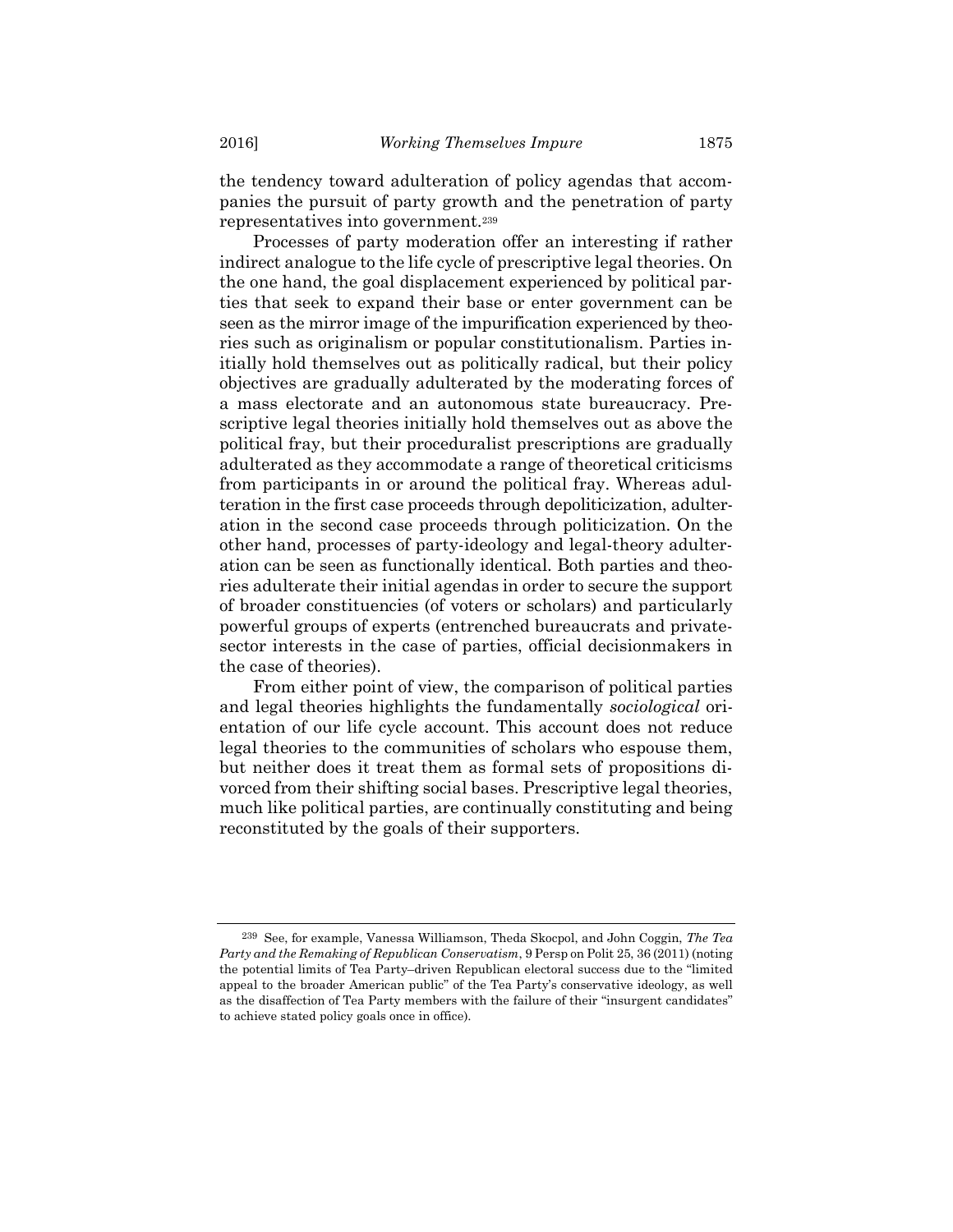the tendency toward adulteration of policy agendas that accompanies the pursuit of party growth and the penetration of party representatives into government.<sup>239</sup>

Processes of party moderation offer an interesting if rather indirect analogue to the life cycle of prescriptive legal theories. On the one hand, the goal displacement experienced by political parties that seek to expand their base or enter government can be seen as the mirror image of the impurification experienced by theories such as originalism or popular constitutionalism. Parties initially hold themselves out as politically radical, but their policy objectives are gradually adulterated by the moderating forces of a mass electorate and an autonomous state bureaucracy. Prescriptive legal theories initially hold themselves out as above the political fray, but their proceduralist prescriptions are gradually adulterated as they accommodate a range of theoretical criticisms from participants in or around the political fray. Whereas adulteration in the first case proceeds through depoliticization, adulteration in the second case proceeds through politicization. On the other hand, processes of party-ideology and legal-theory adulteration can be seen as functionally identical. Both parties and theories adulterate their initial agendas in order to secure the support of broader constituencies (of voters or scholars) and particularly powerful groups of experts (entrenched bureaucrats and privatesector interests in the case of parties, official decisionmakers in the case of theories).

From either point of view, the comparison of political parties and legal theories highlights the fundamentally *sociological* orientation of our life cycle account. This account does not reduce legal theories to the communities of scholars who espouse them, but neither does it treat them as formal sets of propositions divorced from their shifting social bases. Prescriptive legal theories, much like political parties, are continually constituting and being reconstituted by the goals of their supporters.

 $239$  See, for example, Vanessa Williamson, Theda Skocpol, and John Coggin, The Tea Party and the Remaking of Republican Conservatism, 9 Persp on Polit 25, 36 (2011) (noting the potential limits of Tea Party–driven Republican electoral success due to the "limited appeal to the broader American public" of the Tea Party's conservative ideology, as well as the disaffection of Tea Party members with the failure of their "insurgent candidates" to achieve stated policy goals once in office).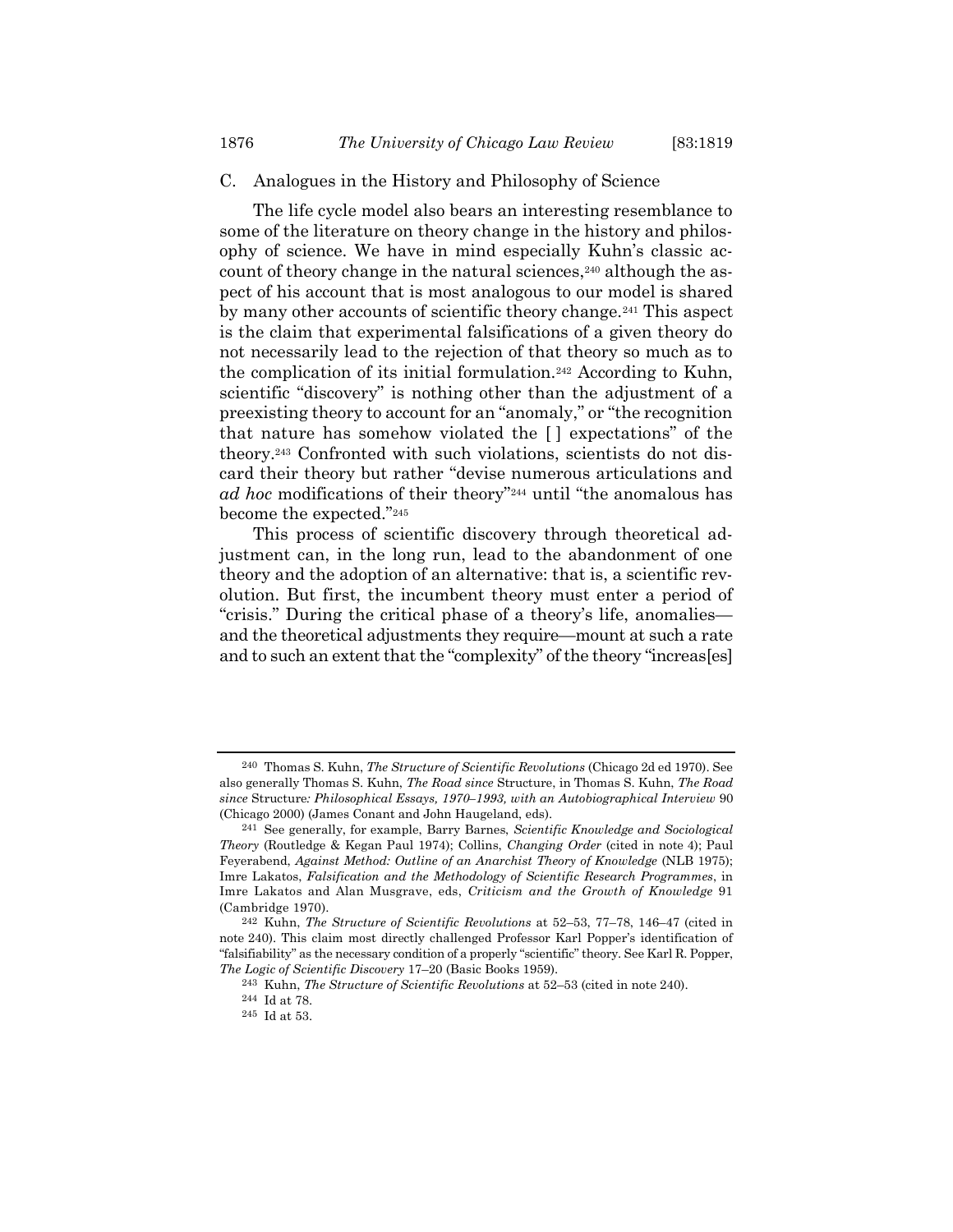### C. Analogues in the History and Philosophy of Science

The life cycle model also bears an interesting resemblance to some of the literature on theory change in the history and philosophy of science. We have in mind especially Kuhn's classic account of theory change in the natural sciences,<sup>240</sup> although the aspect of his account that is most analogous to our model is shared by many other accounts of scientific theory change.241 This aspect is the claim that experimental falsifications of a given theory do not necessarily lead to the rejection of that theory so much as to the complication of its initial formulation.242 According to Kuhn, scientific "discovery" is nothing other than the adjustment of a preexisting theory to account for an "anomaly," or "the recognition that nature has somehow violated the [ ] expectations" of the theory.243 Confronted with such violations, scientists do not discard their theory but rather "devise numerous articulations and ad hoc modifications of their theory"<sup>244</sup> until "the anomalous has become the expected."<sup>245</sup>

This process of scientific discovery through theoretical adjustment can, in the long run, lead to the abandonment of one theory and the adoption of an alternative: that is, a scientific revolution. But first, the incumbent theory must enter a period of "crisis." During the critical phase of a theory's life, anomalies and the theoretical adjustments they require—mount at such a rate and to such an extent that the "complexity" of the theory "increas[es]

<sup>240</sup> Thomas S. Kuhn, The Structure of Scientific Revolutions (Chicago 2d ed 1970). See also generally Thomas S. Kuhn, The Road since Structure, in Thomas S. Kuhn, The Road since Structure: Philosophical Essays, 1970–1993, with an Autobiographical Interview 90 (Chicago 2000) (James Conant and John Haugeland, eds).

<sup>241</sup> See generally, for example, Barry Barnes, Scientific Knowledge and Sociological Theory (Routledge & Kegan Paul 1974); Collins, Changing Order (cited in note 4); Paul Feyerabend, Against Method: Outline of an Anarchist Theory of Knowledge (NLB 1975); Imre Lakatos, Falsification and the Methodology of Scientific Research Programmes, in Imre Lakatos and Alan Musgrave, eds, Criticism and the Growth of Knowledge 91 (Cambridge 1970).

<sup>242</sup> Kuhn, The Structure of Scientific Revolutions at 52–53, 77–78, 146–47 (cited in note 240). This claim most directly challenged Professor Karl Popper's identification of "falsifiability" as the necessary condition of a properly "scientific" theory. See Karl R. Popper, The Logic of Scientific Discovery 17–20 (Basic Books 1959).

<sup>243</sup> Kuhn, The Structure of Scientific Revolutions at 52–53 (cited in note 240).

<sup>244</sup> Id at 78.

<sup>245</sup> Id at 53.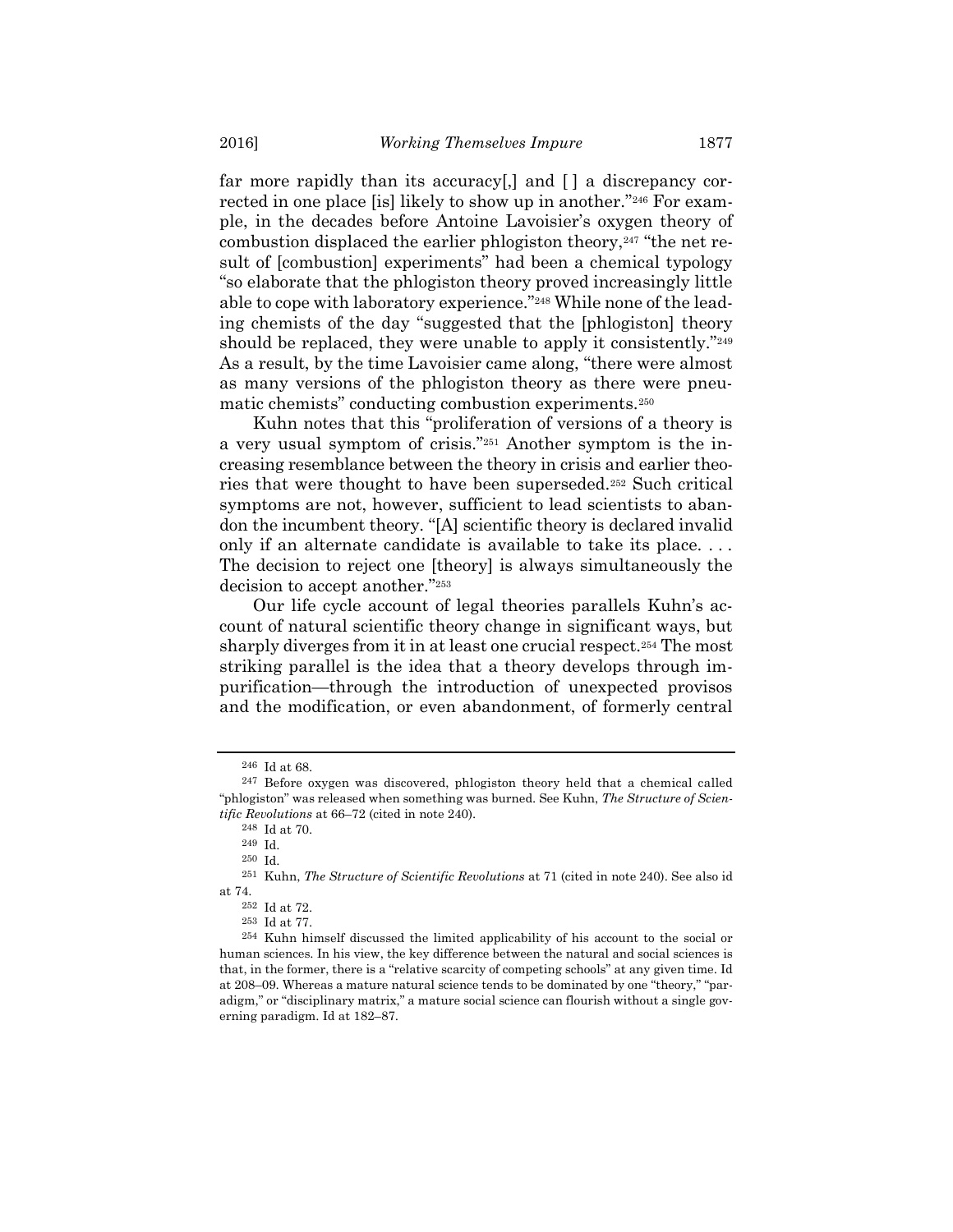far more rapidly than its accuracy[,] and [ ] a discrepancy corrected in one place [is] likely to show up in another."246 For example, in the decades before Antoine Lavoisier's oxygen theory of combustion displaced the earlier phlogiston theory,<sup>247</sup> "the net result of [combustion] experiments" had been a chemical typology "so elaborate that the phlogiston theory proved increasingly little able to cope with laboratory experience."248 While none of the leading chemists of the day "suggested that the [phlogiston] theory should be replaced, they were unable to apply it consistently."<sup>249</sup> As a result, by the time Lavoisier came along, "there were almost as many versions of the phlogiston theory as there were pneumatic chemists" conducting combustion experiments.<sup>250</sup>

Kuhn notes that this "proliferation of versions of a theory is a very usual symptom of crisis."251 Another symptom is the increasing resemblance between the theory in crisis and earlier theories that were thought to have been superseded.252 Such critical symptoms are not, however, sufficient to lead scientists to abandon the incumbent theory. "[A] scientific theory is declared invalid only if an alternate candidate is available to take its place. . . . The decision to reject one [theory] is always simultaneously the decision to accept another."<sup>253</sup>

Our life cycle account of legal theories parallels Kuhn's account of natural scientific theory change in significant ways, but sharply diverges from it in at least one crucial respect.254 The most striking parallel is the idea that a theory develops through impurification—through the introduction of unexpected provisos and the modification, or even abandonment, of formerly central

<sup>246</sup> Id at 68.

<sup>247</sup> Before oxygen was discovered, phlogiston theory held that a chemical called "phlogiston" was released when something was burned. See Kuhn, The Structure of Scientific Revolutions at 66–72 (cited in note 240).

<sup>248</sup> Id at 70.

<sup>249</sup> Id.

<sup>250</sup> Id.

<sup>251</sup> Kuhn, The Structure of Scientific Revolutions at 71 (cited in note 240). See also id at 74.

<sup>252</sup> Id at 72.

<sup>253</sup> Id at 77.

<sup>254</sup> Kuhn himself discussed the limited applicability of his account to the social or human sciences. In his view, the key difference between the natural and social sciences is that, in the former, there is a "relative scarcity of competing schools" at any given time. Id at 208–09. Whereas a mature natural science tends to be dominated by one "theory," "paradigm," or "disciplinary matrix," a mature social science can flourish without a single governing paradigm. Id at 182–87.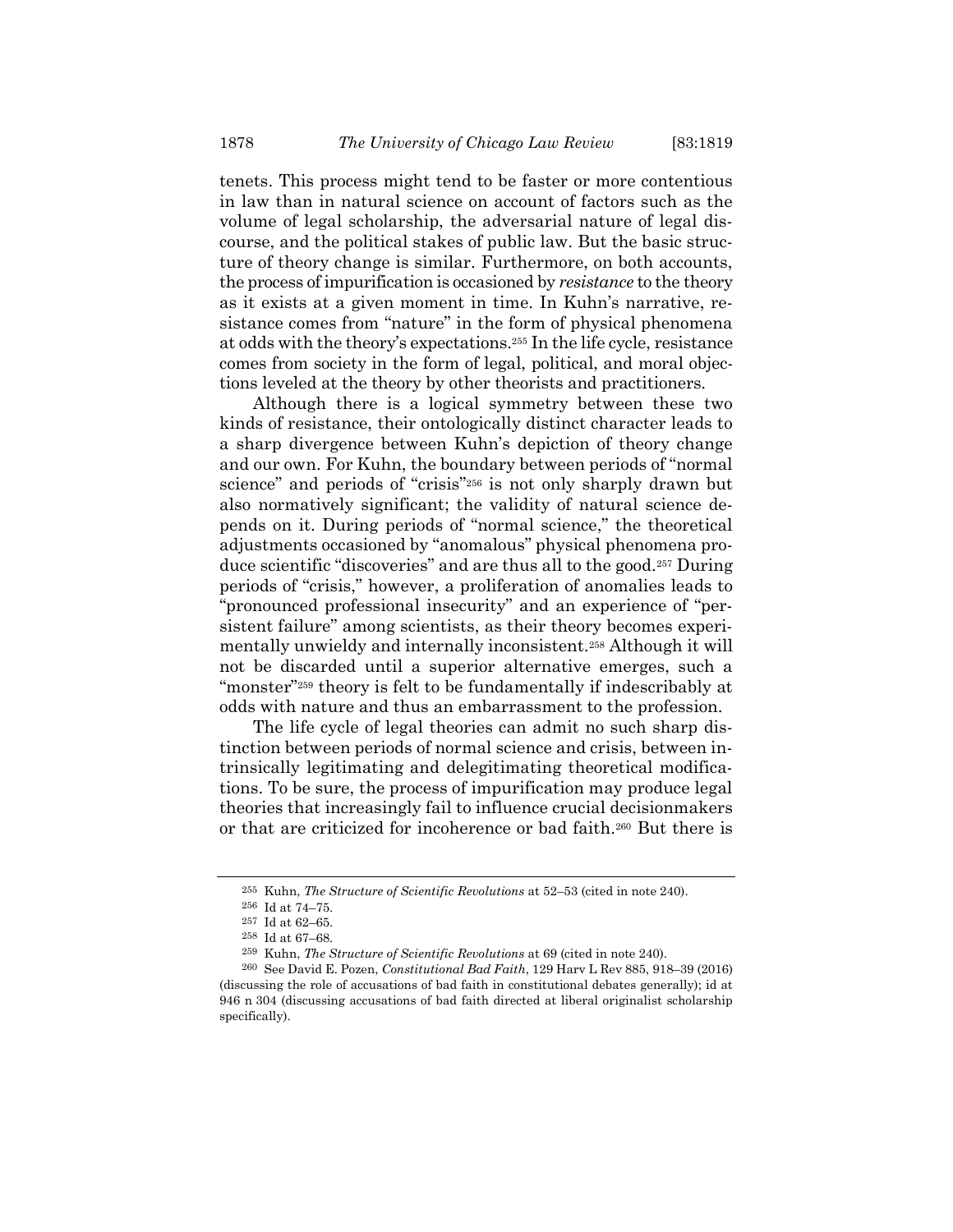tenets. This process might tend to be faster or more contentious in law than in natural science on account of factors such as the volume of legal scholarship, the adversarial nature of legal discourse, and the political stakes of public law. But the basic structure of theory change is similar. Furthermore, on both accounts, the process of impurification is occasioned by resistance to the theory as it exists at a given moment in time. In Kuhn's narrative, resistance comes from "nature" in the form of physical phenomena at odds with the theory's expectations.255 In the life cycle, resistance comes from society in the form of legal, political, and moral objections leveled at the theory by other theorists and practitioners.

Although there is a logical symmetry between these two kinds of resistance, their ontologically distinct character leads to a sharp divergence between Kuhn's depiction of theory change and our own. For Kuhn, the boundary between periods of "normal science" and periods of "crisis"<sup>256</sup> is not only sharply drawn but also normatively significant; the validity of natural science depends on it. During periods of "normal science," the theoretical adjustments occasioned by "anomalous" physical phenomena produce scientific "discoveries" and are thus all to the good.257 During periods of "crisis," however, a proliferation of anomalies leads to "pronounced professional insecurity" and an experience of "persistent failure" among scientists, as their theory becomes experimentally unwieldy and internally inconsistent.258 Although it will not be discarded until a superior alternative emerges, such a "monster"<sup>259</sup> theory is felt to be fundamentally if indescribably at odds with nature and thus an embarrassment to the profession.

The life cycle of legal theories can admit no such sharp distinction between periods of normal science and crisis, between intrinsically legitimating and delegitimating theoretical modifications. To be sure, the process of impurification may produce legal theories that increasingly fail to influence crucial decisionmakers or that are criticized for incoherence or bad faith.260 But there is

<sup>255</sup> Kuhn, The Structure of Scientific Revolutions at 52–53 (cited in note 240).

<sup>256</sup> Id at 74–75.

 $^{\rm 257}$  Id at 62–65.

<sup>258</sup> Id at 67–68.

<sup>259</sup> Kuhn, The Structure of Scientific Revolutions at 69 (cited in note 240).

<sup>260</sup> See David E. Pozen, Constitutional Bad Faith, 129 Harv L Rev 885, 918–39 (2016) (discussing the role of accusations of bad faith in constitutional debates generally); id at 946 n 304 (discussing accusations of bad faith directed at liberal originalist scholarship specifically).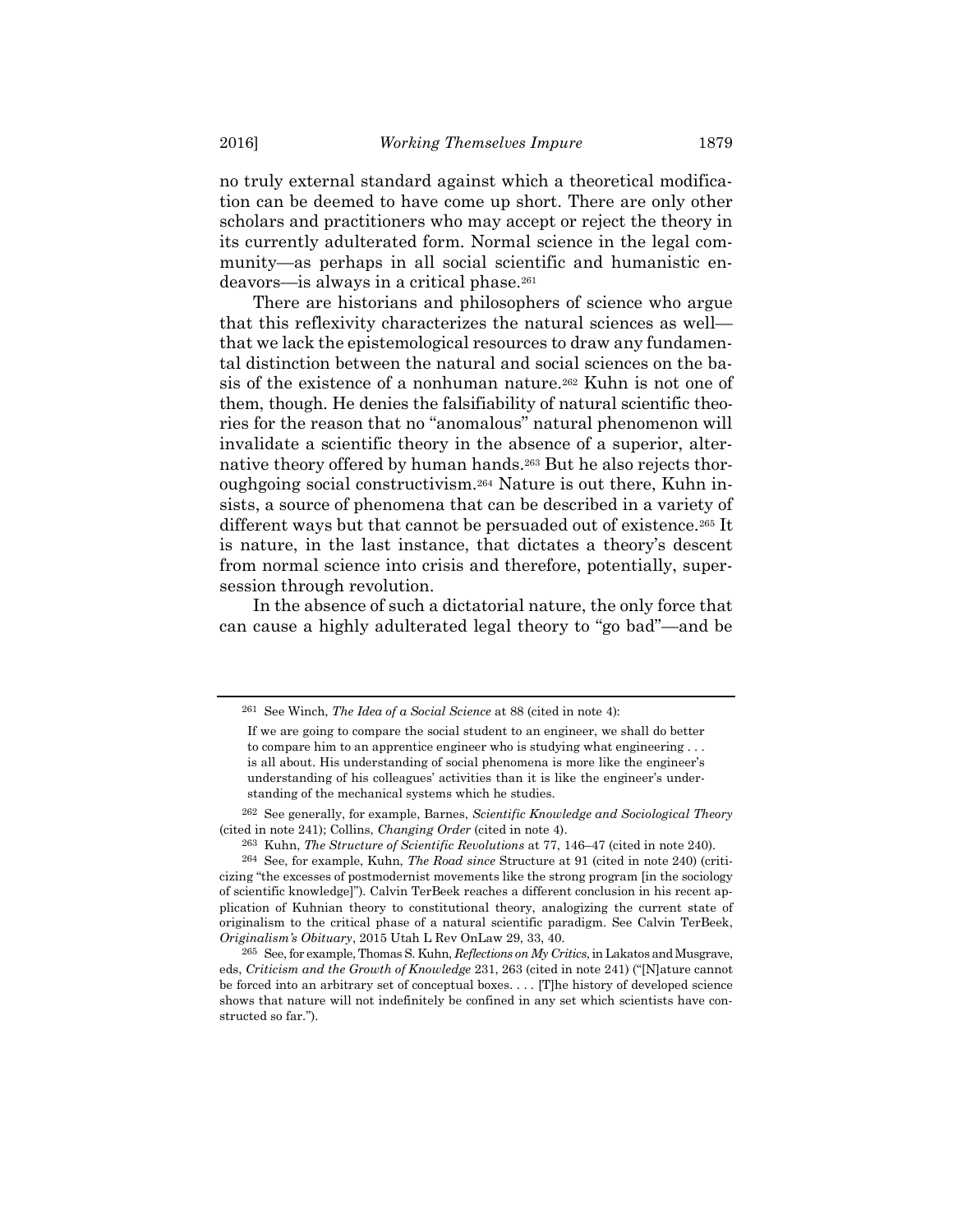no truly external standard against which a theoretical modification can be deemed to have come up short. There are only other scholars and practitioners who may accept or reject the theory in its currently adulterated form. Normal science in the legal community—as perhaps in all social scientific and humanistic endeavors—is always in a critical phase.<sup>261</sup>

There are historians and philosophers of science who argue that this reflexivity characterizes the natural sciences as well that we lack the epistemological resources to draw any fundamental distinction between the natural and social sciences on the basis of the existence of a nonhuman nature.262 Kuhn is not one of them, though. He denies the falsifiability of natural scientific theories for the reason that no "anomalous" natural phenomenon will invalidate a scientific theory in the absence of a superior, alternative theory offered by human hands.263 But he also rejects thoroughgoing social constructivism.264 Nature is out there, Kuhn insists, a source of phenomena that can be described in a variety of different ways but that cannot be persuaded out of existence.<sup>265</sup> It is nature, in the last instance, that dictates a theory's descent from normal science into crisis and therefore, potentially, supersession through revolution.

In the absence of such a dictatorial nature, the only force that can cause a highly adulterated legal theory to "go bad"—and be

 $261$  See Winch, The Idea of a Social Science at 88 (cited in note 4):

If we are going to compare the social student to an engineer, we shall do better to compare him to an apprentice engineer who is studying what engineering . . . is all about. His understanding of social phenomena is more like the engineer's understanding of his colleagues' activities than it is like the engineer's understanding of the mechanical systems which he studies.

<sup>262</sup> See generally, for example, Barnes, Scientific Knowledge and Sociological Theory (cited in note 241); Collins, Changing Order (cited in note 4).

<sup>263</sup> Kuhn, The Structure of Scientific Revolutions at 77, 146–47 (cited in note 240).

<sup>264</sup> See, for example, Kuhn, The Road since Structure at 91 (cited in note 240) (criticizing "the excesses of postmodernist movements like the strong program [in the sociology of scientific knowledge]"). Calvin TerBeek reaches a different conclusion in his recent application of Kuhnian theory to constitutional theory, analogizing the current state of originalism to the critical phase of a natural scientific paradigm. See Calvin TerBeek, Originalism's Obituary, 2015 Utah L Rev OnLaw 29, 33, 40.

 $265$  See, for example, Thomas S. Kuhn, Reflections on My Critics, in Lakatos and Musgrave, eds, Criticism and the Growth of Knowledge 231, 263 (cited in note 241) ("[N]ature cannot be forced into an arbitrary set of conceptual boxes. . . . [T]he history of developed science shows that nature will not indefinitely be confined in any set which scientists have constructed so far.").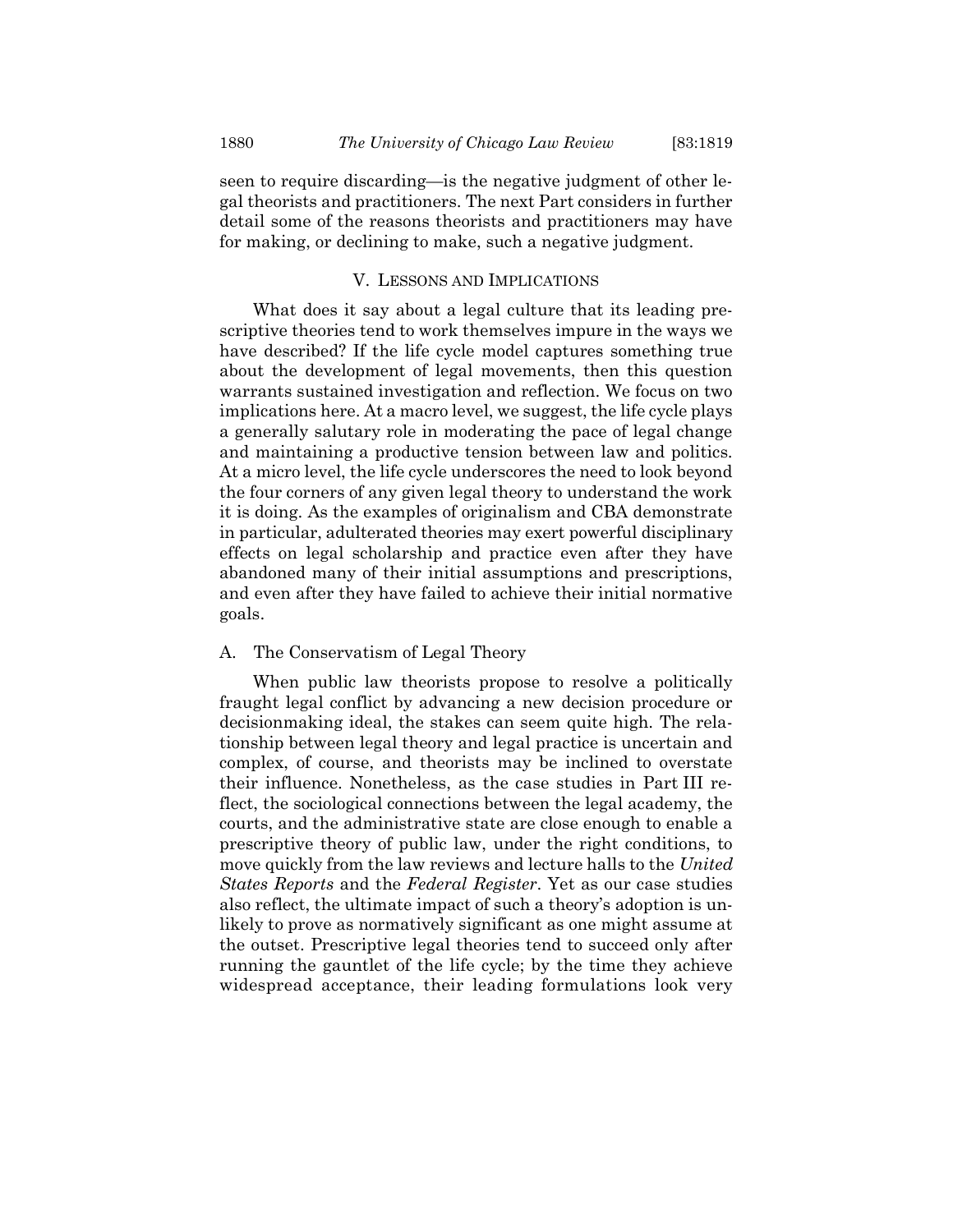seen to require discarding—is the negative judgment of other legal theorists and practitioners. The next Part considers in further detail some of the reasons theorists and practitioners may have for making, or declining to make, such a negative judgment.

# V. LESSONS AND IMPLICATIONS

What does it say about a legal culture that its leading prescriptive theories tend to work themselves impure in the ways we have described? If the life cycle model captures something true about the development of legal movements, then this question warrants sustained investigation and reflection. We focus on two implications here. At a macro level, we suggest, the life cycle plays a generally salutary role in moderating the pace of legal change and maintaining a productive tension between law and politics. At a micro level, the life cycle underscores the need to look beyond the four corners of any given legal theory to understand the work it is doing. As the examples of originalism and CBA demonstrate in particular, adulterated theories may exert powerful disciplinary effects on legal scholarship and practice even after they have abandoned many of their initial assumptions and prescriptions, and even after they have failed to achieve their initial normative goals.

## A. The Conservatism of Legal Theory

When public law theorists propose to resolve a politically fraught legal conflict by advancing a new decision procedure or decisionmaking ideal, the stakes can seem quite high. The relationship between legal theory and legal practice is uncertain and complex, of course, and theorists may be inclined to overstate their influence. Nonetheless, as the case studies in Part III reflect, the sociological connections between the legal academy, the courts, and the administrative state are close enough to enable a prescriptive theory of public law, under the right conditions, to move quickly from the law reviews and lecture halls to the United States Reports and the Federal Register. Yet as our case studies also reflect, the ultimate impact of such a theory's adoption is unlikely to prove as normatively significant as one might assume at the outset. Prescriptive legal theories tend to succeed only after running the gauntlet of the life cycle; by the time they achieve widespread acceptance, their leading formulations look very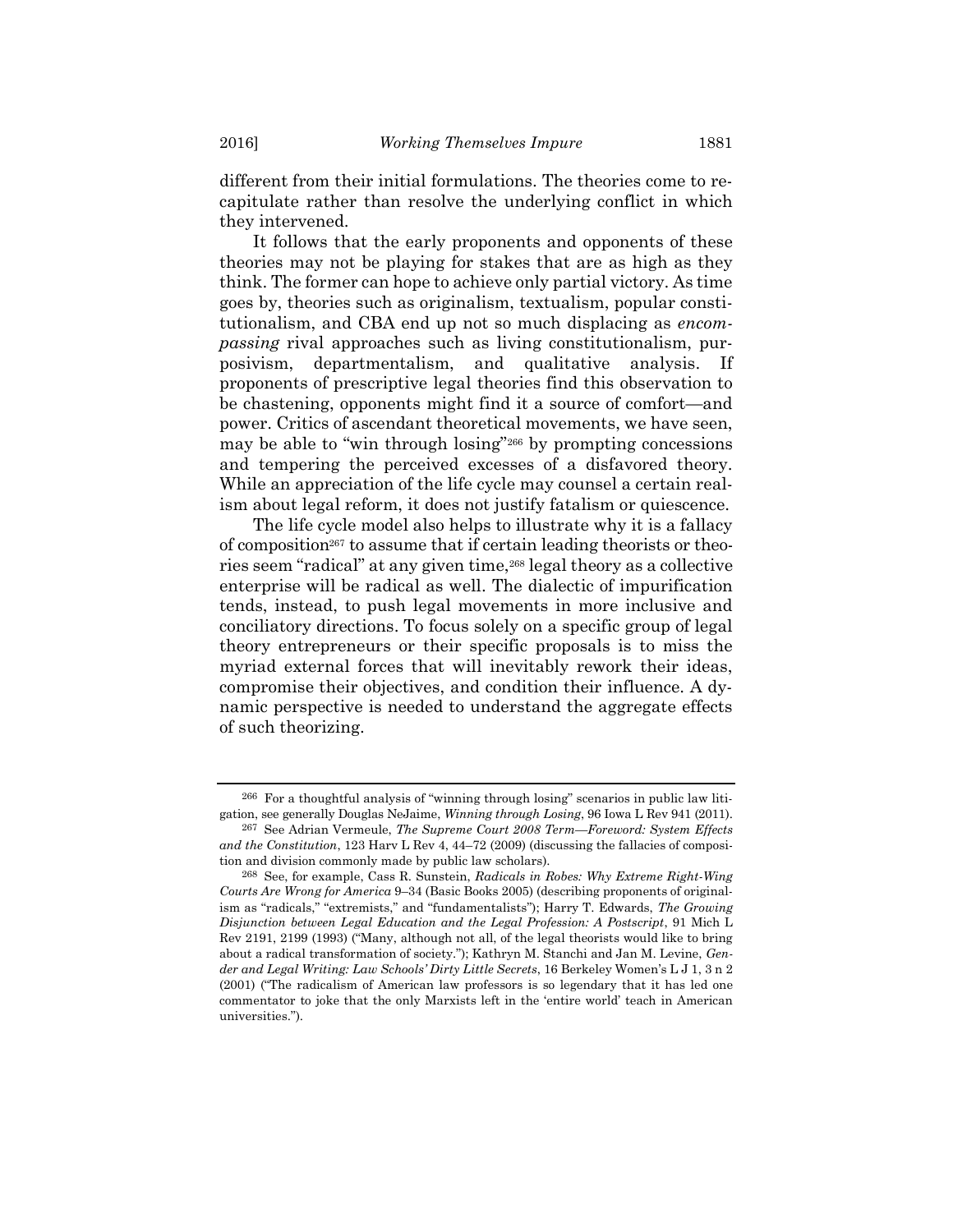different from their initial formulations. The theories come to recapitulate rather than resolve the underlying conflict in which they intervened.

It follows that the early proponents and opponents of these theories may not be playing for stakes that are as high as they think. The former can hope to achieve only partial victory. As time goes by, theories such as originalism, textualism, popular constitutionalism, and CBA end up not so much displacing as encompassing rival approaches such as living constitutionalism, purposivism, departmentalism, and qualitative analysis. If proponents of prescriptive legal theories find this observation to be chastening, opponents might find it a source of comfort—and power. Critics of ascendant theoretical movements, we have seen, may be able to "win through losing"266 by prompting concessions and tempering the perceived excesses of a disfavored theory. While an appreciation of the life cycle may counsel a certain realism about legal reform, it does not justify fatalism or quiescence.

The life cycle model also helps to illustrate why it is a fallacy of composition267 to assume that if certain leading theorists or theories seem "radical" at any given time,<sup>268</sup> legal theory as a collective enterprise will be radical as well. The dialectic of impurification tends, instead, to push legal movements in more inclusive and conciliatory directions. To focus solely on a specific group of legal theory entrepreneurs or their specific proposals is to miss the myriad external forces that will inevitably rework their ideas, compromise their objectives, and condition their influence. A dynamic perspective is needed to understand the aggregate effects of such theorizing.

<sup>266</sup> For a thoughtful analysis of "winning through losing" scenarios in public law litigation, see generally Douglas NeJaime, Winning through Losing, 96 Iowa L Rev 941 (2011).

<sup>&</sup>lt;sup>267</sup> See Adrian Vermeule, The Supreme Court 2008 Term—Foreword: System Effects and the Constitution, 123 Harv L Rev 4, 44–72 (2009) (discussing the fallacies of composition and division commonly made by public law scholars).

<sup>268</sup> See, for example, Cass R. Sunstein, Radicals in Robes: Why Extreme Right-Wing Courts Are Wrong for America 9–34 (Basic Books 2005) (describing proponents of originalism as "radicals," "extremists," and "fundamentalists"); Harry T. Edwards, The Growing Disjunction between Legal Education and the Legal Profession: A Postscript, 91 Mich L Rev 2191, 2199 (1993) ("Many, although not all, of the legal theorists would like to bring about a radical transformation of society."); Kathryn M. Stanchi and Jan M. Levine, Gender and Legal Writing: Law Schools' Dirty Little Secrets, 16 Berkeley Women's L J 1, 3 n 2 (2001) ("The radicalism of American law professors is so legendary that it has led one commentator to joke that the only Marxists left in the 'entire world' teach in American universities.").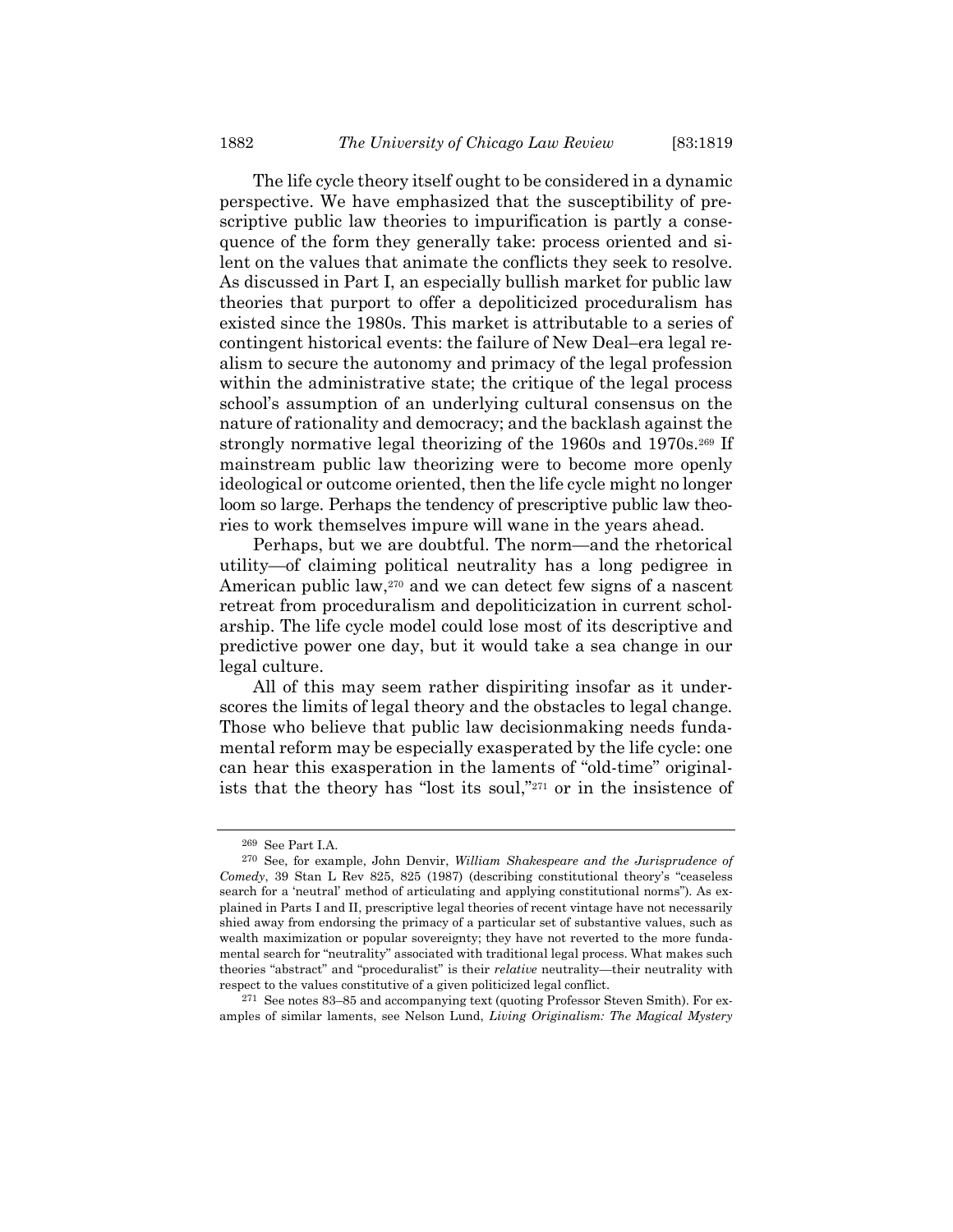The life cycle theory itself ought to be considered in a dynamic perspective. We have emphasized that the susceptibility of prescriptive public law theories to impurification is partly a consequence of the form they generally take: process oriented and silent on the values that animate the conflicts they seek to resolve. As discussed in Part I, an especially bullish market for public law theories that purport to offer a depoliticized proceduralism has existed since the 1980s. This market is attributable to a series of contingent historical events: the failure of New Deal–era legal realism to secure the autonomy and primacy of the legal profession within the administrative state; the critique of the legal process school's assumption of an underlying cultural consensus on the nature of rationality and democracy; and the backlash against the strongly normative legal theorizing of the 1960s and 1970s.269 If mainstream public law theorizing were to become more openly ideological or outcome oriented, then the life cycle might no longer loom so large. Perhaps the tendency of prescriptive public law theories to work themselves impure will wane in the years ahead.

Perhaps, but we are doubtful. The norm—and the rhetorical utility—of claiming political neutrality has a long pedigree in American public law,<sup>270</sup> and we can detect few signs of a nascent retreat from proceduralism and depoliticization in current scholarship. The life cycle model could lose most of its descriptive and predictive power one day, but it would take a sea change in our legal culture.

All of this may seem rather dispiriting insofar as it underscores the limits of legal theory and the obstacles to legal change. Those who believe that public law decisionmaking needs fundamental reform may be especially exasperated by the life cycle: one can hear this exasperation in the laments of "old-time" originalists that the theory has "lost its soul,"271 or in the insistence of

<sup>269</sup> See Part I.A.

<sup>270</sup> See, for example, John Denvir, William Shakespeare and the Jurisprudence of Comedy, 39 Stan L Rev 825, 825 (1987) (describing constitutional theory's "ceaseless search for a 'neutral' method of articulating and applying constitutional norms"). As explained in Parts I and II, prescriptive legal theories of recent vintage have not necessarily shied away from endorsing the primacy of a particular set of substantive values, such as wealth maximization or popular sovereignty; they have not reverted to the more fundamental search for "neutrality" associated with traditional legal process. What makes such theories "abstract" and "proceduralist" is their relative neutrality—their neutrality with respect to the values constitutive of a given politicized legal conflict.

<sup>271</sup> See notes 83–85 and accompanying text (quoting Professor Steven Smith). For examples of similar laments, see Nelson Lund, Living Originalism: The Magical Mystery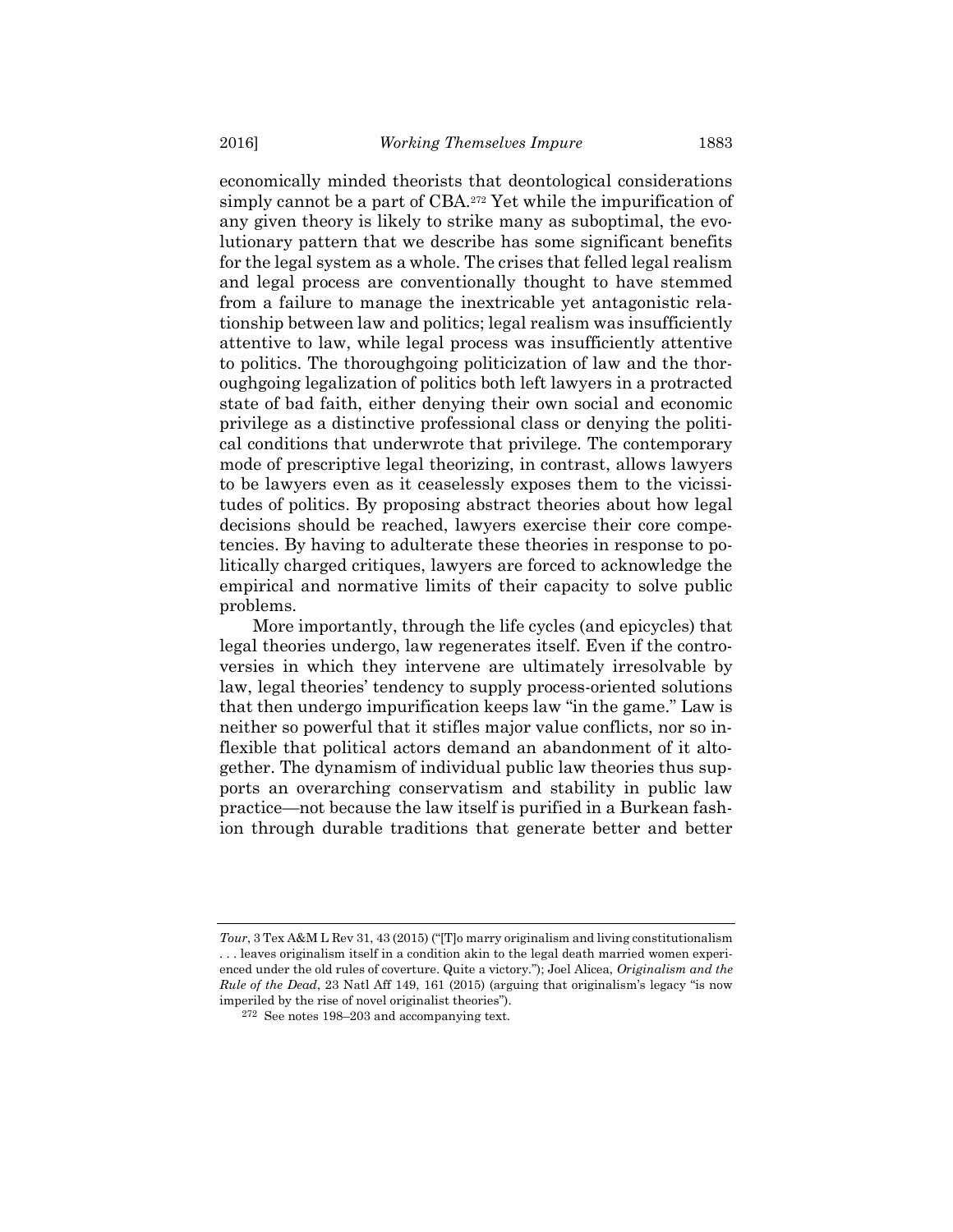economically minded theorists that deontological considerations simply cannot be a part of CBA.272 Yet while the impurification of any given theory is likely to strike many as suboptimal, the evolutionary pattern that we describe has some significant benefits for the legal system as a whole. The crises that felled legal realism and legal process are conventionally thought to have stemmed from a failure to manage the inextricable yet antagonistic relationship between law and politics; legal realism was insufficiently attentive to law, while legal process was insufficiently attentive to politics. The thoroughgoing politicization of law and the thoroughgoing legalization of politics both left lawyers in a protracted state of bad faith, either denying their own social and economic privilege as a distinctive professional class or denying the political conditions that underwrote that privilege. The contemporary mode of prescriptive legal theorizing, in contrast, allows lawyers to be lawyers even as it ceaselessly exposes them to the vicissitudes of politics. By proposing abstract theories about how legal decisions should be reached, lawyers exercise their core competencies. By having to adulterate these theories in response to politically charged critiques, lawyers are forced to acknowledge the empirical and normative limits of their capacity to solve public problems.

More importantly, through the life cycles (and epicycles) that legal theories undergo, law regenerates itself. Even if the controversies in which they intervene are ultimately irresolvable by law, legal theories' tendency to supply process-oriented solutions that then undergo impurification keeps law "in the game." Law is neither so powerful that it stifles major value conflicts, nor so inflexible that political actors demand an abandonment of it altogether. The dynamism of individual public law theories thus supports an overarching conservatism and stability in public law practice—not because the law itself is purified in a Burkean fashion through durable traditions that generate better and better

Tour, 3 Tex A&M L Rev 31, 43 (2015) ("[T]o marry originalism and living constitutionalism . . . leaves originalism itself in a condition akin to the legal death married women experienced under the old rules of coverture. Quite a victory."); Joel Alicea, Originalism and the Rule of the Dead, 23 Natl Aff 149, 161 (2015) (arguing that originalism's legacy "is now imperiled by the rise of novel originalist theories").

<sup>272</sup> See notes 198–203 and accompanying text.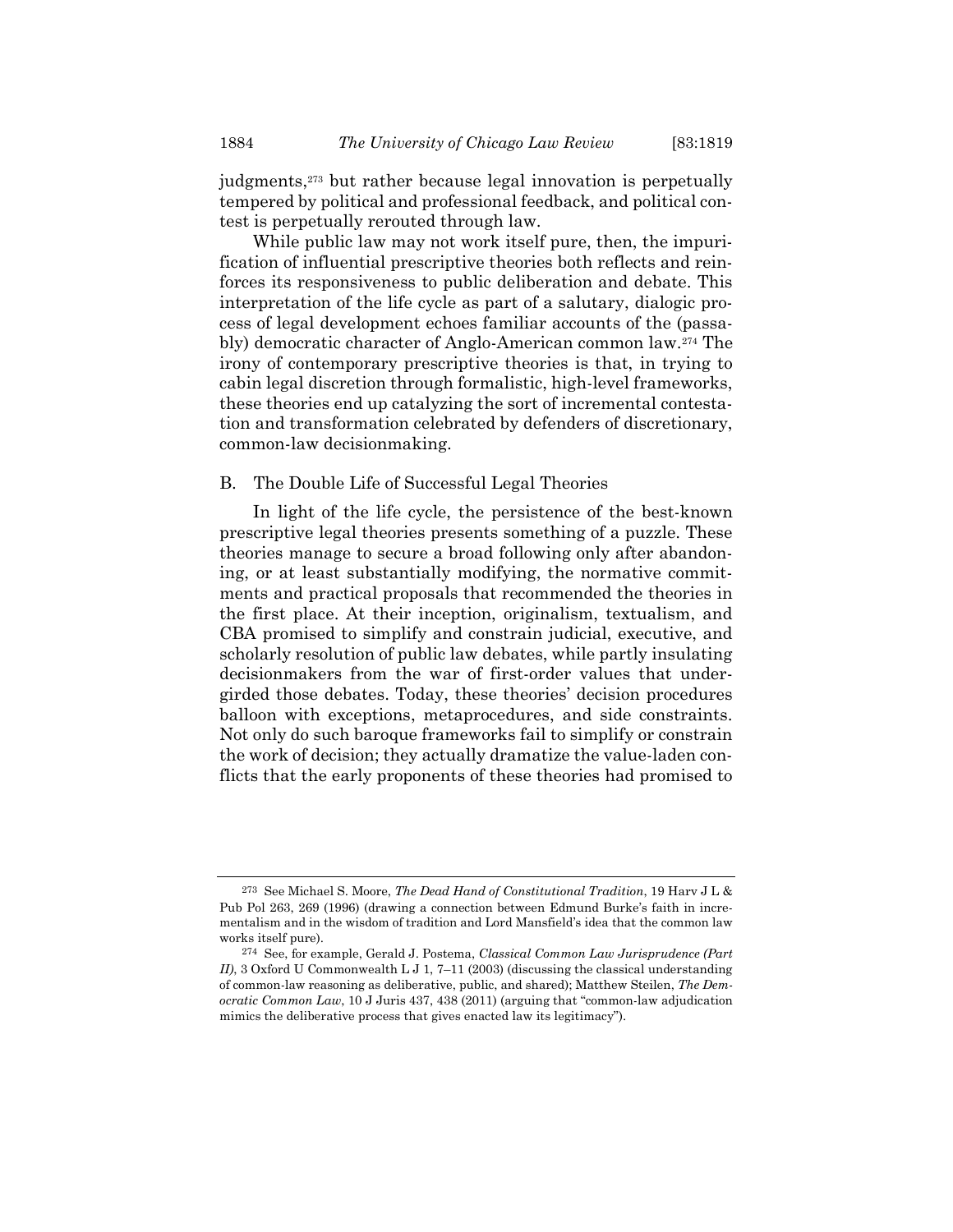judgments,273 but rather because legal innovation is perpetually tempered by political and professional feedback, and political contest is perpetually rerouted through law.

While public law may not work itself pure, then, the impurification of influential prescriptive theories both reflects and reinforces its responsiveness to public deliberation and debate. This interpretation of the life cycle as part of a salutary, dialogic process of legal development echoes familiar accounts of the (passably) democratic character of Anglo-American common law.274 The irony of contemporary prescriptive theories is that, in trying to cabin legal discretion through formalistic, high-level frameworks, these theories end up catalyzing the sort of incremental contestation and transformation celebrated by defenders of discretionary, common-law decisionmaking.

### B. The Double Life of Successful Legal Theories

In light of the life cycle, the persistence of the best-known prescriptive legal theories presents something of a puzzle. These theories manage to secure a broad following only after abandoning, or at least substantially modifying, the normative commitments and practical proposals that recommended the theories in the first place. At their inception, originalism, textualism, and CBA promised to simplify and constrain judicial, executive, and scholarly resolution of public law debates, while partly insulating decisionmakers from the war of first-order values that undergirded those debates. Today, these theories' decision procedures balloon with exceptions, metaprocedures, and side constraints. Not only do such baroque frameworks fail to simplify or constrain the work of decision; they actually dramatize the value-laden conflicts that the early proponents of these theories had promised to

<sup>273</sup> See Michael S. Moore, The Dead Hand of Constitutional Tradition, 19 Harv J L & Pub Pol 263, 269 (1996) (drawing a connection between Edmund Burke's faith in incrementalism and in the wisdom of tradition and Lord Mansfield's idea that the common law works itself pure).

<sup>274</sup> See, for example, Gerald J. Postema, Classical Common Law Jurisprudence (Part II), 3 Oxford U Commonwealth L J 1, 7–11 (2003) (discussing the classical understanding of common-law reasoning as deliberative, public, and shared); Matthew Steilen, The Democratic Common Law, 10 J Juris 437, 438 (2011) (arguing that "common-law adjudication mimics the deliberative process that gives enacted law its legitimacy").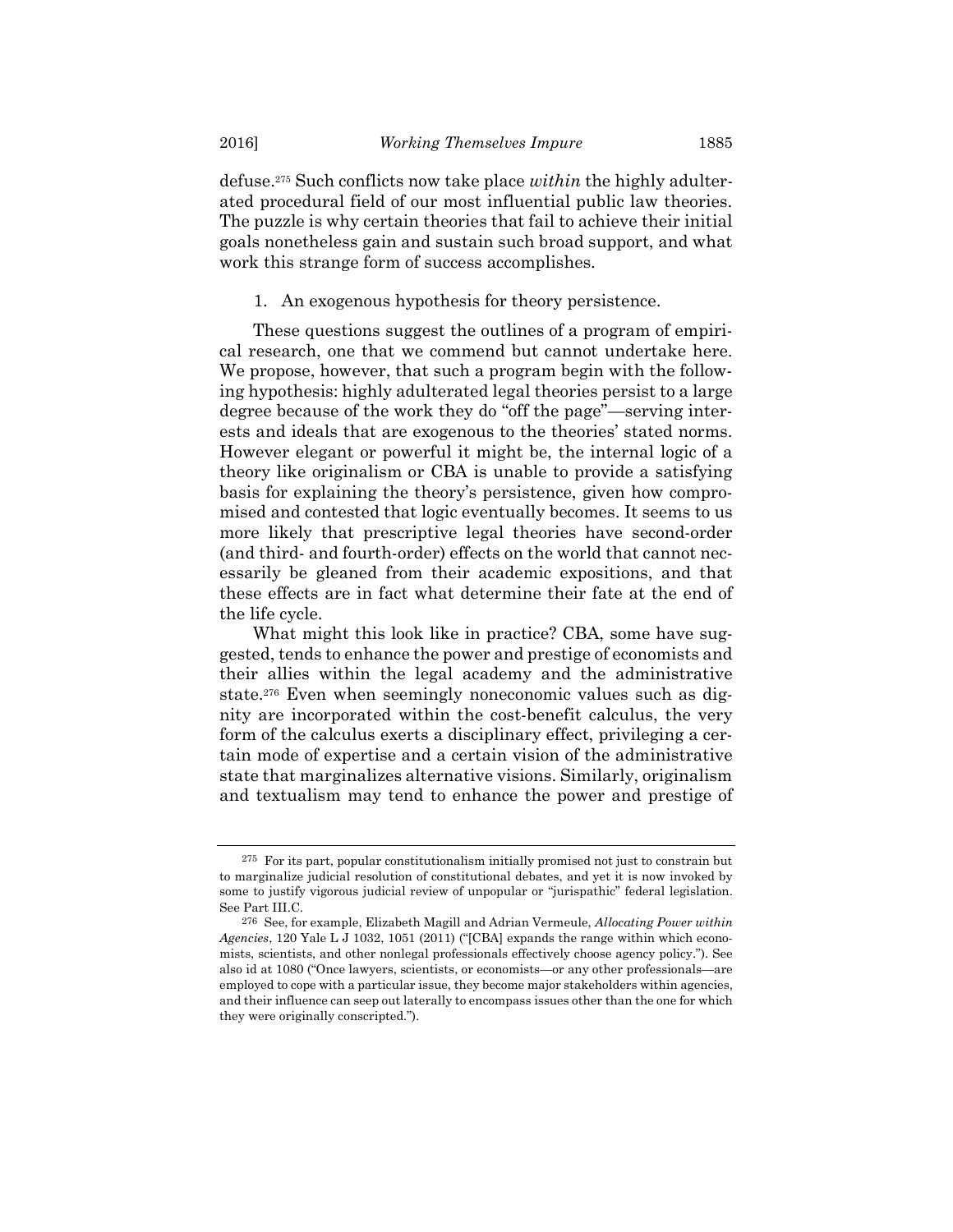defuse.275 Such conflicts now take place within the highly adulterated procedural field of our most influential public law theories. The puzzle is why certain theories that fail to achieve their initial goals nonetheless gain and sustain such broad support, and what work this strange form of success accomplishes.

1. An exogenous hypothesis for theory persistence.

These questions suggest the outlines of a program of empirical research, one that we commend but cannot undertake here. We propose, however, that such a program begin with the following hypothesis: highly adulterated legal theories persist to a large degree because of the work they do "off the page"—serving interests and ideals that are exogenous to the theories' stated norms. However elegant or powerful it might be, the internal logic of a theory like originalism or CBA is unable to provide a satisfying basis for explaining the theory's persistence, given how compromised and contested that logic eventually becomes. It seems to us more likely that prescriptive legal theories have second-order (and third- and fourth-order) effects on the world that cannot necessarily be gleaned from their academic expositions, and that these effects are in fact what determine their fate at the end of the life cycle.

What might this look like in practice? CBA, some have suggested, tends to enhance the power and prestige of economists and their allies within the legal academy and the administrative state.276 Even when seemingly noneconomic values such as dignity are incorporated within the cost-benefit calculus, the very form of the calculus exerts a disciplinary effect, privileging a certain mode of expertise and a certain vision of the administrative state that marginalizes alternative visions. Similarly, originalism and textualism may tend to enhance the power and prestige of

<sup>275</sup> For its part, popular constitutionalism initially promised not just to constrain but to marginalize judicial resolution of constitutional debates, and yet it is now invoked by some to justify vigorous judicial review of unpopular or "jurispathic" federal legislation. See Part III.C.

<sup>&</sup>lt;sup>276</sup> See, for example, Elizabeth Magill and Adrian Vermeule, Allocating Power within Agencies, 120 Yale L J 1032, 1051 (2011) ("[CBA] expands the range within which economists, scientists, and other nonlegal professionals effectively choose agency policy."). See also id at 1080 ("Once lawyers, scientists, or economists—or any other professionals—are employed to cope with a particular issue, they become major stakeholders within agencies, and their influence can seep out laterally to encompass issues other than the one for which they were originally conscripted.").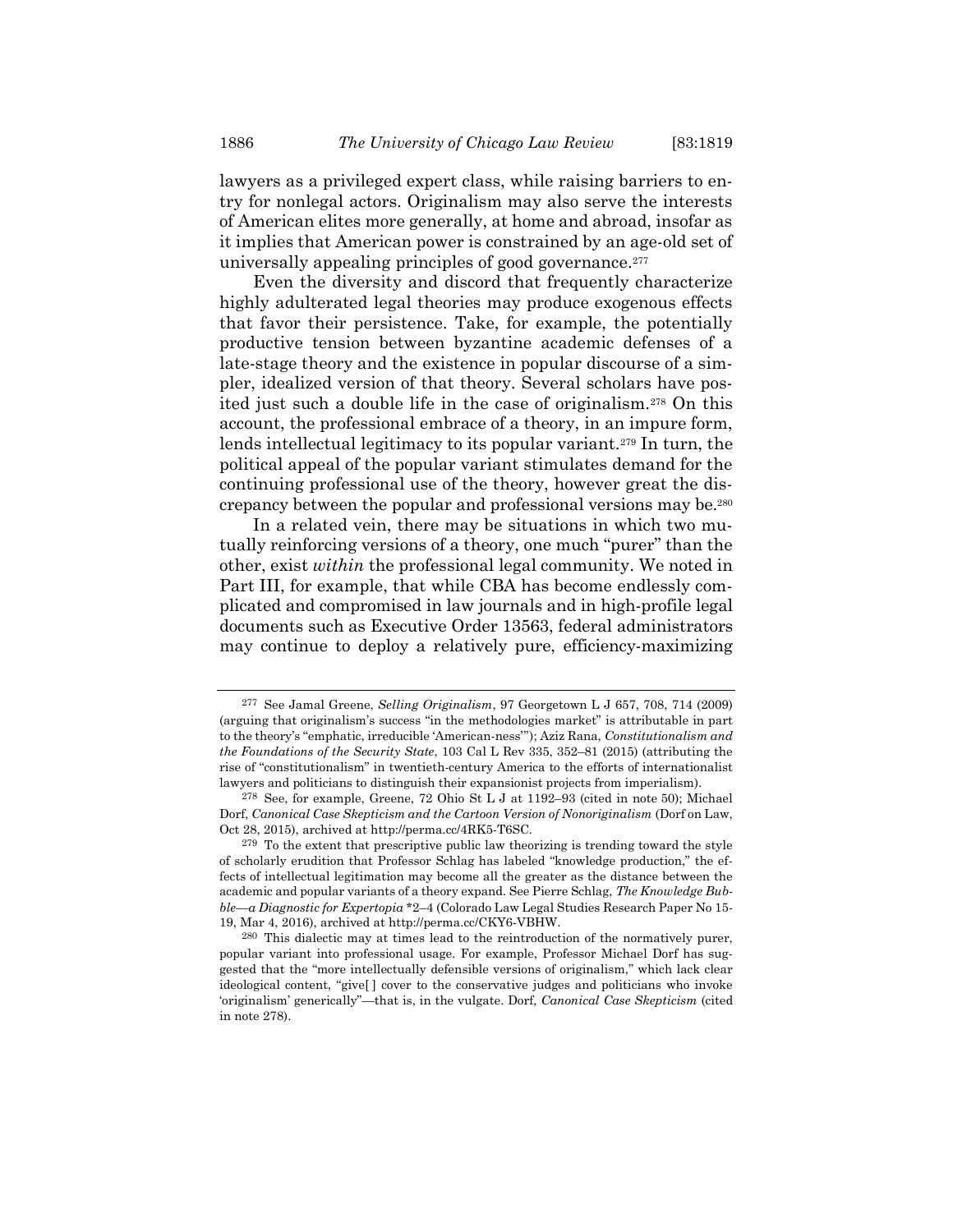lawyers as a privileged expert class, while raising barriers to entry for nonlegal actors. Originalism may also serve the interests of American elites more generally, at home and abroad, insofar as it implies that American power is constrained by an age-old set of universally appealing principles of good governance.<sup>277</sup>

Even the diversity and discord that frequently characterize highly adulterated legal theories may produce exogenous effects that favor their persistence. Take, for example, the potentially productive tension between byzantine academic defenses of a late-stage theory and the existence in popular discourse of a simpler, idealized version of that theory. Several scholars have posited just such a double life in the case of originalism.278 On this account, the professional embrace of a theory, in an impure form, lends intellectual legitimacy to its popular variant.<sup>279</sup> In turn, the political appeal of the popular variant stimulates demand for the continuing professional use of the theory, however great the discrepancy between the popular and professional versions may be.<sup>280</sup>

In a related vein, there may be situations in which two mutually reinforcing versions of a theory, one much "purer" than the other, exist within the professional legal community. We noted in Part III, for example, that while CBA has become endlessly complicated and compromised in law journals and in high-profile legal documents such as Executive Order 13563, federal administrators may continue to deploy a relatively pure, efficiency-maximizing

<sup>277</sup> See Jamal Greene, Selling Originalism, 97 Georgetown L J 657, 708, 714 (2009) (arguing that originalism's success "in the methodologies market" is attributable in part to the theory's "emphatic, irreducible 'American-ness"'); Aziz Rana, Constitutionalism and the Foundations of the Security State, 103 Cal L Rev 335, 352–81 (2015) (attributing the rise of "constitutionalism" in twentieth-century America to the efforts of internationalist lawyers and politicians to distinguish their expansionist projects from imperialism).

<sup>278</sup> See, for example, Greene, 72 Ohio St L J at 1192–93 (cited in note 50); Michael Dorf, Canonical Case Skepticism and the Cartoon Version of Nonoriginalism (Dorf on Law, Oct 28, 2015), archived at http://perma.cc/4RK5-T6SC.

<sup>279</sup> To the extent that prescriptive public law theorizing is trending toward the style of scholarly erudition that Professor Schlag has labeled "knowledge production," the effects of intellectual legitimation may become all the greater as the distance between the academic and popular variants of a theory expand. See Pierre Schlag, The Knowledge Bubble—a Diagnostic for Expertopia \*2–4 (Colorado Law Legal Studies Research Paper No 15- 19, Mar 4, 2016), archived at http://perma.cc/CKY6-VBHW.

<sup>280</sup> This dialectic may at times lead to the reintroduction of the normatively purer, popular variant into professional usage. For example, Professor Michael Dorf has suggested that the "more intellectually defensible versions of originalism," which lack clear ideological content, "give[ ] cover to the conservative judges and politicians who invoke 'originalism' generically"—that is, in the vulgate. Dorf, Canonical Case Skepticism (cited in note 278).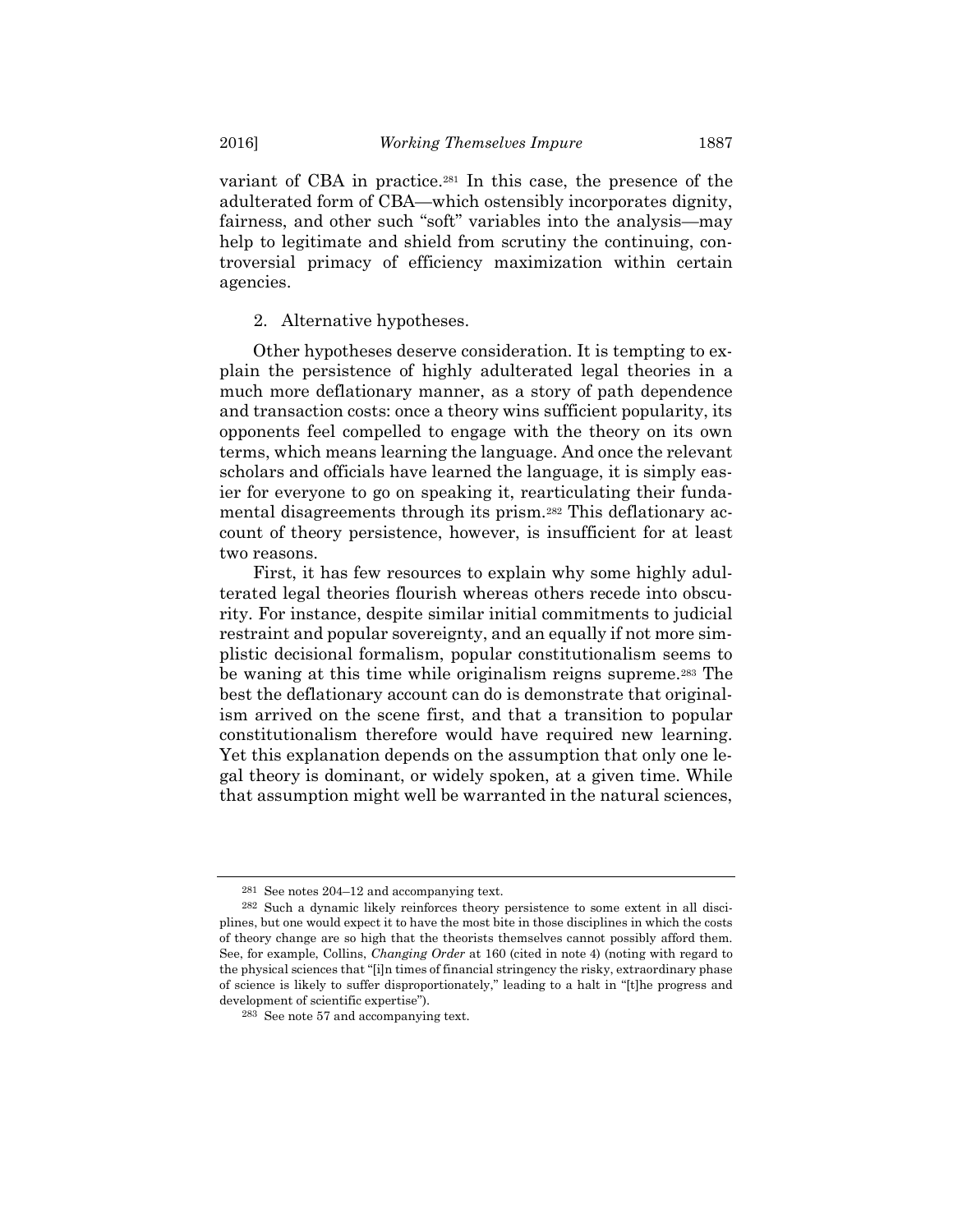variant of CBA in practice.<sup>281</sup> In this case, the presence of the adulterated form of CBA—which ostensibly incorporates dignity, fairness, and other such "soft" variables into the analysis—may help to legitimate and shield from scrutiny the continuing, controversial primacy of efficiency maximization within certain agencies.

2. Alternative hypotheses.

Other hypotheses deserve consideration. It is tempting to explain the persistence of highly adulterated legal theories in a much more deflationary manner, as a story of path dependence and transaction costs: once a theory wins sufficient popularity, its opponents feel compelled to engage with the theory on its own terms, which means learning the language. And once the relevant scholars and officials have learned the language, it is simply easier for everyone to go on speaking it, rearticulating their fundamental disagreements through its prism.282 This deflationary account of theory persistence, however, is insufficient for at least two reasons.

First, it has few resources to explain why some highly adulterated legal theories flourish whereas others recede into obscurity. For instance, despite similar initial commitments to judicial restraint and popular sovereignty, and an equally if not more simplistic decisional formalism, popular constitutionalism seems to be waning at this time while originalism reigns supreme.<sup>283</sup> The best the deflationary account can do is demonstrate that originalism arrived on the scene first, and that a transition to popular constitutionalism therefore would have required new learning. Yet this explanation depends on the assumption that only one legal theory is dominant, or widely spoken, at a given time. While that assumption might well be warranted in the natural sciences,

<sup>281</sup> See notes 204–12 and accompanying text.

<sup>282</sup> Such a dynamic likely reinforces theory persistence to some extent in all disciplines, but one would expect it to have the most bite in those disciplines in which the costs of theory change are so high that the theorists themselves cannot possibly afford them. See, for example, Collins, Changing Order at 160 (cited in note 4) (noting with regard to the physical sciences that "[i]n times of financial stringency the risky, extraordinary phase of science is likely to suffer disproportionately," leading to a halt in "[t]he progress and development of scientific expertise").

<sup>283</sup> See note 57 and accompanying text.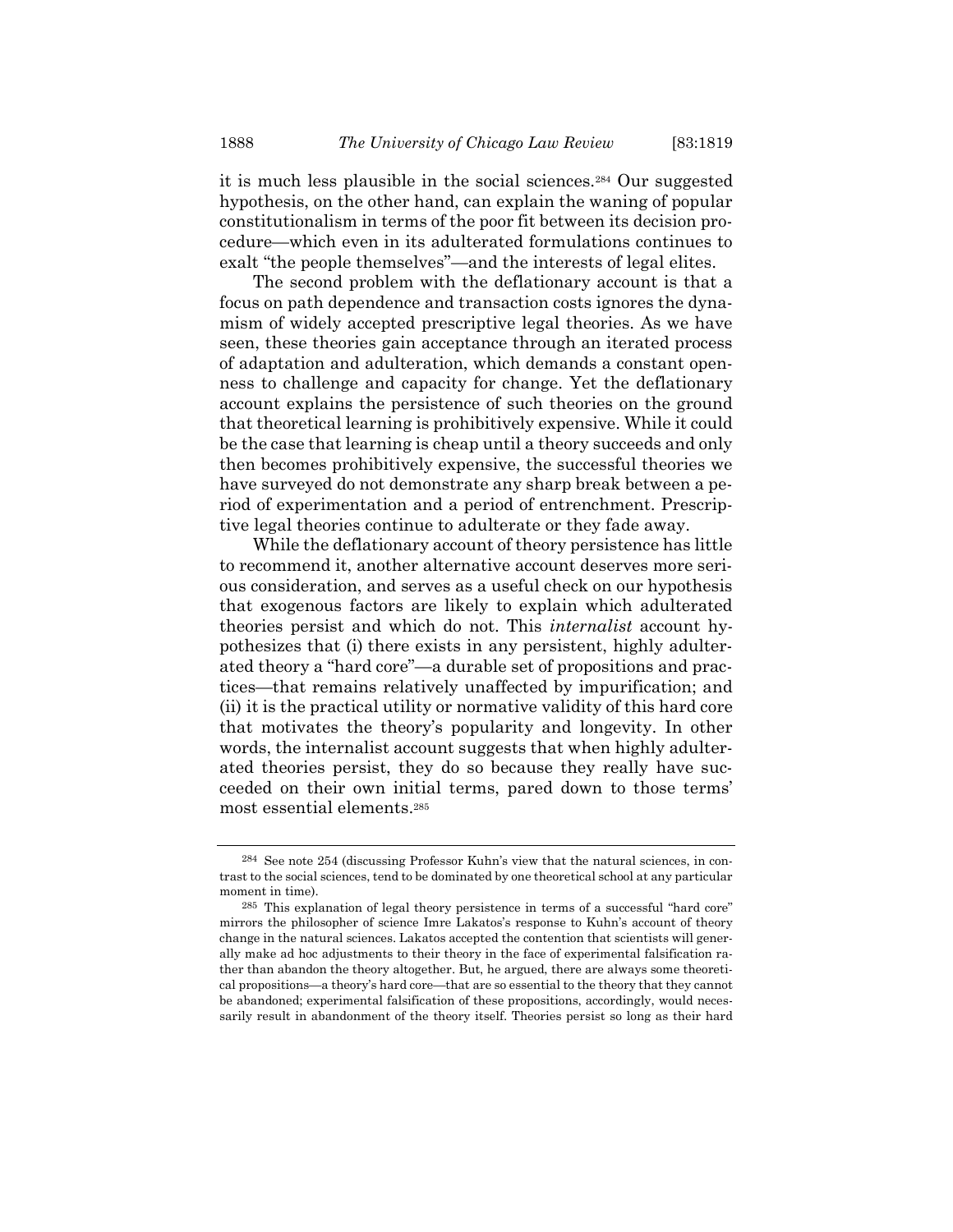it is much less plausible in the social sciences.284 Our suggested hypothesis, on the other hand, can explain the waning of popular constitutionalism in terms of the poor fit between its decision procedure—which even in its adulterated formulations continues to exalt "the people themselves"—and the interests of legal elites.

The second problem with the deflationary account is that a focus on path dependence and transaction costs ignores the dynamism of widely accepted prescriptive legal theories. As we have seen, these theories gain acceptance through an iterated process of adaptation and adulteration, which demands a constant openness to challenge and capacity for change. Yet the deflationary account explains the persistence of such theories on the ground that theoretical learning is prohibitively expensive. While it could be the case that learning is cheap until a theory succeeds and only then becomes prohibitively expensive, the successful theories we have surveyed do not demonstrate any sharp break between a period of experimentation and a period of entrenchment. Prescriptive legal theories continue to adulterate or they fade away.

While the deflationary account of theory persistence has little to recommend it, another alternative account deserves more serious consideration, and serves as a useful check on our hypothesis that exogenous factors are likely to explain which adulterated theories persist and which do not. This internalist account hypothesizes that (i) there exists in any persistent, highly adulterated theory a "hard core"—a durable set of propositions and practices—that remains relatively unaffected by impurification; and (ii) it is the practical utility or normative validity of this hard core that motivates the theory's popularity and longevity. In other words, the internalist account suggests that when highly adulterated theories persist, they do so because they really have succeeded on their own initial terms, pared down to those terms' most essential elements.<sup>285</sup>

<sup>284</sup> See note 254 (discussing Professor Kuhn's view that the natural sciences, in contrast to the social sciences, tend to be dominated by one theoretical school at any particular moment in time).

<sup>285</sup> This explanation of legal theory persistence in terms of a successful "hard core" mirrors the philosopher of science Imre Lakatos's response to Kuhn's account of theory change in the natural sciences. Lakatos accepted the contention that scientists will generally make ad hoc adjustments to their theory in the face of experimental falsification rather than abandon the theory altogether. But, he argued, there are always some theoretical propositions—a theory's hard core—that are so essential to the theory that they cannot be abandoned; experimental falsification of these propositions, accordingly, would necessarily result in abandonment of the theory itself. Theories persist so long as their hard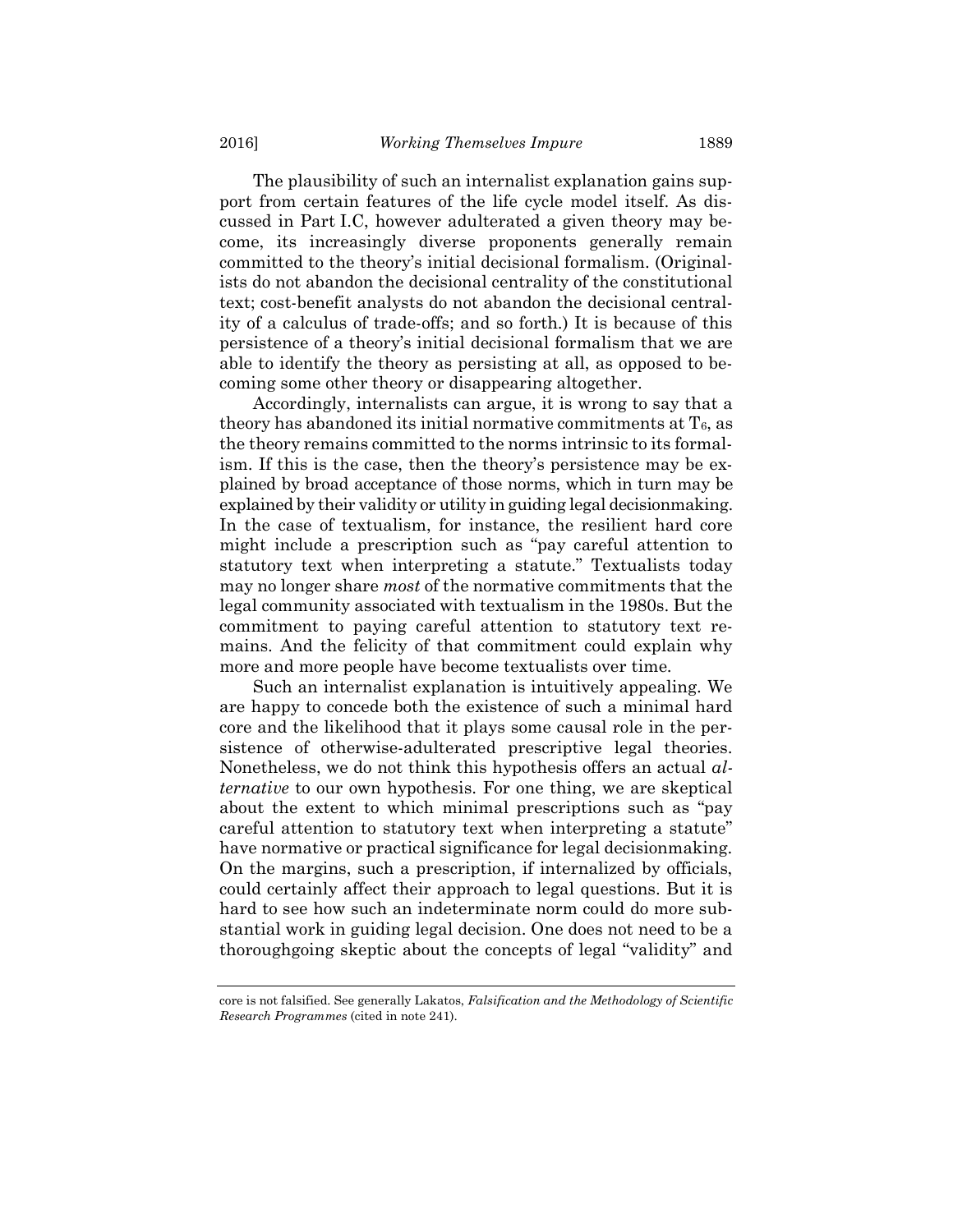The plausibility of such an internalist explanation gains support from certain features of the life cycle model itself. As discussed in Part I.C, however adulterated a given theory may become, its increasingly diverse proponents generally remain committed to the theory's initial decisional formalism. (Originalists do not abandon the decisional centrality of the constitutional text; cost-benefit analysts do not abandon the decisional centrality of a calculus of trade-offs; and so forth.) It is because of this persistence of a theory's initial decisional formalism that we are able to identify the theory as persisting at all, as opposed to becoming some other theory or disappearing altogether.

Accordingly, internalists can argue, it is wrong to say that a theory has abandoned its initial normative commitments at  $T_6$ , as the theory remains committed to the norms intrinsic to its formalism. If this is the case, then the theory's persistence may be explained by broad acceptance of those norms, which in turn may be explained by their validity or utility in guiding legal decisionmaking. In the case of textualism, for instance, the resilient hard core might include a prescription such as "pay careful attention to statutory text when interpreting a statute." Textualists today may no longer share *most* of the normative commitments that the legal community associated with textualism in the 1980s. But the commitment to paying careful attention to statutory text remains. And the felicity of that commitment could explain why more and more people have become textualists over time.

Such an internalist explanation is intuitively appealing. We are happy to concede both the existence of such a minimal hard core and the likelihood that it plays some causal role in the persistence of otherwise-adulterated prescriptive legal theories. Nonetheless, we do not think this hypothesis offers an actual alternative to our own hypothesis. For one thing, we are skeptical about the extent to which minimal prescriptions such as "pay careful attention to statutory text when interpreting a statute" have normative or practical significance for legal decisionmaking. On the margins, such a prescription, if internalized by officials, could certainly affect their approach to legal questions. But it is hard to see how such an indeterminate norm could do more substantial work in guiding legal decision. One does not need to be a thoroughgoing skeptic about the concepts of legal "validity" and

core is not falsified. See generally Lakatos, Falsification and the Methodology of Scientific Research Programmes (cited in note 241).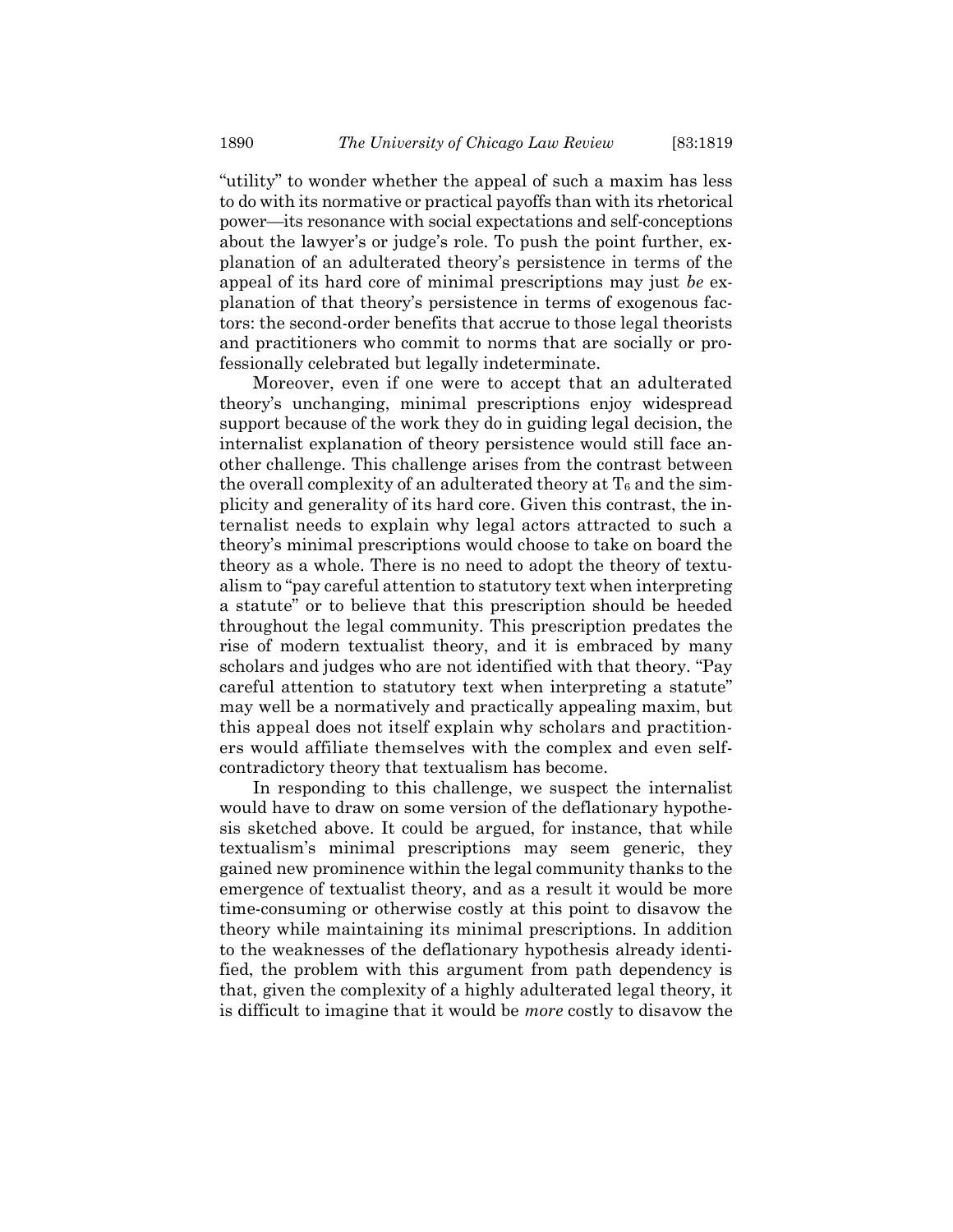"utility" to wonder whether the appeal of such a maxim has less to do with its normative or practical payoffs than with its rhetorical power—its resonance with social expectations and self-conceptions about the lawyer's or judge's role. To push the point further, explanation of an adulterated theory's persistence in terms of the appeal of its hard core of minimal prescriptions may just be explanation of that theory's persistence in terms of exogenous factors: the second-order benefits that accrue to those legal theorists and practitioners who commit to norms that are socially or professionally celebrated but legally indeterminate.

Moreover, even if one were to accept that an adulterated theory's unchanging, minimal prescriptions enjoy widespread support because of the work they do in guiding legal decision, the internalist explanation of theory persistence would still face another challenge. This challenge arises from the contrast between the overall complexity of an adulterated theory at  $T_6$  and the simplicity and generality of its hard core. Given this contrast, the internalist needs to explain why legal actors attracted to such a theory's minimal prescriptions would choose to take on board the theory as a whole. There is no need to adopt the theory of textualism to "pay careful attention to statutory text when interpreting a statute" or to believe that this prescription should be heeded throughout the legal community. This prescription predates the rise of modern textualist theory, and it is embraced by many scholars and judges who are not identified with that theory. "Pay careful attention to statutory text when interpreting a statute" may well be a normatively and practically appealing maxim, but this appeal does not itself explain why scholars and practitioners would affiliate themselves with the complex and even selfcontradictory theory that textualism has become.

In responding to this challenge, we suspect the internalist would have to draw on some version of the deflationary hypothesis sketched above. It could be argued, for instance, that while textualism's minimal prescriptions may seem generic, they gained new prominence within the legal community thanks to the emergence of textualist theory, and as a result it would be more time-consuming or otherwise costly at this point to disavow the theory while maintaining its minimal prescriptions. In addition to the weaknesses of the deflationary hypothesis already identified, the problem with this argument from path dependency is that, given the complexity of a highly adulterated legal theory, it is difficult to imagine that it would be more costly to disavow the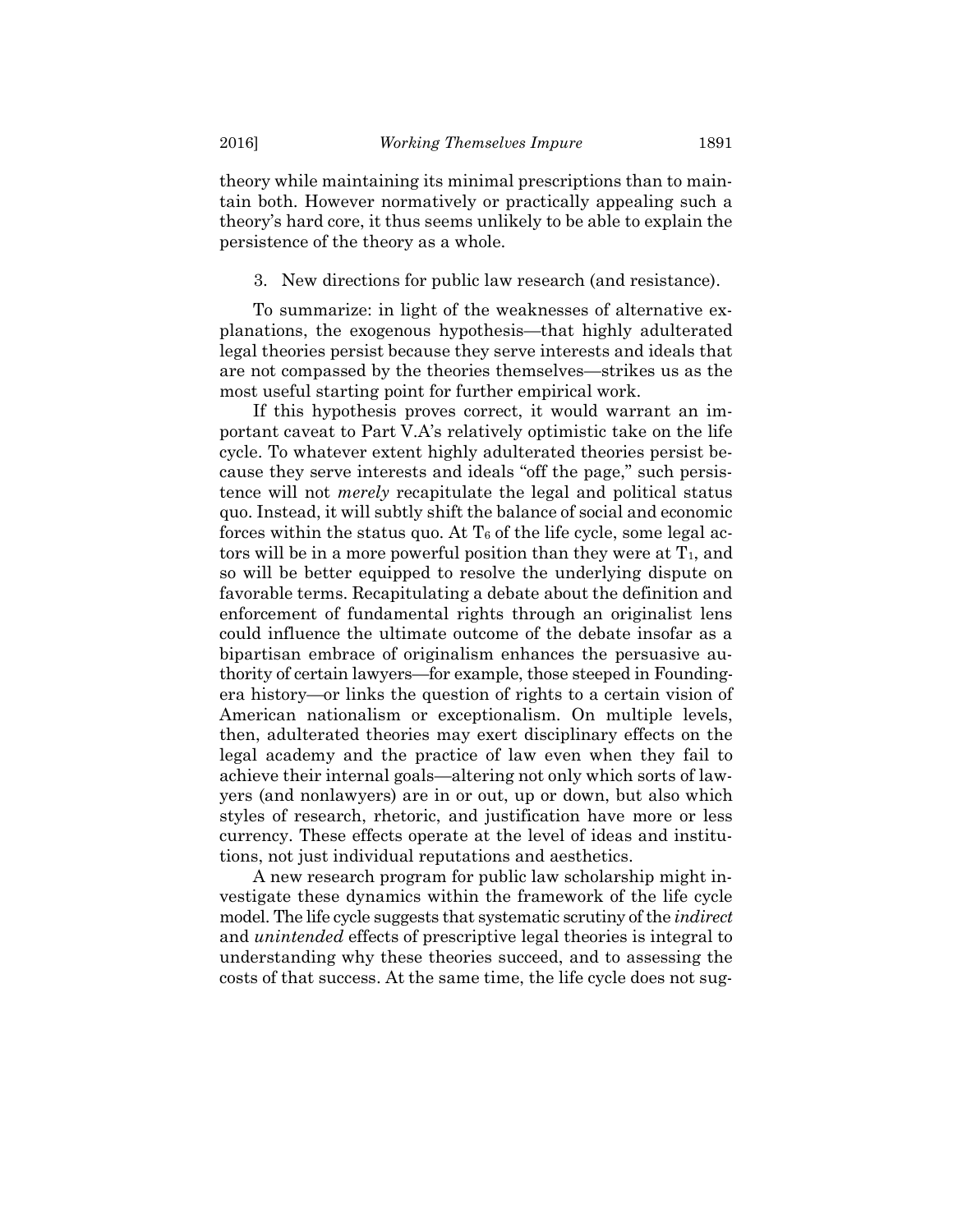theory while maintaining its minimal prescriptions than to maintain both. However normatively or practically appealing such a theory's hard core, it thus seems unlikely to be able to explain the persistence of the theory as a whole.

3. New directions for public law research (and resistance).

To summarize: in light of the weaknesses of alternative explanations, the exogenous hypothesis—that highly adulterated legal theories persist because they serve interests and ideals that are not compassed by the theories themselves—strikes us as the most useful starting point for further empirical work.

If this hypothesis proves correct, it would warrant an important caveat to Part V.A's relatively optimistic take on the life cycle. To whatever extent highly adulterated theories persist because they serve interests and ideals "off the page," such persistence will not merely recapitulate the legal and political status quo. Instead, it will subtly shift the balance of social and economic forces within the status quo. At  $T_6$  of the life cycle, some legal actors will be in a more powerful position than they were at  $T_1$ , and so will be better equipped to resolve the underlying dispute on favorable terms. Recapitulating a debate about the definition and enforcement of fundamental rights through an originalist lens could influence the ultimate outcome of the debate insofar as a bipartisan embrace of originalism enhances the persuasive authority of certain lawyers—for example, those steeped in Foundingera history—or links the question of rights to a certain vision of American nationalism or exceptionalism. On multiple levels, then, adulterated theories may exert disciplinary effects on the legal academy and the practice of law even when they fail to achieve their internal goals—altering not only which sorts of lawyers (and nonlawyers) are in or out, up or down, but also which styles of research, rhetoric, and justification have more or less currency. These effects operate at the level of ideas and institutions, not just individual reputations and aesthetics.

A new research program for public law scholarship might investigate these dynamics within the framework of the life cycle model. The life cycle suggests that systematic scrutiny of the *indirect* and unintended effects of prescriptive legal theories is integral to understanding why these theories succeed, and to assessing the costs of that success. At the same time, the life cycle does not sug-